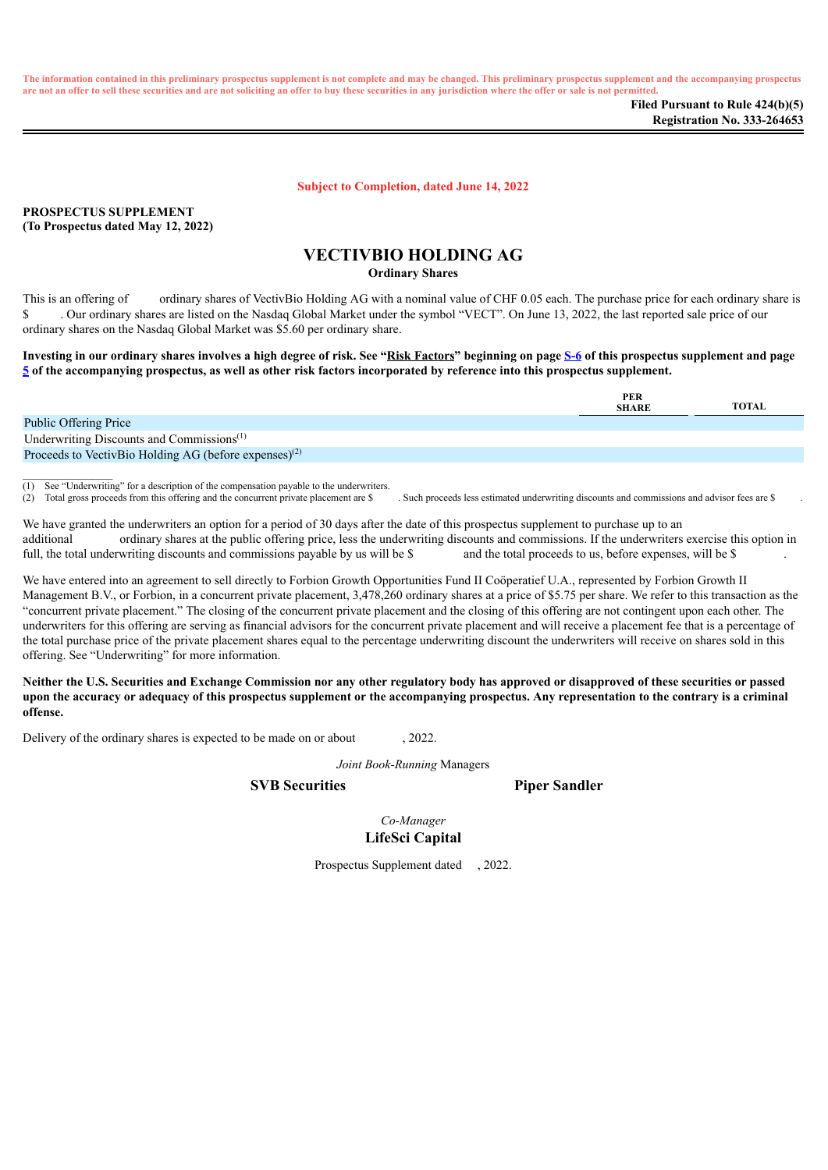The information contained in this preliminary prospectus supplement is not complete and may be changed. This preliminary prospectus supplement and the accompanying prospectus are not an offer to sell these securities and are not soliciting an offer to buy these securities in any jurisdiction where the offer or sale is not permitted.

**Subject to Completion, dated June 14, 2022**

**PROSPECTUS SUPPLEMENT (To Prospectus dated May 12, 2022)**

 $\frac{1}{2}$  ,  $\frac{1}{2}$  ,  $\frac{1}{2}$  ,  $\frac{1}{2}$  ,  $\frac{1}{2}$  ,  $\frac{1}{2}$  ,  $\frac{1}{2}$ 

# **VECTIVBIO HOLDING AG**

**Ordinary Shares**

This is an offering of ordinary shares of VectivBio Holding AG with a nominal value of CHF 0.05 each. The purchase price for each ordinary share is \$ . Our ordinary shares are listed on the Nasdaq Global Market under the symbol "VECT". On June 13, 2022, the last reported sale price of our ordinary shares on the Nasdaq Global Market was \$5.60 per ordinary share.

Investing in our ordinary shares involves a high degree of risk. See "Risk Factors" beginning on page [S-6](#page-9-0) of this prospectus supplement and page  $\frac{5}{2}$  $\frac{5}{2}$  $\frac{5}{2}$  of the accompanying prospectus, as well as other risk factors incorporated by reference into this prospectus supplement.

|                                                                   | <b>PER</b><br><b>SHARE</b> | TOTAL |
|-------------------------------------------------------------------|----------------------------|-------|
| <b>Public Offering Price</b>                                      |                            |       |
| Underwriting Discounts and Commissions <sup>(1)</sup>             |                            |       |
| Proceeds to VectivBio Holding AG (before expenses) <sup>(2)</sup> |                            |       |

(1) See "Underwriting" for a description of the compensation payable to the underwriters.

(2) Total gross proceeds from this offering and the concurrent private placement are \$ . Such proceeds less estimated underwriting discounts and commissions and advisor fees are \$ .

We have granted the underwriters an option for a period of 30 days after the date of this prospectus supplement to purchase up to an additional ordinary shares at the public offering price, less the underwriting discounts and commissions. If the underwriters exercise this option in full, the total underwriting discounts and commissions payable by us wil full, the total underwriting discounts and commissions payable by us will be  $$$ 

We have entered into an agreement to sell directly to Forbion Growth Opportunities Fund II Coöperatief U.A., represented by Forbion Growth II Management B.V., or Forbion, in a concurrent private placement, 3,478,260 ordinary shares at a price of \$5.75 per share. We refer to this transaction as the "concurrent private placement." The closing of the concurrent private placement and the closing of this offering are not contingent upon each other. The underwriters for this offering are serving as financial advisors for the concurrent private placement and will receive a placement fee that is a percentage of the total purchase price of the private placement shares equal to the percentage underwriting discount the underwriters will receive on shares sold in this offering. See "Underwriting" for more information.

Neither the U.S. Securities and Exchange Commission nor any other regulatory body has approved or disapproved of these securities or passed upon the accuracy or adequacy of this prospectus supplement or the accompanying prospectus. Any representation to the contrary is a criminal **offense.**

<span id="page-0-0"></span>Delivery of the ordinary shares is expected to be made on or about , 2022.

*Joint Book-Running* Managers

**SVB Securities Piper Sandler**

*Co-Manager* **LifeSci Capital**

Prospectus Supplement dated , 2022.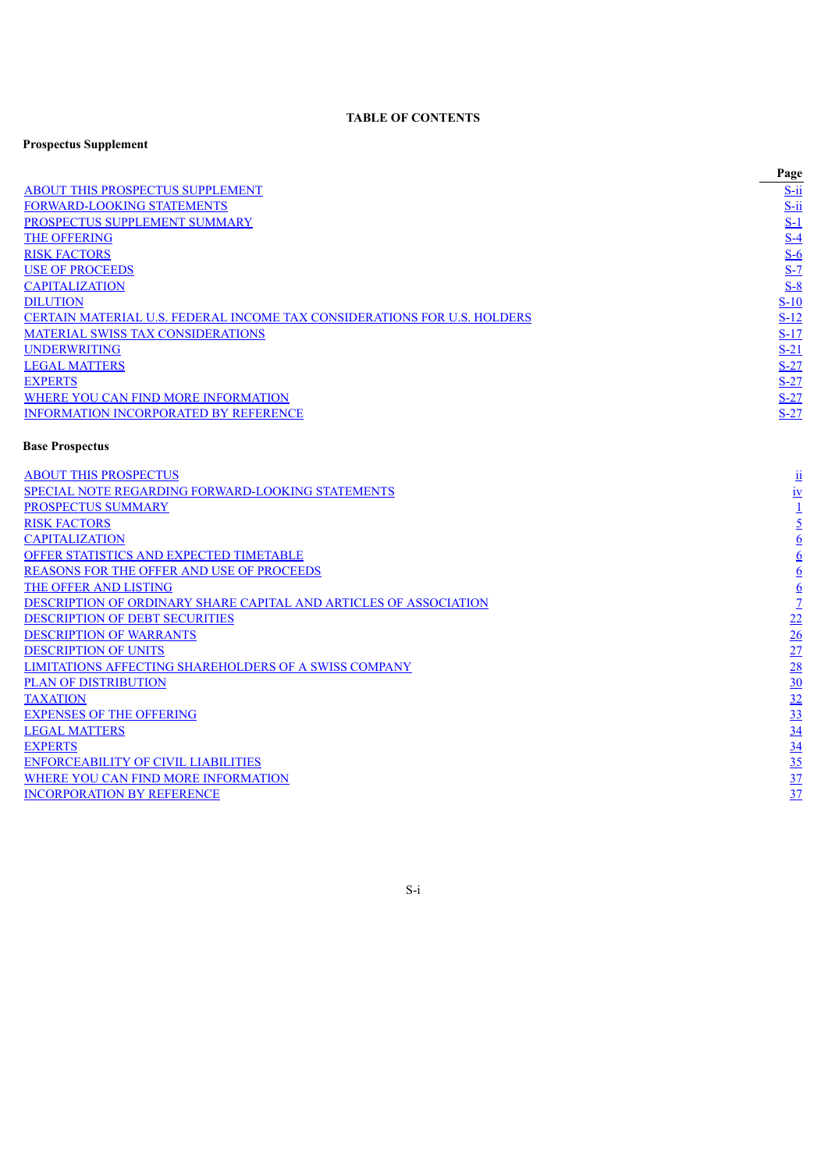## **TABLE OF CONTENTS**

## **Prospectus Supplement**

|                                                                          | Page       |
|--------------------------------------------------------------------------|------------|
| <b>ABOUT THIS PROSPECTUS SUPPLEMENT</b>                                  | $S$ -ii    |
| <b>FORWARD-LOOKING STATEMENTS</b>                                        | $S$ -ii    |
| PROSPECTUS SUPPLEMENT SUMMARY                                            | <u>S-1</u> |
| <b>THE OFFERING</b>                                                      | $S-4$      |
| <b>RISK FACTORS</b>                                                      | $S-6$      |
| <b>USE OF PROCEEDS</b>                                                   | $S-7$      |
| <b>CAPITALIZATION</b>                                                    | $S-8$      |
| <b>DILUTION</b>                                                          | $S-10$     |
| CERTAIN MATERIAL U.S. FEDERAL INCOME TAX CONSIDERATIONS FOR U.S. HOLDERS | $S-12$     |
| <b>MATERIAL SWISS TAX CONSIDERATIONS</b>                                 | $S-17$     |
| <b>UNDERWRITING</b>                                                      | $S-21$     |
| <b>LEGAL MATTERS</b>                                                     | $S-27$     |
| <b>EXPERTS</b>                                                           | $S-27$     |
| WHERE YOU CAN FIND MORE INFORMATION                                      | $S-27$     |
| <b>INFORMATION INCORPORATED BY REFERENCE</b>                             | $S-27$     |

# **Base Prospectus**

<span id="page-1-0"></span>

| <b>ABOUT THIS PROSPECTUS</b>                                      | $\mathbf{\underline{\mathsf{u}}}$ |
|-------------------------------------------------------------------|-----------------------------------|
| <b>SPECIAL NOTE REGARDING FORWARD-LOOKING STATEMENTS</b>          | 1V                                |
| <b>PROSPECTUS SUMMARY</b>                                         |                                   |
| <b>RISK FACTORS</b>                                               |                                   |
| <b>CAPITALIZATION</b>                                             |                                   |
| <b>OFFER STATISTICS AND EXPECTED TIMETABLE</b>                    | 6                                 |
| <b>REASONS FOR THE OFFER AND USE OF PROCEEDS</b>                  | $\mathbf b$                       |
| THE OFFER AND LISTING                                             | $\ddot{\mathbf{0}}$               |
| DESCRIPTION OF ORDINARY SHARE CAPITAL AND ARTICLES OF ASSOCIATION |                                   |
| <b>DESCRIPTION OF DEBT SECURITIES</b>                             | 22                                |
| <b>DESCRIPTION OF WARRANTS</b>                                    | 26                                |
| <b>DESCRIPTION OF UNITS</b>                                       | 27                                |
| <b>LIMITATIONS AFFECTING SHAREHOLDERS OF A SWISS COMPANY</b>      | 28                                |
| <b>PLAN OF DISTRIBUTION</b>                                       | 30                                |
| <b>TAXATION</b>                                                   | 32                                |
| <b>EXPENSES OF THE OFFERING</b>                                   | 33                                |
| <b>LEGAL MATTERS</b>                                              | 34                                |
| <b>EXPERTS</b>                                                    | $\overline{34}$                   |
| <b>ENFORCEABILITY OF CIVIL LIABILITIES</b>                        | 35                                |
| WHERE YOU CAN FIND MORE INFORMATION                               | $\frac{37}{2}$                    |
| <b>INCORPORATION BY REFERENCE</b>                                 | $\frac{37}{2}$                    |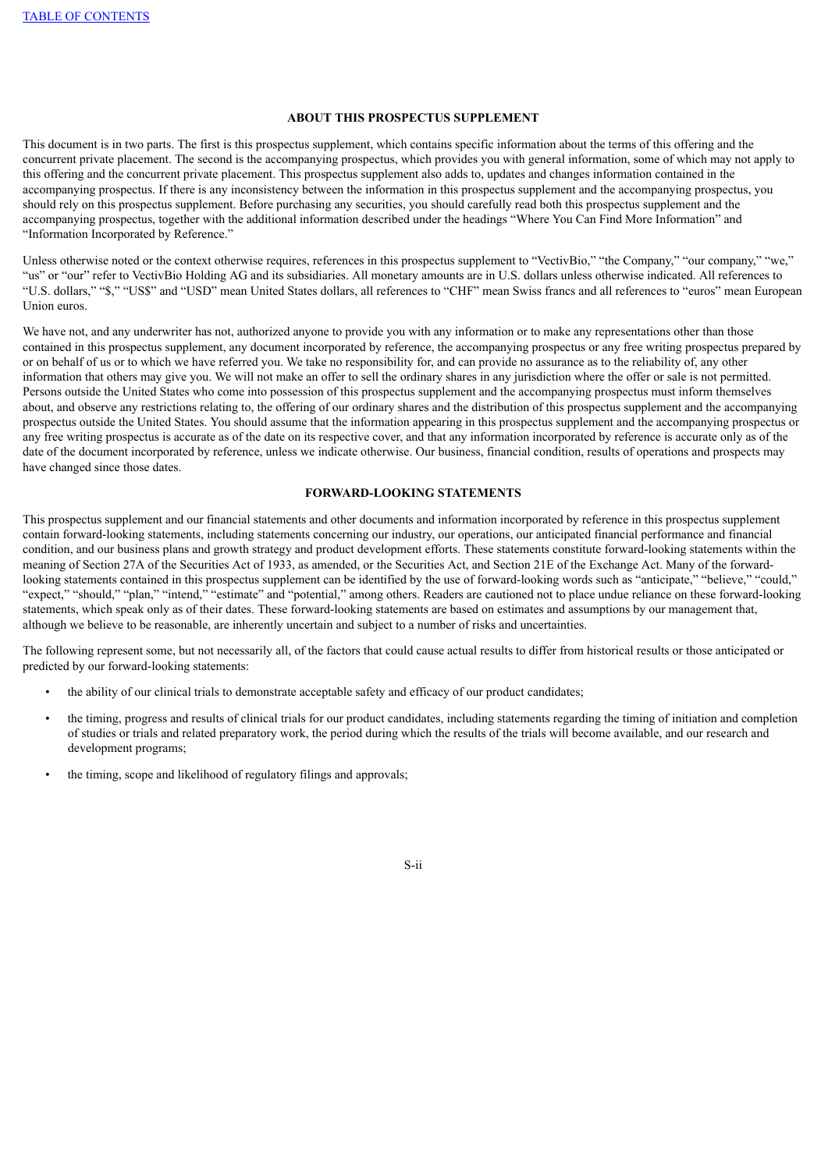## **ABOUT THIS PROSPECTUS SUPPLEMENT**

This document is in two parts. The first is this prospectus supplement, which contains specific information about the terms of this offering and the concurrent private placement. The second is the accompanying prospectus, which provides you with general information, some of which may not apply to this offering and the concurrent private placement. This prospectus supplement also adds to, updates and changes information contained in the accompanying prospectus. If there is any inconsistency between the information in this prospectus supplement and the accompanying prospectus, you should rely on this prospectus supplement. Before purchasing any securities, you should carefully read both this prospectus supplement and the accompanying prospectus, together with the additional information described under the headings "Where You Can Find More Information" and "Information Incorporated by Reference."

Unless otherwise noted or the context otherwise requires, references in this prospectus supplement to "VectivBio," "the Company," "our company," "we," "us" or "our" refer to VectivBio Holding AG and its subsidiaries. All monetary amounts are in U.S. dollars unless otherwise indicated. All references to "U.S. dollars," "\$," "US\$" and "USD" mean United States dollars, all references to "CHF" mean Swiss francs and all references to "euros" mean European Union euros.

We have not, and any underwriter has not, authorized anyone to provide you with any information or to make any representations other than those contained in this prospectus supplement, any document incorporated by reference, the accompanying prospectus or any free writing prospectus prepared by or on behalf of us or to which we have referred you. We take no responsibility for, and can provide no assurance as to the reliability of, any other information that others may give you. We will not make an offer to sell the ordinary shares in any jurisdiction where the offer or sale is not permitted. Persons outside the United States who come into possession of this prospectus supplement and the accompanying prospectus must inform themselves about, and observe any restrictions relating to, the offering of our ordinary shares and the distribution of this prospectus supplement and the accompanying prospectus outside the United States. You should assume that the information appearing in this prospectus supplement and the accompanying prospectus or any free writing prospectus is accurate as of the date on its respective cover, and that any information incorporated by reference is accurate only as of the date of the document incorporated by reference, unless we indicate otherwise. Our business, financial condition, results of operations and prospects may have changed since those dates.

## **FORWARD-LOOKING STATEMENTS**

<span id="page-2-0"></span>This prospectus supplement and our financial statements and other documents and information incorporated by reference in this prospectus supplement contain forward-looking statements, including statements concerning our industry, our operations, our anticipated financial performance and financial condition, and our business plans and growth strategy and product development efforts. These statements constitute forward-looking statements within the meaning of Section 27A of the Securities Act of 1933, as amended, or the Securities Act, and Section 21E of the Exchange Act. Many of the forwardlooking statements contained in this prospectus supplement can be identified by the use of forward-looking words such as "anticipate," "believe," "could," "expect," "should," "plan," "intend," "estimate" and "potential," among others. Readers are cautioned not to place undue reliance on these forward-looking statements, which speak only as of their dates. These forward-looking statements are based on estimates and assumptions by our management that, although we believe to be reasonable, are inherently uncertain and subject to a number of risks and uncertainties.

The following represent some, but not necessarily all, of the factors that could cause actual results to differ from historical results or those anticipated or predicted by our forward-looking statements:

- the ability of our clinical trials to demonstrate acceptable safety and efficacy of our product candidates;
- the timing, progress and results of clinical trials for our product candidates, including statements regarding the timing of initiation and completion of studies or trials and related preparatory work, the period during which the results of the trials will become available, and our research and development programs;
- the timing, scope and likelihood of regulatory filings and approvals;

S-ii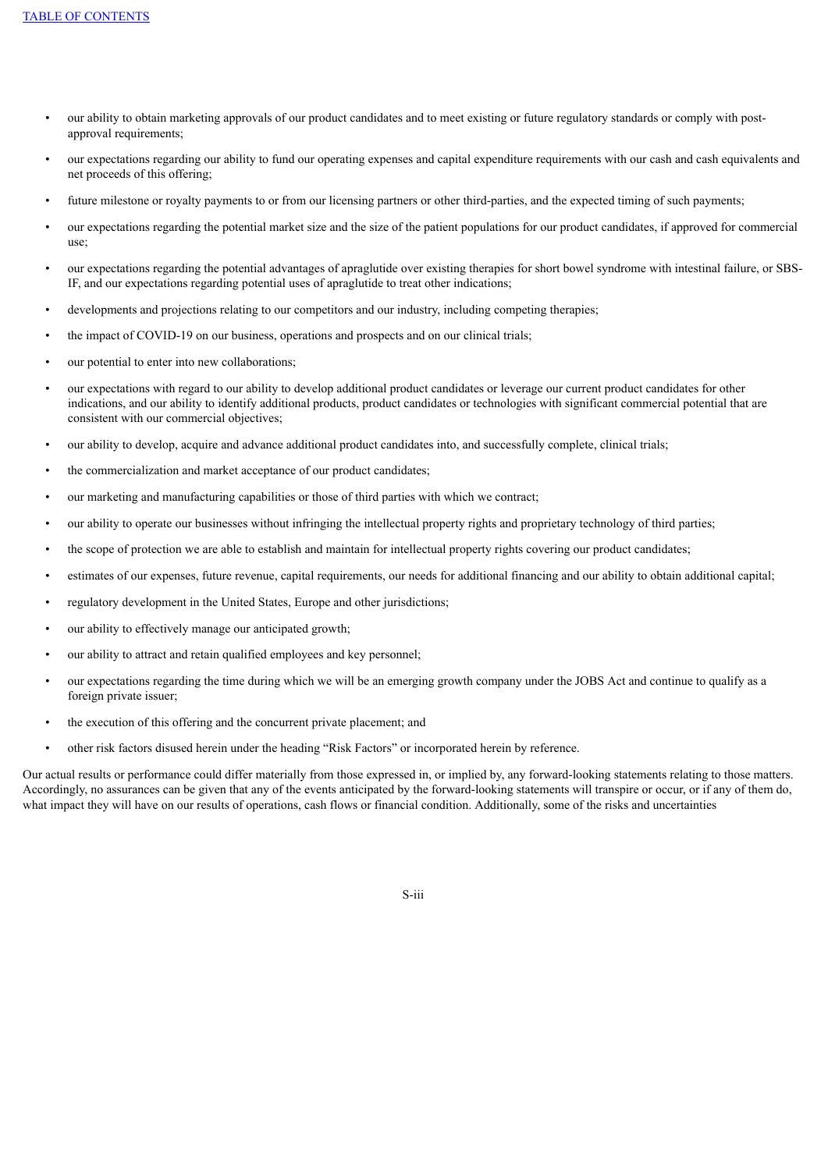- our ability to obtain marketing approvals of our product candidates and to meet existing or future regulatory standards or comply with postapproval requirements;
- our expectations regarding our ability to fund our operating expenses and capital expenditure requirements with our cash and cash equivalents and net proceeds of this offering;
- future milestone or royalty payments to or from our licensing partners or other third-parties, and the expected timing of such payments;
- our expectations regarding the potential market size and the size of the patient populations for our product candidates, if approved for commercial use;
- our expectations regarding the potential advantages of apraglutide over existing therapies for short bowel syndrome with intestinal failure, or SBS-IF, and our expectations regarding potential uses of apraglutide to treat other indications;
- developments and projections relating to our competitors and our industry, including competing therapies;
- the impact of COVID-19 on our business, operations and prospects and on our clinical trials;
- our potential to enter into new collaborations:
- our expectations with regard to our ability to develop additional product candidates or leverage our current product candidates for other indications, and our ability to identify additional products, product candidates or technologies with significant commercial potential that are consistent with our commercial objectives;
- our ability to develop, acquire and advance additional product candidates into, and successfully complete, clinical trials;
- the commercialization and market acceptance of our product candidates;
- our marketing and manufacturing capabilities or those of third parties with which we contract;
- our ability to operate our businesses without infringing the intellectual property rights and proprietary technology of third parties;
- the scope of protection we are able to establish and maintain for intellectual property rights covering our product candidates;
- estimates of our expenses, future revenue, capital requirements, our needs for additional financing and our ability to obtain additional capital;
- regulatory development in the United States, Europe and other jurisdictions;
- our ability to effectively manage our anticipated growth;
- our ability to attract and retain qualified employees and key personnel;
- our expectations regarding the time during which we will be an emerging growth company under the JOBS Act and continue to qualify as a foreign private issuer;
- the execution of this offering and the concurrent private placement; and
- other risk factors disused herein under the heading "Risk Factors" or incorporated herein by reference.

Our actual results or performance could differ materially from those expressed in, or implied by, any forward-looking statements relating to those matters. Accordingly, no assurances can be given that any of the events anticipated by the forward-looking statements will transpire or occur, or if any of them do, what impact they will have on our results of operations, cash flows or financial condition. Additionally, some of the risks and uncertainties

S-iii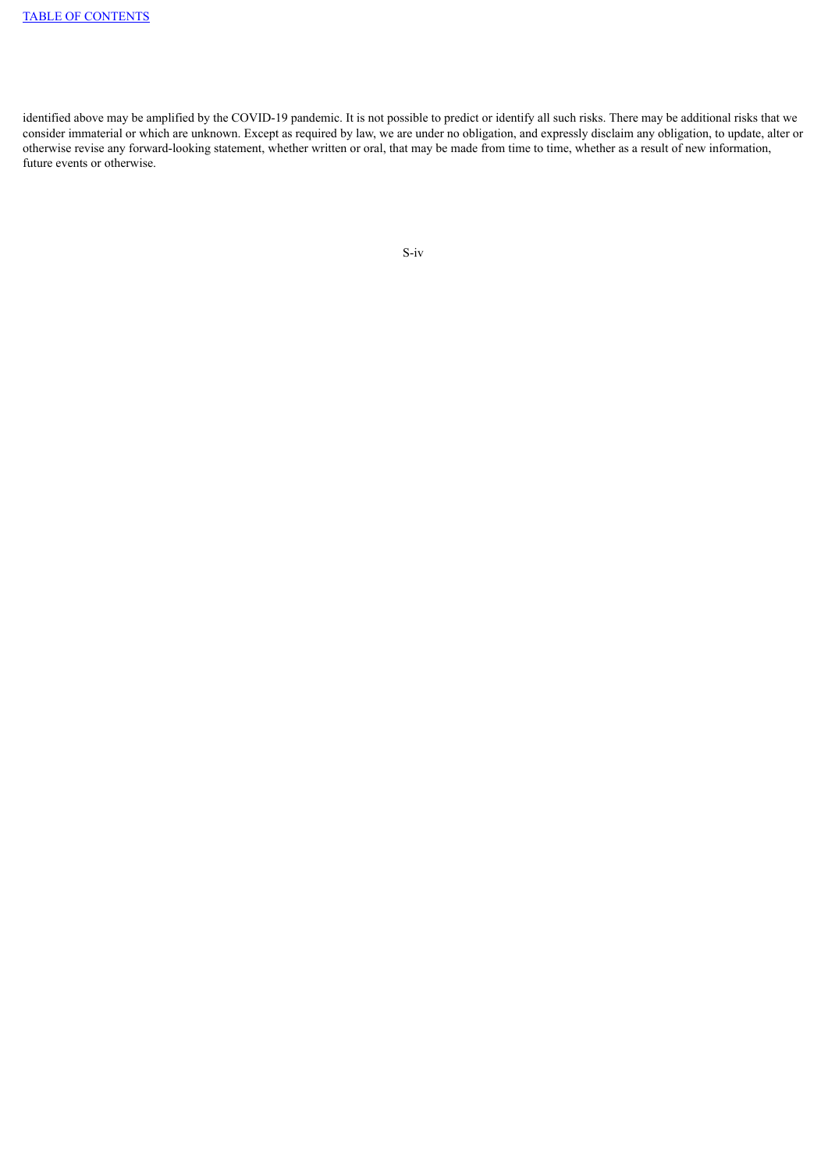<span id="page-4-0"></span>identified above may be amplified by the COVID-19 pandemic. It is not possible to predict or identify all such risks. There may be additional risks that we consider immaterial or which are unknown. Except as required by law, we are under no obligation, and expressly disclaim any obligation, to update, alter or otherwise revise any forward-looking statement, whether written or oral, that may be made from time to time, whether as a result of new information, future events or otherwise.

```
S-iv
```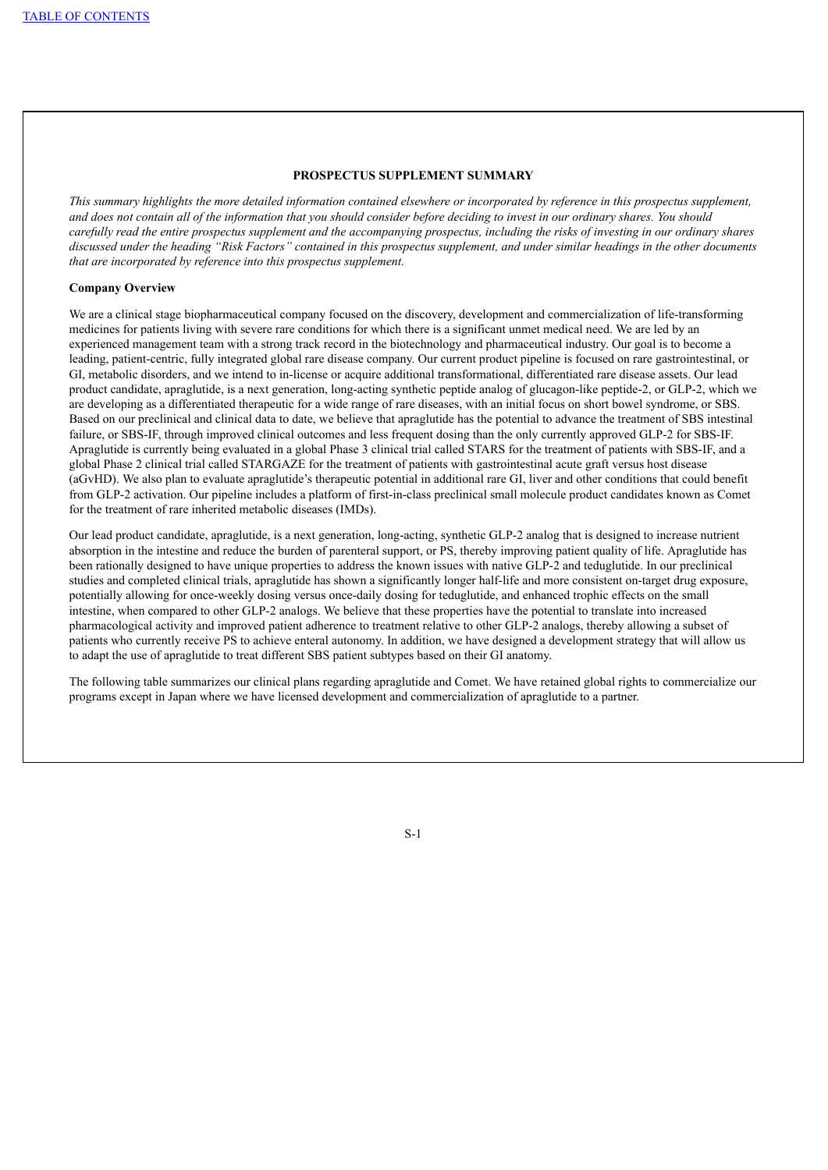#### **PROSPECTUS SUPPLEMENT SUMMARY**

This summary highlights the more detailed information contained elsewhere or incorporated by reference in this prospectus supplement, and does not contain all of the information that you should consider before deciding to invest in our ordinary shares. You should carefully read the entire prospectus supplement and the accompanying prospectus, including the risks of investing in our ordinary shares discussed under the heading "Risk Factors" contained in this prospectus supplement, and under similar headings in the other documents *that are incorporated by reference into this prospectus supplement.*

## **Company Overview**

We are a clinical stage biopharmaceutical company focused on the discovery, development and commercialization of life-transforming medicines for patients living with severe rare conditions for which there is a significant unmet medical need. We are led by an experienced management team with a strong track record in the biotechnology and pharmaceutical industry. Our goal is to become a leading, patient-centric, fully integrated global rare disease company. Our current product pipeline is focused on rare gastrointestinal, or GI, metabolic disorders, and we intend to in-license or acquire additional transformational, differentiated rare disease assets. Our lead product candidate, apraglutide, is a next generation, long-acting synthetic peptide analog of glucagon-like peptide-2, or GLP-2, which we are developing as a differentiated therapeutic for a wide range of rare diseases, with an initial focus on short bowel syndrome, or SBS. Based on our preclinical and clinical data to date, we believe that apraglutide has the potential to advance the treatment of SBS intestinal failure, or SBS-IF, through improved clinical outcomes and less frequent dosing than the only currently approved GLP-2 for SBS-IF. Apraglutide is currently being evaluated in a global Phase 3 clinical trial called STARS for the treatment of patients with SBS-IF, and a global Phase 2 clinical trial called STARGAZE for the treatment of patients with gastrointestinal acute graft versus host disease (aGvHD). We also plan to evaluate apraglutide's therapeutic potential in additional rare GI, liver and other conditions that could benefit from GLP-2 activation. Our pipeline includes a platform of first-in-class preclinical small molecule product candidates known as Comet for the treatment of rare inherited metabolic diseases (IMDs).

Our lead product candidate, apraglutide, is a next generation, long-acting, synthetic GLP-2 analog that is designed to increase nutrient absorption in the intestine and reduce the burden of parenteral support, or PS, thereby improving patient quality of life. Apraglutide has been rationally designed to have unique properties to address the known issues with native GLP-2 and teduglutide. In our preclinical studies and completed clinical trials, apraglutide has shown a significantly longer half-life and more consistent on-target drug exposure, potentially allowing for once-weekly dosing versus once-daily dosing for teduglutide, and enhanced trophic effects on the small intestine, when compared to other GLP-2 analogs. We believe that these properties have the potential to translate into increased pharmacological activity and improved patient adherence to treatment relative to other GLP-2 analogs, thereby allowing a subset of patients who currently receive PS to achieve enteral autonomy. In addition, we have designed a development strategy that will allow us to adapt the use of apraglutide to treat different SBS patient subtypes based on their GI anatomy.

The following table summarizes our clinical plans regarding apraglutide and Comet. We have retained global rights to commercialize our programs except in Japan where we have licensed development and commercialization of apraglutide to a partner.

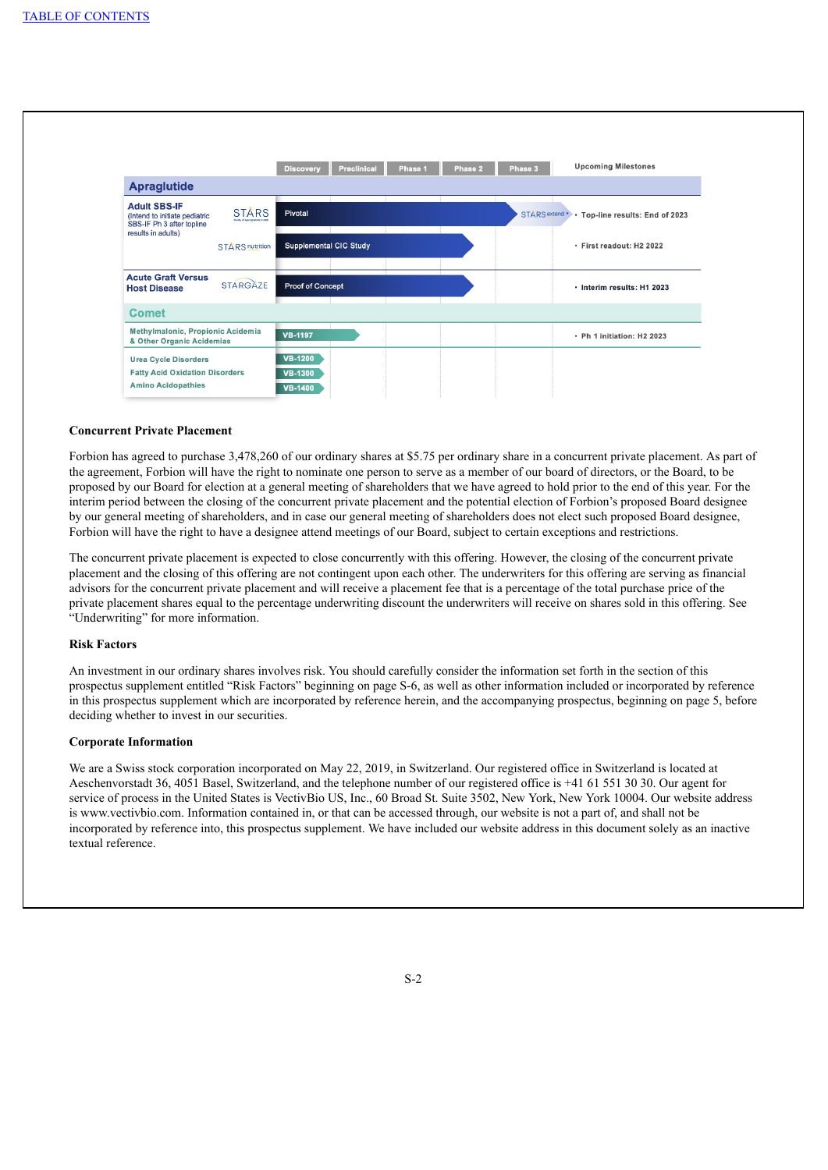

#### **Concurrent Private Placement**

Forbion has agreed to purchase 3,478,260 of our ordinary shares at \$5.75 per ordinary share in a concurrent private placement. As part of the agreement, Forbion will have the right to nominate one person to serve as a member of our board of directors, or the Board, to be proposed by our Board for election at a general meeting of shareholders that we have agreed to hold prior to the end of this year. For the interim period between the closing of the concurrent private placement and the potential election of Forbion's proposed Board designee by our general meeting of shareholders, and in case our general meeting of shareholders does not elect such proposed Board designee, Forbion will have the right to have a designee attend meetings of our Board, subject to certain exceptions and restrictions.

The concurrent private placement is expected to close concurrently with this offering. However, the closing of the concurrent private placement and the closing of this offering are not contingent upon each other. The underwriters for this offering are serving as financial advisors for the concurrent private placement and will receive a placement fee that is a percentage of the total purchase price of the private placement shares equal to the percentage underwriting discount the underwriters will receive on shares sold in this offering. See "Underwriting" for more information.

## **Risk Factors**

An investment in our ordinary shares involves risk. You should carefully consider the information set forth in the section of this prospectus supplement entitled "Risk Factors" beginning on page S-6, as well as other information included or incorporated by reference in this prospectus supplement which are incorporated by reference herein, and the accompanying prospectus, beginning on page 5, before deciding whether to invest in our securities.

## **Corporate Information**

We are a Swiss stock corporation incorporated on May 22, 2019, in Switzerland. Our registered office in Switzerland is located at Aeschenvorstadt 36, 4051 Basel, Switzerland, and the telephone number of our registered office is +41 61 551 30 30. Our agent for service of process in the United States is VectivBio US, Inc., 60 Broad St. Suite 3502, New York, New York 10004. Our website address is www.vectivbio.com. Information contained in, or that can be accessed through, our website is not a part of, and shall not be incorporated by reference into, this prospectus supplement. We have included our website address in this document solely as an inactive textual reference.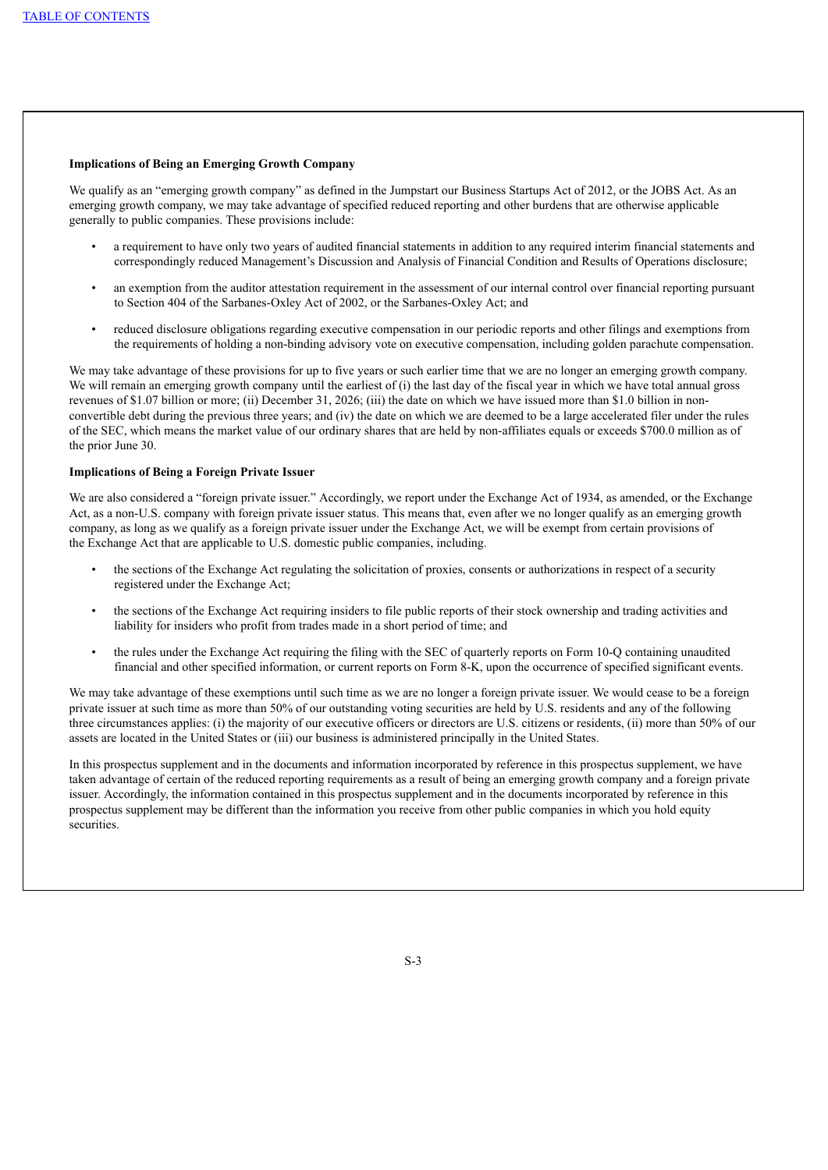#### **Implications of Being an Emerging Growth Company**

We qualify as an "emerging growth company" as defined in the Jumpstart our Business Startups Act of 2012, or the JOBS Act. As an emerging growth company, we may take advantage of specified reduced reporting and other burdens that are otherwise applicable generally to public companies. These provisions include:

- a requirement to have only two years of audited financial statements in addition to any required interim financial statements and correspondingly reduced Management's Discussion and Analysis of Financial Condition and Results of Operations disclosure;
- an exemption from the auditor attestation requirement in the assessment of our internal control over financial reporting pursuant to Section 404 of the Sarbanes-Oxley Act of 2002, or the Sarbanes-Oxley Act; and
- reduced disclosure obligations regarding executive compensation in our periodic reports and other filings and exemptions from the requirements of holding a non-binding advisory vote on executive compensation, including golden parachute compensation.

We may take advantage of these provisions for up to five years or such earlier time that we are no longer an emerging growth company. We will remain an emerging growth company until the earliest of (i) the last day of the fiscal year in which we have total annual gross revenues of \$1.07 billion or more; (ii) December 31, 2026; (iii) the date on which we have issued more than \$1.0 billion in nonconvertible debt during the previous three years; and (iv) the date on which we are deemed to be a large accelerated filer under the rules of the SEC, which means the market value of our ordinary shares that are held by non-affiliates equals or exceeds \$700.0 million as of the prior June 30.

## **Implications of Being a Foreign Private Issuer**

We are also considered a "foreign private issuer." Accordingly, we report under the Exchange Act of 1934, as amended, or the Exchange Act, as a non-U.S. company with foreign private issuer status. This means that, even after we no longer qualify as an emerging growth company, as long as we qualify as a foreign private issuer under the Exchange Act, we will be exempt from certain provisions of the Exchange Act that are applicable to U.S. domestic public companies, including.

- the sections of the Exchange Act regulating the solicitation of proxies, consents or authorizations in respect of a security registered under the Exchange Act;
- the sections of the Exchange Act requiring insiders to file public reports of their stock ownership and trading activities and liability for insiders who profit from trades made in a short period of time; and
- the rules under the Exchange Act requiring the filing with the SEC of quarterly reports on Form 10-Q containing unaudited financial and other specified information, or current reports on Form 8-K, upon the occurrence of specified significant events.

We may take advantage of these exemptions until such time as we are no longer a foreign private issuer. We would cease to be a foreign private issuer at such time as more than 50% of our outstanding voting securities are held by U.S. residents and any of the following three circumstances applies: (i) the majority of our executive officers or directors are U.S. citizens or residents, (ii) more than 50% of our assets are located in the United States or (iii) our business is administered principally in the United States.

<span id="page-7-0"></span>In this prospectus supplement and in the documents and information incorporated by reference in this prospectus supplement, we have taken advantage of certain of the reduced reporting requirements as a result of being an emerging growth company and a foreign private issuer. Accordingly, the information contained in this prospectus supplement and in the documents incorporated by reference in this prospectus supplement may be different than the information you receive from other public companies in which you hold equity securities.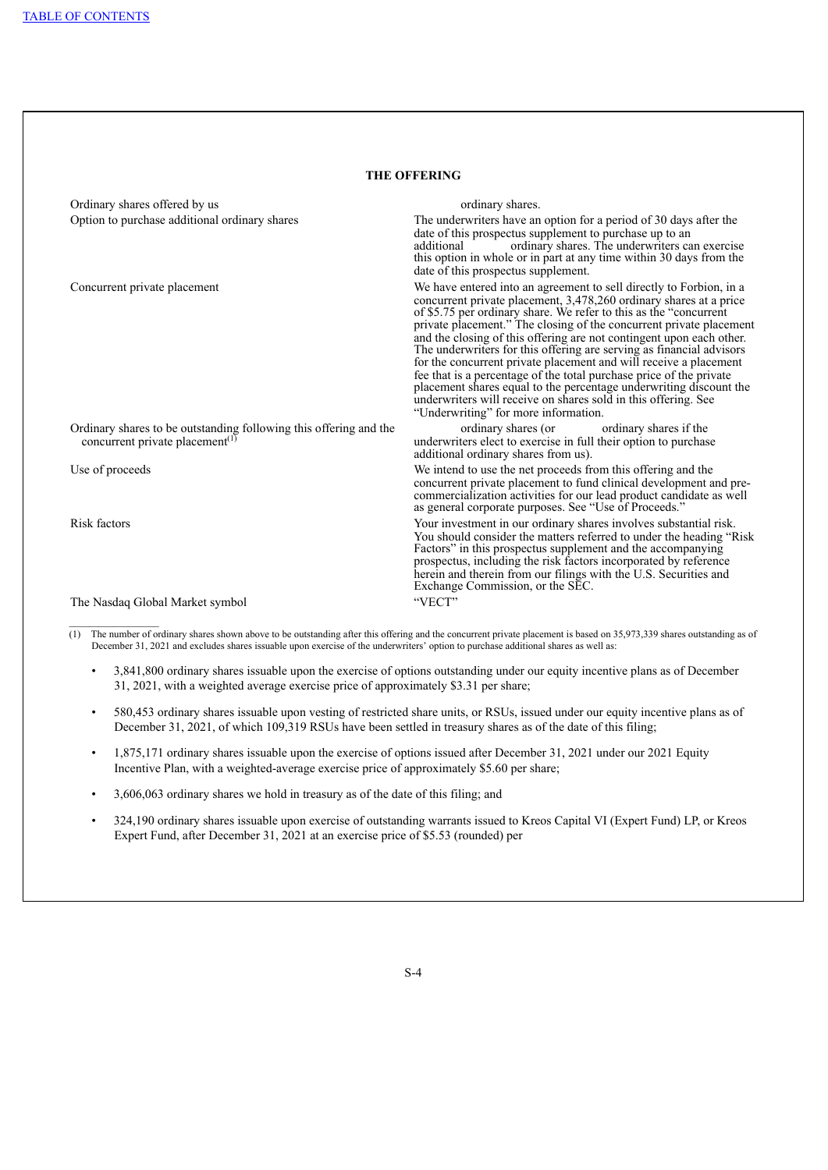| <b>THE OFFERING</b>                                                                                              |                                                                                                                                                                                                                                                                                                                                                                                                                                                                                                                                                                                                                                                                                                                                                                |  |  |
|------------------------------------------------------------------------------------------------------------------|----------------------------------------------------------------------------------------------------------------------------------------------------------------------------------------------------------------------------------------------------------------------------------------------------------------------------------------------------------------------------------------------------------------------------------------------------------------------------------------------------------------------------------------------------------------------------------------------------------------------------------------------------------------------------------------------------------------------------------------------------------------|--|--|
| Ordinary shares offered by us                                                                                    | ordinary shares.                                                                                                                                                                                                                                                                                                                                                                                                                                                                                                                                                                                                                                                                                                                                               |  |  |
| Option to purchase additional ordinary shares                                                                    | The underwriters have an option for a period of 30 days after the<br>date of this prospectus supplement to purchase up to an<br>ordinary shares. The underwriters can exercise<br>additional<br>this option in whole or in part at any time within 30 days from the<br>date of this prospectus supplement.                                                                                                                                                                                                                                                                                                                                                                                                                                                     |  |  |
| Concurrent private placement                                                                                     | We have entered into an agreement to sell directly to Forbion, in a<br>concurrent private placement, 3,478,260 ordinary shares at a price<br>of \$5.75 per ordinary share. We refer to this as the "concurrent<br>private placement." The closing of the concurrent private placement<br>and the closing of this offering are not contingent upon each other.<br>The underwriters for this offering are serving as financial advisors<br>for the concurrent private placement and will receive a placement<br>fee that is a percentage of the total purchase price of the private<br>placement shares equal to the percentage underwriting discount the underwriters will receive on shares sold in this offering. See<br>"Underwriting" for more information. |  |  |
| Ordinary shares to be outstanding following this offering and the<br>concurrent private placement <sup>(1)</sup> | ordinary shares if the<br>ordinary shares (or<br>underwriters elect to exercise in full their option to purchase<br>additional ordinary shares from us).                                                                                                                                                                                                                                                                                                                                                                                                                                                                                                                                                                                                       |  |  |
| Use of proceeds                                                                                                  | We intend to use the net proceeds from this offering and the<br>concurrent private placement to fund clinical development and pre-<br>commercialization activities for our lead product candidate as well<br>as general corporate purposes. See "Use of Proceeds."                                                                                                                                                                                                                                                                                                                                                                                                                                                                                             |  |  |
| Risk factors                                                                                                     | Your investment in our ordinary shares involves substantial risk.<br>You should consider the matters referred to under the heading "Risk"<br>Factors" in this prospectus supplement and the accompanying<br>prospectus, including the risk factors incorporated by reference<br>herein and therein from our filings with the U.S. Securities and<br>Exchange Commission, or the SEC.                                                                                                                                                                                                                                                                                                                                                                           |  |  |
| The Nasdaq Global Market symbol                                                                                  | "VECT"                                                                                                                                                                                                                                                                                                                                                                                                                                                                                                                                                                                                                                                                                                                                                         |  |  |

 $(1)$  The number of ordinary shares shown above to be outstanding after this offering and the concurrent private placement is based on 35,973,339 shares outstanding as of December 31, 2021 and excludes shares issuable upon exercise of the underwriters' option to purchase additional shares as well as:

- 3,841,800 ordinary shares issuable upon the exercise of options outstanding under our equity incentive plans as of December 31, 2021, with a weighted average exercise price of approximately \$3.31 per share;
- 580,453 ordinary shares issuable upon vesting of restricted share units, or RSUs, issued under our equity incentive plans as of December 31, 2021, of which 109,319 RSUs have been settled in treasury shares as of the date of this filing;
- 1,875,171 ordinary shares issuable upon the exercise of options issued after December 31, 2021 under our 2021 Equity Incentive Plan, with a weighted-average exercise price of approximately \$5.60 per share;
- 3,606,063 ordinary shares we hold in treasury as of the date of this filing; and
- 324,190 ordinary shares issuable upon exercise of outstanding warrants issued to Kreos Capital VI (Expert Fund) LP, or Kreos Expert Fund, after December 31, 2021 at an exercise price of \$5.53 (rounded) per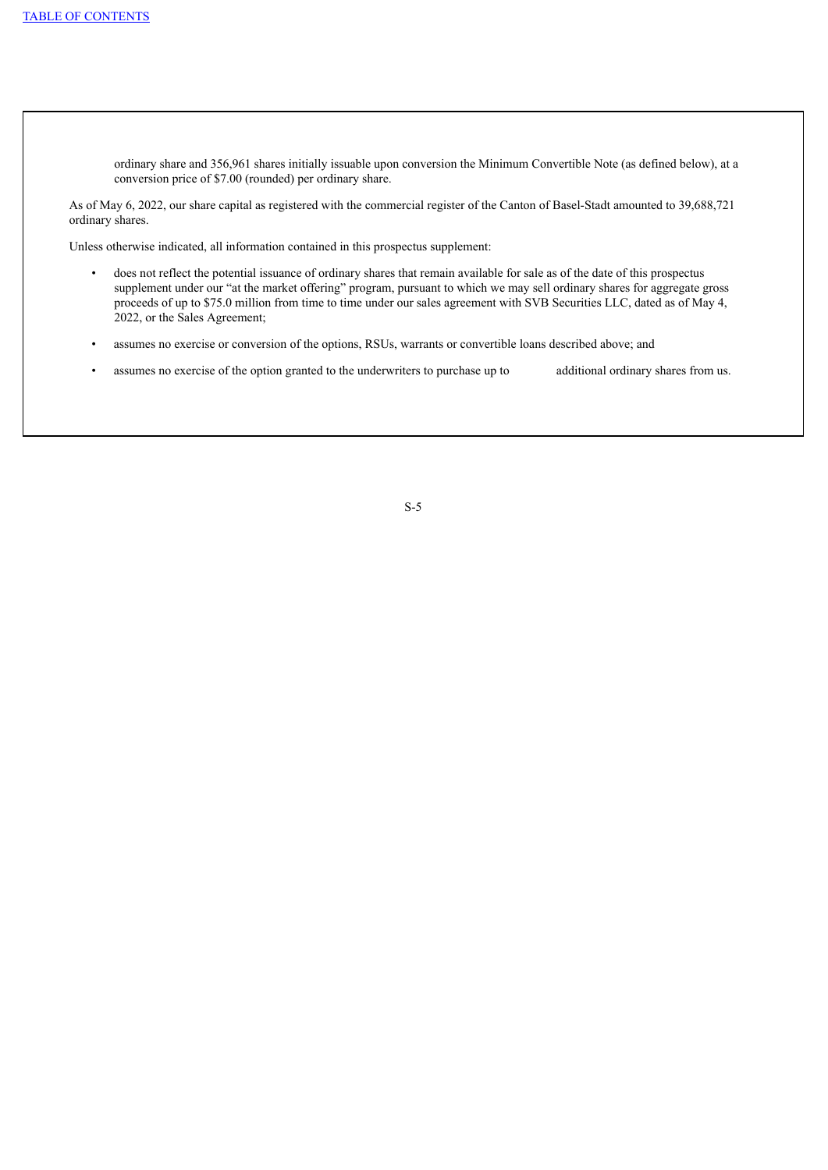ordinary share and 356,961 shares initially issuable upon conversion the Minimum Convertible Note (as defined below), at a conversion price of \$7.00 (rounded) per ordinary share.

As of May 6, 2022, our share capital as registered with the commercial register of the Canton of Basel-Stadt amounted to 39,688,721 ordinary shares.

Unless otherwise indicated, all information contained in this prospectus supplement:

- does not reflect the potential issuance of ordinary shares that remain available for sale as of the date of this prospectus supplement under our "at the market offering" program, pursuant to which we may sell ordinary shares for aggregate gross proceeds of up to \$75.0 million from time to time under our sales agreement with SVB Securities LLC, dated as of May 4, 2022, or the Sales Agreement;
- assumes no exercise or conversion of the options, RSUs, warrants or convertible loans described above; and
- <span id="page-9-0"></span>assumes no exercise of the option granted to the underwriters to purchase up to additional ordinary shares from us.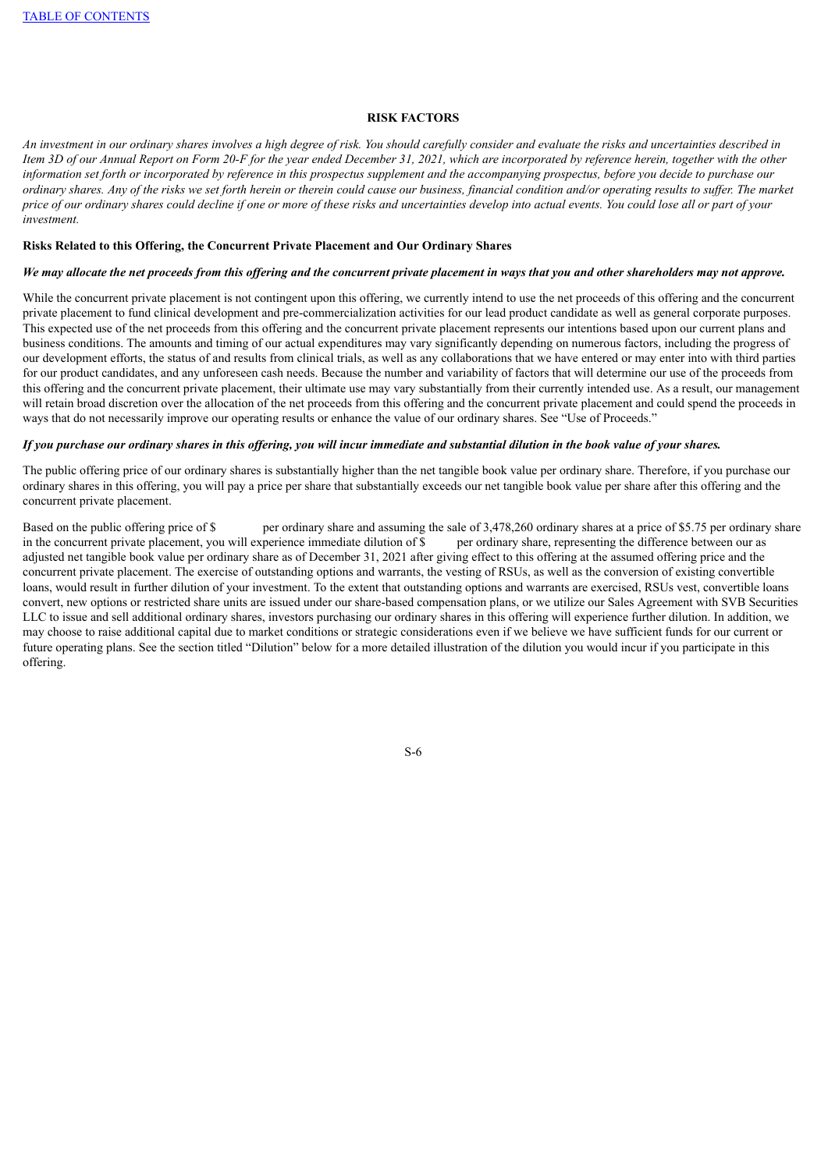### **RISK FACTORS**

An investment in our ordinary shares involves a high degree of risk. You should carefully consider and evaluate the risks and uncertainties described in Item 3D of our Annual Report on Form 20-F for the year ended December 31, 2021, which are incorporated by reference herein, together with the other information set forth or incorporated by reference in this prospectus supplement and the accompanying prospectus, before you decide to purchase our ordinary shares. Any of the risks we set forth herein or therein could cause our business, financial condition and/or operating results to suffer. The market price of our ordinary shares could decline if one or more of these risks and uncertainties develop into actual events. You could lose all or part of your *investment.*

#### **Risks Related to this Offering, the Concurrent Private Placement and Our Ordinary Shares**

## We may allocate the net proceeds from this offering and the concurrent private placement in ways that you and other shareholders may not approve.

While the concurrent private placement is not contingent upon this offering, we currently intend to use the net proceeds of this offering and the concurrent private placement to fund clinical development and pre-commercialization activities for our lead product candidate as well as general corporate purposes. This expected use of the net proceeds from this offering and the concurrent private placement represents our intentions based upon our current plans and business conditions. The amounts and timing of our actual expenditures may vary significantly depending on numerous factors, including the progress of our development efforts, the status of and results from clinical trials, as well as any collaborations that we have entered or may enter into with third parties for our product candidates, and any unforeseen cash needs. Because the number and variability of factors that will determine our use of the proceeds from this offering and the concurrent private placement, their ultimate use may vary substantially from their currently intended use. As a result, our management will retain broad discretion over the allocation of the net proceeds from this offering and the concurrent private placement and could spend the proceeds in ways that do not necessarily improve our operating results or enhance the value of our ordinary shares. See "Use of Proceeds."

#### If you purchase our ordinary shares in this offering, you will incur immediate and substantial dilution in the book value of your shares.

The public offering price of our ordinary shares is substantially higher than the net tangible book value per ordinary share. Therefore, if you purchase our ordinary shares in this offering, you will pay a price per share that substantially exceeds our net tangible book value per share after this offering and the concurrent private placement.

<span id="page-10-0"></span>Based on the public offering price of \$ per ordinary share and assuming the sale of 3,478,260 ordinary shares at a price of \$5.75 per ordinary share in the concurrent private placement, you will experience immediate dilution of \$ per ordinary share, representing the difference between our as adjusted net tangible book value per ordinary share as of December 31, 2021 after giving effect to this offering at the assumed offering price and the concurrent private placement. The exercise of outstanding options and warrants, the vesting of RSUs, as well as the conversion of existing convertible loans, would result in further dilution of your investment. To the extent that outstanding options and warrants are exercised, RSUs vest, convertible loans convert, new options or restricted share units are issued under our share-based compensation plans, or we utilize our Sales Agreement with SVB Securities LLC to issue and sell additional ordinary shares, investors purchasing our ordinary shares in this offering will experience further dilution. In addition, we may choose to raise additional capital due to market conditions or strategic considerations even if we believe we have sufficient funds for our current or future operating plans. See the section titled "Dilution" below for a more detailed illustration of the dilution you would incur if you participate in this offering.

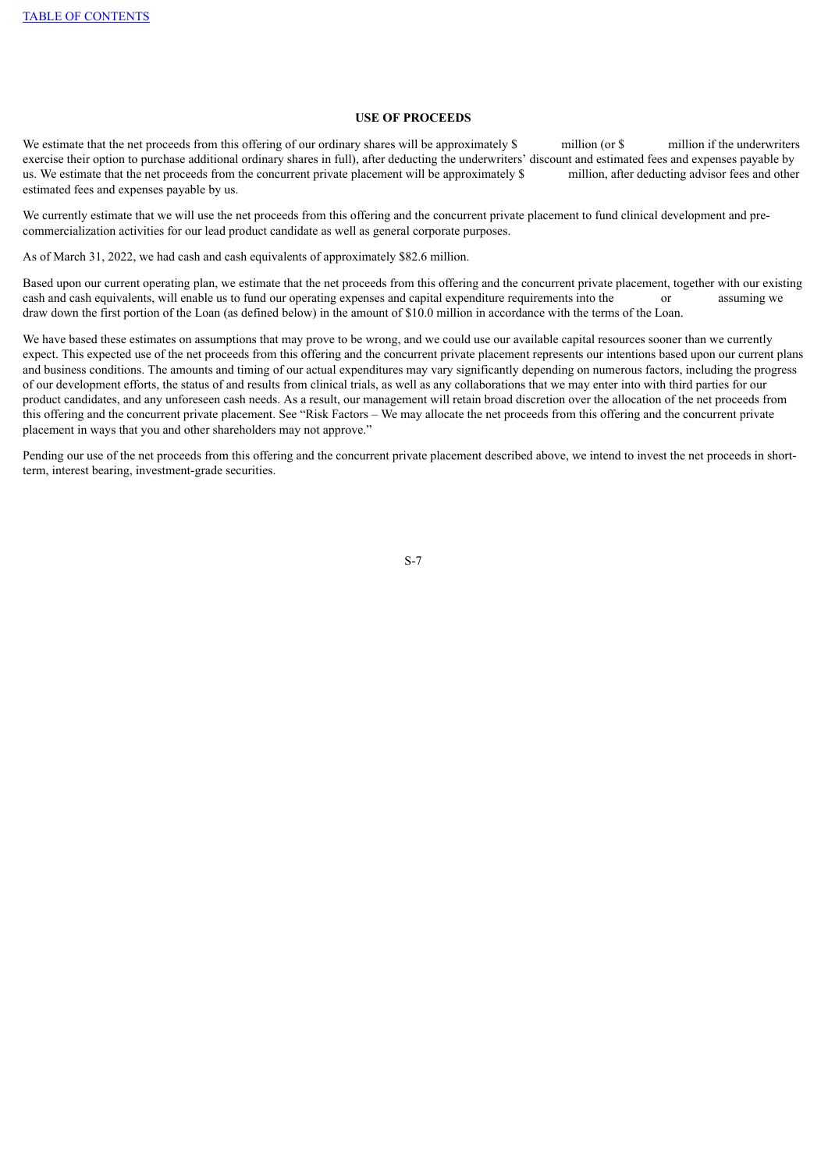## **USE OF PROCEEDS**

We estimate that the net proceeds from this offering of our ordinary shares will be approximately \$ million (or \$ million if the underwriters exercise their option to purchase additional ordinary shares in full), after deducting the underwriters' discount and estimated fees and expenses payable by us. We estimate that the net proceeds from the concurrent private us. We estimate that the net proceeds from the concurrent private placement will be approximately \$ estimated fees and expenses payable by us.

We currently estimate that we will use the net proceeds from this offering and the concurrent private placement to fund clinical development and precommercialization activities for our lead product candidate as well as general corporate purposes.

As of March 31, 2022, we had cash and cash equivalents of approximately \$82.6 million.

Based upon our current operating plan, we estimate that the net proceeds from this offering and the concurrent private placement, together with our existing cash and cash equivalents, will enable us to fund our operating expenses and capital expenditure requirements into the or assuming we draw down the first portion of the Loan (as defined below) in the amount of \$10.0 million in accordance with the terms of the Loan.

We have based these estimates on assumptions that may prove to be wrong, and we could use our available capital resources sooner than we currently expect. This expected use of the net proceeds from this offering and the concurrent private placement represents our intentions based upon our current plans and business conditions. The amounts and timing of our actual expenditures may vary significantly depending on numerous factors, including the progress of our development efforts, the status of and results from clinical trials, as well as any collaborations that we may enter into with third parties for our product candidates, and any unforeseen cash needs. As a result, our management will retain broad discretion over the allocation of the net proceeds from this offering and the concurrent private placement. See "Risk Factors – We may allocate the net proceeds from this offering and the concurrent private placement in ways that you and other shareholders may not approve.'

<span id="page-11-0"></span>Pending our use of the net proceeds from this offering and the concurrent private placement described above, we intend to invest the net proceeds in shortterm, interest bearing, investment-grade securities.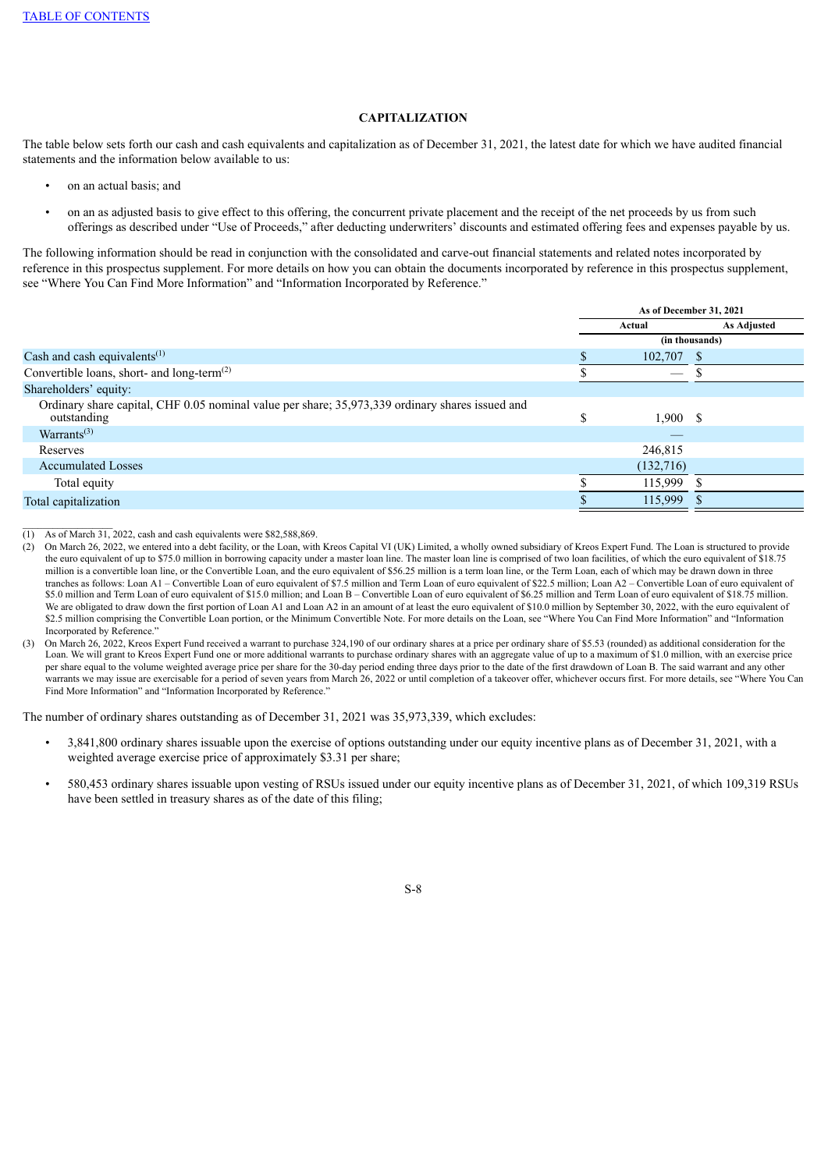## **CAPITALIZATION**

The table below sets forth our cash and cash equivalents and capitalization as of December 31, 2021, the latest date for which we have audited financial statements and the information below available to us:

- on an actual basis; and
- on an as adjusted basis to give effect to this offering, the concurrent private placement and the receipt of the net proceeds by us from such offerings as described under "Use of Proceeds," after deducting underwriters' discounts and estimated offering fees and expenses payable by us.

The following information should be read in conjunction with the consolidated and carve-out financial statements and related notes incorporated by reference in this prospectus supplement. For more details on how you can obtain the documents incorporated by reference in this prospectus supplement, see "Where You Can Find More Information" and "Information Incorporated by Reference."

|                                                                                                                | As of December 31, 2021 |              |                |             |
|----------------------------------------------------------------------------------------------------------------|-------------------------|--------------|----------------|-------------|
|                                                                                                                | Actual                  |              |                | As Adjusted |
|                                                                                                                |                         |              | (in thousands) |             |
| Cash and cash equivalents <sup>(1)</sup>                                                                       |                         | $102,707$ \$ |                |             |
| Convertible loans, short- and long-term <sup><math>(2)</math></sup>                                            |                         |              |                |             |
| Shareholders' equity:                                                                                          |                         |              |                |             |
| Ordinary share capital, CHF 0.05 nominal value per share; 35,973,339 ordinary shares issued and<br>outstanding | S                       | 1,900S       |                |             |
| Warrants <sup><math>(3)</math></sup>                                                                           |                         |              |                |             |
| Reserves                                                                                                       |                         | 246,815      |                |             |
| <b>Accumulated Losses</b>                                                                                      |                         | (132,716)    |                |             |
| Total equity                                                                                                   |                         | 115,999      |                |             |
| Total capitalization                                                                                           |                         | 115,999      |                |             |
|                                                                                                                |                         |              |                |             |

 $\mathcal{L}_\text{max}$  $\overline{(1)}$  As of March 31, 2022, cash and cash equivalents were \$82,588,869.

(2) On March 26, 2022, we entered into a debt facility, or the Loan, with Kreos Capital VI (UK) Limited, a wholly owned subsidiary of Kreos Expert Fund. The Loan is structured to provide the euro equivalent of up to \$75.0 million in borrowing capacity under a master loan line. The master loan line is comprised of two loan facilities, of which the euro equivalent of \$18.75 million is a convertible loan line, or the Convertible Loan, and the euro equivalent of \$56.25 million is a term loan line, or the Term Loan, each of which may be drawn down in three tranches as follows: Loan A1 – Convertible Loan of euro equivalent of \$7.5 million and Term Loan of euro equivalent of \$22.5 million; Loan A2 – Convertible Loan of euro equivalent of \$5.0 million and Term Loan of euro equivalent of \$15.0 million; and Loan B – Convertible Loan of euro equivalent of \$6.25 million and Term Loan of euro equivalent of \$18.75 million. We are obligated to draw down the first portion of Loan A1 and Loan A2 in an amount of at least the euro equivalent of \$10.0 million by September 30, 2022, with the euro equivalent of \$2.5 million comprising the Convertible Loan portion, or the Minimum Convertible Note. For more details on the Loan, see "Where You Can Find More Information" and "Information Incorporated by Reference."

(3) On March 26, 2022, Kreos Expert Fund received a warrant to purchase 324,190 of our ordinary shares at a price per ordinary share of \$5.53 (rounded) as additional consideration for the Loan. We will grant to Kreos Expert Fund one or more additional warrants to purchase ordinary shares with an aggregate value of up to a maximum of \$1.0 million, with an exercise price per share equal to the volume weighted average price per share for the 30-day period ending three days prior to the date of the first drawdown of Loan B. The said warrant and any other warrants we may issue are exercisable for a period of seven years from March 26, 2022 or until completion of a takeover offer, whichever occurs first. For more details, see "Where You Can Find More Information" and "Information Incorporated by Reference."

The number of ordinary shares outstanding as of December 31, 2021 was 35,973,339, which excludes:

- 3,841,800 ordinary shares issuable upon the exercise of options outstanding under our equity incentive plans as of December 31, 2021, with a weighted average exercise price of approximately \$3.31 per share;
- 580,453 ordinary shares issuable upon vesting of RSUs issued under our equity incentive plans as of December 31, 2021, of which 109,319 RSUs have been settled in treasury shares as of the date of this filing;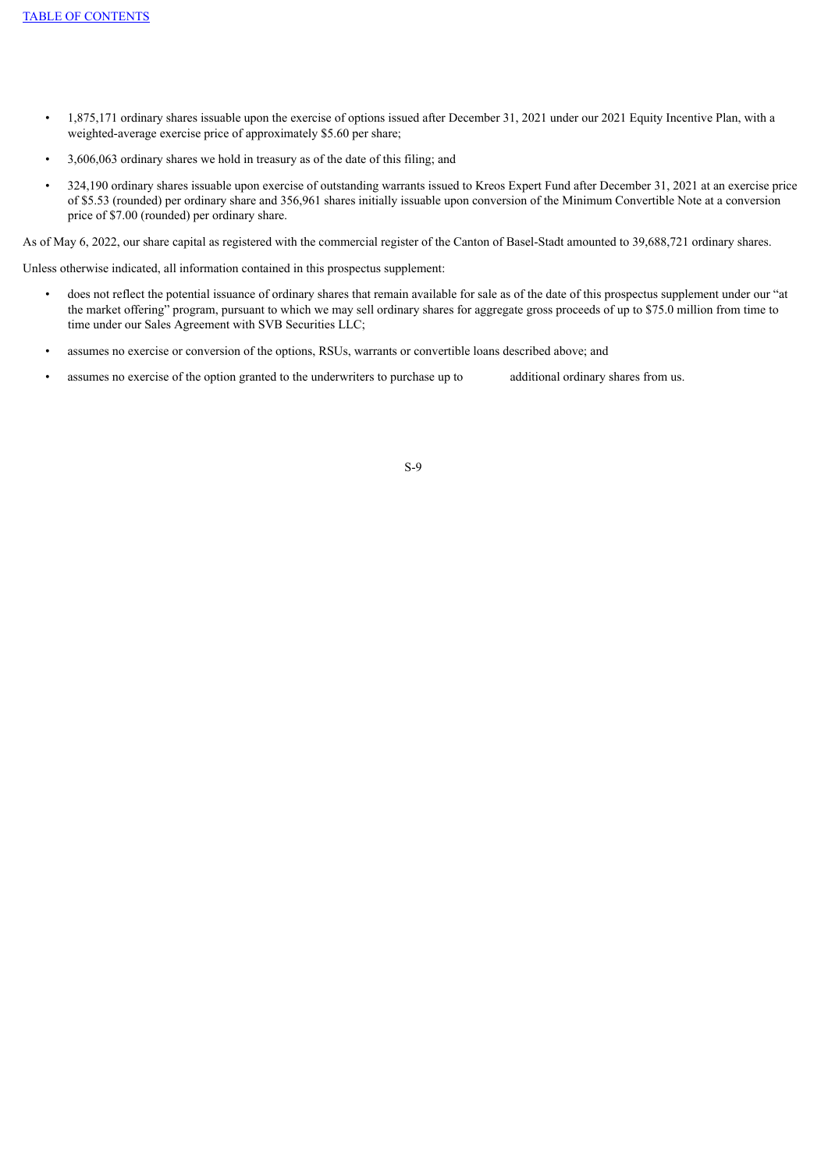- 1,875,171 ordinary shares issuable upon the exercise of options issued after December 31, 2021 under our 2021 Equity Incentive Plan, with a weighted-average exercise price of approximately \$5.60 per share;
- 3,606,063 ordinary shares we hold in treasury as of the date of this filing; and
- 324,190 ordinary shares issuable upon exercise of outstanding warrants issued to Kreos Expert Fund after December 31, 2021 at an exercise price of \$5.53 (rounded) per ordinary share and 356,961 shares initially issuable upon conversion of the Minimum Convertible Note at a conversion price of \$7.00 (rounded) per ordinary share.

As of May 6, 2022, our share capital as registered with the commercial register of the Canton of Basel-Stadt amounted to 39,688,721 ordinary shares.

Unless otherwise indicated, all information contained in this prospectus supplement:

- does not reflect the potential issuance of ordinary shares that remain available for sale as of the date of this prospectus supplement under our "at the market offering" program, pursuant to which we may sell ordinary shares for aggregate gross proceeds of up to \$75.0 million from time to time under our Sales Agreement with SVB Securities LLC;
- assumes no exercise or conversion of the options, RSUs, warrants or convertible loans described above; and
- <span id="page-13-0"></span>• assumes no exercise of the option granted to the underwriters to purchase up to additional ordinary shares from us.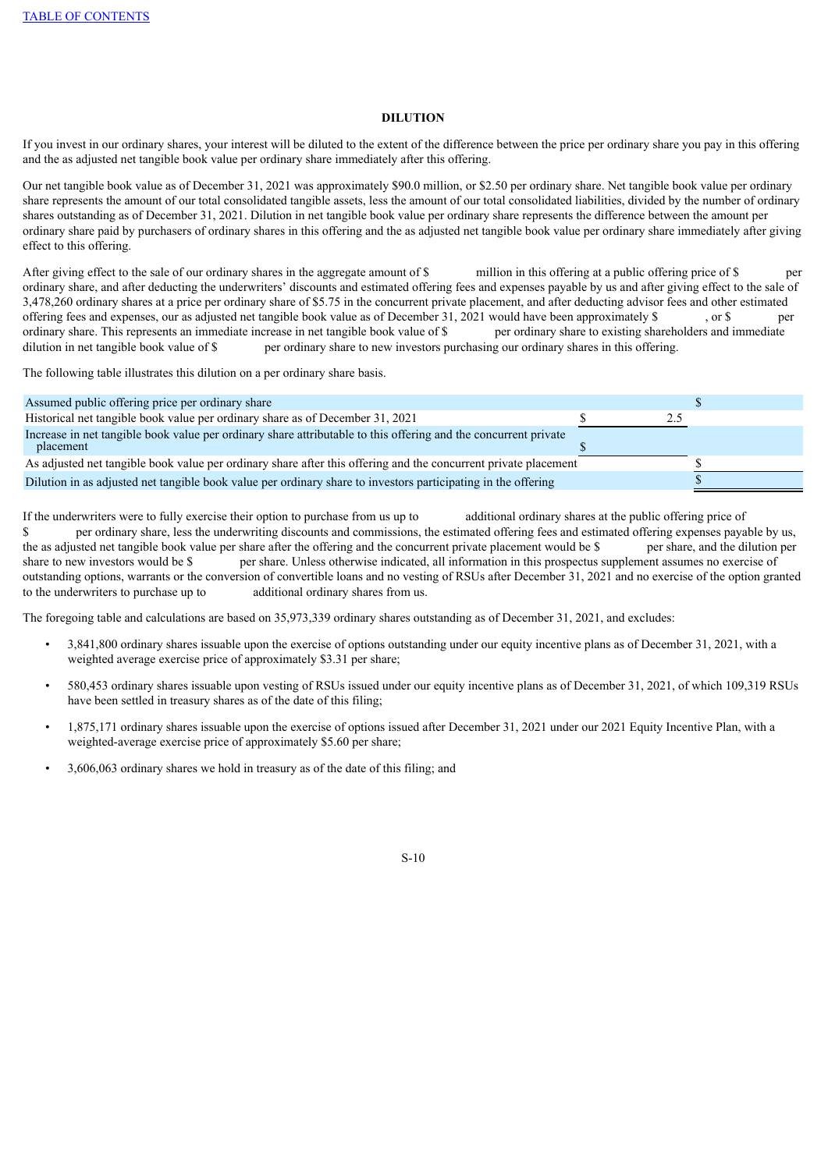## **DILUTION**

If you invest in our ordinary shares, your interest will be diluted to the extent of the difference between the price per ordinary share you pay in this offering and the as adjusted net tangible book value per ordinary share immediately after this offering.

Our net tangible book value as of December 31, 2021 was approximately \$90.0 million, or \$2.50 per ordinary share. Net tangible book value per ordinary share represents the amount of our total consolidated tangible assets, less the amount of our total consolidated liabilities, divided by the number of ordinary shares outstanding as of December 31, 2021. Dilution in net tangible book value per ordinary share represents the difference between the amount per ordinary share paid by purchasers of ordinary shares in this offering and the as adjusted net tangible book value per ordinary share immediately after giving effect to this offering.

After giving effect to the sale of our ordinary shares in the aggregate amount of \$ million in this offering at a public offering price of \$ per ordinary share, and after deducting the underwriters' discounts and estimated offering fees and expenses payable by us and after giving effect to the sale of 3,478,260 ordinary shares at a price per ordinary share of \$5.75 in the concurrent private placement, and after deducting advisor fees and other estimated offering fees and expenses, our as adjusted net tangible book value as of December 31, 2021 would have been approximately \$ , or \$ per ordinary share. This represents an immediate increase in net tangible book value of \$ per ordinary share to existing shareholders and immediate dilution in net tangible book value of \$ per ordinary share to new investors purchasing our ordinary shares in this offering.

The following table illustrates this dilution on a per ordinary share basis.

| Assumed public offering price per ordinary share                                                                             |  |
|------------------------------------------------------------------------------------------------------------------------------|--|
| Historical net tangible book value per ordinary share as of December 31, 2021                                                |  |
| Increase in net tangible book value per ordinary share attributable to this offering and the concurrent private<br>placement |  |
| As adjusted net tangible book value per ordinary share after this offering and the concurrent private placement              |  |
| Dilution in as adjusted net tangible book value per ordinary share to investors participating in the offering                |  |

If the underwriters were to fully exercise their option to purchase from us up to additional ordinary shares at the public offering price of \$ per ordinary share, less the underwriting discounts and commissions, the estimated offering fees and estimated offering expenses payable by us, the as adjusted net tangible book value per share after the offering and the concurrent private placement would be \$ per share, and the dilution per share to new investors would be \$ per share. Unless otherwise indicated, all information in this prospectus supplement assumes no exercise of outstanding options, warrants or the conversion of convertible loans and no vesting of RSUs after December 31, 2021 and no exercise of the option granted to the underwriters to purchase up to additional ordinary shares from us.

The foregoing table and calculations are based on 35,973,339 ordinary shares outstanding as of December 31, 2021, and excludes:

- 3,841,800 ordinary shares issuable upon the exercise of options outstanding under our equity incentive plans as of December 31, 2021, with a weighted average exercise price of approximately \$3.31 per share;
- 580,453 ordinary shares issuable upon vesting of RSUs issued under our equity incentive plans as of December 31, 2021, of which 109,319 RSUs have been settled in treasury shares as of the date of this filing;
- 1,875,171 ordinary shares issuable upon the exercise of options issued after December 31, 2021 under our 2021 Equity Incentive Plan, with a weighted-average exercise price of approximately \$5.60 per share;
- 3,606,063 ordinary shares we hold in treasury as of the date of this filing; and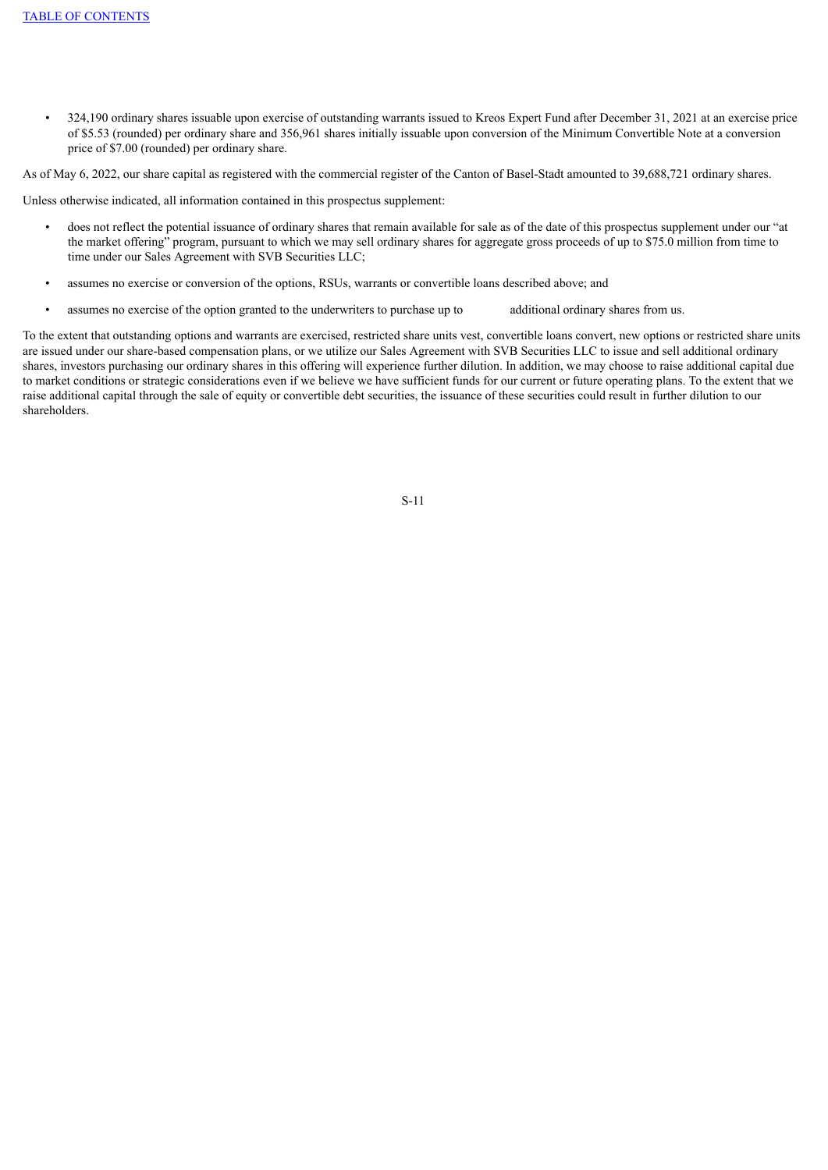• 324,190 ordinary shares issuable upon exercise of outstanding warrants issued to Kreos Expert Fund after December 31, 2021 at an exercise price of \$5.53 (rounded) per ordinary share and 356,961 shares initially issuable upon conversion of the Minimum Convertible Note at a conversion price of \$7.00 (rounded) per ordinary share.

As of May 6, 2022, our share capital as registered with the commercial register of the Canton of Basel-Stadt amounted to 39,688,721 ordinary shares.

Unless otherwise indicated, all information contained in this prospectus supplement:

- does not reflect the potential issuance of ordinary shares that remain available for sale as of the date of this prospectus supplement under our "at the market offering" program, pursuant to which we may sell ordinary shares for aggregate gross proceeds of up to \$75.0 million from time to time under our Sales Agreement with SVB Securities LLC;
- assumes no exercise or conversion of the options, RSUs, warrants or convertible loans described above; and
- assumes no exercise of the option granted to the underwriters to purchase up to additional ordinary shares from us.

<span id="page-15-0"></span>To the extent that outstanding options and warrants are exercised, restricted share units vest, convertible loans convert, new options or restricted share units are issued under our share-based compensation plans, or we utilize our Sales Agreement with SVB Securities LLC to issue and sell additional ordinary shares, investors purchasing our ordinary shares in this offering will experience further dilution. In addition, we may choose to raise additional capital due to market conditions or strategic considerations even if we believe we have sufficient funds for our current or future operating plans. To the extent that we raise additional capital through the sale of equity or convertible debt securities, the issuance of these securities could result in further dilution to our shareholders.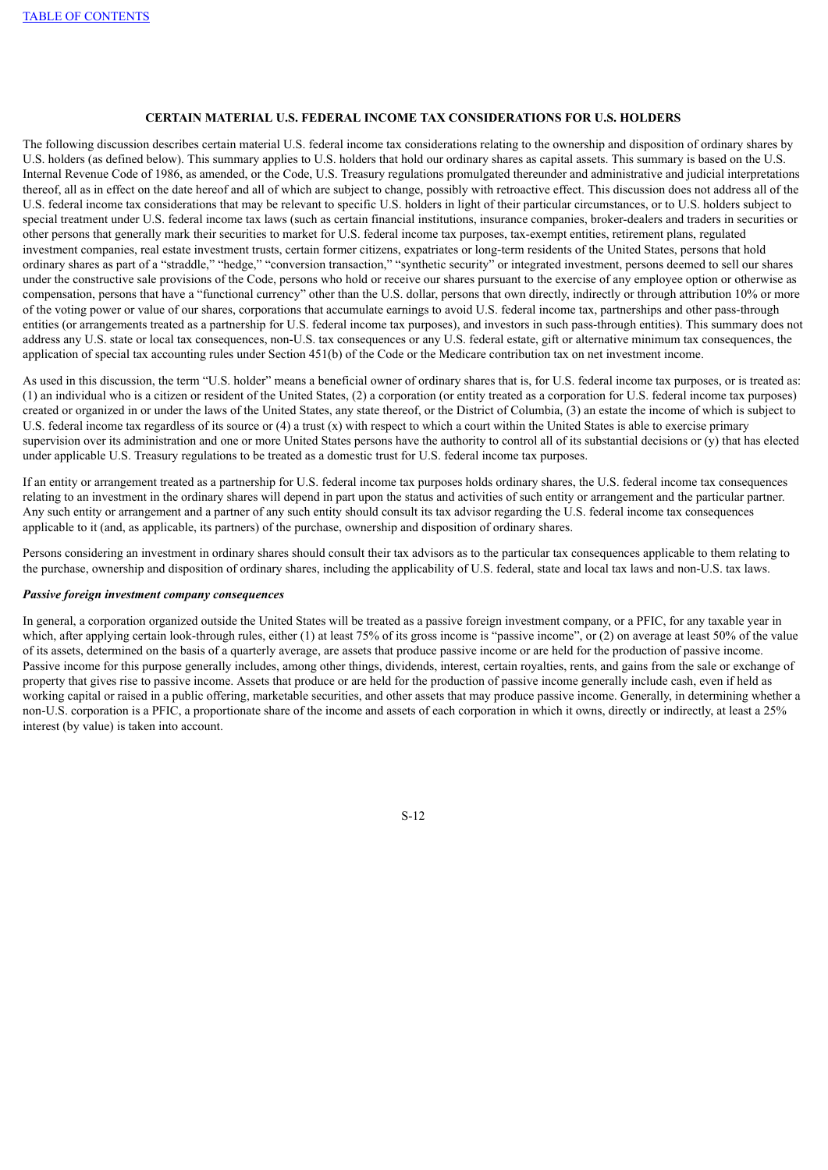## **CERTAIN MATERIAL U.S. FEDERAL INCOME TAX CONSIDERATIONS FOR U.S. HOLDERS**

The following discussion describes certain material U.S. federal income tax considerations relating to the ownership and disposition of ordinary shares by U.S. holders (as defined below). This summary applies to U.S. holders that hold our ordinary shares as capital assets. This summary is based on the U.S. Internal Revenue Code of 1986, as amended, or the Code, U.S. Treasury regulations promulgated thereunder and administrative and judicial interpretations thereof, all as in effect on the date hereof and all of which are subject to change, possibly with retroactive effect. This discussion does not address all of the U.S. federal income tax considerations that may be relevant to specific U.S. holders in light of their particular circumstances, or to U.S. holders subject to special treatment under U.S. federal income tax laws (such as certain financial institutions, insurance companies, broker-dealers and traders in securities or other persons that generally mark their securities to market for U.S. federal income tax purposes, tax-exempt entities, retirement plans, regulated investment companies, real estate investment trusts, certain former citizens, expatriates or long-term residents of the United States, persons that hold ordinary shares as part of a "straddle," "hedge," "conversion transaction," "synthetic security" or integrated investment, persons deemed to sell our shares under the constructive sale provisions of the Code, persons who hold or receive our shares pursuant to the exercise of any employee option or otherwise as compensation, persons that have a "functional currency" other than the U.S. dollar, persons that own directly, indirectly or through attribution 10% or more of the voting power or value of our shares, corporations that accumulate earnings to avoid U.S. federal income tax, partnerships and other pass-through entities (or arrangements treated as a partnership for U.S. federal income tax purposes), and investors in such pass-through entities). This summary does not address any U.S. state or local tax consequences, non-U.S. tax consequences or any U.S. federal estate, gift or alternative minimum tax consequences, the application of special tax accounting rules under Section 451(b) of the Code or the Medicare contribution tax on net investment income.

As used in this discussion, the term "U.S. holder" means a beneficial owner of ordinary shares that is, for U.S. federal income tax purposes, or is treated as: (1) an individual who is a citizen or resident of the United States, (2) a corporation (or entity treated as a corporation for U.S. federal income tax purposes) created or organized in or under the laws of the United States, any state thereof, or the District of Columbia, (3) an estate the income of which is subject to U.S. federal income tax regardless of its source or (4) a trust (x) with respect to which a court within the United States is able to exercise primary supervision over its administration and one or more United States persons have the authority to control all of its substantial decisions or (y) that has elected under applicable U.S. Treasury regulations to be treated as a domestic trust for U.S. federal income tax purposes.

If an entity or arrangement treated as a partnership for U.S. federal income tax purposes holds ordinary shares, the U.S. federal income tax consequences relating to an investment in the ordinary shares will depend in part upon the status and activities of such entity or arrangement and the particular partner. Any such entity or arrangement and a partner of any such entity should consult its tax advisor regarding the U.S. federal income tax consequences applicable to it (and, as applicable, its partners) of the purchase, ownership and disposition of ordinary shares.

Persons considering an investment in ordinary shares should consult their tax advisors as to the particular tax consequences applicable to them relating to the purchase, ownership and disposition of ordinary shares, including the applicability of U.S. federal, state and local tax laws and non-U.S. tax laws.

#### *Passive foreign investment company consequences*

In general, a corporation organized outside the United States will be treated as a passive foreign investment company, or a PFIC, for any taxable year in which, after applying certain look-through rules, either (1) at least 75% of its gross income is "passive income", or (2) on average at least 50% of the value of its assets, determined on the basis of a quarterly average, are assets that produce passive income or are held for the production of passive income. Passive income for this purpose generally includes, among other things, dividends, interest, certain royalties, rents, and gains from the sale or exchange of property that gives rise to passive income. Assets that produce or are held for the production of passive income generally include cash, even if held as working capital or raised in a public offering, marketable securities, and other assets that may produce passive income. Generally, in determining whether a non-U.S. corporation is a PFIC, a proportionate share of the income and assets of each corporation in which it owns, directly or indirectly, at least a 25% interest (by value) is taken into account.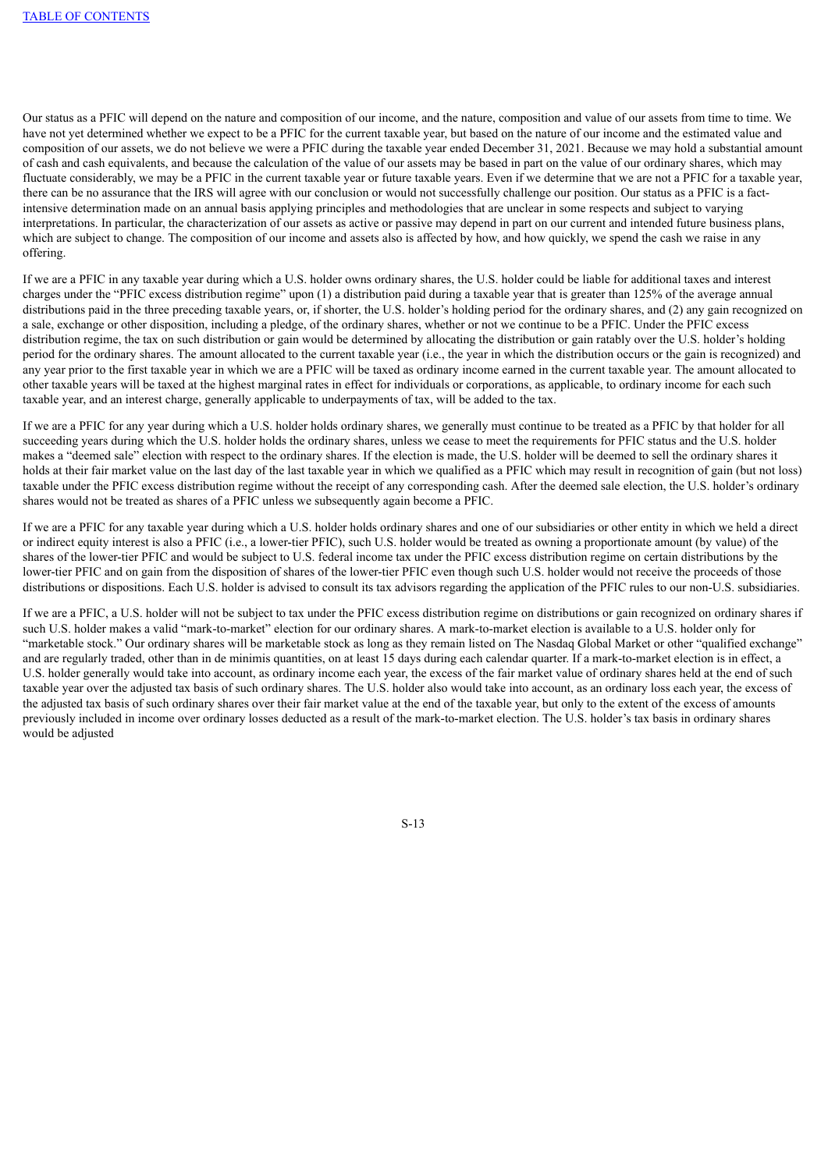Our status as a PFIC will depend on the nature and composition of our income, and the nature, composition and value of our assets from time to time. We have not yet determined whether we expect to be a PFIC for the current taxable year, but based on the nature of our income and the estimated value and composition of our assets, we do not believe we were a PFIC during the taxable year ended December 31, 2021. Because we may hold a substantial amount of cash and cash equivalents, and because the calculation of the value of our assets may be based in part on the value of our ordinary shares, which may fluctuate considerably, we may be a PFIC in the current taxable year or future taxable years. Even if we determine that we are not a PFIC for a taxable year, there can be no assurance that the IRS will agree with our conclusion or would not successfully challenge our position. Our status as a PFIC is a factintensive determination made on an annual basis applying principles and methodologies that are unclear in some respects and subject to varying interpretations. In particular, the characterization of our assets as active or passive may depend in part on our current and intended future business plans, which are subject to change. The composition of our income and assets also is affected by how, and how quickly, we spend the cash we raise in any offering.

If we are a PFIC in any taxable year during which a U.S. holder owns ordinary shares, the U.S. holder could be liable for additional taxes and interest charges under the "PFIC excess distribution regime" upon (1) a distribution paid during a taxable year that is greater than 125% of the average annual distributions paid in the three preceding taxable years, or, if shorter, the U.S. holder's holding period for the ordinary shares, and (2) any gain recognized on a sale, exchange or other disposition, including a pledge, of the ordinary shares, whether or not we continue to be a PFIC. Under the PFIC excess distribution regime, the tax on such distribution or gain would be determined by allocating the distribution or gain ratably over the U.S. holder's holding period for the ordinary shares. The amount allocated to the current taxable year (i.e., the year in which the distribution occurs or the gain is recognized) and any year prior to the first taxable year in which we are a PFIC will be taxed as ordinary income earned in the current taxable year. The amount allocated to other taxable years will be taxed at the highest marginal rates in effect for individuals or corporations, as applicable, to ordinary income for each such taxable year, and an interest charge, generally applicable to underpayments of tax, will be added to the tax.

If we are a PFIC for any year during which a U.S. holder holds ordinary shares, we generally must continue to be treated as a PFIC by that holder for all succeeding years during which the U.S. holder holds the ordinary shares, unless we cease to meet the requirements for PFIC status and the U.S. holder makes a "deemed sale" election with respect to the ordinary shares. If the election is made, the U.S. holder will be deemed to sell the ordinary shares it holds at their fair market value on the last day of the last taxable year in which we qualified as a PFIC which may result in recognition of gain (but not loss) taxable under the PFIC excess distribution regime without the receipt of any corresponding cash. After the deemed sale election, the U.S. holder's ordinary shares would not be treated as shares of a PFIC unless we subsequently again become a PFIC.

If we are a PFIC for any taxable year during which a U.S. holder holds ordinary shares and one of our subsidiaries or other entity in which we held a direct or indirect equity interest is also a PFIC (i.e., a lower-tier PFIC), such U.S. holder would be treated as owning a proportionate amount (by value) of the shares of the lower-tier PFIC and would be subject to U.S. federal income tax under the PFIC excess distribution regime on certain distributions by the lower-tier PFIC and on gain from the disposition of shares of the lower-tier PFIC even though such U.S. holder would not receive the proceeds of those distributions or dispositions. Each U.S. holder is advised to consult its tax advisors regarding the application of the PFIC rules to our non-U.S. subsidiaries.

If we are a PFIC, a U.S. holder will not be subject to tax under the PFIC excess distribution regime on distributions or gain recognized on ordinary shares if such U.S. holder makes a valid "mark-to-market" election for our ordinary shares. A mark-to-market election is available to a U.S. holder only for "marketable stock." Our ordinary shares will be marketable stock as long as they remain listed on The Nasdaq Global Market or other "qualified exchange" and are regularly traded, other than in de minimis quantities, on at least 15 days during each calendar quarter. If a mark-to-market election is in effect, a U.S. holder generally would take into account, as ordinary income each year, the excess of the fair market value of ordinary shares held at the end of such taxable year over the adjusted tax basis of such ordinary shares. The U.S. holder also would take into account, as an ordinary loss each year, the excess of the adjusted tax basis of such ordinary shares over their fair market value at the end of the taxable year, but only to the extent of the excess of amounts previously included in income over ordinary losses deducted as a result of the mark-to-market election. The U.S. holder's tax basis in ordinary shares would be adjusted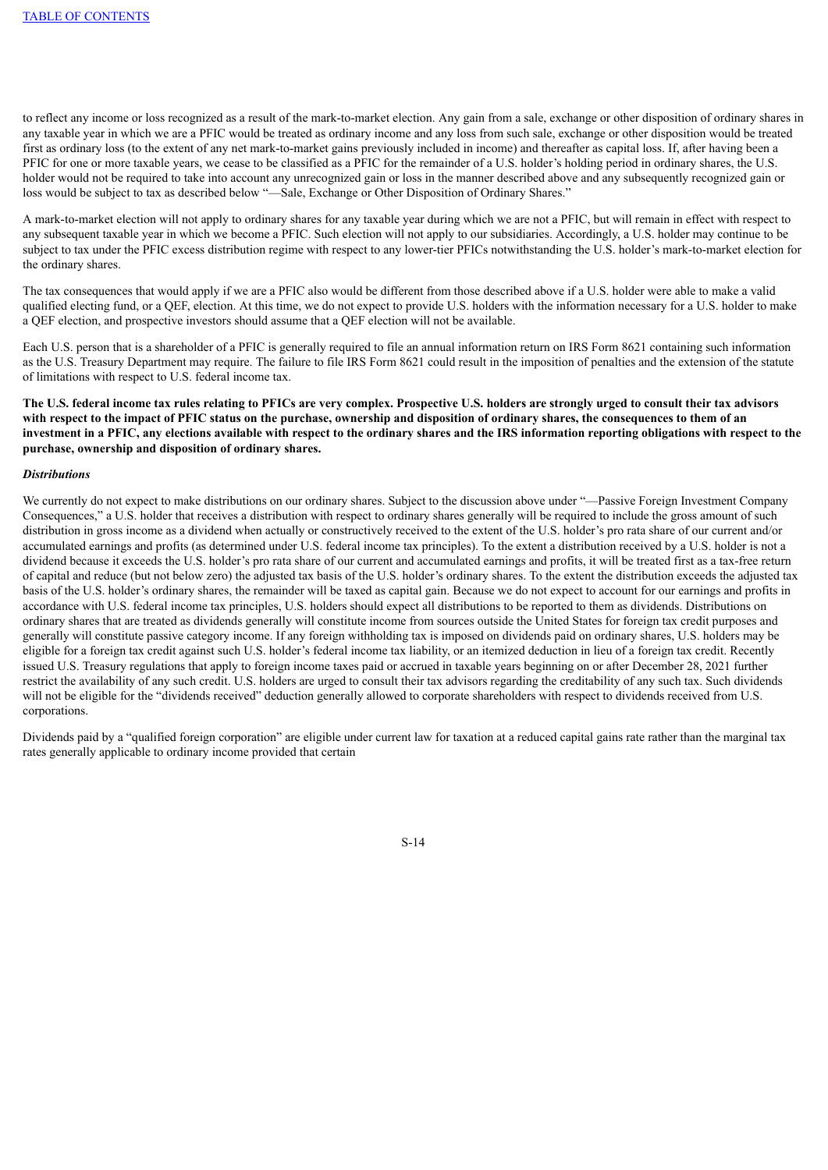to reflect any income or loss recognized as a result of the mark-to-market election. Any gain from a sale, exchange or other disposition of ordinary shares in any taxable year in which we are a PFIC would be treated as ordinary income and any loss from such sale, exchange or other disposition would be treated first as ordinary loss (to the extent of any net mark-to-market gains previously included in income) and thereafter as capital loss. If, after having been a PFIC for one or more taxable years, we cease to be classified as a PFIC for the remainder of a U.S. holder's holding period in ordinary shares, the U.S. holder would not be required to take into account any unrecognized gain or loss in the manner described above and any subsequently recognized gain or loss would be subject to tax as described below "—Sale, Exchange or Other Disposition of Ordinary Shares."

A mark-to-market election will not apply to ordinary shares for any taxable year during which we are not a PFIC, but will remain in effect with respect to any subsequent taxable year in which we become a PFIC. Such election will not apply to our subsidiaries. Accordingly, a U.S. holder may continue to be subject to tax under the PFIC excess distribution regime with respect to any lower-tier PFICs notwithstanding the U.S. holder's mark-to-market election for the ordinary shares.

The tax consequences that would apply if we are a PFIC also would be different from those described above if a U.S. holder were able to make a valid qualified electing fund, or a QEF, election. At this time, we do not expect to provide U.S. holders with the information necessary for a U.S. holder to make a QEF election, and prospective investors should assume that a QEF election will not be available.

Each U.S. person that is a shareholder of a PFIC is generally required to file an annual information return on IRS Form 8621 containing such information as the U.S. Treasury Department may require. The failure to file IRS Form 8621 could result in the imposition of penalties and the extension of the statute of limitations with respect to U.S. federal income tax.

The U.S. federal income tax rules relating to PFICs are very complex. Prospective U.S. holders are strongly urged to consult their tax advisors with respect to the impact of PFIC status on the purchase, ownership and disposition of ordinary shares, the consequences to them of an investment in a PFIC, any elections available with respect to the ordinary shares and the IRS information reporting obligations with respect to the **purchase, ownership and disposition of ordinary shares.**

#### *Distributions*

We currently do not expect to make distributions on our ordinary shares. Subject to the discussion above under "—Passive Foreign Investment Company Consequences," a U.S. holder that receives a distribution with respect to ordinary shares generally will be required to include the gross amount of such distribution in gross income as a dividend when actually or constructively received to the extent of the U.S. holder's pro rata share of our current and/or accumulated earnings and profits (as determined under U.S. federal income tax principles). To the extent a distribution received by a U.S. holder is not a dividend because it exceeds the U.S. holder's pro rata share of our current and accumulated earnings and profits, it will be treated first as a tax-free return of capital and reduce (but not below zero) the adjusted tax basis of the U.S. holder's ordinary shares. To the extent the distribution exceeds the adjusted tax basis of the U.S. holder's ordinary shares, the remainder will be taxed as capital gain. Because we do not expect to account for our earnings and profits in accordance with U.S. federal income tax principles, U.S. holders should expect all distributions to be reported to them as dividends. Distributions on ordinary shares that are treated as dividends generally will constitute income from sources outside the United States for foreign tax credit purposes and generally will constitute passive category income. If any foreign withholding tax is imposed on dividends paid on ordinary shares, U.S. holders may be eligible for a foreign tax credit against such U.S. holder's federal income tax liability, or an itemized deduction in lieu of a foreign tax credit. Recently issued U.S. Treasury regulations that apply to foreign income taxes paid or accrued in taxable years beginning on or after December 28, 2021 further restrict the availability of any such credit. U.S. holders are urged to consult their tax advisors regarding the creditability of any such tax. Such dividends will not be eligible for the "dividends received" deduction generally allowed to corporate shareholders with respect to dividends received from U.S. corporations.

Dividends paid by a "qualified foreign corporation" are eligible under current law for taxation at a reduced capital gains rate rather than the marginal tax rates generally applicable to ordinary income provided that certain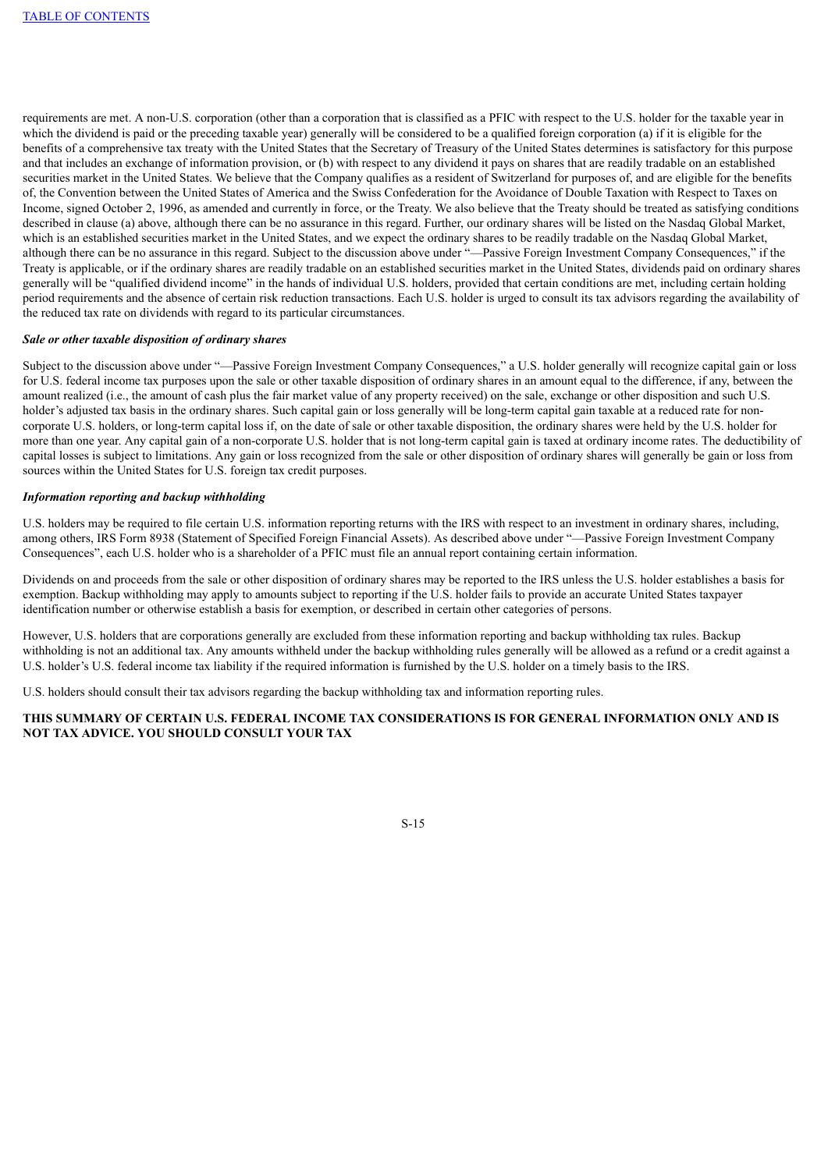requirements are met. A non-U.S. corporation (other than a corporation that is classified as a PFIC with respect to the U.S. holder for the taxable year in which the dividend is paid or the preceding taxable year) generally will be considered to be a qualified foreign corporation (a) if it is eligible for the benefits of a comprehensive tax treaty with the United States that the Secretary of Treasury of the United States determines is satisfactory for this purpose and that includes an exchange of information provision, or (b) with respect to any dividend it pays on shares that are readily tradable on an established securities market in the United States. We believe that the Company qualifies as a resident of Switzerland for purposes of, and are eligible for the benefits of, the Convention between the United States of America and the Swiss Confederation for the Avoidance of Double Taxation with Respect to Taxes on Income, signed October 2, 1996, as amended and currently in force, or the Treaty. We also believe that the Treaty should be treated as satisfying conditions described in clause (a) above, although there can be no assurance in this regard. Further, our ordinary shares will be listed on the Nasdaq Global Market, which is an established securities market in the United States, and we expect the ordinary shares to be readily tradable on the Nasdaq Global Market. although there can be no assurance in this regard. Subject to the discussion above under "—Passive Foreign Investment Company Consequences," if the Treaty is applicable, or if the ordinary shares are readily tradable on an established securities market in the United States, dividends paid on ordinary shares generally will be "qualified dividend income" in the hands of individual U.S. holders, provided that certain conditions are met, including certain holding period requirements and the absence of certain risk reduction transactions. Each U.S. holder is urged to consult its tax advisors regarding the availability of the reduced tax rate on dividends with regard to its particular circumstances.

### *Sale or other taxable disposition of ordinary shares*

Subject to the discussion above under "—Passive Foreign Investment Company Consequences," a U.S. holder generally will recognize capital gain or loss for U.S. federal income tax purposes upon the sale or other taxable disposition of ordinary shares in an amount equal to the difference, if any, between the amount realized (i.e., the amount of cash plus the fair market value of any property received) on the sale, exchange or other disposition and such U.S. holder's adjusted tax basis in the ordinary shares. Such capital gain or loss generally will be long-term capital gain taxable at a reduced rate for noncorporate U.S. holders, or long-term capital loss if, on the date of sale or other taxable disposition, the ordinary shares were held by the U.S. holder for more than one year. Any capital gain of a non-corporate U.S. holder that is not long-term capital gain is taxed at ordinary income rates. The deductibility of capital losses is subject to limitations. Any gain or loss recognized from the sale or other disposition of ordinary shares will generally be gain or loss from sources within the United States for U.S. foreign tax credit purposes.

#### *Information reporting and backup withholding*

U.S. holders may be required to file certain U.S. information reporting returns with the IRS with respect to an investment in ordinary shares, including, among others, IRS Form 8938 (Statement of Specified Foreign Financial Assets). As described above under "—Passive Foreign Investment Company Consequences", each U.S. holder who is a shareholder of a PFIC must file an annual report containing certain information.

Dividends on and proceeds from the sale or other disposition of ordinary shares may be reported to the IRS unless the U.S. holder establishes a basis for exemption. Backup withholding may apply to amounts subject to reporting if the U.S. holder fails to provide an accurate United States taxpayer identification number or otherwise establish a basis for exemption, or described in certain other categories of persons.

However, U.S. holders that are corporations generally are excluded from these information reporting and backup withholding tax rules. Backup withholding is not an additional tax. Any amounts withheld under the backup withholding rules generally will be allowed as a refund or a credit against a U.S. holder's U.S. federal income tax liability if the required information is furnished by the U.S. holder on a timely basis to the IRS.

U.S. holders should consult their tax advisors regarding the backup withholding tax and information reporting rules.

## **THIS SUMMARY OF CERTAIN U.S. FEDERAL INCOME TAX CONSIDERATIONS IS FOR GENERAL INFORMATION ONLY AND IS NOT TAX ADVICE. YOU SHOULD CONSULT YOUR TAX**

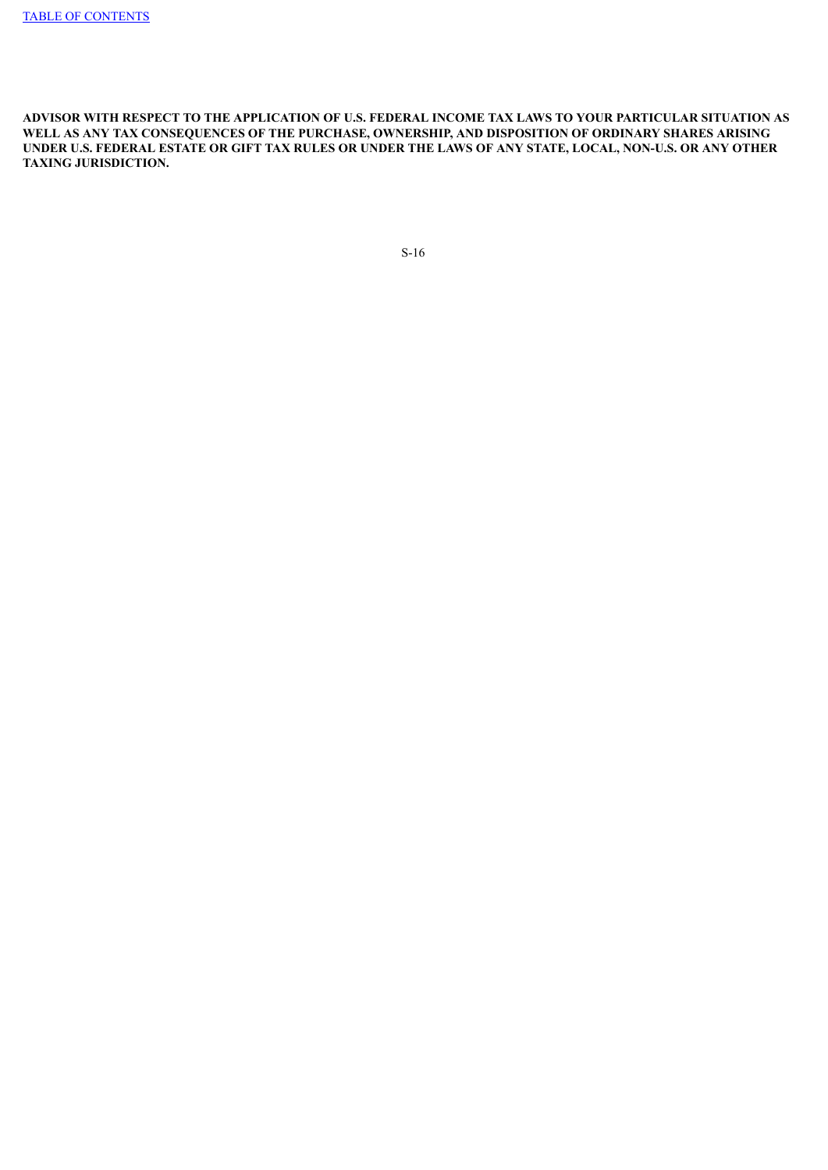<span id="page-20-0"></span>**ADVISOR WITH RESPECT TO THE APPLICATION OF U.S. FEDERAL INCOME TAX LAWS TO YOUR PARTICULAR SITUATION AS WELL AS ANY TAX CONSEQUENCES OF THE PURCHASE, OWNERSHIP, AND DISPOSITION OF ORDINARY SHARES ARISING** UNDER U.S. FEDERAL ESTATE OR GIFT TAX RULES OR UNDER THE LAWS OF ANY STATE, LOCAL, NON-U.S. OR ANY OTHER **TAXING JURISDICTION.**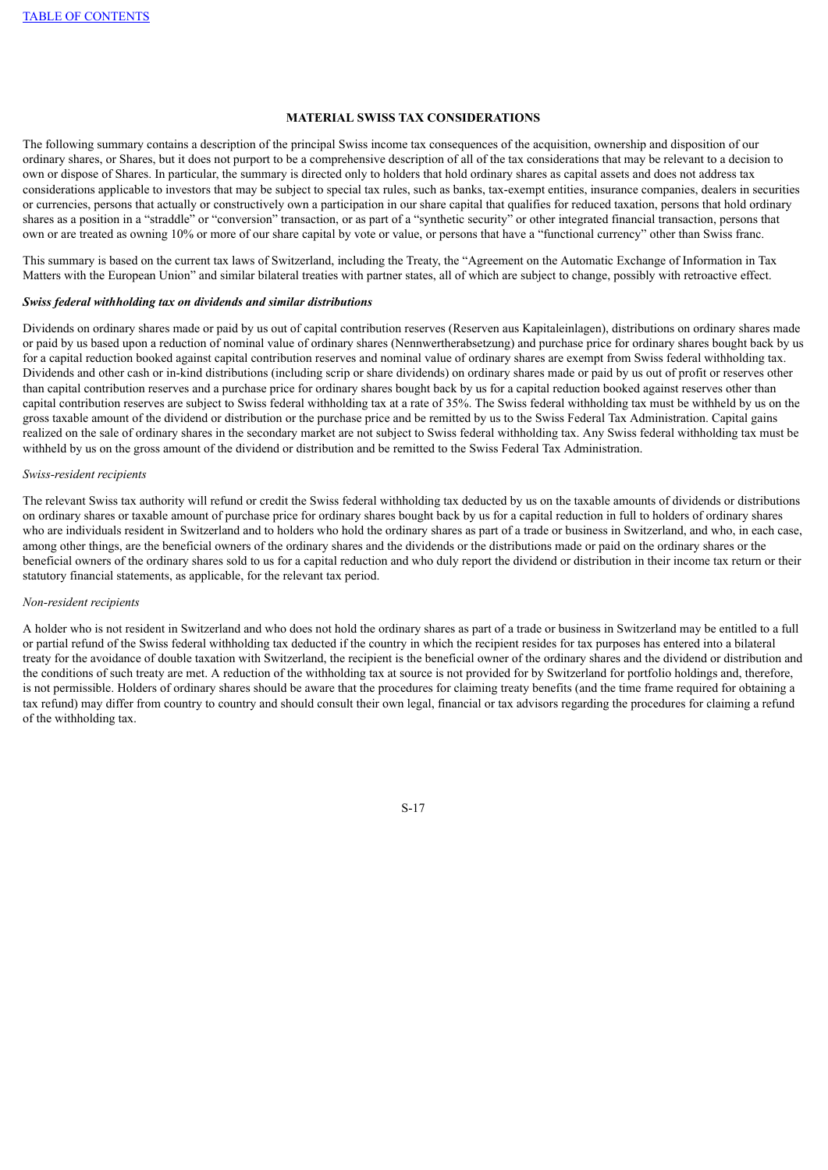## **MATERIAL SWISS TAX CONSIDERATIONS**

The following summary contains a description of the principal Swiss income tax consequences of the acquisition, ownership and disposition of our ordinary shares, or Shares, but it does not purport to be a comprehensive description of all of the tax considerations that may be relevant to a decision to own or dispose of Shares. In particular, the summary is directed only to holders that hold ordinary shares as capital assets and does not address tax considerations applicable to investors that may be subject to special tax rules, such as banks, tax-exempt entities, insurance companies, dealers in securities or currencies, persons that actually or constructively own a participation in our share capital that qualifies for reduced taxation, persons that hold ordinary shares as a position in a "straddle" or "conversion" transaction, or as part of a "synthetic security" or other integrated financial transaction, persons that own or are treated as owning 10% or more of our share capital by vote or value, or persons that have a "functional currency" other than Swiss franc.

This summary is based on the current tax laws of Switzerland, including the Treaty, the "Agreement on the Automatic Exchange of Information in Tax Matters with the European Union" and similar bilateral treaties with partner states, all of which are subject to change, possibly with retroactive effect.

#### *Swiss federal withholding tax on dividends and similar distributions*

Dividends on ordinary shares made or paid by us out of capital contribution reserves (Reserven aus Kapitaleinlagen), distributions on ordinary shares made or paid by us based upon a reduction of nominal value of ordinary shares (Nennwertherabsetzung) and purchase price for ordinary shares bought back by us for a capital reduction booked against capital contribution reserves and nominal value of ordinary shares are exempt from Swiss federal withholding tax. Dividends and other cash or in-kind distributions (including scrip or share dividends) on ordinary shares made or paid by us out of profit or reserves other than capital contribution reserves and a purchase price for ordinary shares bought back by us for a capital reduction booked against reserves other than capital contribution reserves are subject to Swiss federal withholding tax at a rate of 35%. The Swiss federal withholding tax must be withheld by us on the gross taxable amount of the dividend or distribution or the purchase price and be remitted by us to the Swiss Federal Tax Administration. Capital gains realized on the sale of ordinary shares in the secondary market are not subject to Swiss federal withholding tax. Any Swiss federal withholding tax must be withheld by us on the gross amount of the dividend or distribution and be remitted to the Swiss Federal Tax Administration.

#### *Swiss-resident recipients*

The relevant Swiss tax authority will refund or credit the Swiss federal withholding tax deducted by us on the taxable amounts of dividends or distributions on ordinary shares or taxable amount of purchase price for ordinary shares bought back by us for a capital reduction in full to holders of ordinary shares who are individuals resident in Switzerland and to holders who hold the ordinary shares as part of a trade or business in Switzerland, and who, in each case, among other things, are the beneficial owners of the ordinary shares and the dividends or the distributions made or paid on the ordinary shares or the beneficial owners of the ordinary shares sold to us for a capital reduction and who duly report the dividend or distribution in their income tax return or their statutory financial statements, as applicable, for the relevant tax period.

## *Non-resident recipients*

A holder who is not resident in Switzerland and who does not hold the ordinary shares as part of a trade or business in Switzerland may be entitled to a full or partial refund of the Swiss federal withholding tax deducted if the country in which the recipient resides for tax purposes has entered into a bilateral treaty for the avoidance of double taxation with Switzerland, the recipient is the beneficial owner of the ordinary shares and the dividend or distribution and the conditions of such treaty are met. A reduction of the withholding tax at source is not provided for by Switzerland for portfolio holdings and, therefore, is not permissible. Holders of ordinary shares should be aware that the procedures for claiming treaty benefits (and the time frame required for obtaining a tax refund) may differ from country to country and should consult their own legal, financial or tax advisors regarding the procedures for claiming a refund of the withholding tax.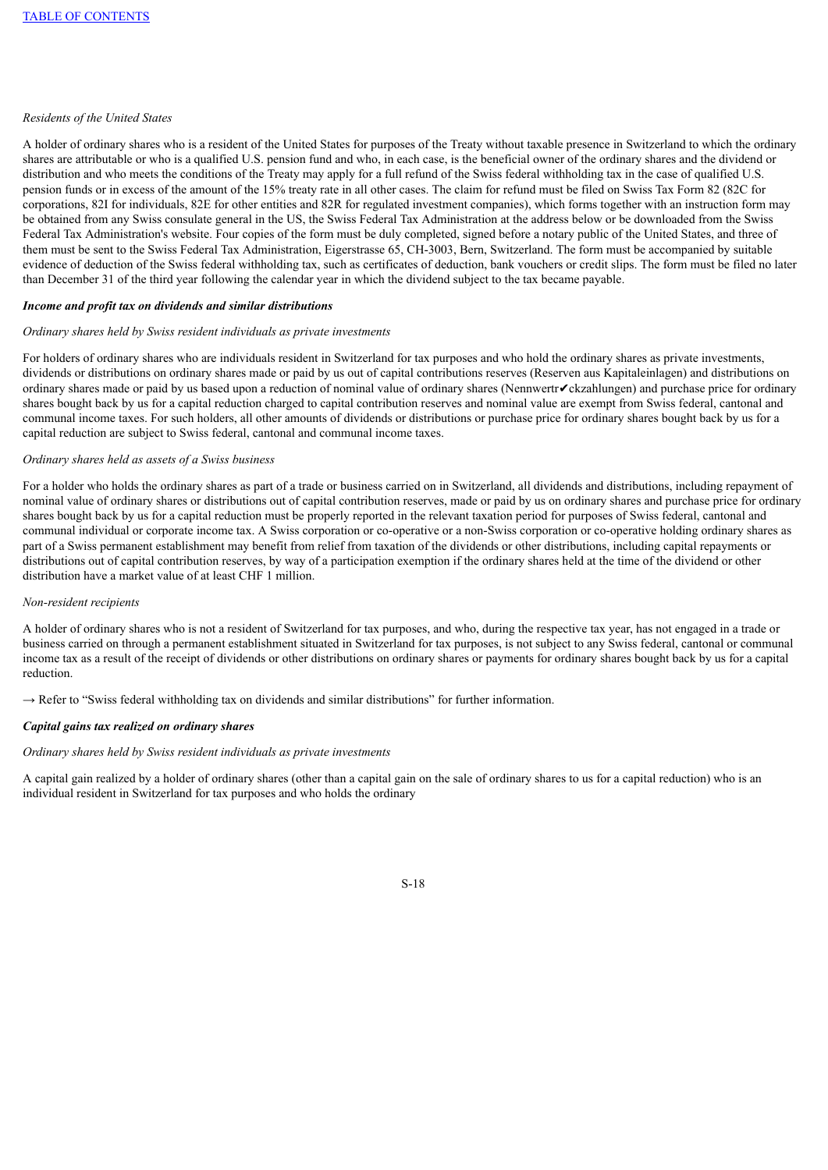## *Residents of the United States*

A holder of ordinary shares who is a resident of the United States for purposes of the Treaty without taxable presence in Switzerland to which the ordinary shares are attributable or who is a qualified U.S. pension fund and who, in each case, is the beneficial owner of the ordinary shares and the dividend or distribution and who meets the conditions of the Treaty may apply for a full refund of the Swiss federal withholding tax in the case of qualified U.S. pension funds or in excess of the amount of the 15% treaty rate in all other cases. The claim for refund must be filed on Swiss Tax Form 82 (82C for corporations, 82I for individuals, 82E for other entities and 82R for regulated investment companies), which forms together with an instruction form may be obtained from any Swiss consulate general in the US, the Swiss Federal Tax Administration at the address below or be downloaded from the Swiss Federal Tax Administration's website. Four copies of the form must be duly completed, signed before a notary public of the United States, and three of them must be sent to the Swiss Federal Tax Administration, Eigerstrasse 65, CH-3003, Bern, Switzerland. The form must be accompanied by suitable evidence of deduction of the Swiss federal withholding tax, such as certificates of deduction, bank vouchers or credit slips. The form must be filed no later than December 31 of the third year following the calendar year in which the dividend subject to the tax became payable.

#### *Income and profit tax on dividends and similar distributions*

#### *Ordinary shares held by Swiss resident individuals as private investments*

For holders of ordinary shares who are individuals resident in Switzerland for tax purposes and who hold the ordinary shares as private investments, dividends or distributions on ordinary shares made or paid by us out of capital contributions reserves (Reserven aus Kapitaleinlagen) and distributions on ordinary shares made or paid by us based upon a reduction of nominal value of ordinary shares (Nennwertr✔ckzahlungen) and purchase price for ordinary shares bought back by us for a capital reduction charged to capital contribution reserves and nominal value are exempt from Swiss federal, cantonal and communal income taxes. For such holders, all other amounts of dividends or distributions or purchase price for ordinary shares bought back by us for a capital reduction are subject to Swiss federal, cantonal and communal income taxes.

#### *Ordinary shares held as assets of a Swiss business*

For a holder who holds the ordinary shares as part of a trade or business carried on in Switzerland, all dividends and distributions, including repayment of nominal value of ordinary shares or distributions out of capital contribution reserves, made or paid by us on ordinary shares and purchase price for ordinary shares bought back by us for a capital reduction must be properly reported in the relevant taxation period for purposes of Swiss federal, cantonal and communal individual or corporate income tax. A Swiss corporation or co-operative or a non-Swiss corporation or co-operative holding ordinary shares as part of a Swiss permanent establishment may benefit from relief from taxation of the dividends or other distributions, including capital repayments or distributions out of capital contribution reserves, by way of a participation exemption if the ordinary shares held at the time of the dividend or other distribution have a market value of at least CHF 1 million.

## *Non-resident recipients*

A holder of ordinary shares who is not a resident of Switzerland for tax purposes, and who, during the respective tax year, has not engaged in a trade or business carried on through a permanent establishment situated in Switzerland for tax purposes, is not subject to any Swiss federal, cantonal or communal income tax as a result of the receipt of dividends or other distributions on ordinary shares or payments for ordinary shares bought back by us for a capital reduction.

 $\rightarrow$  Refer to "Swiss federal withholding tax on dividends and similar distributions" for further information.

## *Capital gains tax realized on ordinary shares*

#### *Ordinary shares held by Swiss resident individuals as private investments*

A capital gain realized by a holder of ordinary shares (other than a capital gain on the sale of ordinary shares to us for a capital reduction) who is an individual resident in Switzerland for tax purposes and who holds the ordinary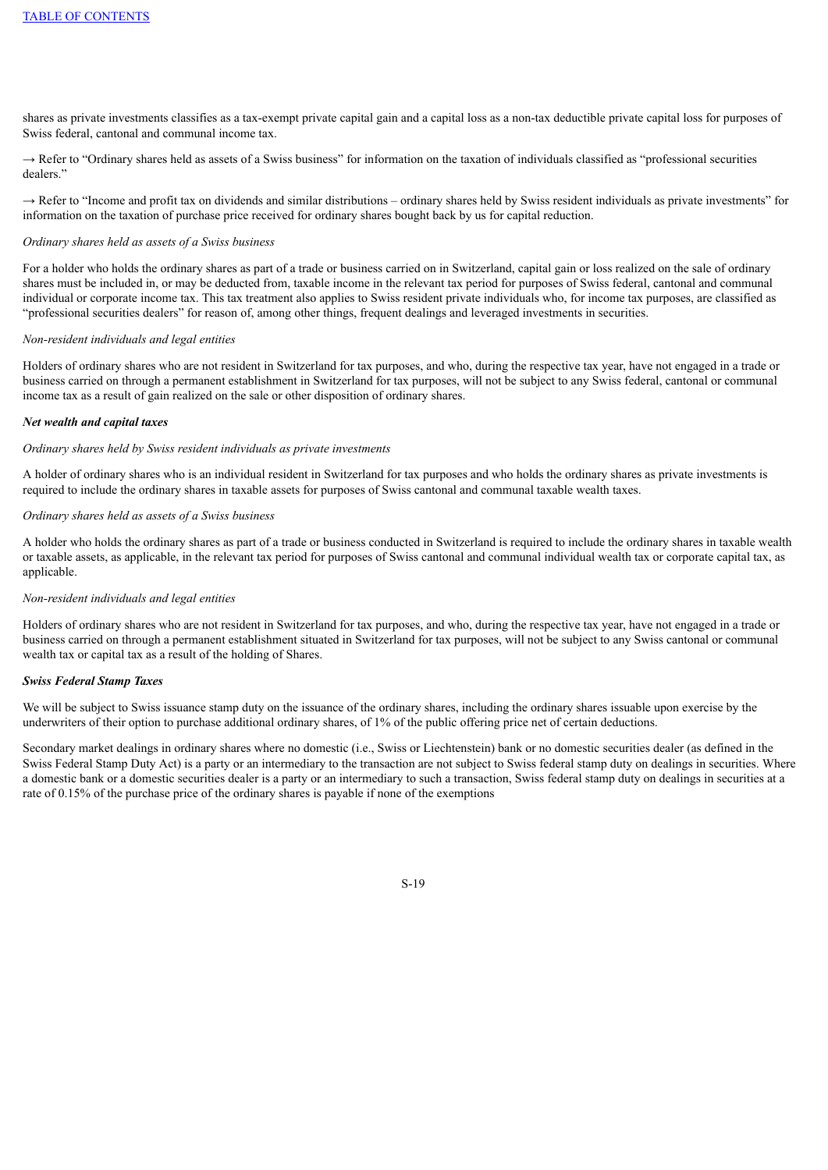shares as private investments classifies as a tax-exempt private capital gain and a capital loss as a non-tax deductible private capital loss for purposes of Swiss federal, cantonal and communal income tax.

→ Refer to "Ordinary shares held as assets of a Swiss business" for information on the taxation of individuals classified as "professional securities dealers."

→ Refer to "Income and profit tax on dividends and similar distributions – ordinary shares held by Swiss resident individuals as private investments" for information on the taxation of purchase price received for ordinary shares bought back by us for capital reduction.

#### *Ordinary shares held as assets of a Swiss business*

For a holder who holds the ordinary shares as part of a trade or business carried on in Switzerland, capital gain or loss realized on the sale of ordinary shares must be included in, or may be deducted from, taxable income in the relevant tax period for purposes of Swiss federal, cantonal and communal individual or corporate income tax. This tax treatment also applies to Swiss resident private individuals who, for income tax purposes, are classified as "professional securities dealers" for reason of, among other things, frequent dealings and leveraged investments in securities.

### *Non-resident individuals and legal entities*

Holders of ordinary shares who are not resident in Switzerland for tax purposes, and who, during the respective tax year, have not engaged in a trade or business carried on through a permanent establishment in Switzerland for tax purposes, will not be subject to any Swiss federal, cantonal or communal income tax as a result of gain realized on the sale or other disposition of ordinary shares.

#### *Net wealth and capital taxes*

#### *Ordinary shares held by Swiss resident individuals as private investments*

A holder of ordinary shares who is an individual resident in Switzerland for tax purposes and who holds the ordinary shares as private investments is required to include the ordinary shares in taxable assets for purposes of Swiss cantonal and communal taxable wealth taxes.

## *Ordinary shares held as assets of a Swiss business*

A holder who holds the ordinary shares as part of a trade or business conducted in Switzerland is required to include the ordinary shares in taxable wealth or taxable assets, as applicable, in the relevant tax period for purposes of Swiss cantonal and communal individual wealth tax or corporate capital tax, as applicable.

#### *Non-resident individuals and legal entities*

Holders of ordinary shares who are not resident in Switzerland for tax purposes, and who, during the respective tax year, have not engaged in a trade or business carried on through a permanent establishment situated in Switzerland for tax purposes, will not be subject to any Swiss cantonal or communal wealth tax or capital tax as a result of the holding of Shares.

#### *Swiss Federal Stamp Taxes*

We will be subject to Swiss issuance stamp duty on the issuance of the ordinary shares, including the ordinary shares issuable upon exercise by the underwriters of their option to purchase additional ordinary shares, of 1% of the public offering price net of certain deductions.

Secondary market dealings in ordinary shares where no domestic (i.e., Swiss or Liechtenstein) bank or no domestic securities dealer (as defined in the Swiss Federal Stamp Duty Act) is a party or an intermediary to the transaction are not subject to Swiss federal stamp duty on dealings in securities. Where a domestic bank or a domestic securities dealer is a party or an intermediary to such a transaction, Swiss federal stamp duty on dealings in securities at a rate of 0.15% of the purchase price of the ordinary shares is payable if none of the exemptions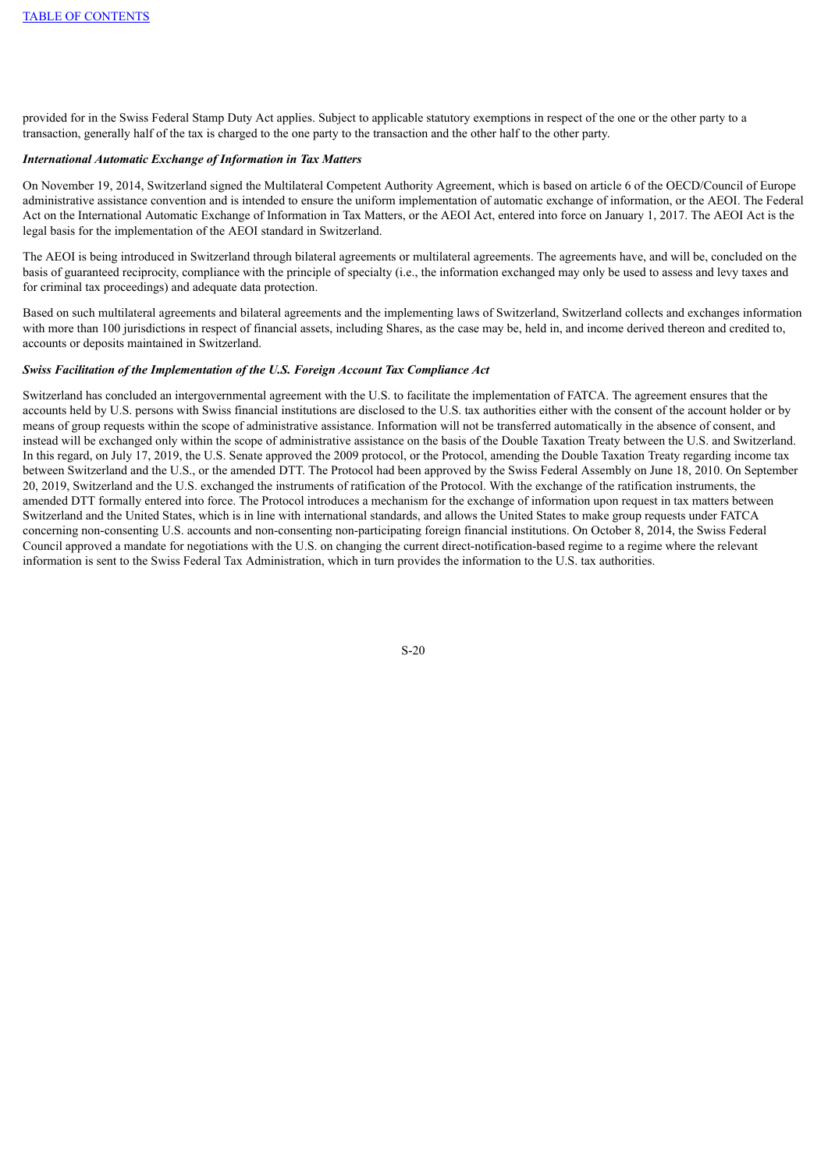provided for in the Swiss Federal Stamp Duty Act applies. Subject to applicable statutory exemptions in respect of the one or the other party to a transaction, generally half of the tax is charged to the one party to the transaction and the other half to the other party.

#### *International Automatic Exchange of Information in Tax Matters*

On November 19, 2014, Switzerland signed the Multilateral Competent Authority Agreement, which is based on article 6 of the OECD/Council of Europe administrative assistance convention and is intended to ensure the uniform implementation of automatic exchange of information, or the AEOI. The Federal Act on the International Automatic Exchange of Information in Tax Matters, or the AEOI Act, entered into force on January 1, 2017. The AEOI Act is the legal basis for the implementation of the AEOI standard in Switzerland.

The AEOI is being introduced in Switzerland through bilateral agreements or multilateral agreements. The agreements have, and will be, concluded on the basis of guaranteed reciprocity, compliance with the principle of specialty (i.e., the information exchanged may only be used to assess and levy taxes and for criminal tax proceedings) and adequate data protection.

Based on such multilateral agreements and bilateral agreements and the implementing laws of Switzerland, Switzerland collects and exchanges information with more than 100 jurisdictions in respect of financial assets, including Shares, as the case may be, held in, and income derived thereon and credited to, accounts or deposits maintained in Switzerland.

#### *Swiss Facilitation of the Implementation of the U.S. Foreign Account Tax Compliance Act*

<span id="page-24-0"></span>Switzerland has concluded an intergovernmental agreement with the U.S. to facilitate the implementation of FATCA. The agreement ensures that the accounts held by U.S. persons with Swiss financial institutions are disclosed to the U.S. tax authorities either with the consent of the account holder or by means of group requests within the scope of administrative assistance. Information will not be transferred automatically in the absence of consent, and instead will be exchanged only within the scope of administrative assistance on the basis of the Double Taxation Treaty between the U.S. and Switzerland. In this regard, on July 17, 2019, the U.S. Senate approved the 2009 protocol, or the Protocol, amending the Double Taxation Treaty regarding income tax between Switzerland and the U.S., or the amended DTT. The Protocol had been approved by the Swiss Federal Assembly on June 18, 2010. On September 20, 2019, Switzerland and the U.S. exchanged the instruments of ratification of the Protocol. With the exchange of the ratification instruments, the amended DTT formally entered into force. The Protocol introduces a mechanism for the exchange of information upon request in tax matters between Switzerland and the United States, which is in line with international standards, and allows the United States to make group requests under FATCA concerning non-consenting U.S. accounts and non-consenting non-participating foreign financial institutions. On October 8, 2014, the Swiss Federal Council approved a mandate for negotiations with the U.S. on changing the current direct-notification-based regime to a regime where the relevant information is sent to the Swiss Federal Tax Administration, which in turn provides the information to the U.S. tax authorities.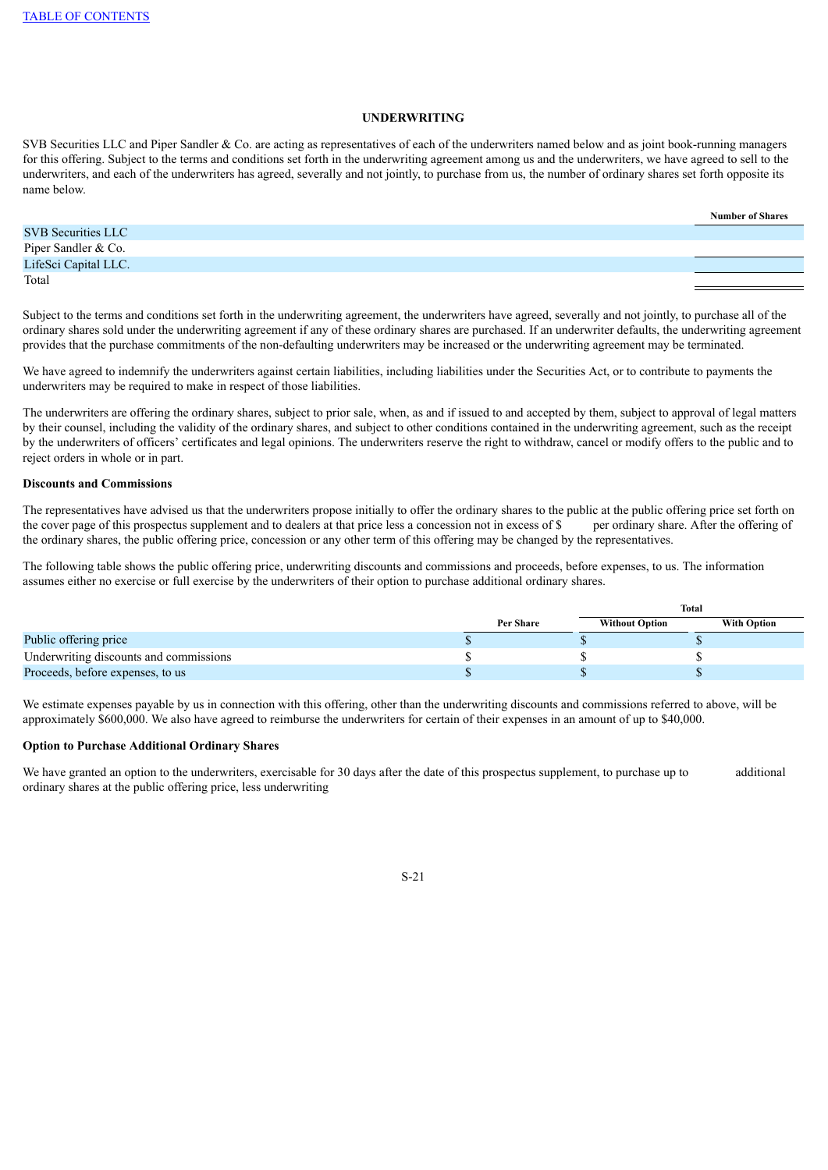## **UNDERWRITING**

SVB Securities LLC and Piper Sandler & Co. are acting as representatives of each of the underwriters named below and as joint book-running managers for this offering. Subject to the terms and conditions set forth in the underwriting agreement among us and the underwriters, we have agreed to sell to the underwriters, and each of the underwriters has agreed, severally and not jointly, to purchase from us, the number of ordinary shares set forth opposite its name below.

|                           | <b>Number of Shares</b> |
|---------------------------|-------------------------|
| <b>SVB Securities LLC</b> |                         |
| Piper Sandler & Co.       |                         |
| LifeSci Capital LLC.      |                         |
| Total                     |                         |

Subject to the terms and conditions set forth in the underwriting agreement, the underwriters have agreed, severally and not jointly, to purchase all of the ordinary shares sold under the underwriting agreement if any of these ordinary shares are purchased. If an underwriter defaults, the underwriting agreement provides that the purchase commitments of the non-defaulting underwriters may be increased or the underwriting agreement may be terminated.

We have agreed to indemnify the underwriters against certain liabilities, including liabilities under the Securities Act, or to contribute to payments the underwriters may be required to make in respect of those liabilities.

The underwriters are offering the ordinary shares, subject to prior sale, when, as and if issued to and accepted by them, subject to approval of legal matters by their counsel, including the validity of the ordinary shares, and subject to other conditions contained in the underwriting agreement, such as the receipt by the underwriters of officers' certificates and legal opinions. The underwriters reserve the right to withdraw, cancel or modify offers to the public and to reject orders in whole or in part.

#### **Discounts and Commissions**

The representatives have advised us that the underwriters propose initially to offer the ordinary shares to the public at the public offering price set forth on the cover page of this prospectus supplement and to dealers at that price less a concession not in excess of \$ per ordinary share. After the offering of the ordinary shares, the public offering price, concession or any other term of this offering may be changed by the representatives.

The following table shows the public offering price, underwriting discounts and commissions and proceeds, before expenses, to us. The information assumes either no exercise or full exercise by the underwriters of their option to purchase additional ordinary shares.

|                                        |                  | Total                 |                    |
|----------------------------------------|------------------|-----------------------|--------------------|
|                                        | <b>Per Share</b> | <b>Without Option</b> | <b>With Option</b> |
| Public offering price                  |                  |                       |                    |
| Underwriting discounts and commissions |                  |                       |                    |
| Proceeds, before expenses, to us       |                  |                       |                    |

We estimate expenses payable by us in connection with this offering, other than the underwriting discounts and commissions referred to above, will be approximately \$600,000. We also have agreed to reimburse the underwriters for certain of their expenses in an amount of up to \$40,000.

#### **Option to Purchase Additional Ordinary Shares**

We have granted an option to the underwriters, exercisable for 30 days after the date of this prospectus supplement, to purchase up to additional ordinary shares at the public offering price, less underwriting

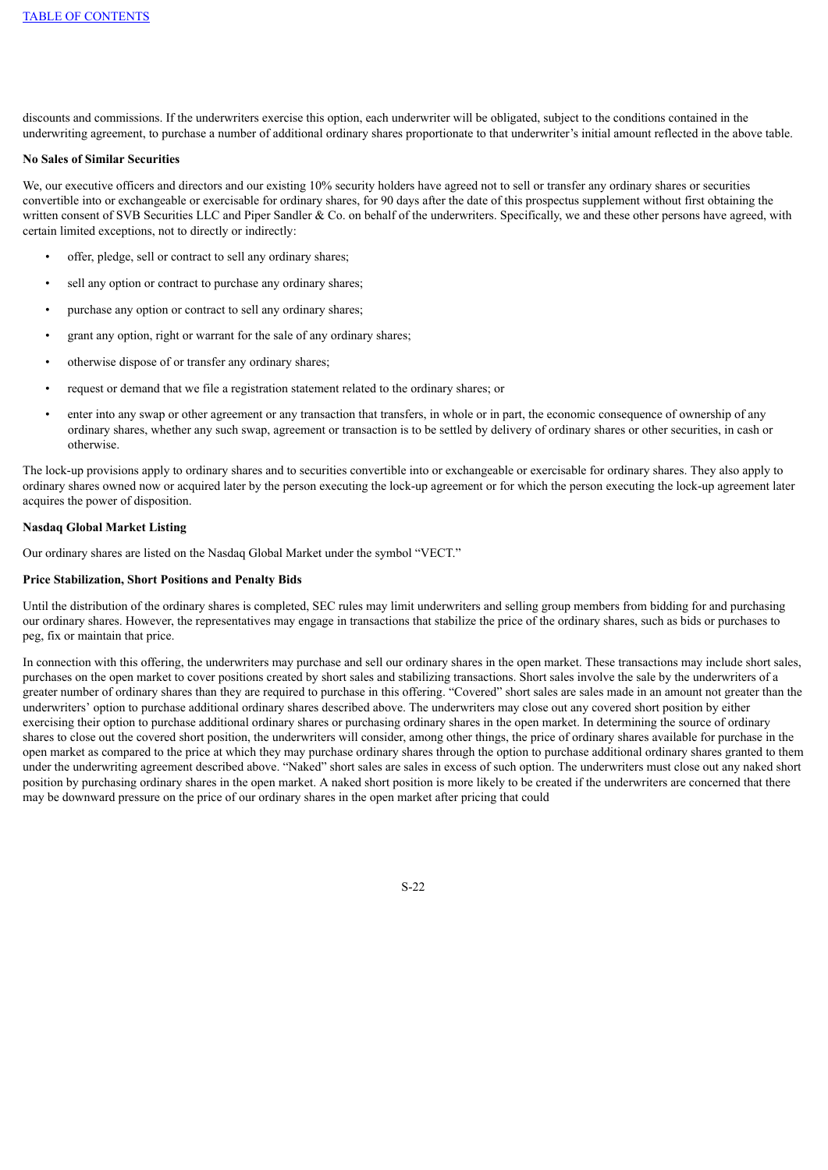discounts and commissions. If the underwriters exercise this option, each underwriter will be obligated, subject to the conditions contained in the underwriting agreement, to purchase a number of additional ordinary shares proportionate to that underwriter's initial amount reflected in the above table.

#### **No Sales of Similar Securities**

We, our executive officers and directors and our existing 10% security holders have agreed not to sell or transfer any ordinary shares or securities convertible into or exchangeable or exercisable for ordinary shares, for 90 days after the date of this prospectus supplement without first obtaining the written consent of SVB Securities LLC and Piper Sandler & Co. on behalf of the underwriters. Specifically, we and these other persons have agreed, with certain limited exceptions, not to directly or indirectly:

- offer, pledge, sell or contract to sell any ordinary shares;
- sell any option or contract to purchase any ordinary shares;
- purchase any option or contract to sell any ordinary shares;
- grant any option, right or warrant for the sale of any ordinary shares;
- otherwise dispose of or transfer any ordinary shares;
- request or demand that we file a registration statement related to the ordinary shares; or
- enter into any swap or other agreement or any transaction that transfers, in whole or in part, the economic consequence of ownership of any ordinary shares, whether any such swap, agreement or transaction is to be settled by delivery of ordinary shares or other securities, in cash or otherwise.

The lock-up provisions apply to ordinary shares and to securities convertible into or exchangeable or exercisable for ordinary shares. They also apply to ordinary shares owned now or acquired later by the person executing the lock-up agreement or for which the person executing the lock-up agreement later acquires the power of disposition.

#### **Nasdaq Global Market Listing**

Our ordinary shares are listed on the Nasdaq Global Market under the symbol "VECT."

## **Price Stabilization, Short Positions and Penalty Bids**

Until the distribution of the ordinary shares is completed, SEC rules may limit underwriters and selling group members from bidding for and purchasing our ordinary shares. However, the representatives may engage in transactions that stabilize the price of the ordinary shares, such as bids or purchases to peg, fix or maintain that price.

In connection with this offering, the underwriters may purchase and sell our ordinary shares in the open market. These transactions may include short sales, purchases on the open market to cover positions created by short sales and stabilizing transactions. Short sales involve the sale by the underwriters of a greater number of ordinary shares than they are required to purchase in this offering. "Covered" short sales are sales made in an amount not greater than the underwriters' option to purchase additional ordinary shares described above. The underwriters may close out any covered short position by either exercising their option to purchase additional ordinary shares or purchasing ordinary shares in the open market. In determining the source of ordinary shares to close out the covered short position, the underwriters will consider, among other things, the price of ordinary shares available for purchase in the open market as compared to the price at which they may purchase ordinary shares through the option to purchase additional ordinary shares granted to them under the underwriting agreement described above. "Naked" short sales are sales in excess of such option. The underwriters must close out any naked short position by purchasing ordinary shares in the open market. A naked short position is more likely to be created if the underwriters are concerned that there may be downward pressure on the price of our ordinary shares in the open market after pricing that could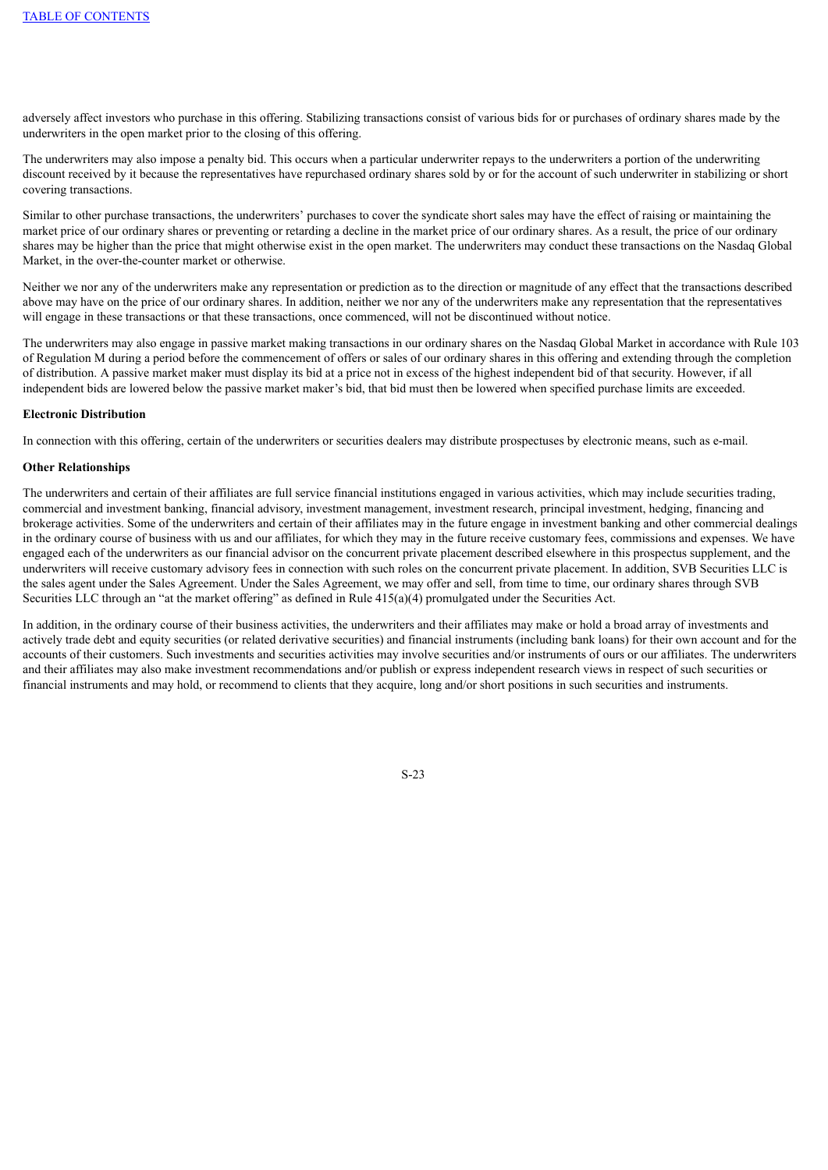adversely affect investors who purchase in this offering. Stabilizing transactions consist of various bids for or purchases of ordinary shares made by the underwriters in the open market prior to the closing of this offering.

The underwriters may also impose a penalty bid. This occurs when a particular underwriter repays to the underwriters a portion of the underwriting discount received by it because the representatives have repurchased ordinary shares sold by or for the account of such underwriter in stabilizing or short covering transactions.

Similar to other purchase transactions, the underwriters' purchases to cover the syndicate short sales may have the effect of raising or maintaining the market price of our ordinary shares or preventing or retarding a decline in the market price of our ordinary shares. As a result, the price of our ordinary shares may be higher than the price that might otherwise exist in the open market. The underwriters may conduct these transactions on the Nasdaq Global Market, in the over-the-counter market or otherwise.

Neither we nor any of the underwriters make any representation or prediction as to the direction or magnitude of any effect that the transactions described above may have on the price of our ordinary shares. In addition, neither we nor any of the underwriters make any representation that the representatives will engage in these transactions or that these transactions, once commenced, will not be discontinued without notice.

The underwriters may also engage in passive market making transactions in our ordinary shares on the Nasdaq Global Market in accordance with Rule 103 of Regulation M during a period before the commencement of offers or sales of our ordinary shares in this offering and extending through the completion of distribution. A passive market maker must display its bid at a price not in excess of the highest independent bid of that security. However, if all independent bids are lowered below the passive market maker's bid, that bid must then be lowered when specified purchase limits are exceeded.

#### **Electronic Distribution**

In connection with this offering, certain of the underwriters or securities dealers may distribute prospectuses by electronic means, such as e-mail.

#### **Other Relationships**

The underwriters and certain of their affiliates are full service financial institutions engaged in various activities, which may include securities trading, commercial and investment banking, financial advisory, investment management, investment research, principal investment, hedging, financing and brokerage activities. Some of the underwriters and certain of their affiliates may in the future engage in investment banking and other commercial dealings in the ordinary course of business with us and our affiliates, for which they may in the future receive customary fees, commissions and expenses. We have engaged each of the underwriters as our financial advisor on the concurrent private placement described elsewhere in this prospectus supplement, and the underwriters will receive customary advisory fees in connection with such roles on the concurrent private placement. In addition, SVB Securities LLC is the sales agent under the Sales Agreement. Under the Sales Agreement, we may offer and sell, from time to time, our ordinary shares through SVB Securities LLC through an "at the market offering" as defined in Rule  $415(a)(4)$  promulgated under the Securities Act.

In addition, in the ordinary course of their business activities, the underwriters and their affiliates may make or hold a broad array of investments and actively trade debt and equity securities (or related derivative securities) and financial instruments (including bank loans) for their own account and for the accounts of their customers. Such investments and securities activities may involve securities and/or instruments of ours or our affiliates. The underwriters and their affiliates may also make investment recommendations and/or publish or express independent research views in respect of such securities or financial instruments and may hold, or recommend to clients that they acquire, long and/or short positions in such securities and instruments.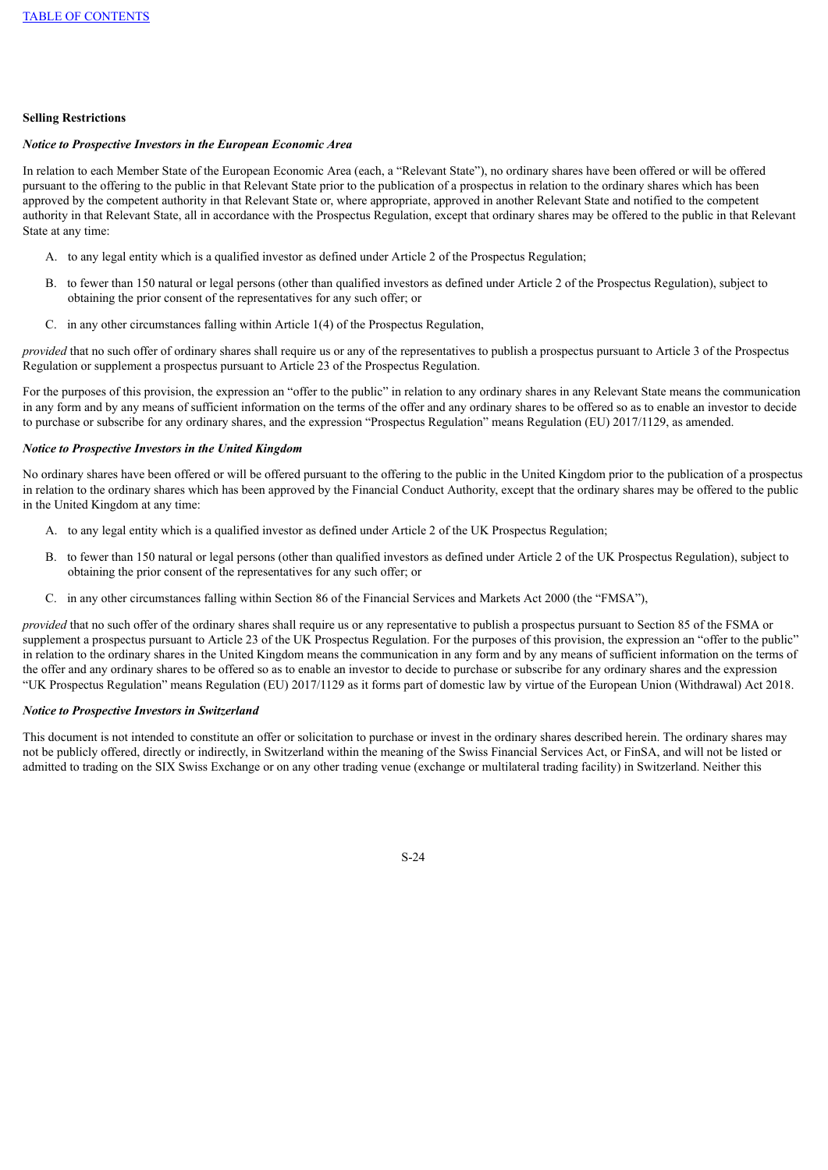## **Selling Restrictions**

#### *Notice to Prospective Investors in the European Economic Area*

In relation to each Member State of the European Economic Area (each, a "Relevant State"), no ordinary shares have been offered or will be offered pursuant to the offering to the public in that Relevant State prior to the publication of a prospectus in relation to the ordinary shares which has been approved by the competent authority in that Relevant State or, where appropriate, approved in another Relevant State and notified to the competent authority in that Relevant State, all in accordance with the Prospectus Regulation, except that ordinary shares may be offered to the public in that Relevant State at any time:

- A. to any legal entity which is a qualified investor as defined under Article 2 of the Prospectus Regulation;
- B. to fewer than 150 natural or legal persons (other than qualified investors as defined under Article 2 of the Prospectus Regulation), subject to obtaining the prior consent of the representatives for any such offer; or
- C. in any other circumstances falling within Article 1(4) of the Prospectus Regulation,

*provided* that no such offer of ordinary shares shall require us or any of the representatives to publish a prospectus pursuant to Article 3 of the Prospectus Regulation or supplement a prospectus pursuant to Article 23 of the Prospectus Regulation.

For the purposes of this provision, the expression an "offer to the public" in relation to any ordinary shares in any Relevant State means the communication in any form and by any means of sufficient information on the terms of the offer and any ordinary shares to be offered so as to enable an investor to decide to purchase or subscribe for any ordinary shares, and the expression "Prospectus Regulation" means Regulation (EU) 2017/1129, as amended.

## *Notice to Prospective Investors in the United Kingdom*

No ordinary shares have been offered or will be offered pursuant to the offering to the public in the United Kingdom prior to the publication of a prospectus in relation to the ordinary shares which has been approved by the Financial Conduct Authority, except that the ordinary shares may be offered to the public in the United Kingdom at any time:

- A. to any legal entity which is a qualified investor as defined under Article 2 of the UK Prospectus Regulation;
- B. to fewer than 150 natural or legal persons (other than qualified investors as defined under Article 2 of the UK Prospectus Regulation), subject to obtaining the prior consent of the representatives for any such offer; or
- C. in any other circumstances falling within Section 86 of the Financial Services and Markets Act 2000 (the "FMSA"),

*provided* that no such offer of the ordinary shares shall require us or any representative to publish a prospectus pursuant to Section 85 of the FSMA or supplement a prospectus pursuant to Article 23 of the UK Prospectus Regulation. For the purposes of this provision, the expression an "offer to the public" in relation to the ordinary shares in the United Kingdom means the communication in any form and by any means of sufficient information on the terms of the offer and any ordinary shares to be offered so as to enable an investor to decide to purchase or subscribe for any ordinary shares and the expression "UK Prospectus Regulation" means Regulation (EU) 2017/1129 as it forms part of domestic law by virtue of the European Union (Withdrawal) Act 2018.

#### *Notice to Prospective Investors in Switzerland*

This document is not intended to constitute an offer or solicitation to purchase or invest in the ordinary shares described herein. The ordinary shares may not be publicly offered, directly or indirectly, in Switzerland within the meaning of the Swiss Financial Services Act, or FinSA, and will not be listed or admitted to trading on the SIX Swiss Exchange or on any other trading venue (exchange or multilateral trading facility) in Switzerland. Neither this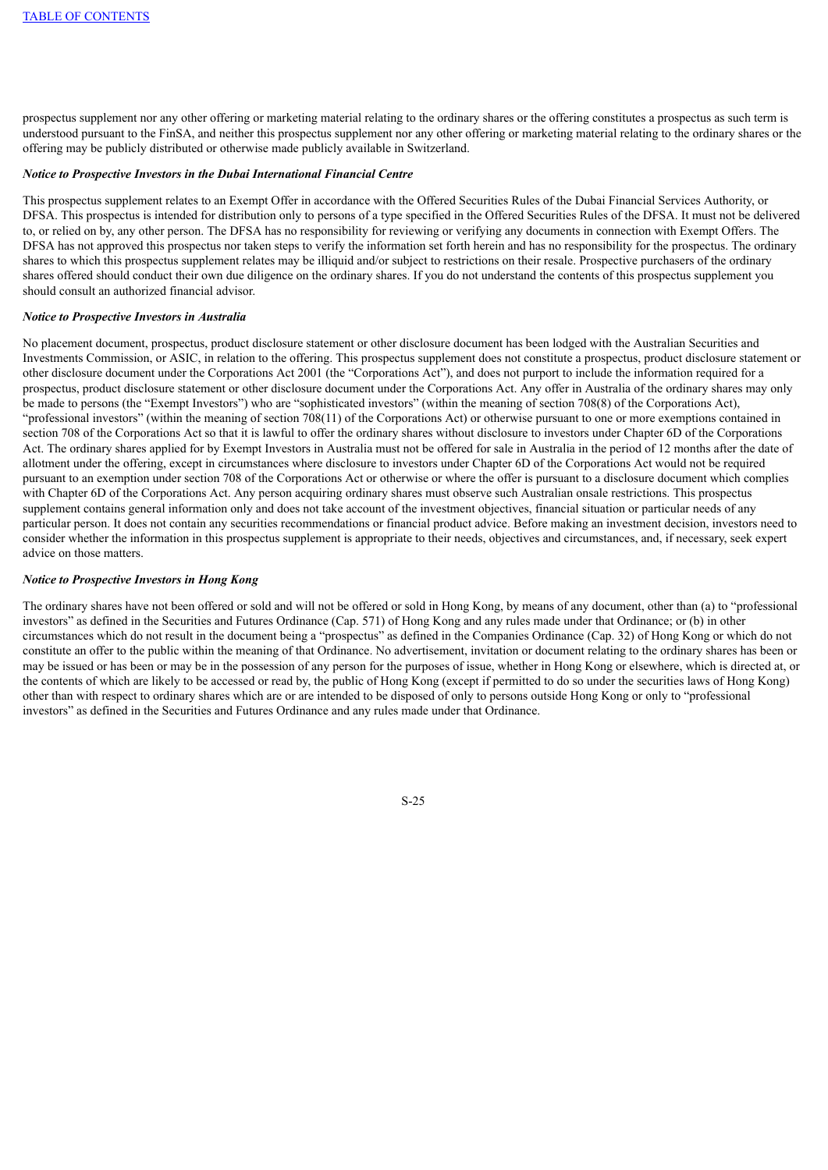prospectus supplement nor any other offering or marketing material relating to the ordinary shares or the offering constitutes a prospectus as such term is understood pursuant to the FinSA, and neither this prospectus supplement nor any other offering or marketing material relating to the ordinary shares or the offering may be publicly distributed or otherwise made publicly available in Switzerland.

#### *Notice to Prospective Investors in the Dubai International Financial Centre*

This prospectus supplement relates to an Exempt Offer in accordance with the Offered Securities Rules of the Dubai Financial Services Authority, or DFSA. This prospectus is intended for distribution only to persons of a type specified in the Offered Securities Rules of the DFSA. It must not be delivered to, or relied on by, any other person. The DFSA has no responsibility for reviewing or verifying any documents in connection with Exempt Offers. The DFSA has not approved this prospectus nor taken steps to verify the information set forth herein and has no responsibility for the prospectus. The ordinary shares to which this prospectus supplement relates may be illiquid and/or subject to restrictions on their resale. Prospective purchasers of the ordinary shares offered should conduct their own due diligence on the ordinary shares. If you do not understand the contents of this prospectus supplement you should consult an authorized financial advisor.

#### *Notice to Prospective Investors in Australia*

No placement document, prospectus, product disclosure statement or other disclosure document has been lodged with the Australian Securities and Investments Commission, or ASIC, in relation to the offering. This prospectus supplement does not constitute a prospectus, product disclosure statement or other disclosure document under the Corporations Act 2001 (the "Corporations Act"), and does not purport to include the information required for a prospectus, product disclosure statement or other disclosure document under the Corporations Act. Any offer in Australia of the ordinary shares may only be made to persons (the "Exempt Investors") who are "sophisticated investors" (within the meaning of section 708(8) of the Corporations Act), "professional investors" (within the meaning of section 708(11) of the Corporations Act) or otherwise pursuant to one or more exemptions contained in section 708 of the Corporations Act so that it is lawful to offer the ordinary shares without disclosure to investors under Chapter 6D of the Corporations Act. The ordinary shares applied for by Exempt Investors in Australia must not be offered for sale in Australia in the period of 12 months after the date of allotment under the offering, except in circumstances where disclosure to investors under Chapter 6D of the Corporations Act would not be required pursuant to an exemption under section 708 of the Corporations Act or otherwise or where the offer is pursuant to a disclosure document which complies with Chapter 6D of the Corporations Act. Any person acquiring ordinary shares must observe such Australian onsale restrictions. This prospectus supplement contains general information only and does not take account of the investment objectives, financial situation or particular needs of any particular person. It does not contain any securities recommendations or financial product advice. Before making an investment decision, investors need to consider whether the information in this prospectus supplement is appropriate to their needs, objectives and circumstances, and, if necessary, seek expert advice on those matters.

#### *Notice to Prospective Investors in Hong Kong*

The ordinary shares have not been offered or sold and will not be offered or sold in Hong Kong, by means of any document, other than (a) to "professional investors" as defined in the Securities and Futures Ordinance (Cap. 571) of Hong Kong and any rules made under that Ordinance; or (b) in other circumstances which do not result in the document being a "prospectus" as defined in the Companies Ordinance (Cap. 32) of Hong Kong or which do not constitute an offer to the public within the meaning of that Ordinance. No advertisement, invitation or document relating to the ordinary shares has been or may be issued or has been or may be in the possession of any person for the purposes of issue, whether in Hong Kong or elsewhere, which is directed at, or the contents of which are likely to be accessed or read by, the public of Hong Kong (except if permitted to do so under the securities laws of Hong Kong) other than with respect to ordinary shares which are or are intended to be disposed of only to persons outside Hong Kong or only to "professional investors" as defined in the Securities and Futures Ordinance and any rules made under that Ordinance.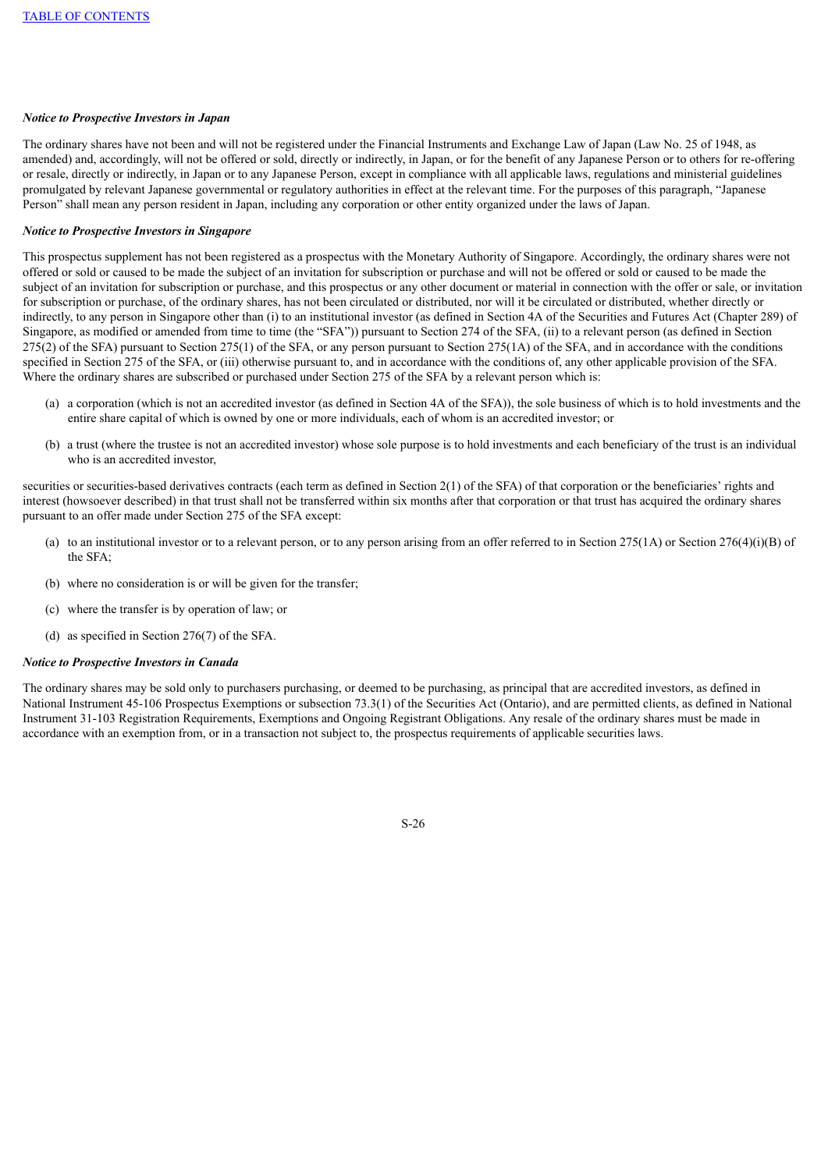## *Notice to Prospective Investors in Japan*

The ordinary shares have not been and will not be registered under the Financial Instruments and Exchange Law of Japan (Law No. 25 of 1948, as amended) and, accordingly, will not be offered or sold, directly or indirectly, in Japan, or for the benefit of any Japanese Person or to others for re-offering or resale, directly or indirectly, in Japan or to any Japanese Person, except in compliance with all applicable laws, regulations and ministerial guidelines promulgated by relevant Japanese governmental or regulatory authorities in effect at the relevant time. For the purposes of this paragraph, "Japanese Person" shall mean any person resident in Japan, including any corporation or other entity organized under the laws of Japan.

#### *Notice to Prospective Investors in Singapore*

This prospectus supplement has not been registered as a prospectus with the Monetary Authority of Singapore. Accordingly, the ordinary shares were not offered or sold or caused to be made the subject of an invitation for subscription or purchase and will not be offered or sold or caused to be made the subject of an invitation for subscription or purchase, and this prospectus or any other document or material in connection with the offer or sale, or invitation for subscription or purchase, of the ordinary shares, has not been circulated or distributed, nor will it be circulated or distributed, whether directly or indirectly, to any person in Singapore other than (i) to an institutional investor (as defined in Section 4A of the Securities and Futures Act (Chapter 289) of Singapore, as modified or amended from time to time (the "SFA")) pursuant to Section 274 of the SFA, (ii) to a relevant person (as defined in Section  $275(2)$  of the SFA) pursuant to Section  $275(1)$  of the SFA, or any person pursuant to Section  $275(1)$  of the SFA, and in accordance with the conditions specified in Section 275 of the SFA, or (iii) otherwise pursuant to, and in accordance with the conditions of, any other applicable provision of the SFA. Where the ordinary shares are subscribed or purchased under Section 275 of the SFA by a relevant person which is:

- (a) a corporation (which is not an accredited investor (as defined in Section 4A of the SFA)), the sole business of which is to hold investments and the entire share capital of which is owned by one or more individuals, each of whom is an accredited investor; or
- (b) a trust (where the trustee is not an accredited investor) whose sole purpose is to hold investments and each beneficiary of the trust is an individual who is an accredited investor,

securities or securities-based derivatives contracts (each term as defined in Section 2(1) of the SFA) of that corporation or the beneficiaries' rights and interest (howsoever described) in that trust shall not be transferred within six months after that corporation or that trust has acquired the ordinary shares pursuant to an offer made under Section 275 of the SFA except:

- (a) to an institutional investor or to a relevant person, or to any person arising from an offer referred to in Section 275(1A) or Section 276(4)(i)(B) of the SFA;
- (b) where no consideration is or will be given for the transfer;
- (c) where the transfer is by operation of law; or
- (d) as specified in Section 276(7) of the SFA.

#### *Notice to Prospective Investors in Canada*

<span id="page-30-0"></span>The ordinary shares may be sold only to purchasers purchasing, or deemed to be purchasing, as principal that are accredited investors, as defined in National Instrument 45-106 Prospectus Exemptions or subsection 73.3(1) of the Securities Act (Ontario), and are permitted clients, as defined in National Instrument 31-103 Registration Requirements, Exemptions and Ongoing Registrant Obligations. Any resale of the ordinary shares must be made in accordance with an exemption from, or in a transaction not subject to, the prospectus requirements of applicable securities laws.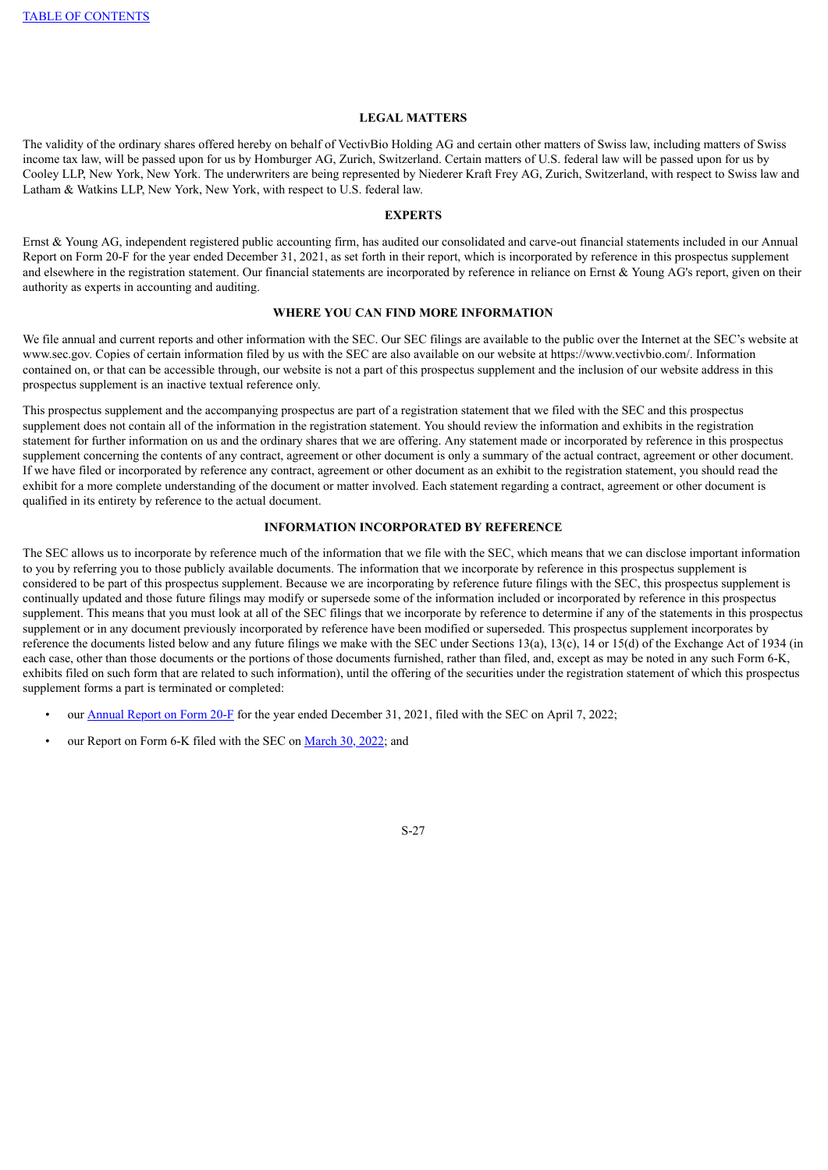#### **LEGAL MATTERS**

The validity of the ordinary shares offered hereby on behalf of VectivBio Holding AG and certain other matters of Swiss law, including matters of Swiss income tax law, will be passed upon for us by Homburger AG, Zurich, Switzerland. Certain matters of U.S. federal law will be passed upon for us by Cooley LLP, New York, New York. The underwriters are being represented by Niederer Kraft Frey AG, Zurich, Switzerland, with respect to Swiss law and Latham & Watkins LLP, New York, New York, with respect to U.S. federal law.

#### **EXPERTS**

<span id="page-31-0"></span>Ernst & Young AG, independent registered public accounting firm, has audited our consolidated and carve-out financial statements included in our Annual Report on Form 20-F for the year ended December 31, 2021, as set forth in their report, which is incorporated by reference in this prospectus supplement and elsewhere in the registration statement. Our financial statements are incorporated by reference in reliance on Ernst & Young AG's report, given on their authority as experts in accounting and auditing.

## **WHERE YOU CAN FIND MORE INFORMATION**

<span id="page-31-1"></span>We file annual and current reports and other information with the SEC. Our SEC filings are available to the public over the Internet at the SEC's website at www.sec.gov. Copies of certain information filed by us with the SEC are also available on our website at https://www.vectivbio.com/. Information contained on, or that can be accessible through, our website is not a part of this prospectus supplement and the inclusion of our website address in this prospectus supplement is an inactive textual reference only.

This prospectus supplement and the accompanying prospectus are part of a registration statement that we filed with the SEC and this prospectus supplement does not contain all of the information in the registration statement. You should review the information and exhibits in the registration statement for further information on us and the ordinary shares that we are offering. Any statement made or incorporated by reference in this prospectus supplement concerning the contents of any contract, agreement or other document is only a summary of the actual contract, agreement or other document. If we have filed or incorporated by reference any contract, agreement or other document as an exhibit to the registration statement, you should read the exhibit for a more complete understanding of the document or matter involved. Each statement regarding a contract, agreement or other document is qualified in its entirety by reference to the actual document.

## **INFORMATION INCORPORATED BY REFERENCE**

<span id="page-31-2"></span>The SEC allows us to incorporate by reference much of the information that we file with the SEC, which means that we can disclose important information to you by referring you to those publicly available documents. The information that we incorporate by reference in this prospectus supplement is considered to be part of this prospectus supplement. Because we are incorporating by reference future filings with the SEC, this prospectus supplement is continually updated and those future filings may modify or supersede some of the information included or incorporated by reference in this prospectus supplement. This means that you must look at all of the SEC filings that we incorporate by reference to determine if any of the statements in this prospectus supplement or in any document previously incorporated by reference have been modified or superseded. This prospectus supplement incorporates by reference the documents listed below and any future filings we make with the SEC under Sections 13(a), 13(c), 14 or 15(d) of the Exchange Act of 1934 (in each case, other than those documents or the portions of those documents furnished, rather than filed, and, except as may be noted in any such Form 6-K, exhibits filed on such form that are related to such information), until the offering of the securities under the registration statement of which this prospectus supplement forms a part is terminated or completed:

- our [Annual](https://www.sec.gov/ix?doc=/Archives/edgar/data/0001836379/000162828022008724/vb-20211231.htm) Report on Form 20-F for the year ended December 31, 2021, filed with the SEC on April 7, 2022;
- our Report on Form 6-K filed with the SEC on [March](https://www.sec.gov/Archives/edgar/data/0001836379/000162828022007786/vectivbio-debtfinancingand.htm) 30, 2022; and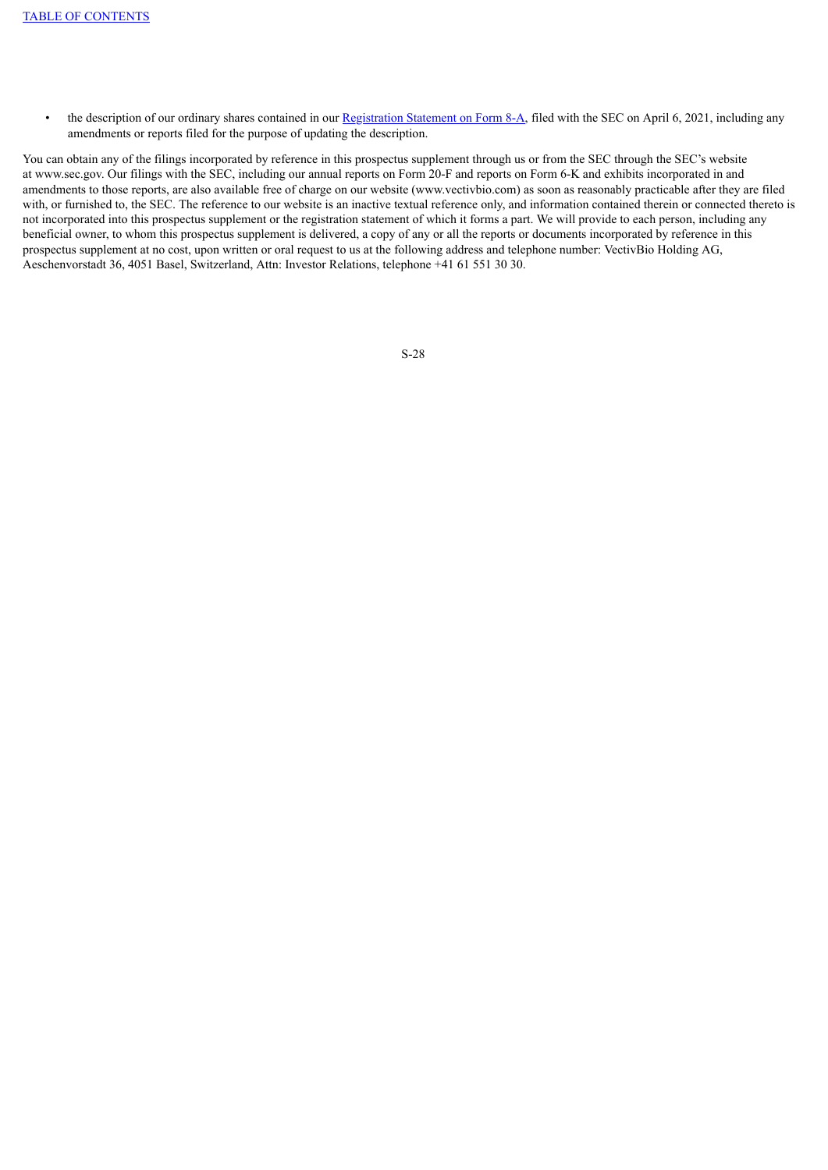• the description of our ordinary shares contained in our [Registration](https://www.sec.gov/Archives/edgar/data/0001836379/000162828021006613/vectivbioipo-form8xa.htm) Statement on Form 8-A, filed with the SEC on April 6, 2021, including any amendments or reports filed for the purpose of updating the description.

You can obtain any of the filings incorporated by reference in this prospectus supplement through us or from the SEC through the SEC's website at www.sec.gov. Our filings with the SEC, including our annual reports on Form 20-F and reports on Form 6-K and exhibits incorporated in and amendments to those reports, are also available free of charge on our website (www.vectivbio.com) as soon as reasonably practicable after they are filed with, or furnished to, the SEC. The reference to our website is an inactive textual reference only, and information contained therein or connected thereto is not incorporated into this prospectus supplement or the registration statement of which it forms a part. We will provide to each person, including any beneficial owner, to whom this prospectus supplement is delivered, a copy of any or all the reports or documents incorporated by reference in this prospectus supplement at no cost, upon written or oral request to us at the following address and telephone number: VectivBio Holding AG, Aeschenvorstadt 36, 4051 Basel, Switzerland, Attn: Investor Relations, telephone +41 61 551 30 30.

```
S-28
```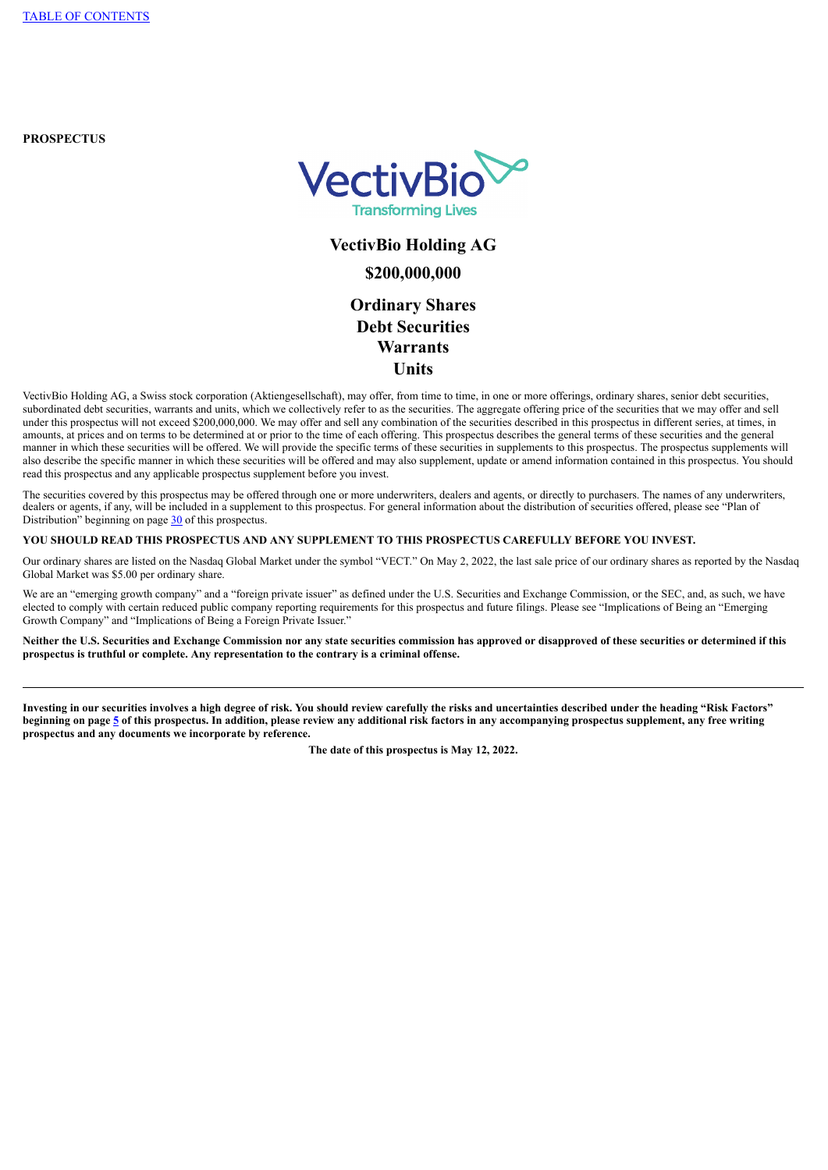**PROSPECTUS**



# **VectivBio Holding AG \$200,000,000 Ordinary Shares Debt Securities Warrants Units**

VectivBio Holding AG, a Swiss stock corporation (Aktiengesellschaft), may offer, from time to time, in one or more offerings, ordinary shares, senior debt securities, subordinated debt securities, warrants and units, which we collectively refer to as the securities. The aggregate offering price of the securities that we may offer and sell under this prospectus will not exceed \$200,000,000. We may offer and sell any combination of the securities described in this prospectus in different series, at times, in amounts, at prices and on terms to be determined at or prior to the time of each offering. This prospectus describes the general terms of these securities and the general manner in which these securities will be offered. We will provide the specific terms of these securities in supplements to this prospectus. The prospectus supplements will also describe the specific manner in which these securities will be offered and may also supplement, update or amend information contained in this prospectus. You should read this prospectus and any applicable prospectus supplement before you invest.

The securities covered by this prospectus may be offered through one or more underwriters, dealers and agents, or directly to purchasers. The names of any underwriters, dealers or agents, if any, will be included in a supplement to this prospectus. For general information about the distribution of securities offered, please see "Plan of Distribution" beginning on page [30](#page-67-0) of this prospectus.

## **YOU SHOULD READ THIS PROSPECTUS AND ANY SUPPLEMENT TO THIS PROSPECTUS CAREFULLY BEFORE YOU INVEST.**

Our ordinary shares are listed on the Nasdaq Global Market under the symbol "VECT." On May 2, 2022, the last sale price of our ordinary shares as reported by the Nasdaq Global Market was \$5.00 per ordinary share.

We are an "emerging growth company" and a "foreign private issuer" as defined under the U.S. Securities and Exchange Commission, or the SEC, and, as such, we have elected to comply with certain reduced public company reporting requirements for this prospectus and future filings. Please see "Implications of Being an "Emerging Growth Company" and "Implications of Being a Foreign Private Issuer."

**Neither the U.S. Securities and Exchange Commission nor any state securities commission has approved or disapproved of these securities or determined if this prospectus is truthful or complete. Any representation to the contrary is a criminal offense.**

**Investing in our securities involves a high degree of risk. You should review carefully the risks and uncertainties described under the heading "Risk Factors" beginning on page [5](#page-42-0) of this prospectus. In addition, please review any additional risk factors in any accompanying prospectus supplement, any free writing prospectus and any documents we incorporate by reference.**

**The date of this prospectus is May 12, 2022.**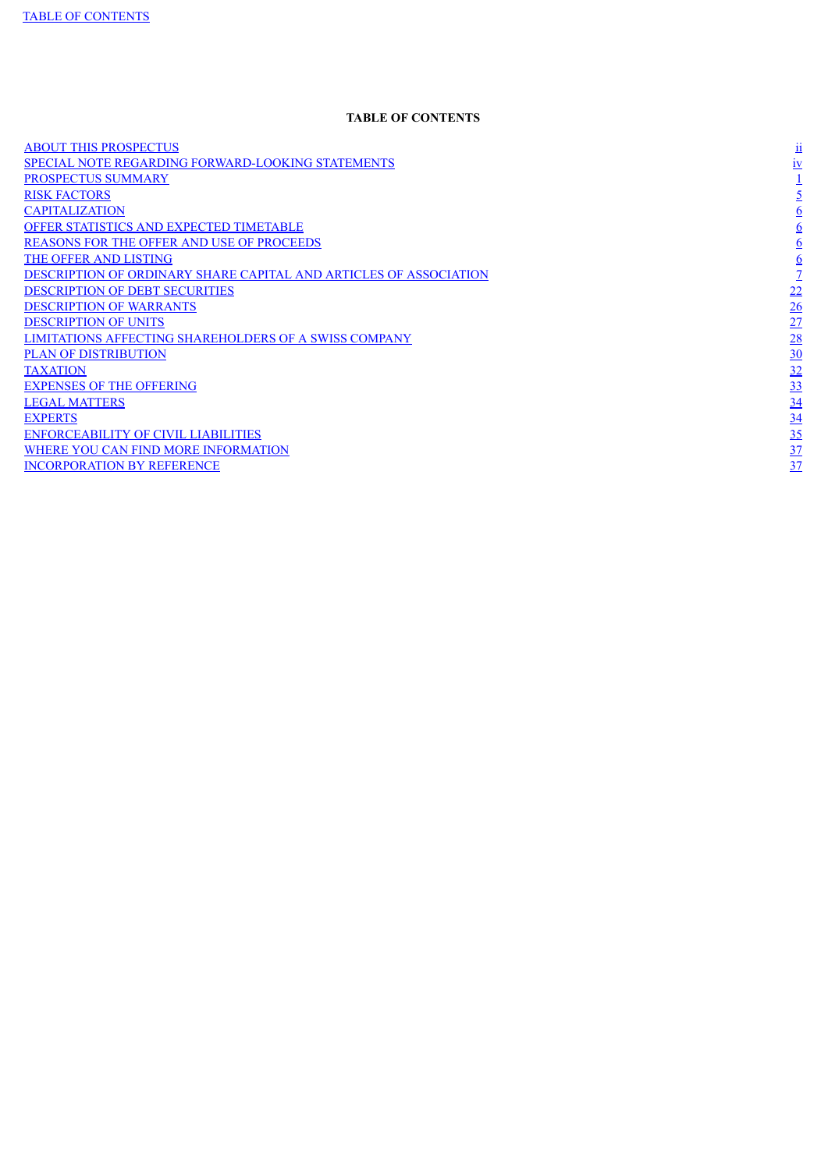## **TABLE OF CONTENTS**

<span id="page-34-0"></span>ABOUT THIS [PROSPECTUS](#page-34-0) [ii](#page-34-0) SPECIAL NOTE REGARDING [FORWARD-LOOKING](#page-36-0) STATEMENTS  $\frac{iv}{1}$  $\frac{iv}{1}$  $\frac{iv}{1}$ <br>PROSPECTUS SUMMARY  $\frac{1}{5}$ [PROSPECTUS](#page-38-0) SUMMARY  $RISK$  [FACTORS](#page-42-0)  $\frac{5}{5}$  $\frac{5}{5}$  $\frac{5}{5}$ [CAPITALIZATION](#page-43-0) [6](#page-43-0) OFFER STATISTICS AND EXPECTED [TIMETABLE](#page-44-0) [6](#page-44-0)<br>
REASONS FOR THE OFFER AND USE OF PROCEEDS<br>
THE OFFER AND LISTING<br>
DESCRIPTION OF ORDINARY SHARE CAPITAL AND ARTICLES OF ASSOCIATION<br>
OF DESCRIPTION OF UNITS<br>
DESCRIPTION OF UNITS<br> REASONS FOR THE OFFER AND USE OF [PROCEEDS](#page-44-1) THE OFFER AND [LISTING](#page-44-2) DESCRIPTION OF ORDINARY SHARE CAPITAL AND ARTICLES OF [ASSOCIATION](#page-44-3) [DESCRIPTION](#page-59-0) OF DEBT SECURITIES [DESCRIPTION](#page-63-0) OF WARRANTS [DESCRIPTION](#page-64-0) OF UNITS LIMITATIONS AFFECTING [SHAREHOLDERS](#page-65-0) OF A SWISS COMPANY PLAN OF [DISTRIBUTION](#page-67-0)  $\frac{32}{2}$  $\frac{32}{2}$  $\frac{32}{2}$ **[EXPENSES](#page-70-0) OF THE OFFERING LEGAL [MATTERS](#page-71-0)**  $EXPERTS$  [34](#page-72-0) [ENFORCEABILITY](#page-72-1) OF CIVIL LIABILITIES WHERE YOU CAN FIND MORE [INFORMATION](#page-74-0) [INCORPORATION](#page-75-0) BY REFERENCE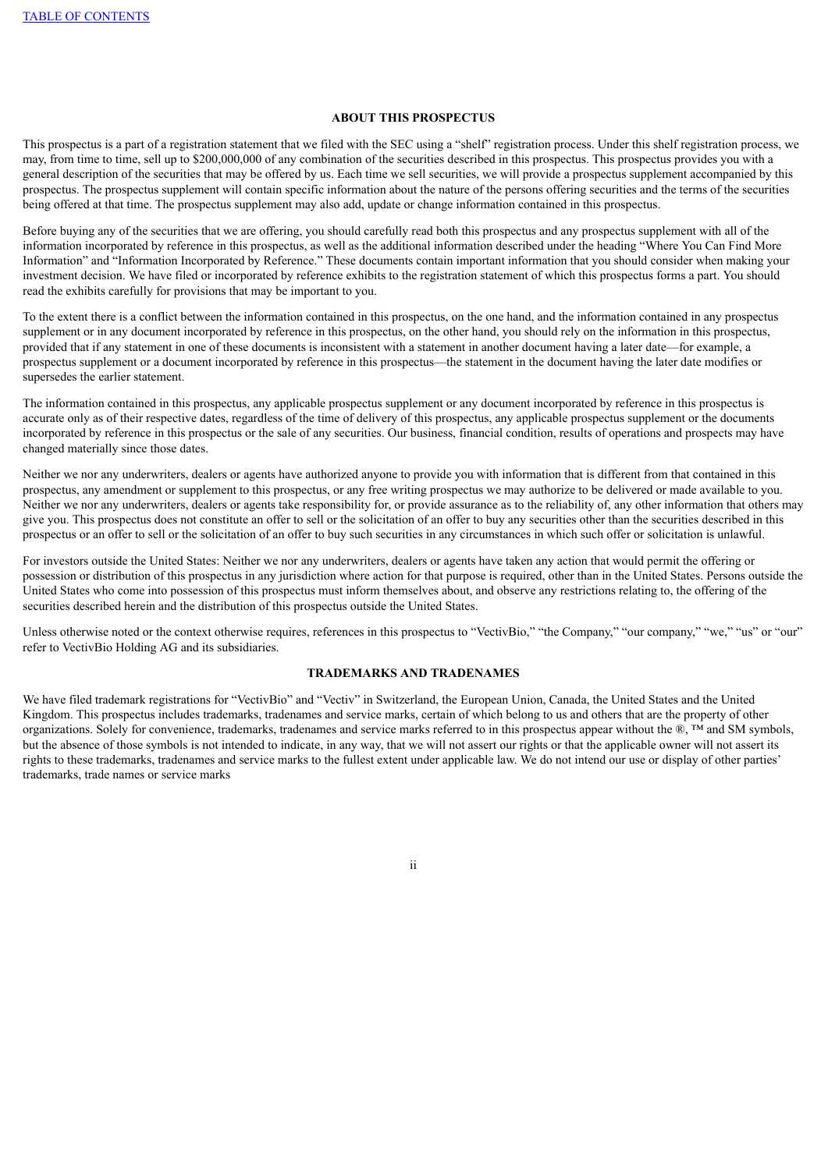## **ABOUT THIS PROSPECTUS**

This prospectus is a part of a registration statement that we filed with the SEC using a "shelf" registration process. Under this shelf registration process, we may, from time to time, sell up to \$200,000,000 of any combination of the securities described in this prospectus. This prospectus provides you with a general description of the securities that may be offered by us. Each time we sell securities, we will provide a prospectus supplement accompanied by this prospectus. The prospectus supplement will contain specific information about the nature of the persons offering securities and the terms of the securities being offered at that time. The prospectus supplement may also add, update or change information contained in this prospectus.

Before buying any of the securities that we are offering, you should carefully read both this prospectus and any prospectus supplement with all of the information incorporated by reference in this prospectus, as well as the additional information described under the heading "Where You Can Find More Information" and "Information Incorporated by Reference." These documents contain important information that you should consider when making your investment decision. We have filed or incorporated by reference exhibits to the registration statement of which this prospectus forms a part. You should read the exhibits carefully for provisions that may be important to you.

To the extent there is a conflict between the information contained in this prospectus, on the one hand, and the information contained in any prospectus supplement or in any document incorporated by reference in this prospectus, on the other hand, you should rely on the information in this prospectus, provided that if any statement in one of these documents is inconsistent with a statement in another document having a later date—for example, a prospectus supplement or a document incorporated by reference in this prospectus—the statement in the document having the later date modifies or supersedes the earlier statement.

The information contained in this prospectus, any applicable prospectus supplement or any document incorporated by reference in this prospectus is accurate only as of their respective dates, regardless of the time of delivery of this prospectus, any applicable prospectus supplement or the documents incorporated by reference in this prospectus or the sale of any securities. Our business, financial condition, results of operations and prospects may have changed materially since those dates.

Neither we nor any underwriters, dealers or agents have authorized anyone to provide you with information that is different from that contained in this prospectus, any amendment or supplement to this prospectus, or any free writing prospectus we may authorize to be delivered or made available to you. Neither we nor any underwriters, dealers or agents take responsibility for, or provide assurance as to the reliability of, any other information that others may give you. This prospectus does not constitute an offer to sell or the solicitation of an offer to buy any securities other than the securities described in this prospectus or an offer to sell or the solicitation of an offer to buy such securities in any circumstances in which such offer or solicitation is unlawful.

For investors outside the United States: Neither we nor any underwriters, dealers or agents have taken any action that would permit the offering or possession or distribution of this prospectus in any jurisdiction where action for that purpose is required, other than in the United States. Persons outside the United States who come into possession of this prospectus must inform themselves about, and observe any restrictions relating to, the offering of the securities described herein and the distribution of this prospectus outside the United States.

Unless otherwise noted or the context otherwise requires, references in this prospectus to "VectivBio," "the Company," "our company," "we," "us" or "our" refer to VectivBio Holding AG and its subsidiaries.

## **TRADEMARKS AND TRADENAMES**

We have filed trademark registrations for "VectivBio" and "Vectiv" in Switzerland, the European Union, Canada, the United States and the United Kingdom. This prospectus includes trademarks, tradenames and service marks, certain of which belong to us and others that are the property of other organizations. Solely for convenience, trademarks, tradenames and service marks referred to in this prospectus appear without the  $\mathbb{R}$ . TM and SM symbols, but the absence of those symbols is not intended to indicate, in any way, that we will not assert our rights or that the applicable owner will not assert its rights to these trademarks, tradenames and service marks to the fullest extent under applicable law. We do not intend our use or display of other parties' trademarks, trade names or service marks

ii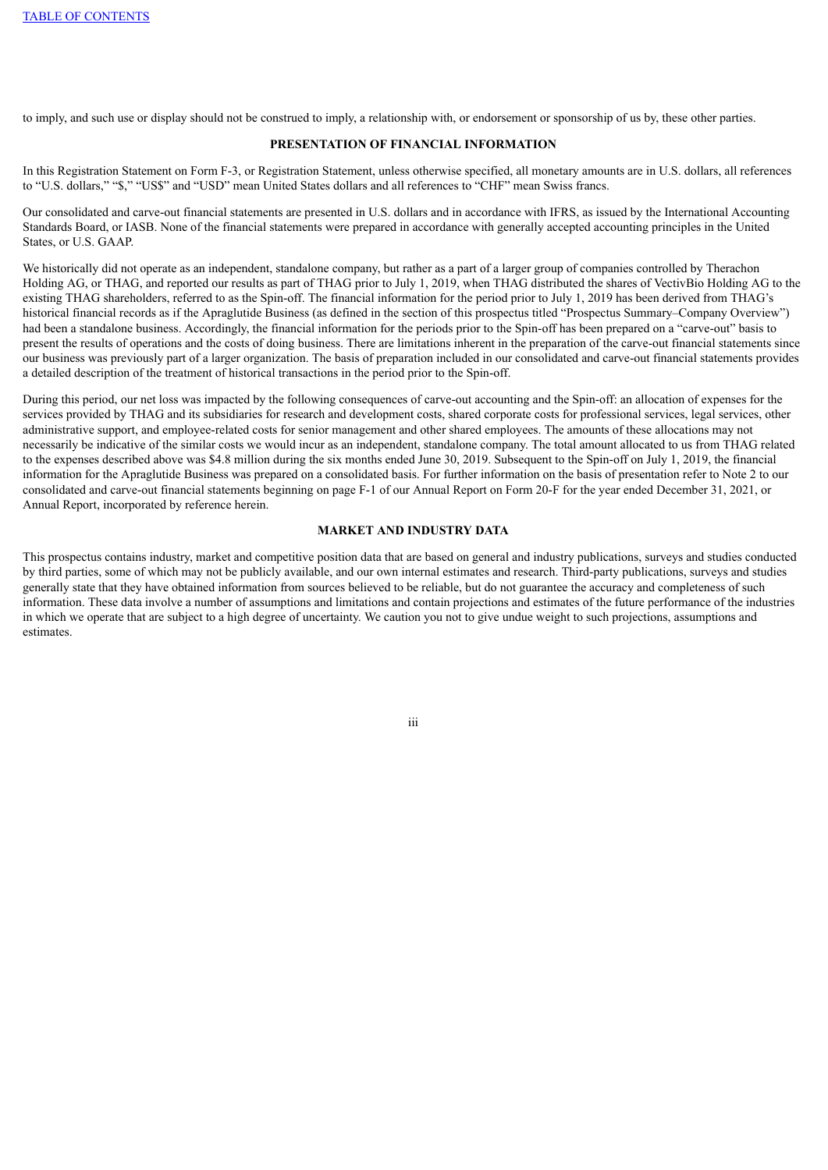to imply, and such use or display should not be construed to imply, a relationship with, or endorsement or sponsorship of us by, these other parties.

# **PRESENTATION OF FINANCIAL INFORMATION**

In this Registration Statement on Form F-3, or Registration Statement, unless otherwise specified, all monetary amounts are in U.S. dollars, all references to "U.S. dollars," "\$," "US\$" and "USD" mean United States dollars and all references to "CHF" mean Swiss francs.

Our consolidated and carve-out financial statements are presented in U.S. dollars and in accordance with IFRS, as issued by the International Accounting Standards Board, or IASB. None of the financial statements were prepared in accordance with generally accepted accounting principles in the United States, or U.S. GAAP.

We historically did not operate as an independent, standalone company, but rather as a part of a larger group of companies controlled by Therachon Holding AG, or THAG, and reported our results as part of THAG prior to July 1, 2019, when THAG distributed the shares of VectivBio Holding AG to the existing THAG shareholders, referred to as the Spin-off. The financial information for the period prior to July 1, 2019 has been derived from THAG's historical financial records as if the Apraglutide Business (as defined in the section of this prospectus titled "Prospectus Summary–Company Overview") had been a standalone business. Accordingly, the financial information for the periods prior to the Spin-off has been prepared on a "carve-out" basis to present the results of operations and the costs of doing business. There are limitations inherent in the preparation of the carve-out financial statements since our business was previously part of a larger organization. The basis of preparation included in our consolidated and carve-out financial statements provides a detailed description of the treatment of historical transactions in the period prior to the Spin-off.

During this period, our net loss was impacted by the following consequences of carve-out accounting and the Spin-off: an allocation of expenses for the services provided by THAG and its subsidiaries for research and development costs, shared corporate costs for professional services, legal services, other administrative support, and employee-related costs for senior management and other shared employees. The amounts of these allocations may not necessarily be indicative of the similar costs we would incur as an independent, standalone company. The total amount allocated to us from THAG related to the expenses described above was \$4.8 million during the six months ended June 30, 2019. Subsequent to the Spin-off on July 1, 2019, the financial information for the Apraglutide Business was prepared on a consolidated basis. For further information on the basis of presentation refer to Note 2 to our consolidated and carve-out financial statements beginning on page F-1 of our Annual Report on Form 20-F for the year ended December 31, 2021, or Annual Report, incorporated by reference herein.

# **MARKET AND INDUSTRY DATA**

This prospectus contains industry, market and competitive position data that are based on general and industry publications, surveys and studies conducted by third parties, some of which may not be publicly available, and our own internal estimates and research. Third-party publications, surveys and studies generally state that they have obtained information from sources believed to be reliable, but do not guarantee the accuracy and completeness of such information. These data involve a number of assumptions and limitations and contain projections and estimates of the future performance of the industries in which we operate that are subject to a high degree of uncertainty. We caution you not to give undue weight to such projections, assumptions and estimates.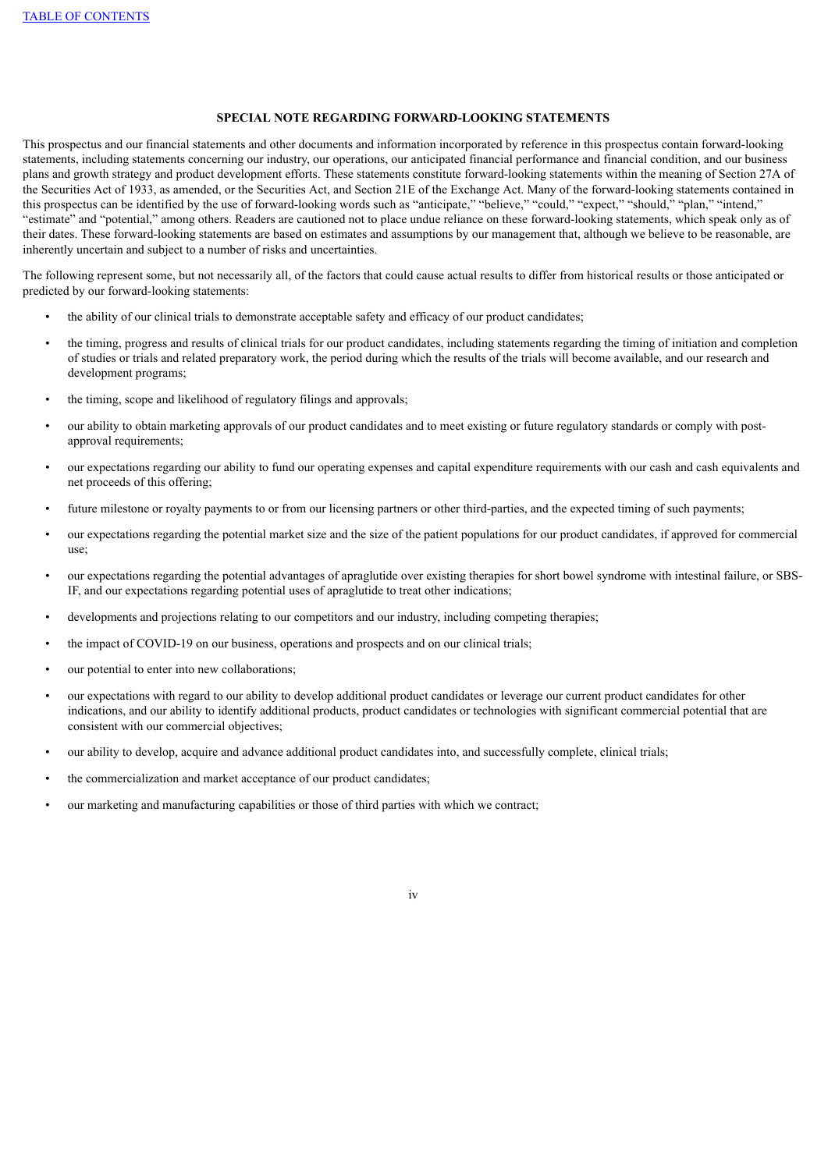# **SPECIAL NOTE REGARDING FORWARD-LOOKING STATEMENTS**

This prospectus and our financial statements and other documents and information incorporated by reference in this prospectus contain forward-looking statements, including statements concerning our industry, our operations, our anticipated financial performance and financial condition, and our business plans and growth strategy and product development efforts. These statements constitute forward-looking statements within the meaning of Section 27A of the Securities Act of 1933, as amended, or the Securities Act, and Section 21E of the Exchange Act. Many of the forward-looking statements contained in this prospectus can be identified by the use of forward-looking words such as "anticipate," "believe," "could," "expect," "should," "plan," "intend," "estimate" and "potential," among others. Readers are cautioned not to place undue reliance on these forward-looking statements, which speak only as of their dates. These forward-looking statements are based on estimates and assumptions by our management that, although we believe to be reasonable, are inherently uncertain and subject to a number of risks and uncertainties.

The following represent some, but not necessarily all, of the factors that could cause actual results to differ from historical results or those anticipated or predicted by our forward-looking statements:

- the ability of our clinical trials to demonstrate acceptable safety and efficacy of our product candidates;
- the timing, progress and results of clinical trials for our product candidates, including statements regarding the timing of initiation and completion of studies or trials and related preparatory work, the period during which the results of the trials will become available, and our research and development programs;
- the timing, scope and likelihood of regulatory filings and approvals;
- our ability to obtain marketing approvals of our product candidates and to meet existing or future regulatory standards or comply with postapproval requirements;
- our expectations regarding our ability to fund our operating expenses and capital expenditure requirements with our cash and cash equivalents and net proceeds of this offering;
- future milestone or royalty payments to or from our licensing partners or other third-parties, and the expected timing of such payments;
- our expectations regarding the potential market size and the size of the patient populations for our product candidates, if approved for commercial use;
- our expectations regarding the potential advantages of apraglutide over existing therapies for short bowel syndrome with intestinal failure, or SBS-IF, and our expectations regarding potential uses of apraglutide to treat other indications;
- developments and projections relating to our competitors and our industry, including competing therapies;
- the impact of COVID-19 on our business, operations and prospects and on our clinical trials;
- our potential to enter into new collaborations;
- our expectations with regard to our ability to develop additional product candidates or leverage our current product candidates for other indications, and our ability to identify additional products, product candidates or technologies with significant commercial potential that are consistent with our commercial objectives;
- our ability to develop, acquire and advance additional product candidates into, and successfully complete, clinical trials;
- the commercialization and market acceptance of our product candidates;
- our marketing and manufacturing capabilities or those of third parties with which we contract;

iv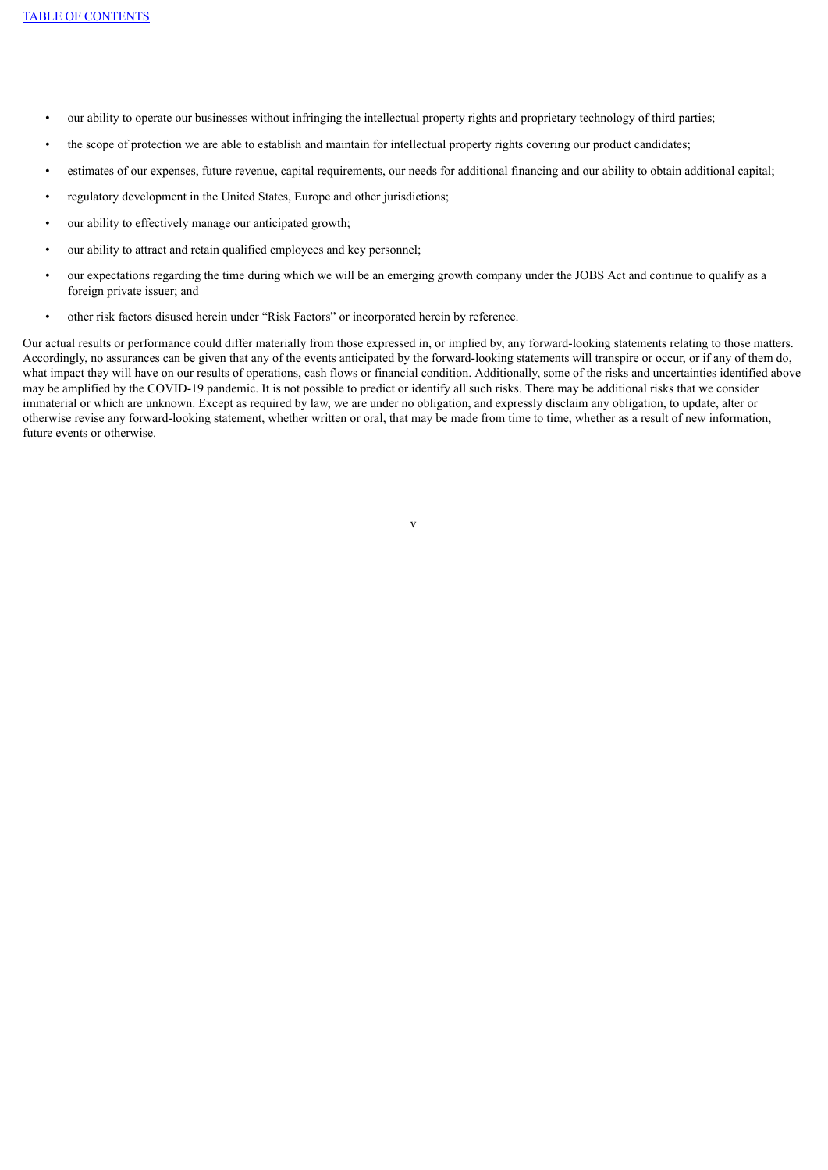- our ability to operate our businesses without infringing the intellectual property rights and proprietary technology of third parties;
- the scope of protection we are able to establish and maintain for intellectual property rights covering our product candidates;
- estimates of our expenses, future revenue, capital requirements, our needs for additional financing and our ability to obtain additional capital;
- regulatory development in the United States, Europe and other jurisdictions;
- our ability to effectively manage our anticipated growth;
- our ability to attract and retain qualified employees and key personnel;
- our expectations regarding the time during which we will be an emerging growth company under the JOBS Act and continue to qualify as a foreign private issuer; and
- other risk factors disused herein under "Risk Factors" or incorporated herein by reference.

Our actual results or performance could differ materially from those expressed in, or implied by, any forward-looking statements relating to those matters. Accordingly, no assurances can be given that any of the events anticipated by the forward-looking statements will transpire or occur, or if any of them do, what impact they will have on our results of operations, cash flows or financial condition. Additionally, some of the risks and uncertainties identified above may be amplified by the COVID-19 pandemic. It is not possible to predict or identify all such risks. There may be additional risks that we consider immaterial or which are unknown. Except as required by law, we are under no obligation, and expressly disclaim any obligation, to update, alter or otherwise revise any forward-looking statement, whether written or oral, that may be made from time to time, whether as a result of new information, future events or otherwise.

v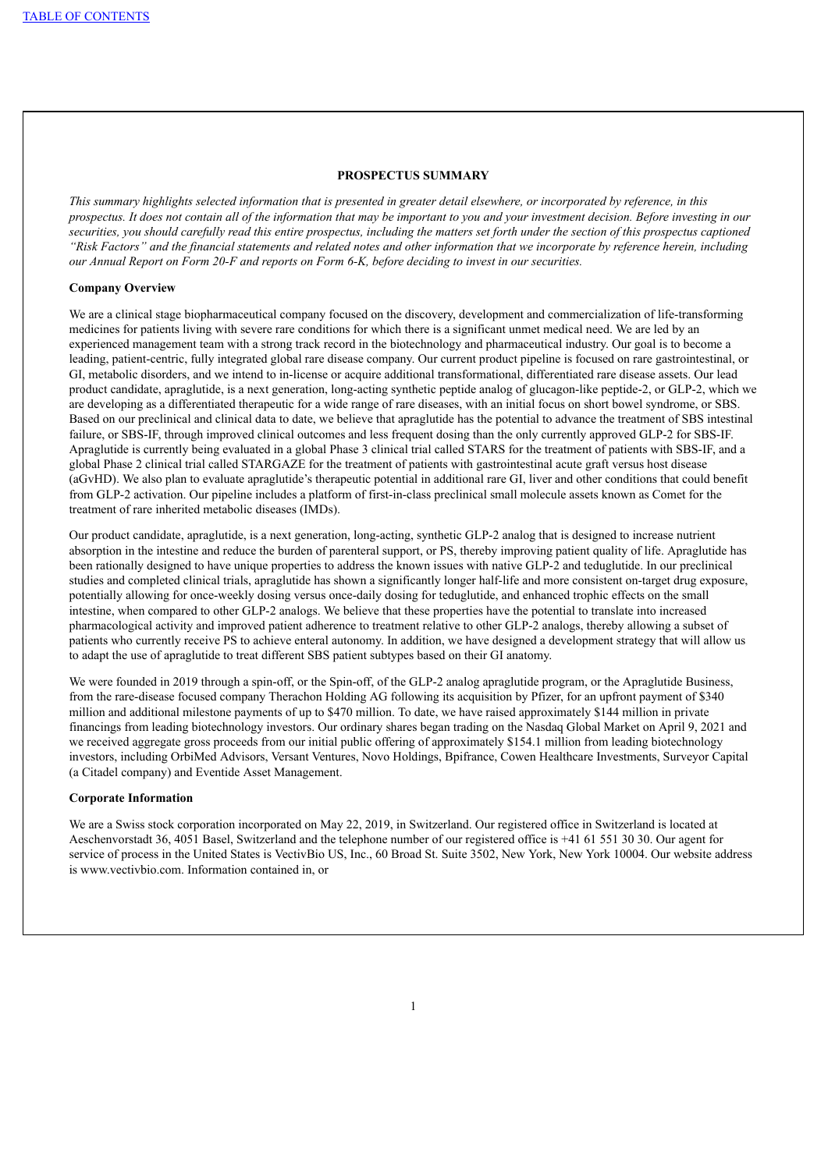### **PROSPECTUS SUMMARY**

This summary highlights selected information that is presented in greater detail elsewhere, or incorporated by reference, in this prospectus. It does not contain all of the information that may be important to you and your investment decision. Before investing in our securities, you should carefully read this entire prospectus, including the matters set forth under the section of this prospectus captioned "Risk Factors" and the financial statements and related notes and other information that we incorporate by reference herein, including our Annual Report on Form 20-F and reports on Form 6-K, before deciding to invest in our securities.

## **Company Overview**

We are a clinical stage biopharmaceutical company focused on the discovery, development and commercialization of life-transforming medicines for patients living with severe rare conditions for which there is a significant unmet medical need. We are led by an experienced management team with a strong track record in the biotechnology and pharmaceutical industry. Our goal is to become a leading, patient-centric, fully integrated global rare disease company. Our current product pipeline is focused on rare gastrointestinal, or GI, metabolic disorders, and we intend to in-license or acquire additional transformational, differentiated rare disease assets. Our lead product candidate, apraglutide, is a next generation, long-acting synthetic peptide analog of glucagon-like peptide-2, or GLP-2, which we are developing as a differentiated therapeutic for a wide range of rare diseases, with an initial focus on short bowel syndrome, or SBS. Based on our preclinical and clinical data to date, we believe that apraglutide has the potential to advance the treatment of SBS intestinal failure, or SBS-IF, through improved clinical outcomes and less frequent dosing than the only currently approved GLP-2 for SBS-IF. Apraglutide is currently being evaluated in a global Phase 3 clinical trial called STARS for the treatment of patients with SBS-IF, and a global Phase 2 clinical trial called STARGAZE for the treatment of patients with gastrointestinal acute graft versus host disease (aGvHD). We also plan to evaluate apraglutide's therapeutic potential in additional rare GI, liver and other conditions that could benefit from GLP-2 activation. Our pipeline includes a platform of first-in-class preclinical small molecule assets known as Comet for the treatment of rare inherited metabolic diseases (IMDs).

Our product candidate, apraglutide, is a next generation, long-acting, synthetic GLP-2 analog that is designed to increase nutrient absorption in the intestine and reduce the burden of parenteral support, or PS, thereby improving patient quality of life. Apraglutide has been rationally designed to have unique properties to address the known issues with native GLP-2 and teduglutide. In our preclinical studies and completed clinical trials, apraglutide has shown a significantly longer half-life and more consistent on-target drug exposure, potentially allowing for once-weekly dosing versus once-daily dosing for teduglutide, and enhanced trophic effects on the small intestine, when compared to other GLP-2 analogs. We believe that these properties have the potential to translate into increased pharmacological activity and improved patient adherence to treatment relative to other GLP-2 analogs, thereby allowing a subset of patients who currently receive PS to achieve enteral autonomy. In addition, we have designed a development strategy that will allow us to adapt the use of apraglutide to treat different SBS patient subtypes based on their GI anatomy.

We were founded in 2019 through a spin-off, or the Spin-off, of the GLP-2 analog apraglutide program, or the Apraglutide Business, from the rare-disease focused company Therachon Holding AG following its acquisition by Pfizer, for an upfront payment of \$340 million and additional milestone payments of up to \$470 million. To date, we have raised approximately \$144 million in private financings from leading biotechnology investors. Our ordinary shares began trading on the Nasdaq Global Market on April 9, 2021 and we received aggregate gross proceeds from our initial public offering of approximately \$154.1 million from leading biotechnology investors, including OrbiMed Advisors, Versant Ventures, Novo Holdings, Bpifrance, Cowen Healthcare Investments, Surveyor Capital (a Citadel company) and Eventide Asset Management.

### **Corporate Information**

We are a Swiss stock corporation incorporated on May 22, 2019, in Switzerland. Our registered office in Switzerland is located at Aeschenvorstadt 36, 4051 Basel, Switzerland and the telephone number of our registered office is +41 61 551 30 30. Our agent for service of process in the United States is VectivBio US, Inc., 60 Broad St. Suite 3502, New York, New York 10004. Our website address is www.vectivbio.com. Information contained in, or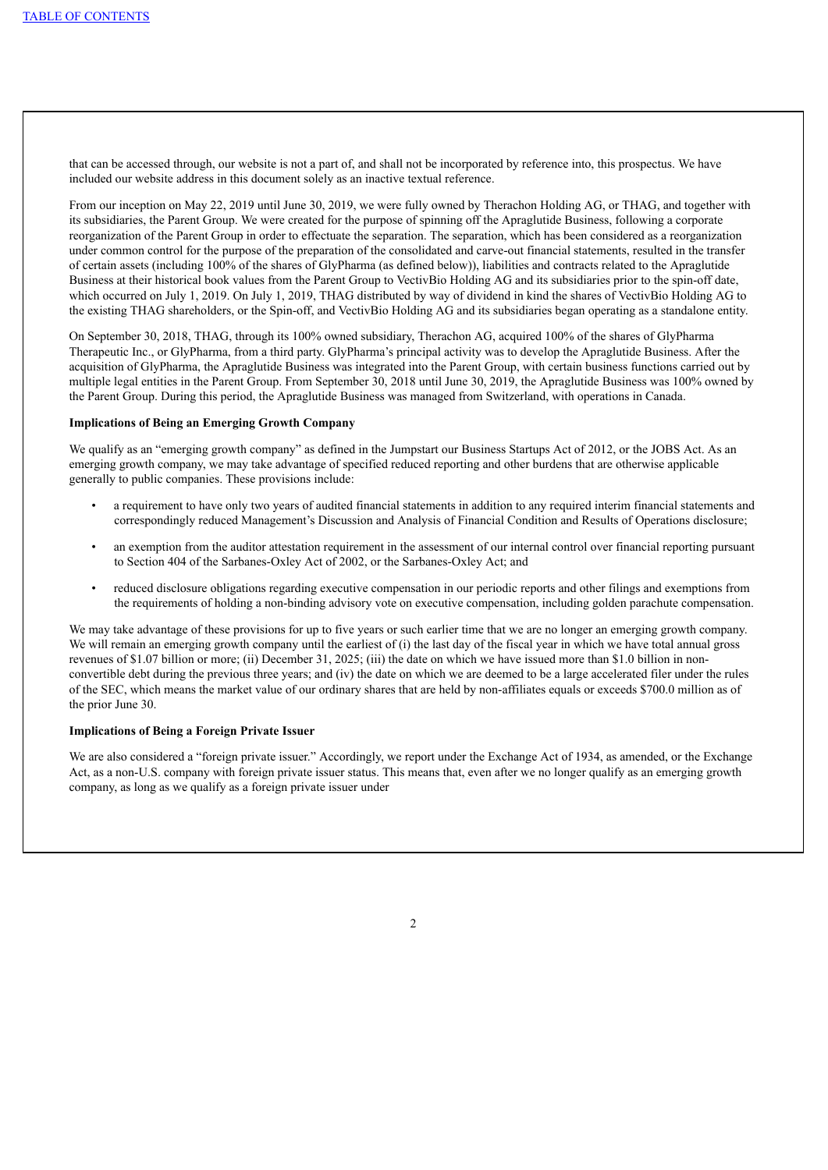that can be accessed through, our website is not a part of, and shall not be incorporated by reference into, this prospectus. We have included our website address in this document solely as an inactive textual reference.

From our inception on May 22, 2019 until June 30, 2019, we were fully owned by Therachon Holding AG, or THAG, and together with its subsidiaries, the Parent Group. We were created for the purpose of spinning off the Apraglutide Business, following a corporate reorganization of the Parent Group in order to effectuate the separation. The separation, which has been considered as a reorganization under common control for the purpose of the preparation of the consolidated and carve-out financial statements, resulted in the transfer of certain assets (including 100% of the shares of GlyPharma (as defined below)), liabilities and contracts related to the Apraglutide Business at their historical book values from the Parent Group to VectivBio Holding AG and its subsidiaries prior to the spin-off date, which occurred on July 1, 2019. On July 1, 2019, THAG distributed by way of dividend in kind the shares of VectivBio Holding AG to the existing THAG shareholders, or the Spin-off, and VectivBio Holding AG and its subsidiaries began operating as a standalone entity.

On September 30, 2018, THAG, through its 100% owned subsidiary, Therachon AG, acquired 100% of the shares of GlyPharma Therapeutic Inc., or GlyPharma, from a third party. GlyPharma's principal activity was to develop the Apraglutide Business. After the acquisition of GlyPharma, the Apraglutide Business was integrated into the Parent Group, with certain business functions carried out by multiple legal entities in the Parent Group. From September 30, 2018 until June 30, 2019, the Apraglutide Business was 100% owned by the Parent Group. During this period, the Apraglutide Business was managed from Switzerland, with operations in Canada.

### **Implications of Being an Emerging Growth Company**

We qualify as an "emerging growth company" as defined in the Jumpstart our Business Startups Act of 2012, or the JOBS Act. As an emerging growth company, we may take advantage of specified reduced reporting and other burdens that are otherwise applicable generally to public companies. These provisions include:

- a requirement to have only two years of audited financial statements in addition to any required interim financial statements and correspondingly reduced Management's Discussion and Analysis of Financial Condition and Results of Operations disclosure;
- an exemption from the auditor attestation requirement in the assessment of our internal control over financial reporting pursuant to Section 404 of the Sarbanes-Oxley Act of 2002, or the Sarbanes-Oxley Act; and
- reduced disclosure obligations regarding executive compensation in our periodic reports and other filings and exemptions from the requirements of holding a non-binding advisory vote on executive compensation, including golden parachute compensation.

We may take advantage of these provisions for up to five years or such earlier time that we are no longer an emerging growth company. We will remain an emerging growth company until the earliest of (i) the last day of the fiscal year in which we have total annual gross revenues of \$1.07 billion or more; (ii) December 31, 2025; (iii) the date on which we have issued more than \$1.0 billion in nonconvertible debt during the previous three years; and (iv) the date on which we are deemed to be a large accelerated filer under the rules of the SEC, which means the market value of our ordinary shares that are held by non-affiliates equals or exceeds \$700.0 million as of the prior June 30.

## **Implications of Being a Foreign Private Issuer**

We are also considered a "foreign private issuer." Accordingly, we report under the Exchange Act of 1934, as amended, or the Exchange Act, as a non-U.S. company with foreign private issuer status. This means that, even after we no longer qualify as an emerging growth company, as long as we qualify as a foreign private issuer under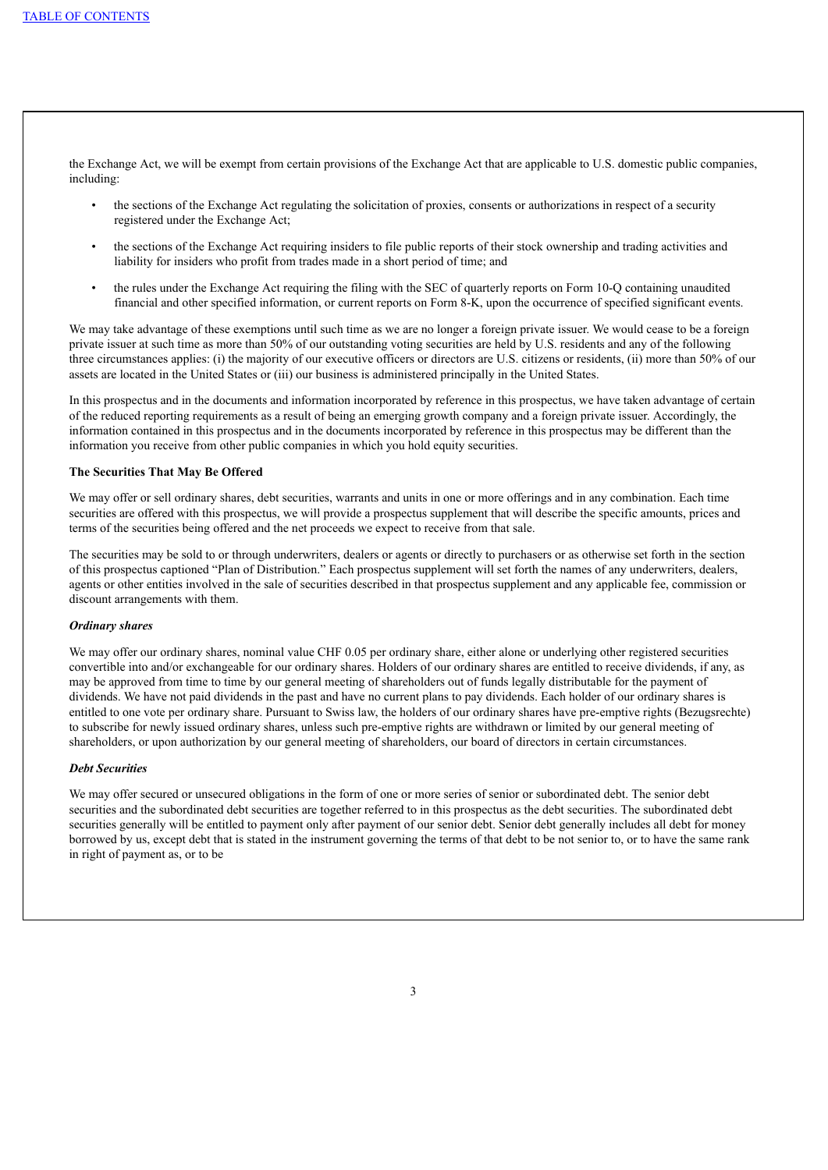the Exchange Act, we will be exempt from certain provisions of the Exchange Act that are applicable to U.S. domestic public companies, including:

- the sections of the Exchange Act regulating the solicitation of proxies, consents or authorizations in respect of a security registered under the Exchange Act;
- the sections of the Exchange Act requiring insiders to file public reports of their stock ownership and trading activities and liability for insiders who profit from trades made in a short period of time; and
- the rules under the Exchange Act requiring the filing with the SEC of quarterly reports on Form 10-Q containing unaudited financial and other specified information, or current reports on Form 8-K, upon the occurrence of specified significant events.

We may take advantage of these exemptions until such time as we are no longer a foreign private issuer. We would cease to be a foreign private issuer at such time as more than 50% of our outstanding voting securities are held by U.S. residents and any of the following three circumstances applies: (i) the majority of our executive officers or directors are U.S. citizens or residents, (ii) more than 50% of our assets are located in the United States or (iii) our business is administered principally in the United States.

In this prospectus and in the documents and information incorporated by reference in this prospectus, we have taken advantage of certain of the reduced reporting requirements as a result of being an emerging growth company and a foreign private issuer. Accordingly, the information contained in this prospectus and in the documents incorporated by reference in this prospectus may be different than the information you receive from other public companies in which you hold equity securities.

## **The Securities That May Be Offered**

We may offer or sell ordinary shares, debt securities, warrants and units in one or more offerings and in any combination. Each time securities are offered with this prospectus, we will provide a prospectus supplement that will describe the specific amounts, prices and terms of the securities being offered and the net proceeds we expect to receive from that sale.

The securities may be sold to or through underwriters, dealers or agents or directly to purchasers or as otherwise set forth in the section of this prospectus captioned "Plan of Distribution." Each prospectus supplement will set forth the names of any underwriters, dealers, agents or other entities involved in the sale of securities described in that prospectus supplement and any applicable fee, commission or discount arrangements with them.

#### *Ordinary shares*

We may offer our ordinary shares, nominal value CHF 0.05 per ordinary share, either alone or underlying other registered securities convertible into and/or exchangeable for our ordinary shares. Holders of our ordinary shares are entitled to receive dividends, if any, as may be approved from time to time by our general meeting of shareholders out of funds legally distributable for the payment of dividends. We have not paid dividends in the past and have no current plans to pay dividends. Each holder of our ordinary shares is entitled to one vote per ordinary share. Pursuant to Swiss law, the holders of our ordinary shares have pre-emptive rights (Bezugsrechte) to subscribe for newly issued ordinary shares, unless such pre-emptive rights are withdrawn or limited by our general meeting of shareholders, or upon authorization by our general meeting of shareholders, our board of directors in certain circumstances.

# *Debt Securities*

We may offer secured or unsecured obligations in the form of one or more series of senior or subordinated debt. The senior debt securities and the subordinated debt securities are together referred to in this prospectus as the debt securities. The subordinated debt securities generally will be entitled to payment only after payment of our senior debt. Senior debt generally includes all debt for money borrowed by us, except debt that is stated in the instrument governing the terms of that debt to be not senior to, or to have the same rank in right of payment as, or to be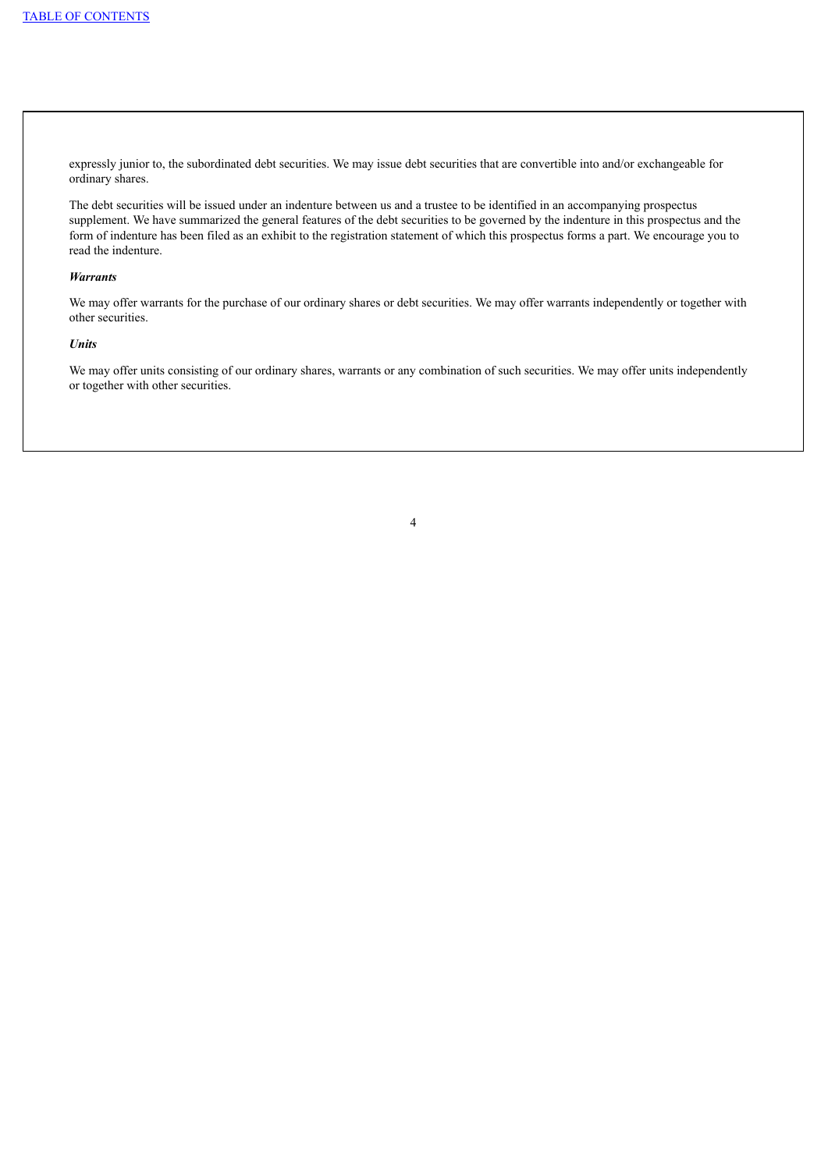expressly junior to, the subordinated debt securities. We may issue debt securities that are convertible into and/or exchangeable for ordinary shares.

The debt securities will be issued under an indenture between us and a trustee to be identified in an accompanying prospectus supplement. We have summarized the general features of the debt securities to be governed by the indenture in this prospectus and the form of indenture has been filed as an exhibit to the registration statement of which this prospectus forms a part. We encourage you to read the indenture.

#### *Warrants*

We may offer warrants for the purchase of our ordinary shares or debt securities. We may offer warrants independently or together with other securities.

# *Units*

We may offer units consisting of our ordinary shares, warrants or any combination of such securities. We may offer units independently or together with other securities.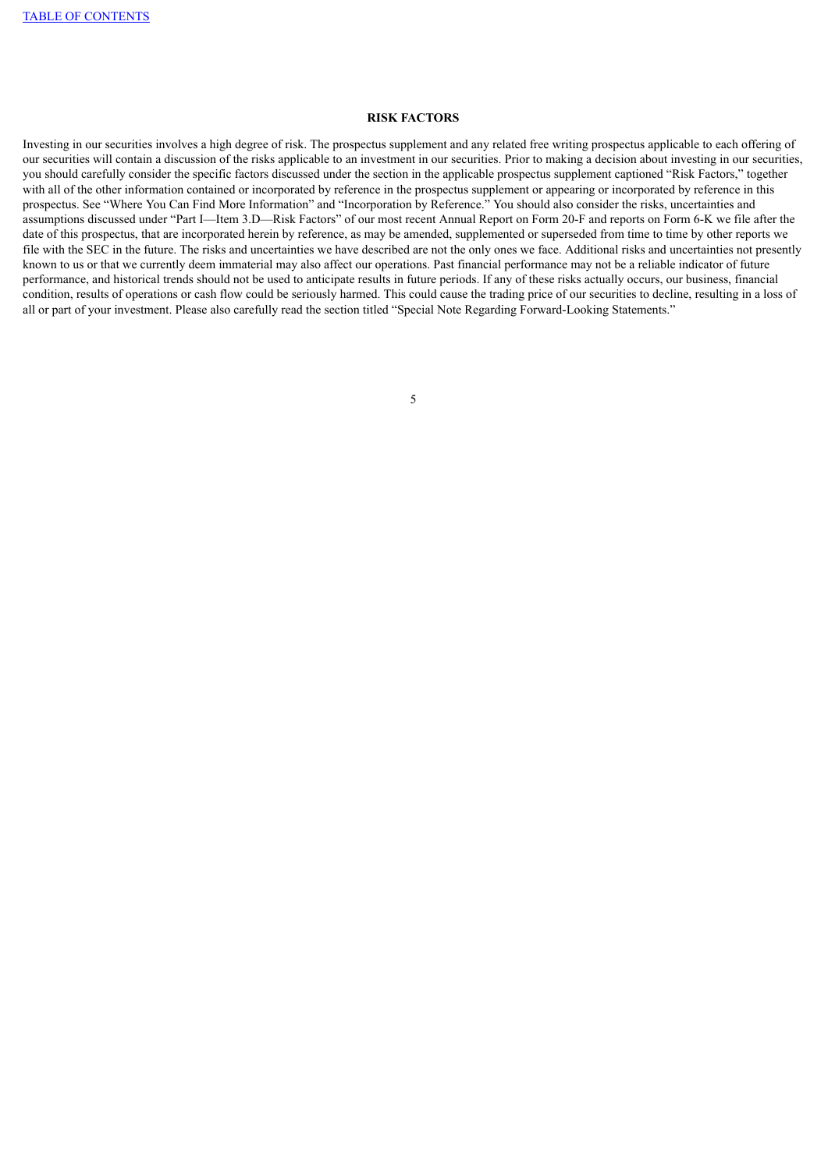# **RISK FACTORS**

Investing in our securities involves a high degree of risk. The prospectus supplement and any related free writing prospectus applicable to each offering of our securities will contain a discussion of the risks applicable to an investment in our securities. Prior to making a decision about investing in our securities, you should carefully consider the specific factors discussed under the section in the applicable prospectus supplement captioned "Risk Factors," together with all of the other information contained or incorporated by reference in the prospectus supplement or appearing or incorporated by reference in this prospectus. See "Where You Can Find More Information" and "Incorporation by Reference." You should also consider the risks, uncertainties and assumptions discussed under "Part I—Item 3.D—Risk Factors" of our most recent Annual Report on Form 20-F and reports on Form 6-K we file after the date of this prospectus, that are incorporated herein by reference, as may be amended, supplemented or superseded from time to time by other reports we file with the SEC in the future. The risks and uncertainties we have described are not the only ones we face. Additional risks and uncertainties not presently known to us or that we currently deem immaterial may also affect our operations. Past financial performance may not be a reliable indicator of future performance, and historical trends should not be used to anticipate results in future periods. If any of these risks actually occurs, our business, financial condition, results of operations or cash flow could be seriously harmed. This could cause the trading price of our securities to decline, resulting in a loss of all or part of your investment. Please also carefully read the section titled "Special Note Regarding Forward-Looking Statements."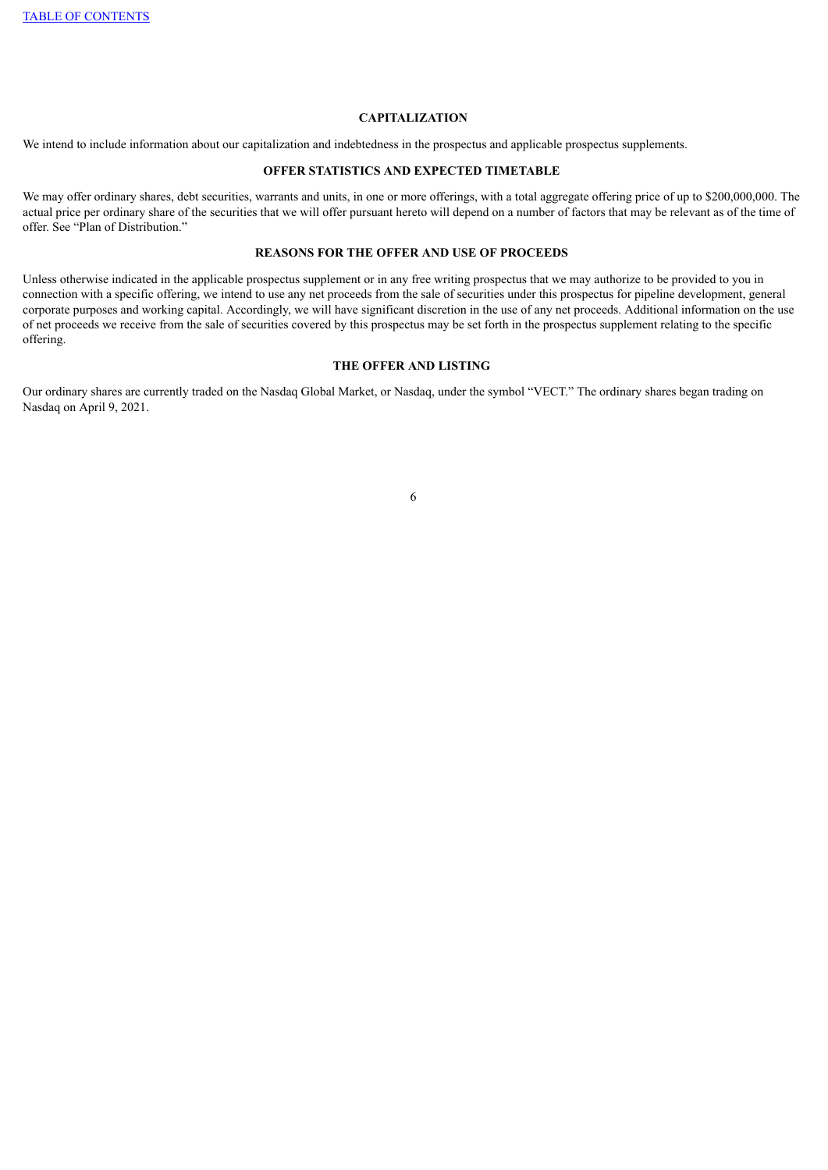# **CAPITALIZATION**

We intend to include information about our capitalization and indebtedness in the prospectus and applicable prospectus supplements.

### **OFFER STATISTICS AND EXPECTED TIMETABLE**

We may offer ordinary shares, debt securities, warrants and units, in one or more offerings, with a total aggregate offering price of up to \$200,000,000. The actual price per ordinary share of the securities that we will offer pursuant hereto will depend on a number of factors that may be relevant as of the time of offer. See "Plan of Distribution."

# **REASONS FOR THE OFFER AND USE OF PROCEEDS**

Unless otherwise indicated in the applicable prospectus supplement or in any free writing prospectus that we may authorize to be provided to you in connection with a specific offering, we intend to use any net proceeds from the sale of securities under this prospectus for pipeline development, general corporate purposes and working capital. Accordingly, we will have significant discretion in the use of any net proceeds. Additional information on the use of net proceeds we receive from the sale of securities covered by this prospectus may be set forth in the prospectus supplement relating to the specific offering.

# **THE OFFER AND LISTING**

Our ordinary shares are currently traded on the Nasdaq Global Market, or Nasdaq, under the symbol "VECT." The ordinary shares began trading on Nasdaq on April 9, 2021.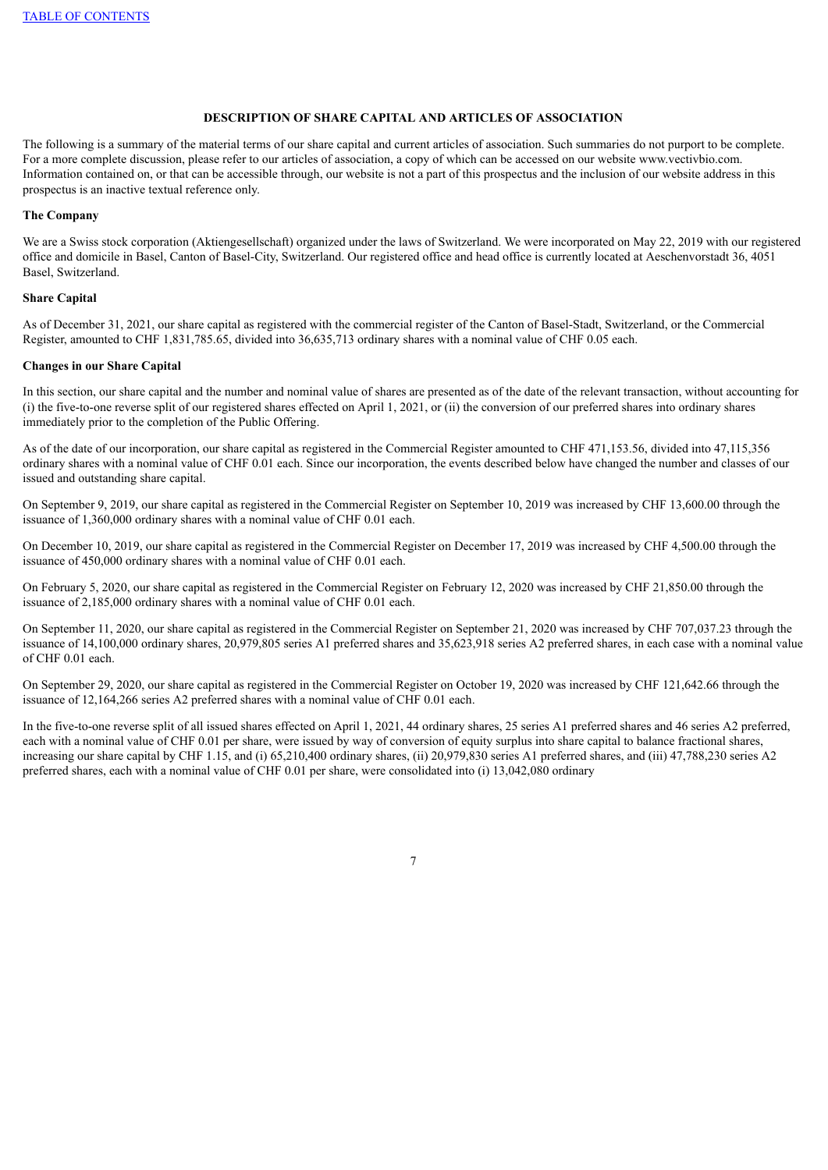# **DESCRIPTION OF SHARE CAPITAL AND ARTICLES OF ASSOCIATION**

The following is a summary of the material terms of our share capital and current articles of association. Such summaries do not purport to be complete. For a more complete discussion, please refer to our articles of association, a copy of which can be accessed on our website www.vectivbio.com. Information contained on, or that can be accessible through, our website is not a part of this prospectus and the inclusion of our website address in this prospectus is an inactive textual reference only.

#### **The Company**

We are a Swiss stock corporation (Aktiengesellschaft) organized under the laws of Switzerland. We were incorporated on May 22, 2019 with our registered office and domicile in Basel, Canton of Basel-City, Switzerland. Our registered office and head office is currently located at Aeschenvorstadt 36, 4051 Basel, Switzerland.

# **Share Capital**

As of December 31, 2021, our share capital as registered with the commercial register of the Canton of Basel-Stadt, Switzerland, or the Commercial Register, amounted to CHF 1,831,785.65, divided into 36,635,713 ordinary shares with a nominal value of CHF 0.05 each.

#### **Changes in our Share Capital**

In this section, our share capital and the number and nominal value of shares are presented as of the date of the relevant transaction, without accounting for (i) the five-to-one reverse split of our registered shares effected on April 1, 2021, or (ii) the conversion of our preferred shares into ordinary shares immediately prior to the completion of the Public Offering.

As of the date of our incorporation, our share capital as registered in the Commercial Register amounted to CHF 471,153.56, divided into 47,115,356 ordinary shares with a nominal value of CHF 0.01 each. Since our incorporation, the events described below have changed the number and classes of our issued and outstanding share capital.

On September 9, 2019, our share capital as registered in the Commercial Register on September 10, 2019 was increased by CHF 13,600.00 through the issuance of 1,360,000 ordinary shares with a nominal value of CHF 0.01 each.

On December 10, 2019, our share capital as registered in the Commercial Register on December 17, 2019 was increased by CHF 4,500.00 through the issuance of 450,000 ordinary shares with a nominal value of CHF 0.01 each.

On February 5, 2020, our share capital as registered in the Commercial Register on February 12, 2020 was increased by CHF 21,850.00 through the issuance of 2,185,000 ordinary shares with a nominal value of CHF 0.01 each.

On September 11, 2020, our share capital as registered in the Commercial Register on September 21, 2020 was increased by CHF 707,037.23 through the issuance of 14,100,000 ordinary shares, 20,979,805 series A1 preferred shares and 35,623,918 series A2 preferred shares, in each case with a nominal value of CHF 0.01 each.

On September 29, 2020, our share capital as registered in the Commercial Register on October 19, 2020 was increased by CHF 121,642.66 through the issuance of 12,164,266 series A2 preferred shares with a nominal value of CHF 0.01 each.

In the five-to-one reverse split of all issued shares effected on April 1, 2021, 44 ordinary shares, 25 series A1 preferred shares and 46 series A2 preferred, each with a nominal value of CHF 0.01 per share, were issued by way of conversion of equity surplus into share capital to balance fractional shares, increasing our share capital by CHF 1.15, and (i) 65,210,400 ordinary shares, (ii) 20,979,830 series A1 preferred shares, and (iii) 47,788,230 series A2 preferred shares, each with a nominal value of CHF 0.01 per share, were consolidated into (i) 13,042,080 ordinary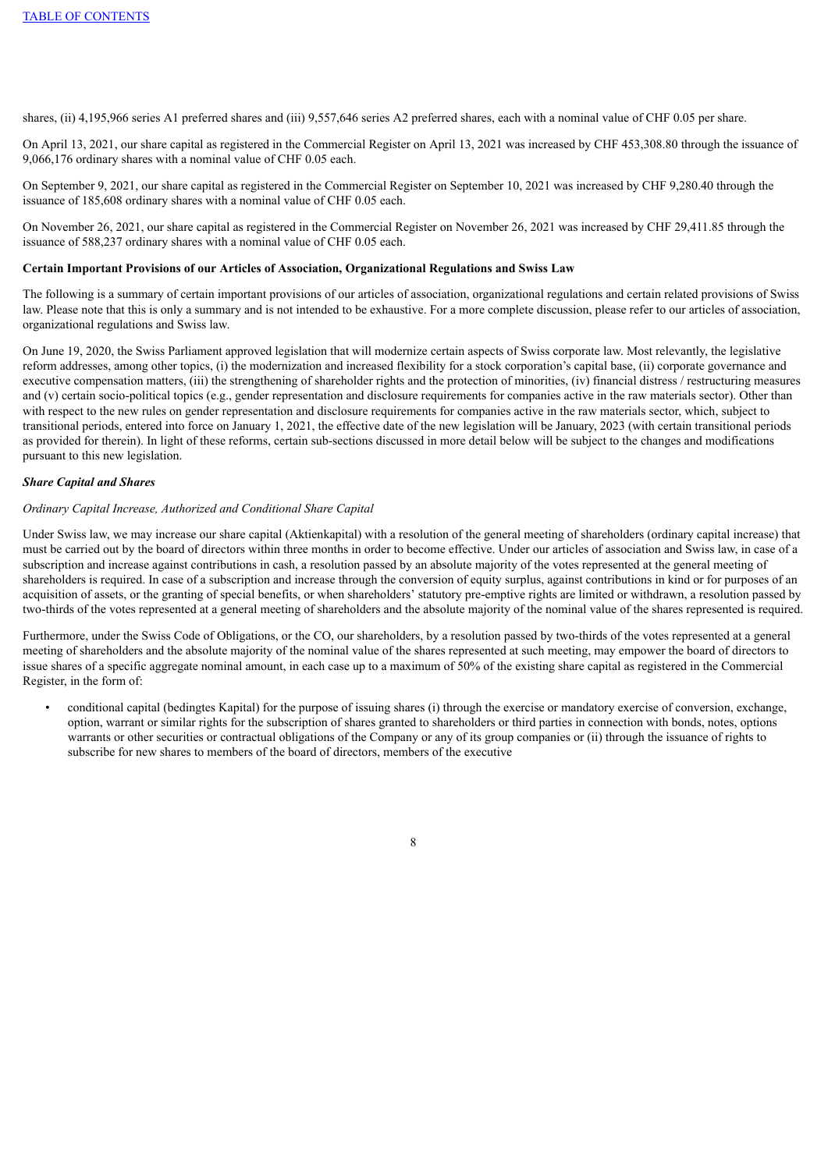shares, (ii) 4,195,966 series A1 preferred shares and (iii) 9,557,646 series A2 preferred shares, each with a nominal value of CHF 0.05 per share.

On April 13, 2021, our share capital as registered in the Commercial Register on April 13, 2021 was increased by CHF 453,308.80 through the issuance of 9,066,176 ordinary shares with a nominal value of CHF 0.05 each.

On September 9, 2021, our share capital as registered in the Commercial Register on September 10, 2021 was increased by CHF 9,280.40 through the issuance of 185,608 ordinary shares with a nominal value of CHF 0.05 each.

On November 26, 2021, our share capital as registered in the Commercial Register on November 26, 2021 was increased by CHF 29,411.85 through the issuance of 588,237 ordinary shares with a nominal value of CHF 0.05 each.

## **Certain Important Provisions of our Articles of Association, Organizational Regulations and Swiss Law**

The following is a summary of certain important provisions of our articles of association, organizational regulations and certain related provisions of Swiss law. Please note that this is only a summary and is not intended to be exhaustive. For a more complete discussion, please refer to our articles of association, organizational regulations and Swiss law.

On June 19, 2020, the Swiss Parliament approved legislation that will modernize certain aspects of Swiss corporate law. Most relevantly, the legislative reform addresses, among other topics, (i) the modernization and increased flexibility for a stock corporation's capital base, (ii) corporate governance and executive compensation matters, (iii) the strengthening of shareholder rights and the protection of minorities, (iv) financial distress / restructuring measures and (v) certain socio-political topics (e.g., gender representation and disclosure requirements for companies active in the raw materials sector). Other than with respect to the new rules on gender representation and disclosure requirements for companies active in the raw materials sector, which, subject to transitional periods, entered into force on January 1, 2021, the effective date of the new legislation will be January, 2023 (with certain transitional periods as provided for therein). In light of these reforms, certain sub-sections discussed in more detail below will be subject to the changes and modifications pursuant to this new legislation.

#### *Share Capital and Shares*

## *Ordinary Capital Increase, Authorized and Conditional Share Capital*

Under Swiss law, we may increase our share capital (Aktienkapital) with a resolution of the general meeting of shareholders (ordinary capital increase) that must be carried out by the board of directors within three months in order to become effective. Under our articles of association and Swiss law, in case of a subscription and increase against contributions in cash, a resolution passed by an absolute majority of the votes represented at the general meeting of shareholders is required. In case of a subscription and increase through the conversion of equity surplus, against contributions in kind or for purposes of an acquisition of assets, or the granting of special benefits, or when shareholders' statutory pre-emptive rights are limited or withdrawn, a resolution passed by two-thirds of the votes represented at a general meeting of shareholders and the absolute majority of the nominal value of the shares represented is required.

Furthermore, under the Swiss Code of Obligations, or the CO, our shareholders, by a resolution passed by two-thirds of the votes represented at a general meeting of shareholders and the absolute majority of the nominal value of the shares represented at such meeting, may empower the board of directors to issue shares of a specific aggregate nominal amount, in each case up to a maximum of 50% of the existing share capital as registered in the Commercial Register, in the form of:

• conditional capital (bedingtes Kapital) for the purpose of issuing shares (i) through the exercise or mandatory exercise of conversion, exchange, option, warrant or similar rights for the subscription of shares granted to shareholders or third parties in connection with bonds, notes, options warrants or other securities or contractual obligations of the Company or any of its group companies or (ii) through the issuance of rights to subscribe for new shares to members of the board of directors, members of the executive

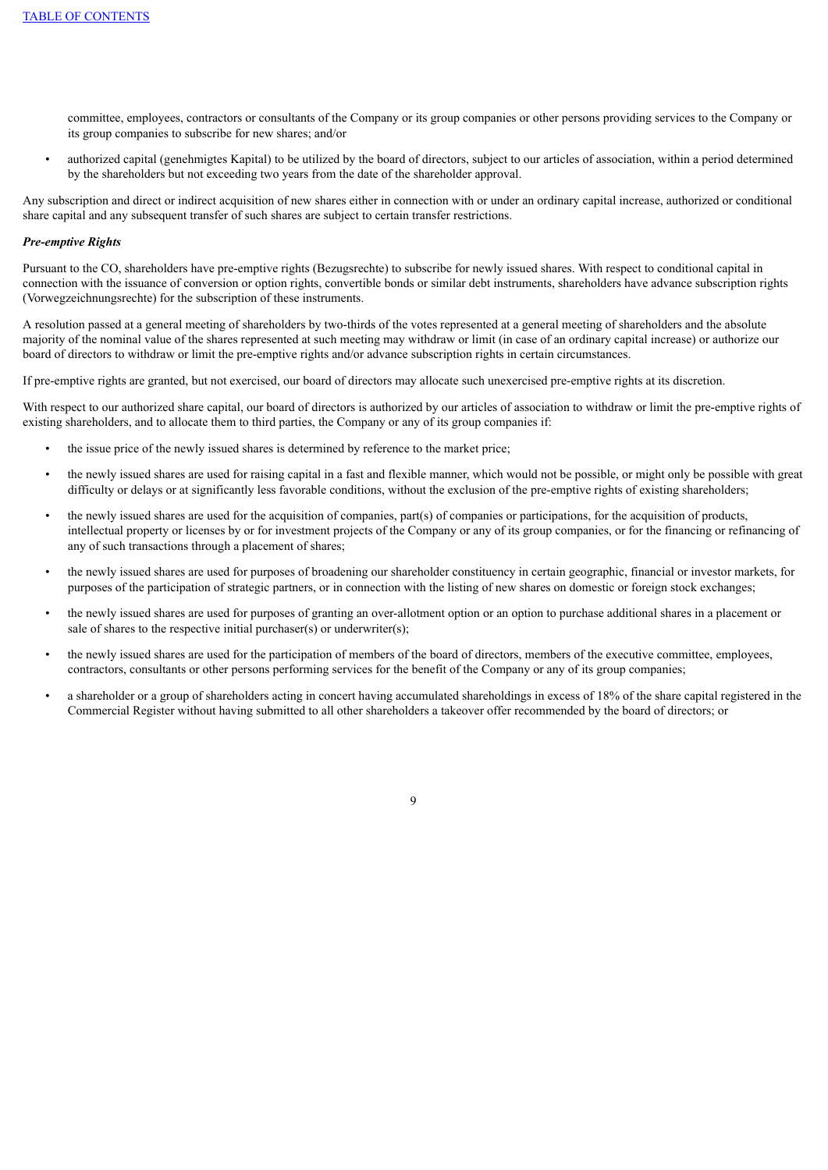committee, employees, contractors or consultants of the Company or its group companies or other persons providing services to the Company or its group companies to subscribe for new shares; and/or

• authorized capital (genehmigtes Kapital) to be utilized by the board of directors, subject to our articles of association, within a period determined by the shareholders but not exceeding two years from the date of the shareholder approval.

Any subscription and direct or indirect acquisition of new shares either in connection with or under an ordinary capital increase, authorized or conditional share capital and any subsequent transfer of such shares are subject to certain transfer restrictions.

### *Pre-emptive Rights*

Pursuant to the CO, shareholders have pre-emptive rights (Bezugsrechte) to subscribe for newly issued shares. With respect to conditional capital in connection with the issuance of conversion or option rights, convertible bonds or similar debt instruments, shareholders have advance subscription rights (Vorwegzeichnungsrechte) for the subscription of these instruments.

A resolution passed at a general meeting of shareholders by two-thirds of the votes represented at a general meeting of shareholders and the absolute majority of the nominal value of the shares represented at such meeting may withdraw or limit (in case of an ordinary capital increase) or authorize our board of directors to withdraw or limit the pre-emptive rights and/or advance subscription rights in certain circumstances.

If pre-emptive rights are granted, but not exercised, our board of directors may allocate such unexercised pre-emptive rights at its discretion.

With respect to our authorized share capital, our board of directors is authorized by our articles of association to withdraw or limit the pre-emptive rights of existing shareholders, and to allocate them to third parties, the Company or any of its group companies if:

- the issue price of the newly issued shares is determined by reference to the market price;
- the newly issued shares are used for raising capital in a fast and flexible manner, which would not be possible, or might only be possible with great difficulty or delays or at significantly less favorable conditions, without the exclusion of the pre-emptive rights of existing shareholders;
- the newly issued shares are used for the acquisition of companies, part(s) of companies or participations, for the acquisition of products, intellectual property or licenses by or for investment projects of the Company or any of its group companies, or for the financing or refinancing of any of such transactions through a placement of shares;
- the newly issued shares are used for purposes of broadening our shareholder constituency in certain geographic, financial or investor markets, for purposes of the participation of strategic partners, or in connection with the listing of new shares on domestic or foreign stock exchanges;
- the newly issued shares are used for purposes of granting an over-allotment option or an option to purchase additional shares in a placement or sale of shares to the respective initial purchaser(s) or underwriter(s);
- the newly issued shares are used for the participation of members of the board of directors, members of the executive committee, employees, contractors, consultants or other persons performing services for the benefit of the Company or any of its group companies;
- a shareholder or a group of shareholders acting in concert having accumulated shareholdings in excess of 18% of the share capital registered in the Commercial Register without having submitted to all other shareholders a takeover offer recommended by the board of directors; or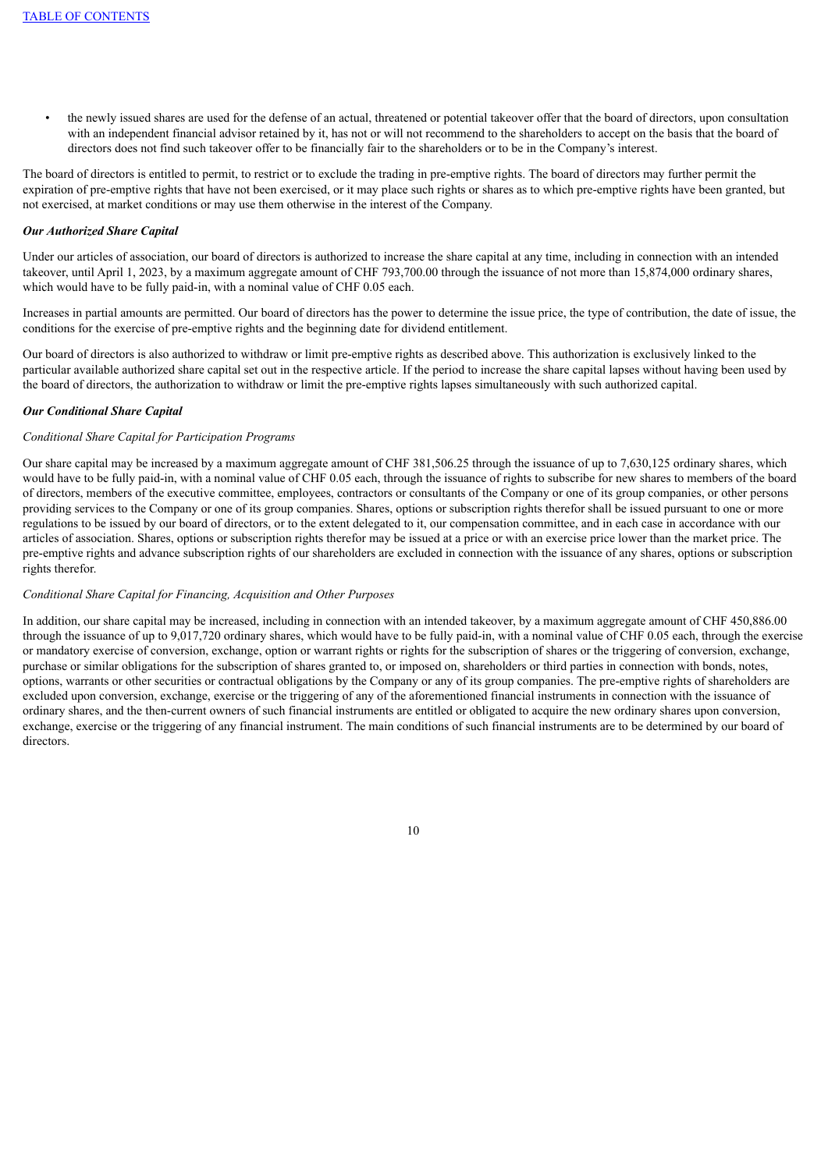the newly issued shares are used for the defense of an actual, threatened or potential takeover offer that the board of directors, upon consultation with an independent financial advisor retained by it, has not or will not recommend to the shareholders to accept on the basis that the board of directors does not find such takeover offer to be financially fair to the shareholders or to be in the Company's interest.

The board of directors is entitled to permit, to restrict or to exclude the trading in pre-emptive rights. The board of directors may further permit the expiration of pre-emptive rights that have not been exercised, or it may place such rights or shares as to which pre-emptive rights have been granted, but not exercised, at market conditions or may use them otherwise in the interest of the Company.

## *Our Authorized Share Capital*

Under our articles of association, our board of directors is authorized to increase the share capital at any time, including in connection with an intended takeover, until April 1, 2023, by a maximum aggregate amount of CHF 793,700.00 through the issuance of not more than 15,874,000 ordinary shares, which would have to be fully paid-in, with a nominal value of CHF 0.05 each.

Increases in partial amounts are permitted. Our board of directors has the power to determine the issue price, the type of contribution, the date of issue, the conditions for the exercise of pre-emptive rights and the beginning date for dividend entitlement.

Our board of directors is also authorized to withdraw or limit pre-emptive rights as described above. This authorization is exclusively linked to the particular available authorized share capital set out in the respective article. If the period to increase the share capital lapses without having been used by the board of directors, the authorization to withdraw or limit the pre-emptive rights lapses simultaneously with such authorized capital.

## *Our Conditional Share Capital*

# *Conditional Share Capital for Participation Programs*

Our share capital may be increased by a maximum aggregate amount of CHF 381,506.25 through the issuance of up to 7,630,125 ordinary shares, which would have to be fully paid-in, with a nominal value of CHF 0.05 each, through the issuance of rights to subscribe for new shares to members of the board of directors, members of the executive committee, employees, contractors or consultants of the Company or one of its group companies, or other persons providing services to the Company or one of its group companies. Shares, options or subscription rights therefor shall be issued pursuant to one or more regulations to be issued by our board of directors, or to the extent delegated to it, our compensation committee, and in each case in accordance with our articles of association. Shares, options or subscription rights therefor may be issued at a price or with an exercise price lower than the market price. The pre-emptive rights and advance subscription rights of our shareholders are excluded in connection with the issuance of any shares, options or subscription rights therefor.

## *Conditional Share Capital for Financing, Acquisition and Other Purposes*

In addition, our share capital may be increased, including in connection with an intended takeover, by a maximum aggregate amount of CHF 450,886.00 through the issuance of up to 9,017,720 ordinary shares, which would have to be fully paid-in, with a nominal value of CHF 0.05 each, through the exercise or mandatory exercise of conversion, exchange, option or warrant rights or rights for the subscription of shares or the triggering of conversion, exchange, purchase or similar obligations for the subscription of shares granted to, or imposed on, shareholders or third parties in connection with bonds, notes, options, warrants or other securities or contractual obligations by the Company or any of its group companies. The pre-emptive rights of shareholders are excluded upon conversion, exchange, exercise or the triggering of any of the aforementioned financial instruments in connection with the issuance of ordinary shares, and the then-current owners of such financial instruments are entitled or obligated to acquire the new ordinary shares upon conversion, exchange, exercise or the triggering of any financial instrument. The main conditions of such financial instruments are to be determined by our board of directors.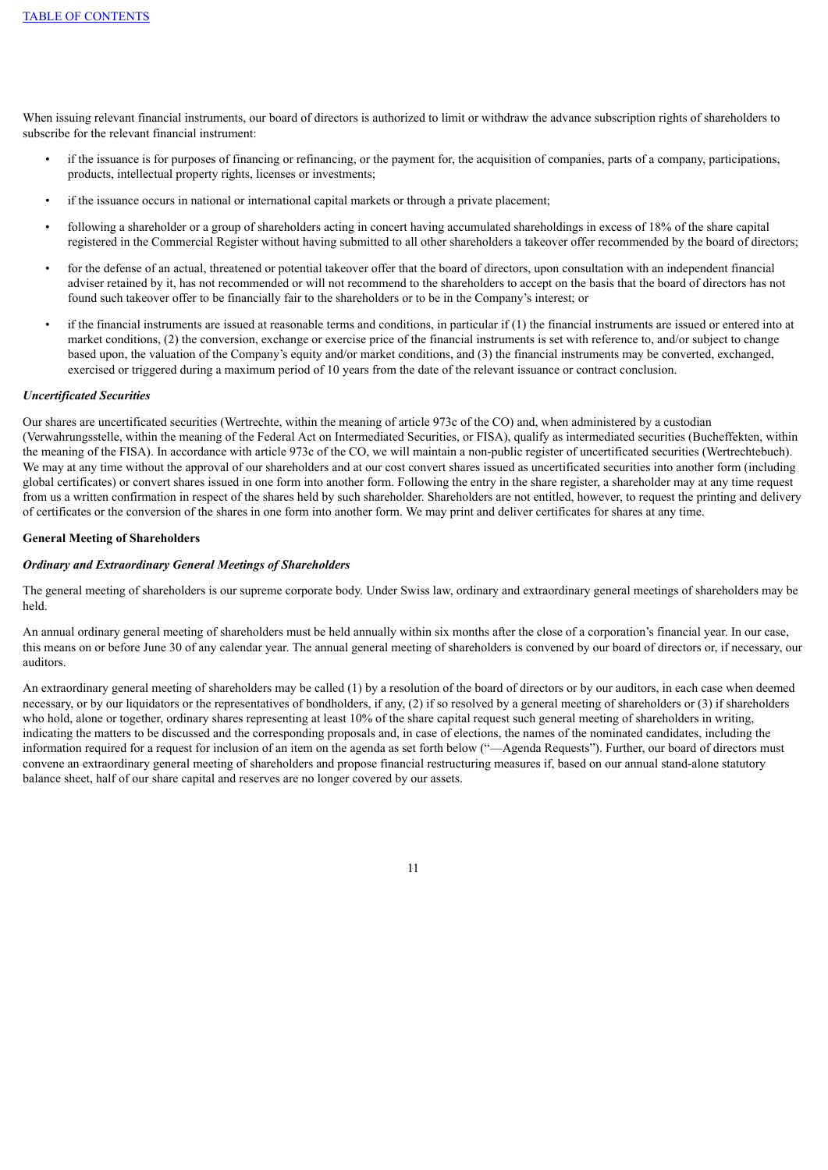When issuing relevant financial instruments, our board of directors is authorized to limit or withdraw the advance subscription rights of shareholders to subscribe for the relevant financial instrument:

- if the issuance is for purposes of financing or refinancing, or the payment for, the acquisition of companies, parts of a company, participations, products, intellectual property rights, licenses or investments;
- if the issuance occurs in national or international capital markets or through a private placement;
- following a shareholder or a group of shareholders acting in concert having accumulated shareholdings in excess of 18% of the share capital registered in the Commercial Register without having submitted to all other shareholders a takeover offer recommended by the board of directors;
- for the defense of an actual, threatened or potential takeover offer that the board of directors, upon consultation with an independent financial adviser retained by it, has not recommended or will not recommend to the shareholders to accept on the basis that the board of directors has not found such takeover offer to be financially fair to the shareholders or to be in the Company's interest; or
- if the financial instruments are issued at reasonable terms and conditions, in particular if  $(1)$  the financial instruments are issued or entered into at market conditions, (2) the conversion, exchange or exercise price of the financial instruments is set with reference to, and/or subject to change based upon, the valuation of the Company's equity and/or market conditions, and (3) the financial instruments may be converted, exchanged, exercised or triggered during a maximum period of 10 years from the date of the relevant issuance or contract conclusion.

### *Uncertificated Securities*

Our shares are uncertificated securities (Wertrechte, within the meaning of article 973c of the CO) and, when administered by a custodian (Verwahrungsstelle, within the meaning of the Federal Act on Intermediated Securities, or FISA), qualify as intermediated securities (Bucheffekten, within the meaning of the FISA). In accordance with article 973c of the CO, we will maintain a non-public register of uncertificated securities (Wertrechtebuch). We may at any time without the approval of our shareholders and at our cost convert shares issued as uncertificated securities into another form (including global certificates) or convert shares issued in one form into another form. Following the entry in the share register, a shareholder may at any time request from us a written confirmation in respect of the shares held by such shareholder. Shareholders are not entitled, however, to request the printing and delivery of certificates or the conversion of the shares in one form into another form. We may print and deliver certificates for shares at any time.

## **General Meeting of Shareholders**

#### *Ordinary and Extraordinary General Meetings of Shareholders*

The general meeting of shareholders is our supreme corporate body. Under Swiss law, ordinary and extraordinary general meetings of shareholders may be held.

An annual ordinary general meeting of shareholders must be held annually within six months after the close of a corporation's financial year. In our case, this means on or before June 30 of any calendar year. The annual general meeting of shareholders is convened by our board of directors or, if necessary, our auditors.

An extraordinary general meeting of shareholders may be called (1) by a resolution of the board of directors or by our auditors, in each case when deemed necessary, or by our liquidators or the representatives of bondholders, if any, (2) if so resolved by a general meeting of shareholders or (3) if shareholders who hold, alone or together, ordinary shares representing at least 10% of the share capital request such general meeting of shareholders in writing, indicating the matters to be discussed and the corresponding proposals and, in case of elections, the names of the nominated candidates, including the information required for a request for inclusion of an item on the agenda as set forth below ("—Agenda Requests"). Further, our board of directors must convene an extraordinary general meeting of shareholders and propose financial restructuring measures if, based on our annual stand-alone statutory balance sheet, half of our share capital and reserves are no longer covered by our assets.

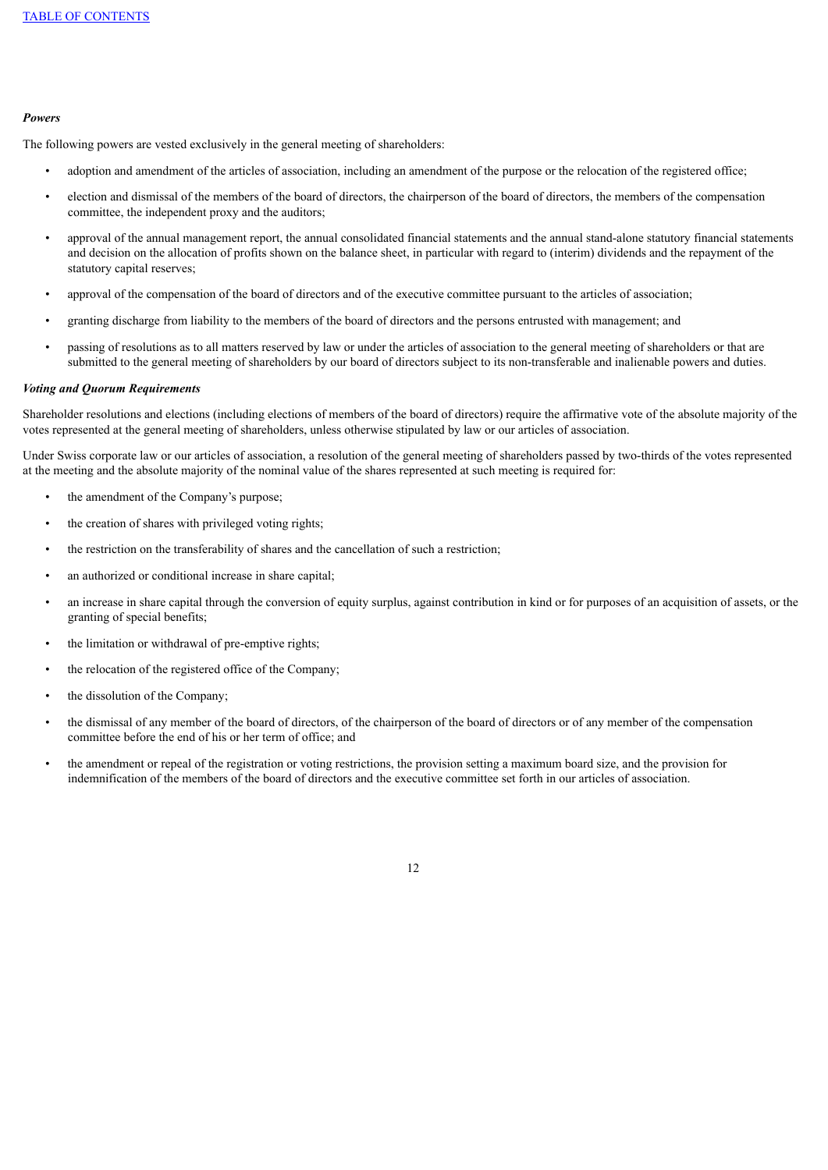### *Powers*

The following powers are vested exclusively in the general meeting of shareholders:

- adoption and amendment of the articles of association, including an amendment of the purpose or the relocation of the registered office;
- election and dismissal of the members of the board of directors, the chairperson of the board of directors, the members of the compensation committee, the independent proxy and the auditors;
- approval of the annual management report, the annual consolidated financial statements and the annual stand-alone statutory financial statements and decision on the allocation of profits shown on the balance sheet, in particular with regard to (interim) dividends and the repayment of the statutory capital reserves;
- approval of the compensation of the board of directors and of the executive committee pursuant to the articles of association;
- granting discharge from liability to the members of the board of directors and the persons entrusted with management; and
- passing of resolutions as to all matters reserved by law or under the articles of association to the general meeting of shareholders or that are submitted to the general meeting of shareholders by our board of directors subject to its non-transferable and inalienable powers and duties.

#### *Voting and Quorum Requirements*

Shareholder resolutions and elections (including elections of members of the board of directors) require the affirmative vote of the absolute majority of the votes represented at the general meeting of shareholders, unless otherwise stipulated by law or our articles of association.

Under Swiss corporate law or our articles of association, a resolution of the general meeting of shareholders passed by two-thirds of the votes represented at the meeting and the absolute majority of the nominal value of the shares represented at such meeting is required for:

- the amendment of the Company's purpose;
- the creation of shares with privileged voting rights;
- the restriction on the transferability of shares and the cancellation of such a restriction;
- an authorized or conditional increase in share capital;
- an increase in share capital through the conversion of equity surplus, against contribution in kind or for purposes of an acquisition of assets, or the granting of special benefits;
- the limitation or withdrawal of pre-emptive rights;
- the relocation of the registered office of the Company;
- the dissolution of the Company;
- the dismissal of any member of the board of directors, of the chairperson of the board of directors or of any member of the compensation committee before the end of his or her term of office; and
- the amendment or repeal of the registration or voting restrictions, the provision setting a maximum board size, and the provision for indemnification of the members of the board of directors and the executive committee set forth in our articles of association.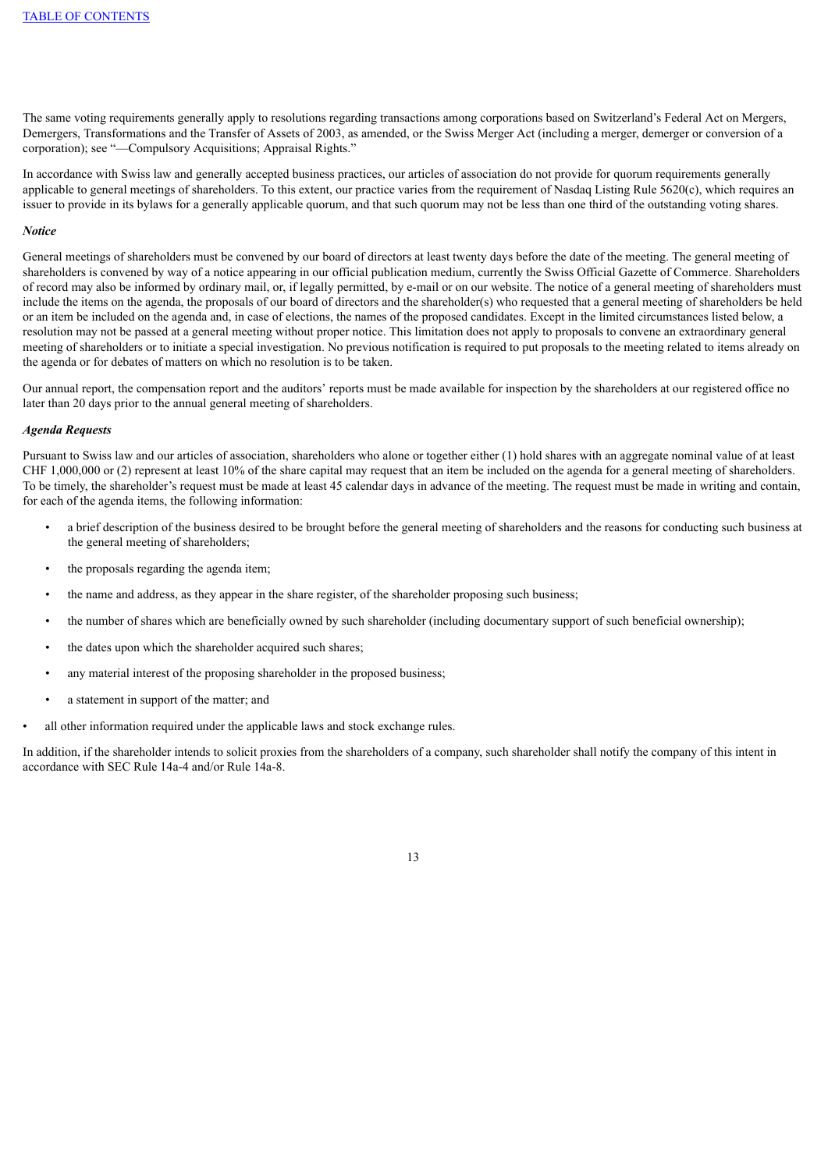The same voting requirements generally apply to resolutions regarding transactions among corporations based on Switzerland's Federal Act on Mergers, Demergers, Transformations and the Transfer of Assets of 2003, as amended, or the Swiss Merger Act (including a merger, demerger or conversion of a corporation); see "—Compulsory Acquisitions; Appraisal Rights."

In accordance with Swiss law and generally accepted business practices, our articles of association do not provide for quorum requirements generally applicable to general meetings of shareholders. To this extent, our practice varies from the requirement of Nasdaq Listing Rule 5620(c), which requires an issuer to provide in its bylaws for a generally applicable quorum, and that such quorum may not be less than one third of the outstanding voting shares.

#### *Notice*

General meetings of shareholders must be convened by our board of directors at least twenty days before the date of the meeting. The general meeting of shareholders is convened by way of a notice appearing in our official publication medium, currently the Swiss Official Gazette of Commerce. Shareholders of record may also be informed by ordinary mail, or, if legally permitted, by e-mail or on our website. The notice of a general meeting of shareholders must include the items on the agenda, the proposals of our board of directors and the shareholder(s) who requested that a general meeting of shareholders be held or an item be included on the agenda and, in case of elections, the names of the proposed candidates. Except in the limited circumstances listed below, a resolution may not be passed at a general meeting without proper notice. This limitation does not apply to proposals to convene an extraordinary general meeting of shareholders or to initiate a special investigation. No previous notification is required to put proposals to the meeting related to items already on the agenda or for debates of matters on which no resolution is to be taken.

Our annual report, the compensation report and the auditors' reports must be made available for inspection by the shareholders at our registered office no later than 20 days prior to the annual general meeting of shareholders.

#### *Agenda Requests*

Pursuant to Swiss law and our articles of association, shareholders who alone or together either (1) hold shares with an aggregate nominal value of at least CHF 1,000,000 or (2) represent at least 10% of the share capital may request that an item be included on the agenda for a general meeting of shareholders. To be timely, the shareholder's request must be made at least 45 calendar days in advance of the meeting. The request must be made in writing and contain, for each of the agenda items, the following information:

- a brief description of the business desired to be brought before the general meeting of shareholders and the reasons for conducting such business at the general meeting of shareholders;
- the proposals regarding the agenda item;
- the name and address, as they appear in the share register, of the shareholder proposing such business;
- the number of shares which are beneficially owned by such shareholder (including documentary support of such beneficial ownership);
- the dates upon which the shareholder acquired such shares;
- any material interest of the proposing shareholder in the proposed business;
- a statement in support of the matter; and
- all other information required under the applicable laws and stock exchange rules.

In addition, if the shareholder intends to solicit proxies from the shareholders of a company, such shareholder shall notify the company of this intent in accordance with SEC Rule 14a-4 and/or Rule 14a-8.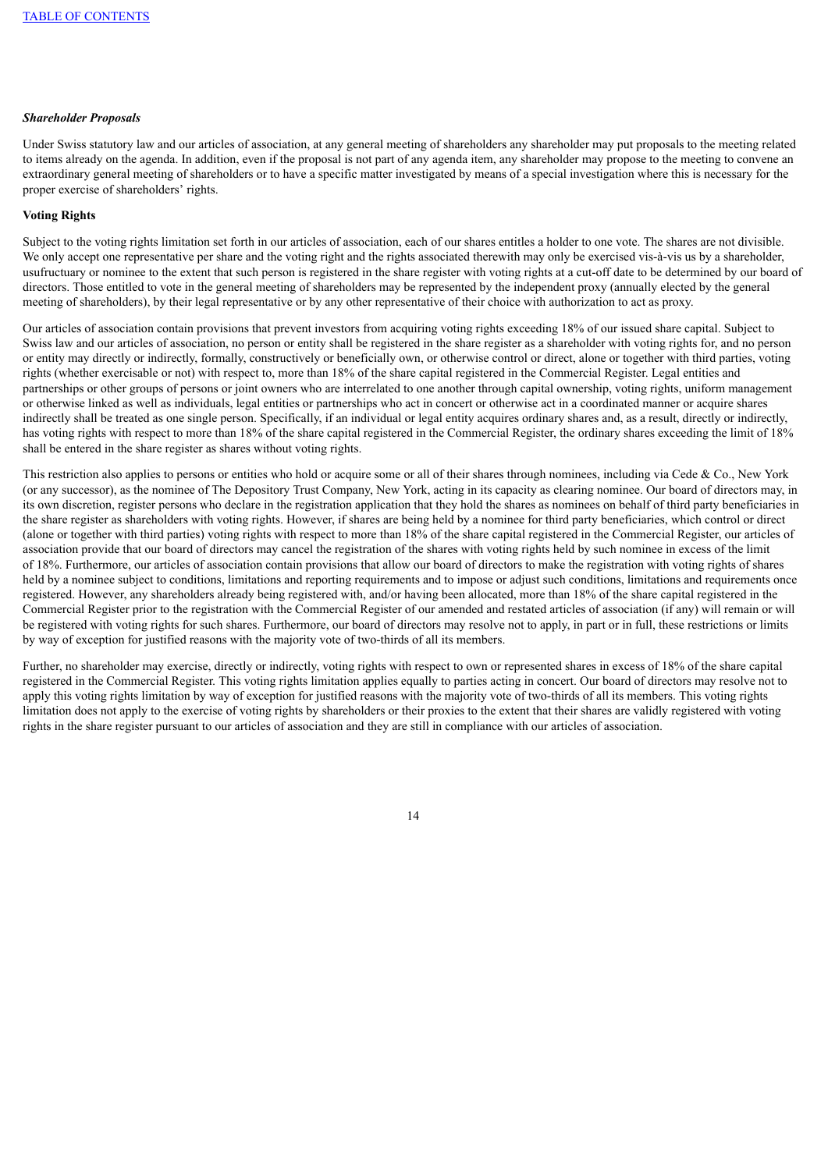## *Shareholder Proposals*

Under Swiss statutory law and our articles of association, at any general meeting of shareholders any shareholder may put proposals to the meeting related to items already on the agenda. In addition, even if the proposal is not part of any agenda item, any shareholder may propose to the meeting to convene an extraordinary general meeting of shareholders or to have a specific matter investigated by means of a special investigation where this is necessary for the proper exercise of shareholders' rights.

## **Voting Rights**

Subject to the voting rights limitation set forth in our articles of association, each of our shares entitles a holder to one vote. The shares are not divisible. We only accept one representative per share and the voting right and the rights associated therewith may only be exercised vis-à-vis us by a shareholder, usufructuary or nominee to the extent that such person is registered in the share register with voting rights at a cut-off date to be determined by our board of directors. Those entitled to vote in the general meeting of shareholders may be represented by the independent proxy (annually elected by the general meeting of shareholders), by their legal representative or by any other representative of their choice with authorization to act as proxy.

Our articles of association contain provisions that prevent investors from acquiring voting rights exceeding 18% of our issued share capital. Subject to Swiss law and our articles of association, no person or entity shall be registered in the share register as a shareholder with voting rights for, and no person or entity may directly or indirectly, formally, constructively or beneficially own, or otherwise control or direct, alone or together with third parties, voting rights (whether exercisable or not) with respect to, more than 18% of the share capital registered in the Commercial Register. Legal entities and partnerships or other groups of persons or joint owners who are interrelated to one another through capital ownership, voting rights, uniform management or otherwise linked as well as individuals, legal entities or partnerships who act in concert or otherwise act in a coordinated manner or acquire shares indirectly shall be treated as one single person. Specifically, if an individual or legal entity acquires ordinary shares and, as a result, directly or indirectly, has voting rights with respect to more than 18% of the share capital registered in the Commercial Register, the ordinary shares exceeding the limit of 18% shall be entered in the share register as shares without voting rights.

This restriction also applies to persons or entities who hold or acquire some or all of their shares through nominees, including via Cede & Co., New York (or any successor), as the nominee of The Depository Trust Company, New York, acting in its capacity as clearing nominee. Our board of directors may, in its own discretion, register persons who declare in the registration application that they hold the shares as nominees on behalf of third party beneficiaries in the share register as shareholders with voting rights. However, if shares are being held by a nominee for third party beneficiaries, which control or direct (alone or together with third parties) voting rights with respect to more than 18% of the share capital registered in the Commercial Register, our articles of association provide that our board of directors may cancel the registration of the shares with voting rights held by such nominee in excess of the limit of 18%. Furthermore, our articles of association contain provisions that allow our board of directors to make the registration with voting rights of shares held by a nominee subject to conditions, limitations and reporting requirements and to impose or adjust such conditions, limitations and requirements once registered. However, any shareholders already being registered with, and/or having been allocated, more than 18% of the share capital registered in the Commercial Register prior to the registration with the Commercial Register of our amended and restated articles of association (if any) will remain or will be registered with voting rights for such shares. Furthermore, our board of directors may resolve not to apply, in part or in full, these restrictions or limits by way of exception for justified reasons with the majority vote of two-thirds of all its members.

Further, no shareholder may exercise, directly or indirectly, voting rights with respect to own or represented shares in excess of 18% of the share capital registered in the Commercial Register. This voting rights limitation applies equally to parties acting in concert. Our board of directors may resolve not to apply this voting rights limitation by way of exception for justified reasons with the majority vote of two-thirds of all its members. This voting rights limitation does not apply to the exercise of voting rights by shareholders or their proxies to the extent that their shares are validly registered with voting rights in the share register pursuant to our articles of association and they are still in compliance with our articles of association.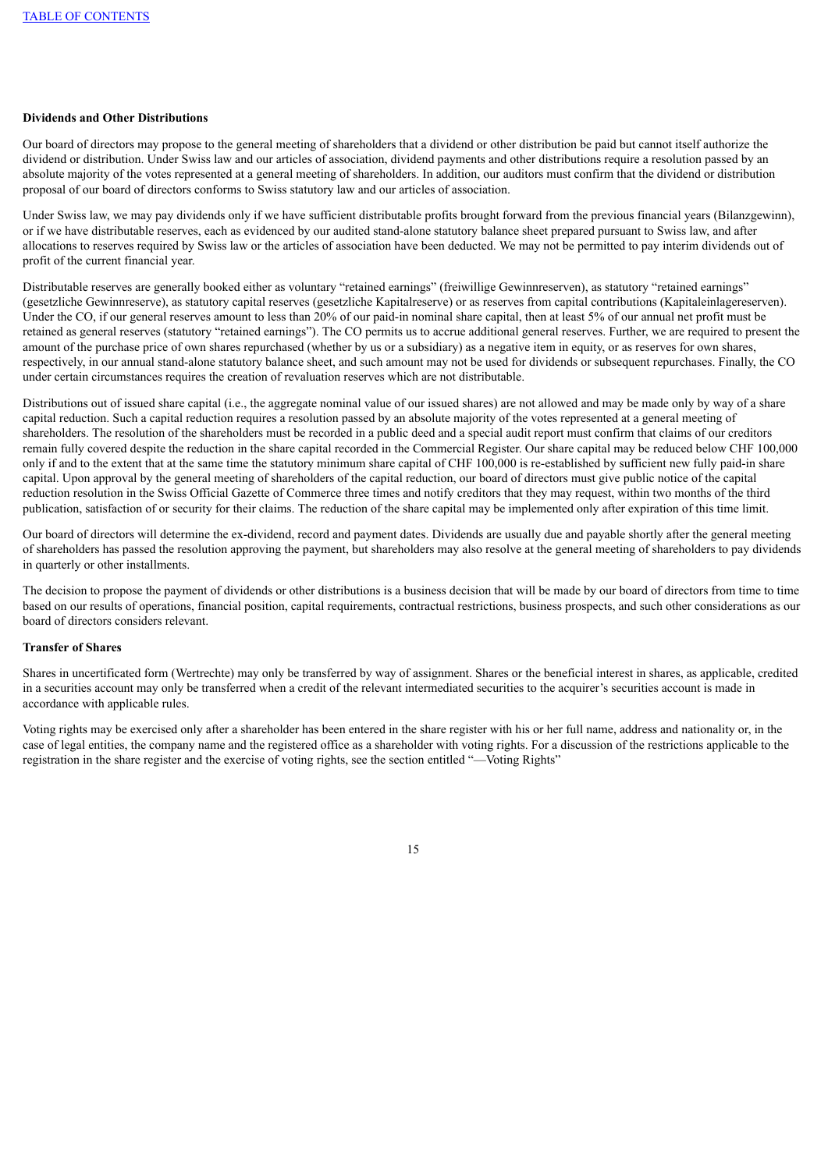# **Dividends and Other Distributions**

Our board of directors may propose to the general meeting of shareholders that a dividend or other distribution be paid but cannot itself authorize the dividend or distribution. Under Swiss law and our articles of association, dividend payments and other distributions require a resolution passed by an absolute majority of the votes represented at a general meeting of shareholders. In addition, our auditors must confirm that the dividend or distribution proposal of our board of directors conforms to Swiss statutory law and our articles of association.

Under Swiss law, we may pay dividends only if we have sufficient distributable profits brought forward from the previous financial years (Bilanzgewinn), or if we have distributable reserves, each as evidenced by our audited stand-alone statutory balance sheet prepared pursuant to Swiss law, and after allocations to reserves required by Swiss law or the articles of association have been deducted. We may not be permitted to pay interim dividends out of profit of the current financial year.

Distributable reserves are generally booked either as voluntary "retained earnings" (freiwillige Gewinnreserven), as statutory "retained earnings" (gesetzliche Gewinnreserve), as statutory capital reserves (gesetzliche Kapitalreserve) or as reserves from capital contributions (Kapitaleinlagereserven). Under the CO, if our general reserves amount to less than 20% of our paid-in nominal share capital, then at least 5% of our annual net profit must be retained as general reserves (statutory "retained earnings"). The CO permits us to accrue additional general reserves. Further, we are required to present the amount of the purchase price of own shares repurchased (whether by us or a subsidiary) as a negative item in equity, or as reserves for own shares, respectively, in our annual stand-alone statutory balance sheet, and such amount may not be used for dividends or subsequent repurchases. Finally, the CO under certain circumstances requires the creation of revaluation reserves which are not distributable.

Distributions out of issued share capital (i.e., the aggregate nominal value of our issued shares) are not allowed and may be made only by way of a share capital reduction. Such a capital reduction requires a resolution passed by an absolute majority of the votes represented at a general meeting of shareholders. The resolution of the shareholders must be recorded in a public deed and a special audit report must confirm that claims of our creditors remain fully covered despite the reduction in the share capital recorded in the Commercial Register. Our share capital may be reduced below CHF 100,000 only if and to the extent that at the same time the statutory minimum share capital of CHF 100,000 is re-established by sufficient new fully paid-in share capital. Upon approval by the general meeting of shareholders of the capital reduction, our board of directors must give public notice of the capital reduction resolution in the Swiss Official Gazette of Commerce three times and notify creditors that they may request, within two months of the third publication, satisfaction of or security for their claims. The reduction of the share capital may be implemented only after expiration of this time limit.

Our board of directors will determine the ex-dividend, record and payment dates. Dividends are usually due and payable shortly after the general meeting of shareholders has passed the resolution approving the payment, but shareholders may also resolve at the general meeting of shareholders to pay dividends in quarterly or other installments.

The decision to propose the payment of dividends or other distributions is a business decision that will be made by our board of directors from time to time based on our results of operations, financial position, capital requirements, contractual restrictions, business prospects, and such other considerations as our board of directors considers relevant.

# **Transfer of Shares**

Shares in uncertificated form (Wertrechte) may only be transferred by way of assignment. Shares or the beneficial interest in shares, as applicable, credited in a securities account may only be transferred when a credit of the relevant intermediated securities to the acquirer's securities account is made in accordance with applicable rules.

Voting rights may be exercised only after a shareholder has been entered in the share register with his or her full name, address and nationality or, in the case of legal entities, the company name and the registered office as a shareholder with voting rights. For a discussion of the restrictions applicable to the registration in the share register and the exercise of voting rights, see the section entitled "—Voting Rights"

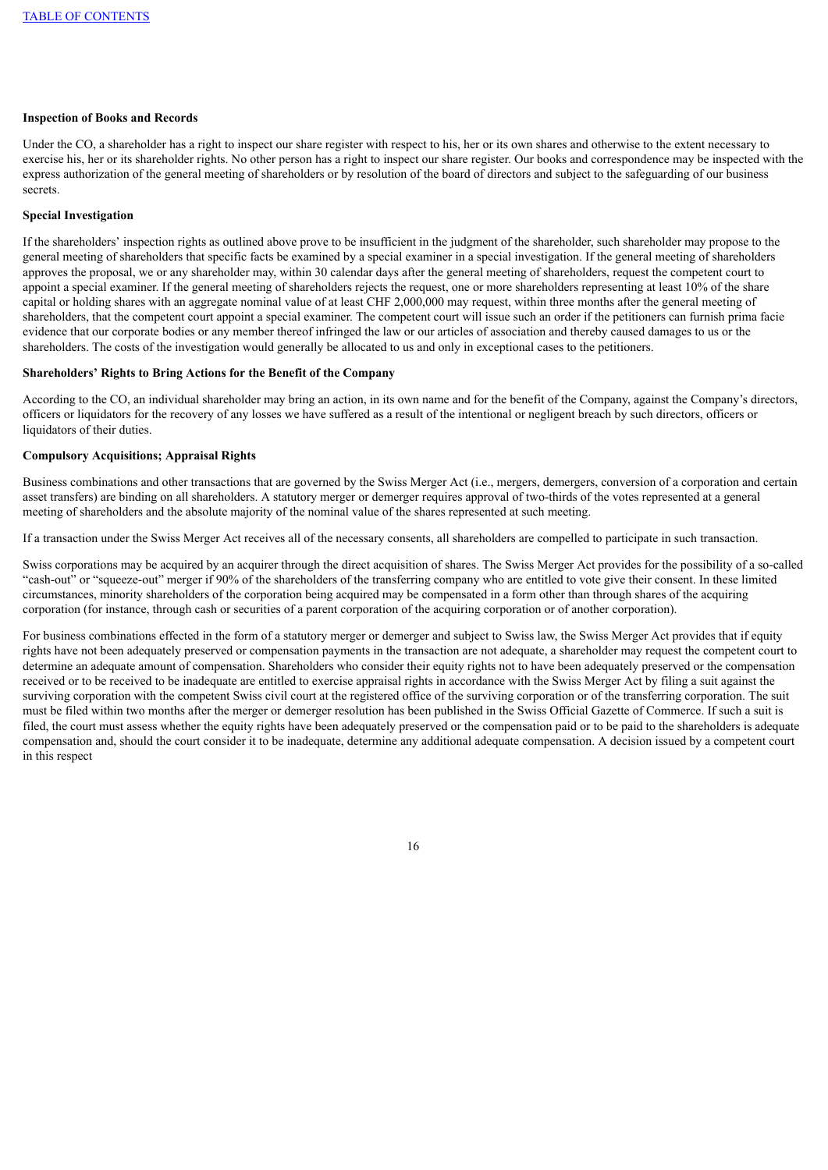## **Inspection of Books and Records**

Under the CO, a shareholder has a right to inspect our share register with respect to his, her or its own shares and otherwise to the extent necessary to exercise his, her or its shareholder rights. No other person has a right to inspect our share register. Our books and correspondence may be inspected with the express authorization of the general meeting of shareholders or by resolution of the board of directors and subject to the safeguarding of our business secrets.

## **Special Investigation**

If the shareholders' inspection rights as outlined above prove to be insufficient in the judgment of the shareholder, such shareholder may propose to the general meeting of shareholders that specific facts be examined by a special examiner in a special investigation. If the general meeting of shareholders approves the proposal, we or any shareholder may, within 30 calendar days after the general meeting of shareholders, request the competent court to appoint a special examiner. If the general meeting of shareholders rejects the request, one or more shareholders representing at least 10% of the share capital or holding shares with an aggregate nominal value of at least CHF 2,000,000 may request, within three months after the general meeting of shareholders, that the competent court appoint a special examiner. The competent court will issue such an order if the petitioners can furnish prima facie evidence that our corporate bodies or any member thereof infringed the law or our articles of association and thereby caused damages to us or the shareholders. The costs of the investigation would generally be allocated to us and only in exceptional cases to the petitioners.

### **Shareholders' Rights to Bring Actions for the Benefit of the Company**

According to the CO, an individual shareholder may bring an action, in its own name and for the benefit of the Company, against the Company's directors, officers or liquidators for the recovery of any losses we have suffered as a result of the intentional or negligent breach by such directors, officers or liquidators of their duties.

## **Compulsory Acquisitions; Appraisal Rights**

Business combinations and other transactions that are governed by the Swiss Merger Act (i.e., mergers, demergers, conversion of a corporation and certain asset transfers) are binding on all shareholders. A statutory merger or demerger requires approval of two-thirds of the votes represented at a general meeting of shareholders and the absolute majority of the nominal value of the shares represented at such meeting.

If a transaction under the Swiss Merger Act receives all of the necessary consents, all shareholders are compelled to participate in such transaction.

Swiss corporations may be acquired by an acquirer through the direct acquisition of shares. The Swiss Merger Act provides for the possibility of a so-called "cash-out" or "squeeze-out" merger if 90% of the shareholders of the transferring company who are entitled to vote give their consent. In these limited circumstances, minority shareholders of the corporation being acquired may be compensated in a form other than through shares of the acquiring corporation (for instance, through cash or securities of a parent corporation of the acquiring corporation or of another corporation).

For business combinations effected in the form of a statutory merger or demerger and subject to Swiss law, the Swiss Merger Act provides that if equity rights have not been adequately preserved or compensation payments in the transaction are not adequate, a shareholder may request the competent court to determine an adequate amount of compensation. Shareholders who consider their equity rights not to have been adequately preserved or the compensation received or to be received to be inadequate are entitled to exercise appraisal rights in accordance with the Swiss Merger Act by filing a suit against the surviving corporation with the competent Swiss civil court at the registered office of the surviving corporation or of the transferring corporation. The suit must be filed within two months after the merger or demerger resolution has been published in the Swiss Official Gazette of Commerce. If such a suit is filed, the court must assess whether the equity rights have been adequately preserved or the compensation paid or to be paid to the shareholders is adequate compensation and, should the court consider it to be inadequate, determine any additional adequate compensation. A decision issued by a competent court in this respect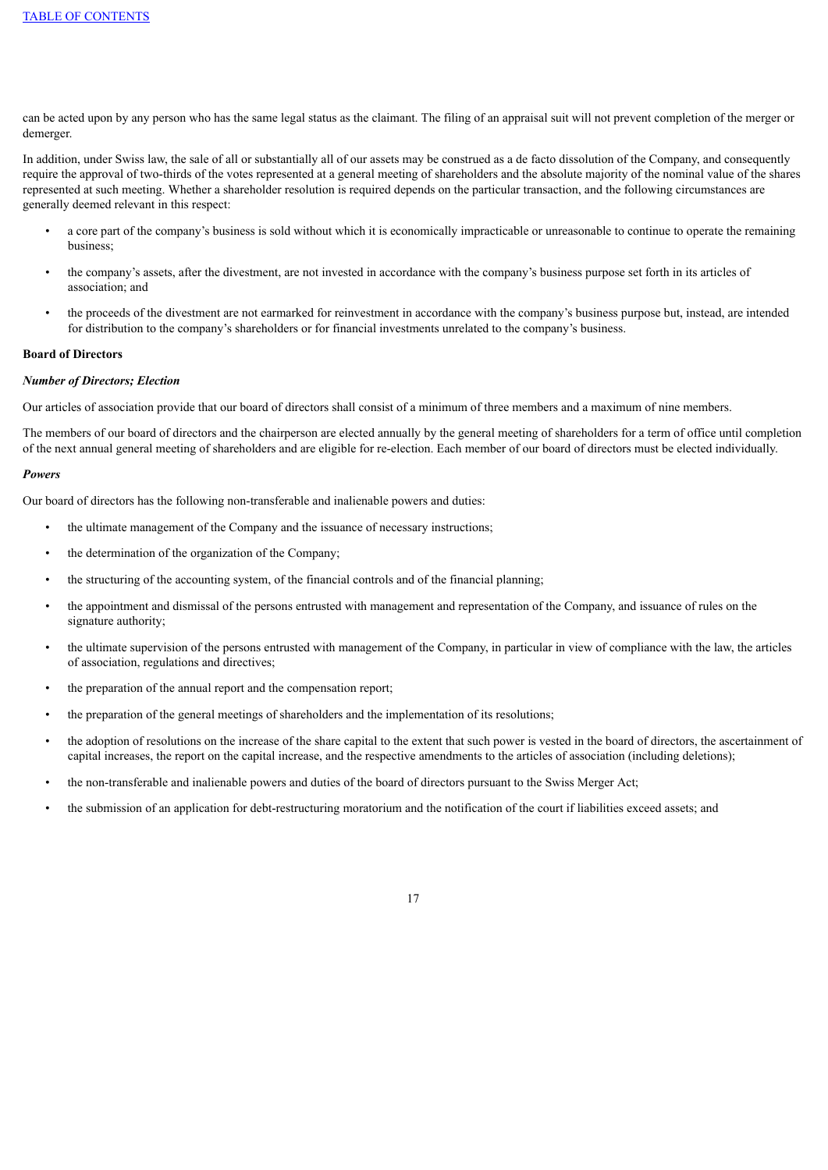can be acted upon by any person who has the same legal status as the claimant. The filing of an appraisal suit will not prevent completion of the merger or demerger.

In addition, under Swiss law, the sale of all or substantially all of our assets may be construed as a de facto dissolution of the Company, and consequently require the approval of two-thirds of the votes represented at a general meeting of shareholders and the absolute majority of the nominal value of the shares represented at such meeting. Whether a shareholder resolution is required depends on the particular transaction, and the following circumstances are generally deemed relevant in this respect:

- a core part of the company's business is sold without which it is economically impracticable or unreasonable to continue to operate the remaining business;
- the company's assets, after the divestment, are not invested in accordance with the company's business purpose set forth in its articles of association; and
- the proceeds of the divestment are not earmarked for reinvestment in accordance with the company's business purpose but, instead, are intended for distribution to the company's shareholders or for financial investments unrelated to the company's business.

#### **Board of Directors**

#### *Number of Directors; Election*

Our articles of association provide that our board of directors shall consist of a minimum of three members and a maximum of nine members.

The members of our board of directors and the chairperson are elected annually by the general meeting of shareholders for a term of office until completion of the next annual general meeting of shareholders and are eligible for re-election. Each member of our board of directors must be elected individually.

#### *Powers*

Our board of directors has the following non-transferable and inalienable powers and duties:

- the ultimate management of the Company and the issuance of necessary instructions;
- the determination of the organization of the Company;
- the structuring of the accounting system, of the financial controls and of the financial planning;
- the appointment and dismissal of the persons entrusted with management and representation of the Company, and issuance of rules on the signature authority;
- the ultimate supervision of the persons entrusted with management of the Company, in particular in view of compliance with the law, the articles of association, regulations and directives;
- the preparation of the annual report and the compensation report;
- the preparation of the general meetings of shareholders and the implementation of its resolutions;
- the adoption of resolutions on the increase of the share capital to the extent that such power is vested in the board of directors, the ascertainment of capital increases, the report on the capital increase, and the respective amendments to the articles of association (including deletions);
- the non-transferable and inalienable powers and duties of the board of directors pursuant to the Swiss Merger Act;
- the submission of an application for debt-restructuring moratorium and the notification of the court if liabilities exceed assets; and

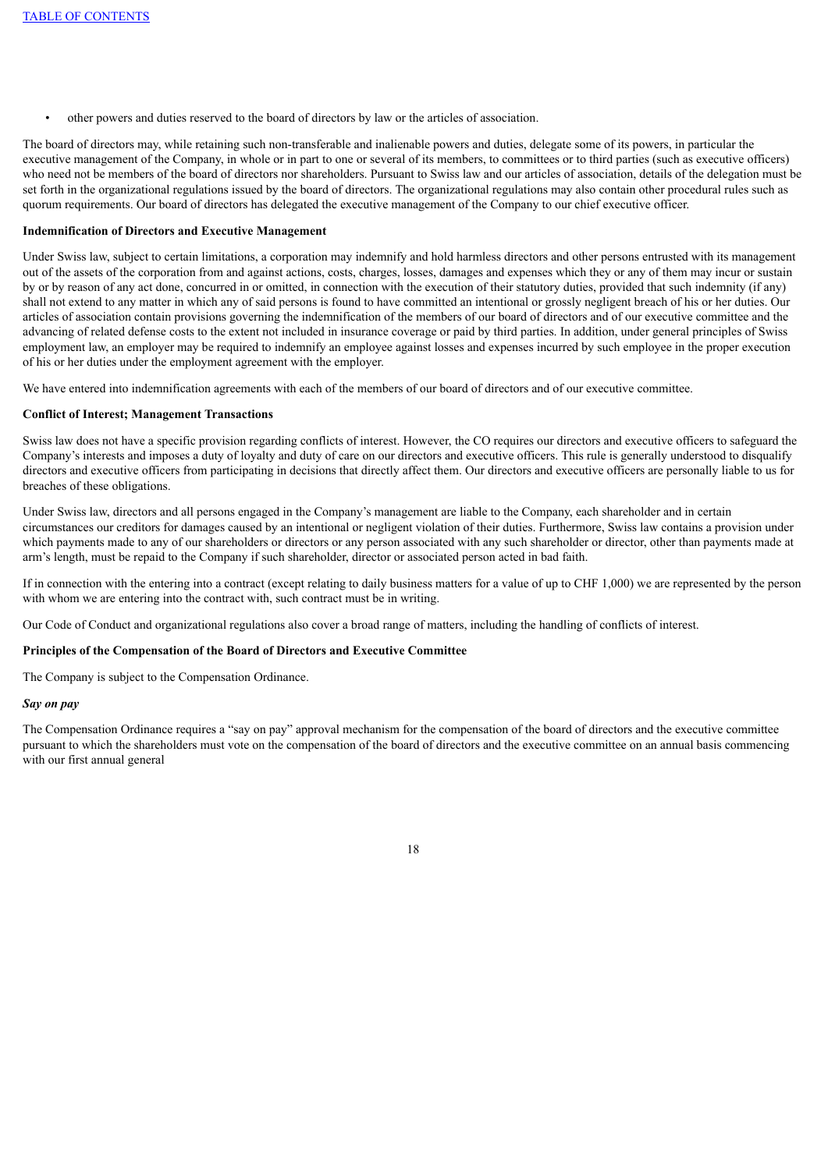• other powers and duties reserved to the board of directors by law or the articles of association.

The board of directors may, while retaining such non-transferable and inalienable powers and duties, delegate some of its powers, in particular the executive management of the Company, in whole or in part to one or several of its members, to committees or to third parties (such as executive officers) who need not be members of the board of directors nor shareholders. Pursuant to Swiss law and our articles of association, details of the delegation must be set forth in the organizational regulations issued by the board of directors. The organizational regulations may also contain other procedural rules such as quorum requirements. Our board of directors has delegated the executive management of the Company to our chief executive officer.

## **Indemnification of Directors and Executive Management**

Under Swiss law, subject to certain limitations, a corporation may indemnify and hold harmless directors and other persons entrusted with its management out of the assets of the corporation from and against actions, costs, charges, losses, damages and expenses which they or any of them may incur or sustain by or by reason of any act done, concurred in or omitted, in connection with the execution of their statutory duties, provided that such indemnity (if any) shall not extend to any matter in which any of said persons is found to have committed an intentional or grossly negligent breach of his or her duties. Our articles of association contain provisions governing the indemnification of the members of our board of directors and of our executive committee and the advancing of related defense costs to the extent not included in insurance coverage or paid by third parties. In addition, under general principles of Swiss employment law, an employer may be required to indemnify an employee against losses and expenses incurred by such employee in the proper execution of his or her duties under the employment agreement with the employer.

We have entered into indemnification agreements with each of the members of our board of directors and of our executive committee.

#### **Conflict of Interest; Management Transactions**

Swiss law does not have a specific provision regarding conflicts of interest. However, the CO requires our directors and executive officers to safeguard the Company's interests and imposes a duty of loyalty and duty of care on our directors and executive officers. This rule is generally understood to disqualify directors and executive officers from participating in decisions that directly affect them. Our directors and executive officers are personally liable to us for breaches of these obligations.

Under Swiss law, directors and all persons engaged in the Company's management are liable to the Company, each shareholder and in certain circumstances our creditors for damages caused by an intentional or negligent violation of their duties. Furthermore, Swiss law contains a provision under which payments made to any of our shareholders or directors or any person associated with any such shareholder or director, other than payments made at arm's length, must be repaid to the Company if such shareholder, director or associated person acted in bad faith.

If in connection with the entering into a contract (except relating to daily business matters for a value of up to CHF 1,000) we are represented by the person with whom we are entering into the contract with, such contract must be in writing.

Our Code of Conduct and organizational regulations also cover a broad range of matters, including the handling of conflicts of interest.

#### **Principles of the Compensation of the Board of Directors and Executive Committee**

The Company is subject to the Compensation Ordinance.

#### *Say on pay*

The Compensation Ordinance requires a "say on pay" approval mechanism for the compensation of the board of directors and the executive committee pursuant to which the shareholders must vote on the compensation of the board of directors and the executive committee on an annual basis commencing with our first annual general

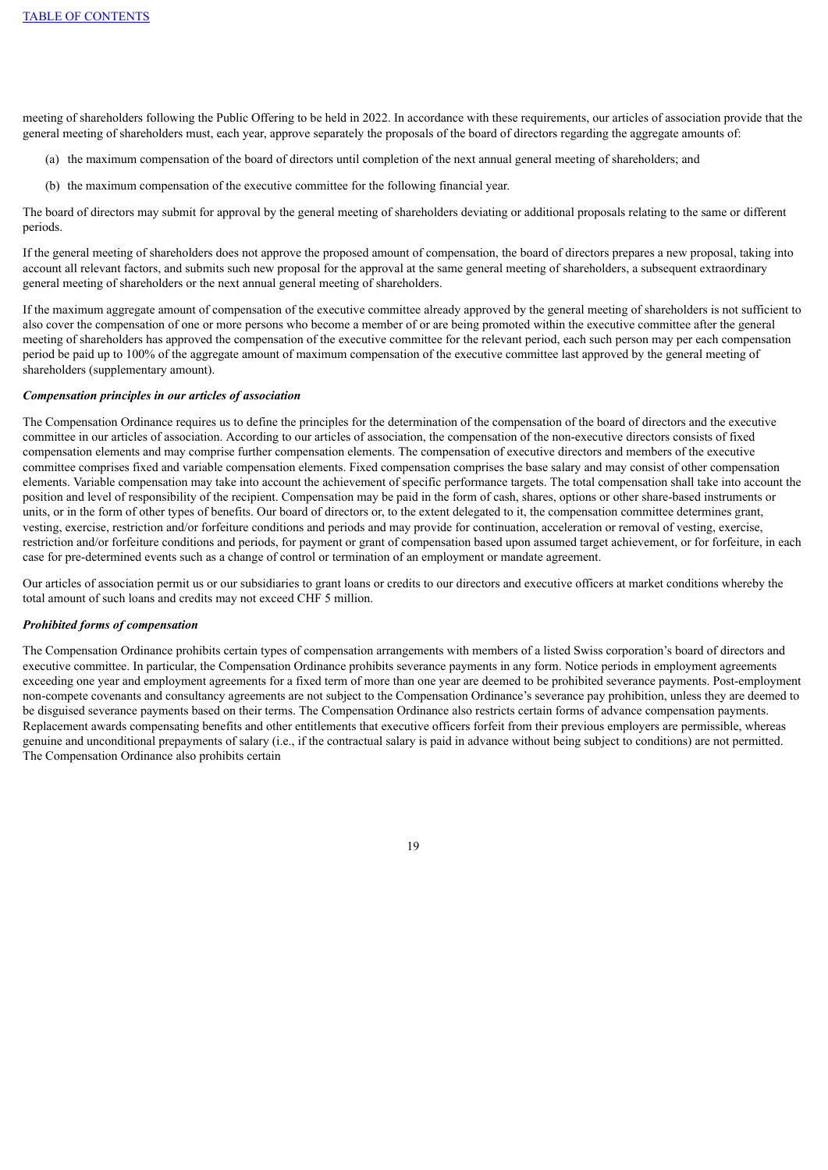meeting of shareholders following the Public Offering to be held in 2022. In accordance with these requirements, our articles of association provide that the general meeting of shareholders must, each year, approve separately the proposals of the board of directors regarding the aggregate amounts of:

- (a) the maximum compensation of the board of directors until completion of the next annual general meeting of shareholders; and
- (b) the maximum compensation of the executive committee for the following financial year.

The board of directors may submit for approval by the general meeting of shareholders deviating or additional proposals relating to the same or different periods.

If the general meeting of shareholders does not approve the proposed amount of compensation, the board of directors prepares a new proposal, taking into account all relevant factors, and submits such new proposal for the approval at the same general meeting of shareholders, a subsequent extraordinary general meeting of shareholders or the next annual general meeting of shareholders.

If the maximum aggregate amount of compensation of the executive committee already approved by the general meeting of shareholders is not sufficient to also cover the compensation of one or more persons who become a member of or are being promoted within the executive committee after the general meeting of shareholders has approved the compensation of the executive committee for the relevant period, each such person may per each compensation period be paid up to 100% of the aggregate amount of maximum compensation of the executive committee last approved by the general meeting of shareholders (supplementary amount).

#### *Compensation principles in our articles of association*

The Compensation Ordinance requires us to define the principles for the determination of the compensation of the board of directors and the executive committee in our articles of association. According to our articles of association, the compensation of the non-executive directors consists of fixed compensation elements and may comprise further compensation elements. The compensation of executive directors and members of the executive committee comprises fixed and variable compensation elements. Fixed compensation comprises the base salary and may consist of other compensation elements. Variable compensation may take into account the achievement of specific performance targets. The total compensation shall take into account the position and level of responsibility of the recipient. Compensation may be paid in the form of cash, shares, options or other share-based instruments or units, or in the form of other types of benefits. Our board of directors or, to the extent delegated to it, the compensation committee determines grant, vesting, exercise, restriction and/or forfeiture conditions and periods and may provide for continuation, acceleration or removal of vesting, exercise, restriction and/or forfeiture conditions and periods, for payment or grant of compensation based upon assumed target achievement, or for forfeiture, in each case for pre-determined events such as a change of control or termination of an employment or mandate agreement.

Our articles of association permit us or our subsidiaries to grant loans or credits to our directors and executive officers at market conditions whereby the total amount of such loans and credits may not exceed CHF 5 million.

#### *Prohibited forms of compensation*

The Compensation Ordinance prohibits certain types of compensation arrangements with members of a listed Swiss corporation's board of directors and executive committee. In particular, the Compensation Ordinance prohibits severance payments in any form. Notice periods in employment agreements exceeding one year and employment agreements for a fixed term of more than one year are deemed to be prohibited severance payments. Post-employment non-compete covenants and consultancy agreements are not subject to the Compensation Ordinance's severance pay prohibition, unless they are deemed to be disguised severance payments based on their terms. The Compensation Ordinance also restricts certain forms of advance compensation payments. Replacement awards compensating benefits and other entitlements that executive officers forfeit from their previous employers are permissible, whereas genuine and unconditional prepayments of salary (i.e., if the contractual salary is paid in advance without being subject to conditions) are not permitted. The Compensation Ordinance also prohibits certain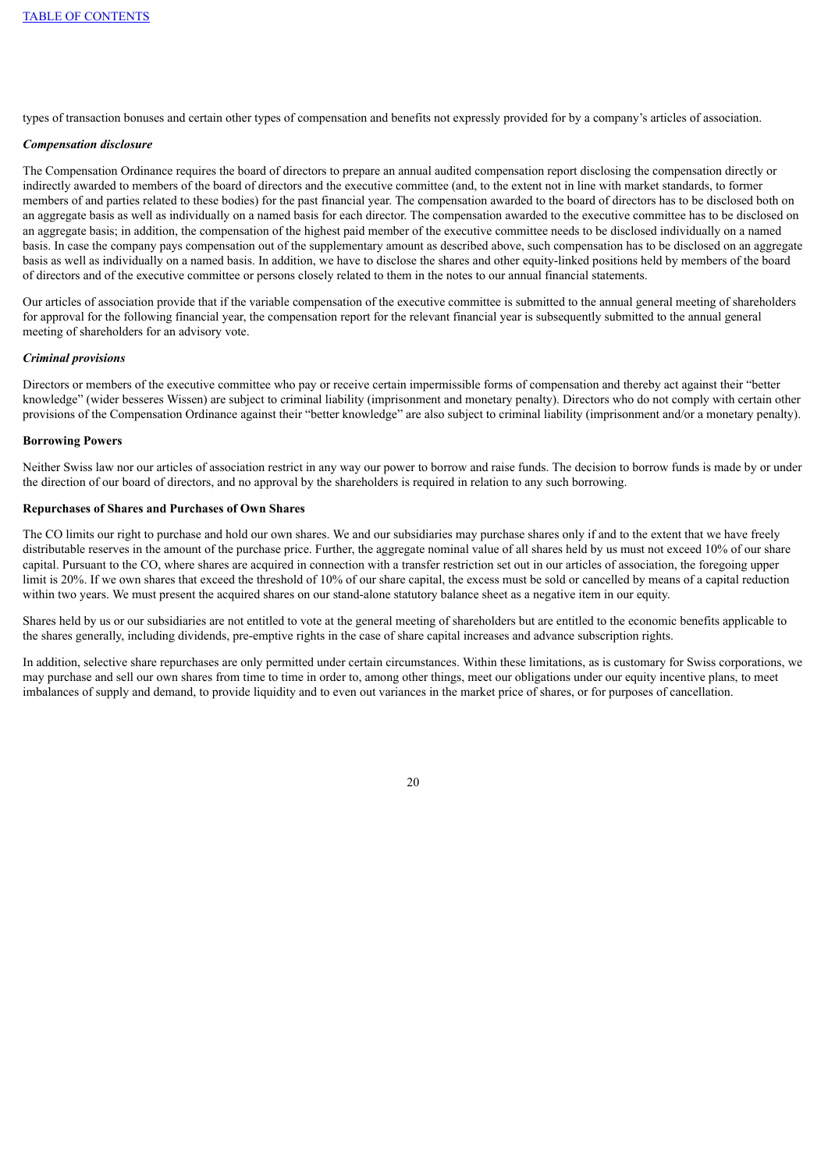types of transaction bonuses and certain other types of compensation and benefits not expressly provided for by a company's articles of association.

### *Compensation disclosure*

The Compensation Ordinance requires the board of directors to prepare an annual audited compensation report disclosing the compensation directly or indirectly awarded to members of the board of directors and the executive committee (and, to the extent not in line with market standards, to former members of and parties related to these bodies) for the past financial year. The compensation awarded to the board of directors has to be disclosed both on an aggregate basis as well as individually on a named basis for each director. The compensation awarded to the executive committee has to be disclosed on an aggregate basis; in addition, the compensation of the highest paid member of the executive committee needs to be disclosed individually on a named basis. In case the company pays compensation out of the supplementary amount as described above, such compensation has to be disclosed on an aggregate basis as well as individually on a named basis. In addition, we have to disclose the shares and other equity-linked positions held by members of the board of directors and of the executive committee or persons closely related to them in the notes to our annual financial statements.

Our articles of association provide that if the variable compensation of the executive committee is submitted to the annual general meeting of shareholders for approval for the following financial year, the compensation report for the relevant financial year is subsequently submitted to the annual general meeting of shareholders for an advisory vote.

#### *Criminal provisions*

Directors or members of the executive committee who pay or receive certain impermissible forms of compensation and thereby act against their "better knowledge" (wider besseres Wissen) are subject to criminal liability (imprisonment and monetary penalty). Directors who do not comply with certain other provisions of the Compensation Ordinance against their "better knowledge" are also subject to criminal liability (imprisonment and/or a monetary penalty).

## **Borrowing Powers**

Neither Swiss law nor our articles of association restrict in any way our power to borrow and raise funds. The decision to borrow funds is made by or under the direction of our board of directors, and no approval by the shareholders is required in relation to any such borrowing.

# **Repurchases of Shares and Purchases of Own Shares**

The CO limits our right to purchase and hold our own shares. We and our subsidiaries may purchase shares only if and to the extent that we have freely distributable reserves in the amount of the purchase price. Further, the aggregate nominal value of all shares held by us must not exceed 10% of our share capital. Pursuant to the CO, where shares are acquired in connection with a transfer restriction set out in our articles of association, the foregoing upper limit is 20%. If we own shares that exceed the threshold of 10% of our share capital, the excess must be sold or cancelled by means of a capital reduction within two years. We must present the acquired shares on our stand-alone statutory balance sheet as a negative item in our equity.

Shares held by us or our subsidiaries are not entitled to vote at the general meeting of shareholders but are entitled to the economic benefits applicable to the shares generally, including dividends, pre-emptive rights in the case of share capital increases and advance subscription rights.

In addition, selective share repurchases are only permitted under certain circumstances. Within these limitations, as is customary for Swiss corporations, we may purchase and sell our own shares from time to time in order to, among other things, meet our obligations under our equity incentive plans, to meet imbalances of supply and demand, to provide liquidity and to even out variances in the market price of shares, or for purposes of cancellation.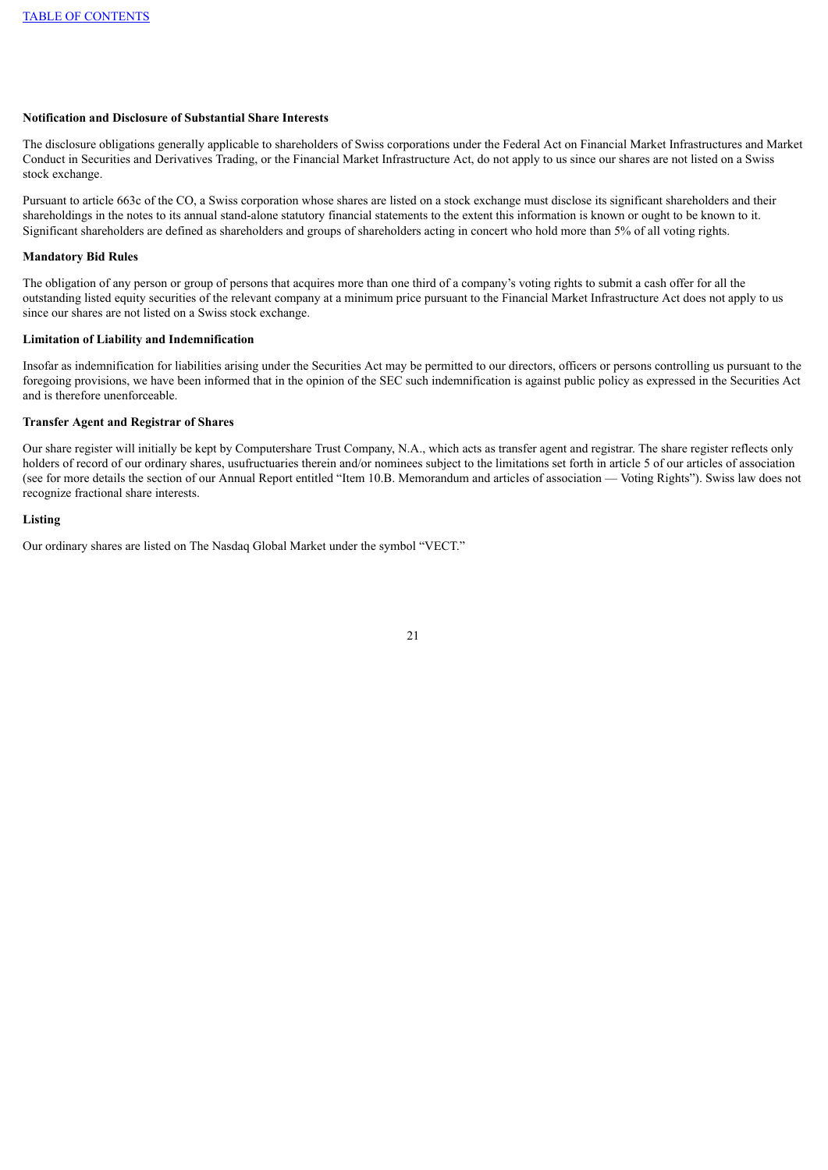### **Notification and Disclosure of Substantial Share Interests**

The disclosure obligations generally applicable to shareholders of Swiss corporations under the Federal Act on Financial Market Infrastructures and Market Conduct in Securities and Derivatives Trading, or the Financial Market Infrastructure Act, do not apply to us since our shares are not listed on a Swiss stock exchange.

Pursuant to article 663c of the CO, a Swiss corporation whose shares are listed on a stock exchange must disclose its significant shareholders and their shareholdings in the notes to its annual stand-alone statutory financial statements to the extent this information is known or ought to be known to it. Significant shareholders are defined as shareholders and groups of shareholders acting in concert who hold more than 5% of all voting rights.

### **Mandatory Bid Rules**

The obligation of any person or group of persons that acquires more than one third of a company's voting rights to submit a cash offer for all the outstanding listed equity securities of the relevant company at a minimum price pursuant to the Financial Market Infrastructure Act does not apply to us since our shares are not listed on a Swiss stock exchange.

### **Limitation of Liability and Indemnification**

Insofar as indemnification for liabilities arising under the Securities Act may be permitted to our directors, officers or persons controlling us pursuant to the foregoing provisions, we have been informed that in the opinion of the SEC such indemnification is against public policy as expressed in the Securities Act and is therefore unenforceable.

### **Transfer Agent and Registrar of Shares**

Our share register will initially be kept by Computershare Trust Company, N.A., which acts as transfer agent and registrar. The share register reflects only holders of record of our ordinary shares, usufructuaries therein and/or nominees subject to the limitations set forth in article 5 of our articles of association (see for more details the section of our Annual Report entitled "Item 10.B. Memorandum and articles of association — Voting Rights"). Swiss law does not recognize fractional share interests.

### **Listing**

Our ordinary shares are listed on The Nasdaq Global Market under the symbol "VECT."

<sup>21</sup>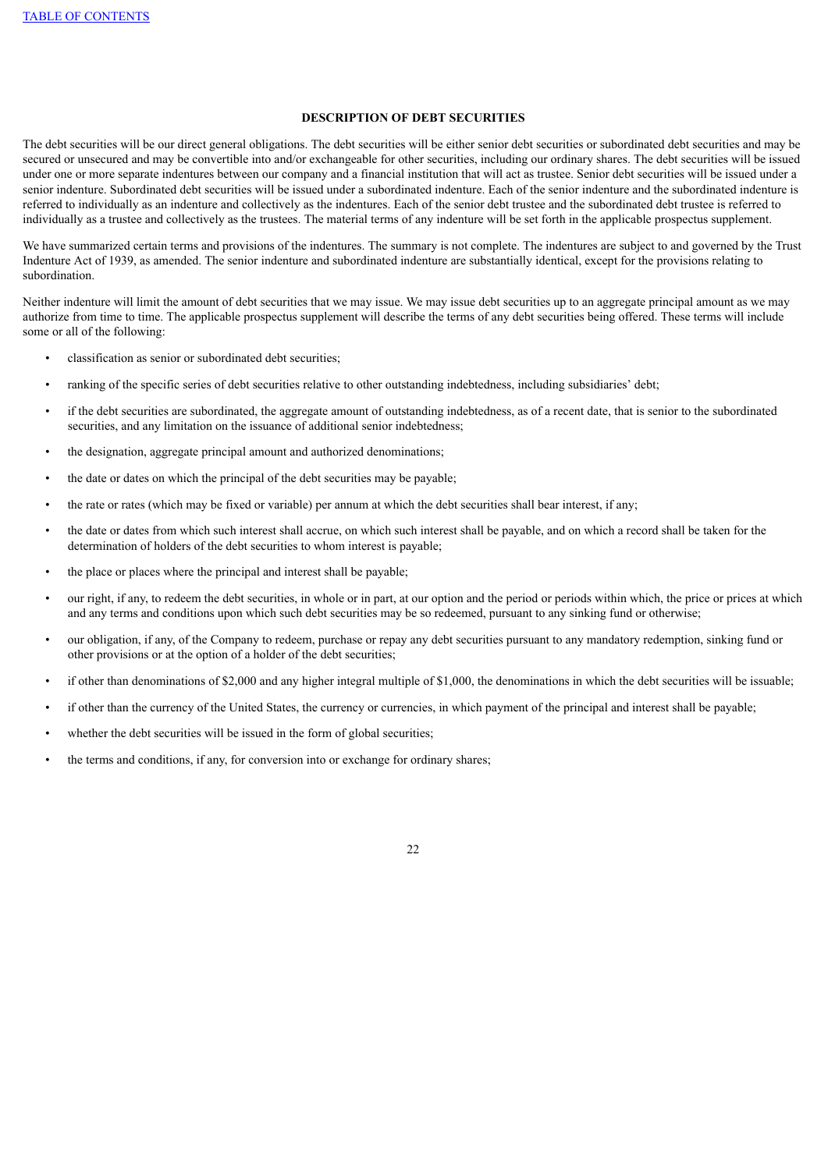## **DESCRIPTION OF DEBT SECURITIES**

The debt securities will be our direct general obligations. The debt securities will be either senior debt securities or subordinated debt securities and may be secured or unsecured and may be convertible into and/or exchangeable for other securities, including our ordinary shares. The debt securities will be issued under one or more separate indentures between our company and a financial institution that will act as trustee. Senior debt securities will be issued under a senior indenture. Subordinated debt securities will be issued under a subordinated indenture. Each of the senior indenture and the subordinated indenture is referred to individually as an indenture and collectively as the indentures. Each of the senior debt trustee and the subordinated debt trustee is referred to individually as a trustee and collectively as the trustees. The material terms of any indenture will be set forth in the applicable prospectus supplement.

We have summarized certain terms and provisions of the indentures. The summary is not complete. The indentures are subject to and governed by the Trust Indenture Act of 1939, as amended. The senior indenture and subordinated indenture are substantially identical, except for the provisions relating to subordination.

Neither indenture will limit the amount of debt securities that we may issue. We may issue debt securities up to an aggregate principal amount as we may authorize from time to time. The applicable prospectus supplement will describe the terms of any debt securities being offered. These terms will include some or all of the following:

- classification as senior or subordinated debt securities;
- ranking of the specific series of debt securities relative to other outstanding indebtedness, including subsidiaries' debt;
- if the debt securities are subordinated, the aggregate amount of outstanding indebtedness, as of a recent date, that is senior to the subordinated securities, and any limitation on the issuance of additional senior indebtedness;
- the designation, aggregate principal amount and authorized denominations;
- the date or dates on which the principal of the debt securities may be payable;
- the rate or rates (which may be fixed or variable) per annum at which the debt securities shall bear interest, if any;
- the date or dates from which such interest shall accrue, on which such interest shall be payable, and on which a record shall be taken for the determination of holders of the debt securities to whom interest is payable;
- the place or places where the principal and interest shall be payable;
- our right, if any, to redeem the debt securities, in whole or in part, at our option and the period or periods within which, the price or prices at which and any terms and conditions upon which such debt securities may be so redeemed, pursuant to any sinking fund or otherwise;
- our obligation, if any, of the Company to redeem, purchase or repay any debt securities pursuant to any mandatory redemption, sinking fund or other provisions or at the option of a holder of the debt securities;
- if other than denominations of \$2,000 and any higher integral multiple of \$1,000, the denominations in which the debt securities will be issuable;
- if other than the currency of the United States, the currency or currencies, in which payment of the principal and interest shall be payable;
- whether the debt securities will be issued in the form of global securities;
- the terms and conditions, if any, for conversion into or exchange for ordinary shares;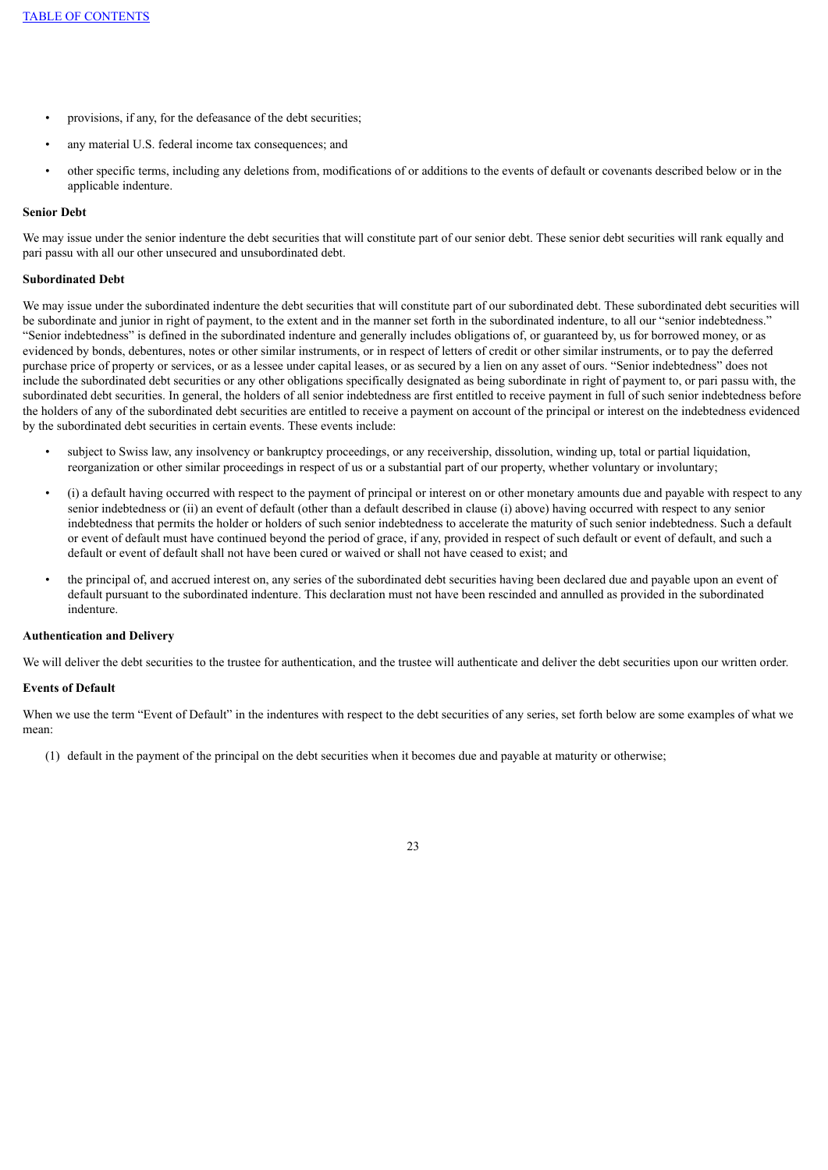- provisions, if any, for the defeasance of the debt securities;
- any material U.S. federal income tax consequences; and
- other specific terms, including any deletions from, modifications of or additions to the events of default or covenants described below or in the applicable indenture.

### **Senior Debt**

We may issue under the senior indenture the debt securities that will constitute part of our senior debt. These senior debt securities will rank equally and pari passu with all our other unsecured and unsubordinated debt.

### **Subordinated Debt**

We may issue under the subordinated indenture the debt securities that will constitute part of our subordinated debt. These subordinated debt securities will be subordinate and junior in right of payment, to the extent and in the manner set forth in the subordinated indenture, to all our "senior indebtedness." "Senior indebtedness" is defined in the subordinated indenture and generally includes obligations of, or guaranteed by, us for borrowed money, or as evidenced by bonds, debentures, notes or other similar instruments, or in respect of letters of credit or other similar instruments, or to pay the deferred purchase price of property or services, or as a lessee under capital leases, or as secured by a lien on any asset of ours. "Senior indebtedness" does not include the subordinated debt securities or any other obligations specifically designated as being subordinate in right of payment to, or pari passu with, the subordinated debt securities. In general, the holders of all senior indebtedness are first entitled to receive payment in full of such senior indebtedness before the holders of any of the subordinated debt securities are entitled to receive a payment on account of the principal or interest on the indebtedness evidenced by the subordinated debt securities in certain events. These events include:

- subject to Swiss law, any insolvency or bankruptcy proceedings, or any receivership, dissolution, winding up, total or partial liquidation, reorganization or other similar proceedings in respect of us or a substantial part of our property, whether voluntary or involuntary;
- (i) a default having occurred with respect to the payment of principal or interest on or other monetary amounts due and payable with respect to any senior indebtedness or (ii) an event of default (other than a default described in clause (i) above) having occurred with respect to any senior indebtedness that permits the holder or holders of such senior indebtedness to accelerate the maturity of such senior indebtedness. Such a default or event of default must have continued beyond the period of grace, if any, provided in respect of such default or event of default, and such a default or event of default shall not have been cured or waived or shall not have ceased to exist; and
- the principal of, and accrued interest on, any series of the subordinated debt securities having been declared due and payable upon an event of default pursuant to the subordinated indenture. This declaration must not have been rescinded and annulled as provided in the subordinated indenture.

## **Authentication and Delivery**

We will deliver the debt securities to the trustee for authentication, and the trustee will authenticate and deliver the debt securities upon our written order.

#### **Events of Default**

When we use the term "Event of Default" in the indentures with respect to the debt securities of any series, set forth below are some examples of what we mean:

(1) default in the payment of the principal on the debt securities when it becomes due and payable at maturity or otherwise;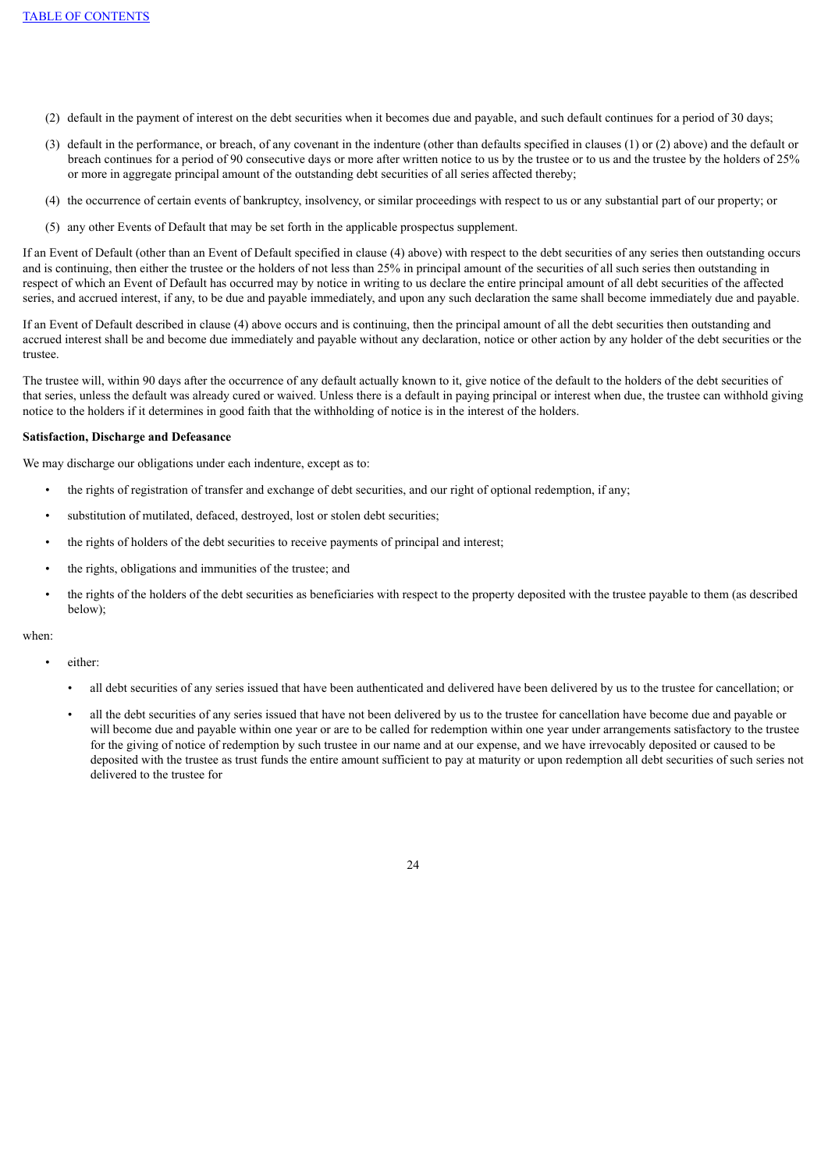- (2) default in the payment of interest on the debt securities when it becomes due and payable, and such default continues for a period of 30 days;
- (3) default in the performance, or breach, of any covenant in the indenture (other than defaults specified in clauses (1) or (2) above) and the default or breach continues for a period of 90 consecutive days or more after written notice to us by the trustee or to us and the trustee by the holders of 25% or more in aggregate principal amount of the outstanding debt securities of all series affected thereby;
- (4) the occurrence of certain events of bankruptcy, insolvency, or similar proceedings with respect to us or any substantial part of our property; or
- (5) any other Events of Default that may be set forth in the applicable prospectus supplement.

If an Event of Default (other than an Event of Default specified in clause (4) above) with respect to the debt securities of any series then outstanding occurs and is continuing, then either the trustee or the holders of not less than 25% in principal amount of the securities of all such series then outstanding in respect of which an Event of Default has occurred may by notice in writing to us declare the entire principal amount of all debt securities of the affected series, and accrued interest, if any, to be due and payable immediately, and upon any such declaration the same shall become immediately due and payable.

If an Event of Default described in clause (4) above occurs and is continuing, then the principal amount of all the debt securities then outstanding and accrued interest shall be and become due immediately and payable without any declaration, notice or other action by any holder of the debt securities or the trustee.

The trustee will, within 90 days after the occurrence of any default actually known to it, give notice of the default to the holders of the debt securities of that series, unless the default was already cured or waived. Unless there is a default in paying principal or interest when due, the trustee can withhold giving notice to the holders if it determines in good faith that the withholding of notice is in the interest of the holders.

### **Satisfaction, Discharge and Defeasance**

We may discharge our obligations under each indenture, except as to:

- the rights of registration of transfer and exchange of debt securities, and our right of optional redemption, if any;
- substitution of mutilated, defaced, destroyed, lost or stolen debt securities;
- the rights of holders of the debt securities to receive payments of principal and interest;
- the rights, obligations and immunities of the trustee; and
- the rights of the holders of the debt securities as beneficiaries with respect to the property deposited with the trustee payable to them (as described below);

### when:

- either:
	- all debt securities of any series issued that have been authenticated and delivered have been delivered by us to the trustee for cancellation; or
	- all the debt securities of any series issued that have not been delivered by us to the trustee for cancellation have become due and payable or will become due and payable within one year or are to be called for redemption within one year under arrangements satisfactory to the trustee for the giving of notice of redemption by such trustee in our name and at our expense, and we have irrevocably deposited or caused to be deposited with the trustee as trust funds the entire amount sufficient to pay at maturity or upon redemption all debt securities of such series not delivered to the trustee for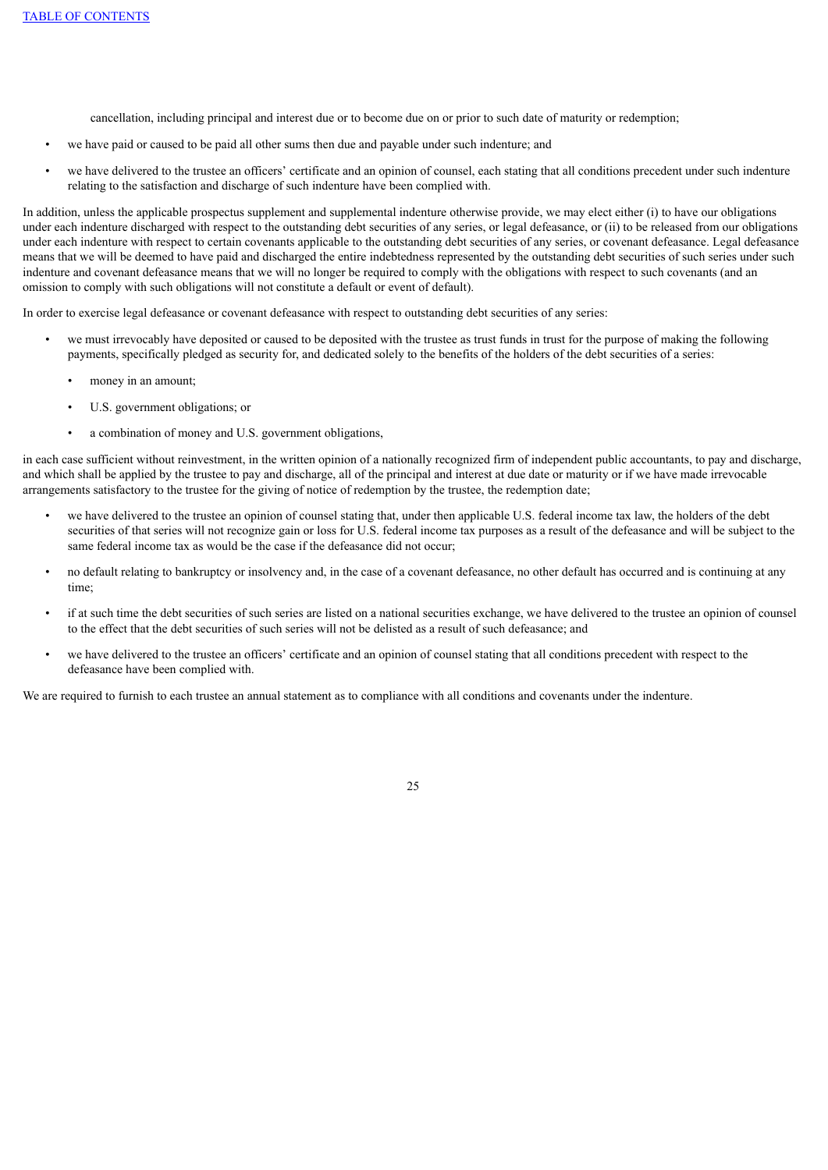cancellation, including principal and interest due or to become due on or prior to such date of maturity or redemption;

- we have paid or caused to be paid all other sums then due and payable under such indenture; and
- we have delivered to the trustee an officers' certificate and an opinion of counsel, each stating that all conditions precedent under such indenture relating to the satisfaction and discharge of such indenture have been complied with.

In addition, unless the applicable prospectus supplement and supplemental indenture otherwise provide, we may elect either (i) to have our obligations under each indenture discharged with respect to the outstanding debt securities of any series, or legal defeasance, or (ii) to be released from our obligations under each indenture with respect to certain covenants applicable to the outstanding debt securities of any series, or covenant defeasance. Legal defeasance means that we will be deemed to have paid and discharged the entire indebtedness represented by the outstanding debt securities of such series under such indenture and covenant defeasance means that we will no longer be required to comply with the obligations with respect to such covenants (and an omission to comply with such obligations will not constitute a default or event of default).

In order to exercise legal defeasance or covenant defeasance with respect to outstanding debt securities of any series:

- we must irrevocably have deposited or caused to be deposited with the trustee as trust funds in trust for the purpose of making the following payments, specifically pledged as security for, and dedicated solely to the benefits of the holders of the debt securities of a series:
	- money in an amount;
	- U.S. government obligations; or
	- a combination of money and U.S. government obligations,

in each case sufficient without reinvestment, in the written opinion of a nationally recognized firm of independent public accountants, to pay and discharge, and which shall be applied by the trustee to pay and discharge, all of the principal and interest at due date or maturity or if we have made irrevocable arrangements satisfactory to the trustee for the giving of notice of redemption by the trustee, the redemption date;

- we have delivered to the trustee an opinion of counsel stating that, under then applicable U.S. federal income tax law, the holders of the debt securities of that series will not recognize gain or loss for U.S. federal income tax purposes as a result of the defeasance and will be subject to the same federal income tax as would be the case if the defeasance did not occur;
- no default relating to bankruptcy or insolvency and, in the case of a covenant defeasance, no other default has occurred and is continuing at any time;
- if at such time the debt securities of such series are listed on a national securities exchange, we have delivered to the trustee an opinion of counsel to the effect that the debt securities of such series will not be delisted as a result of such defeasance; and
- we have delivered to the trustee an officers' certificate and an opinion of counsel stating that all conditions precedent with respect to the defeasance have been complied with.

We are required to furnish to each trustee an annual statement as to compliance with all conditions and covenants under the indenture.

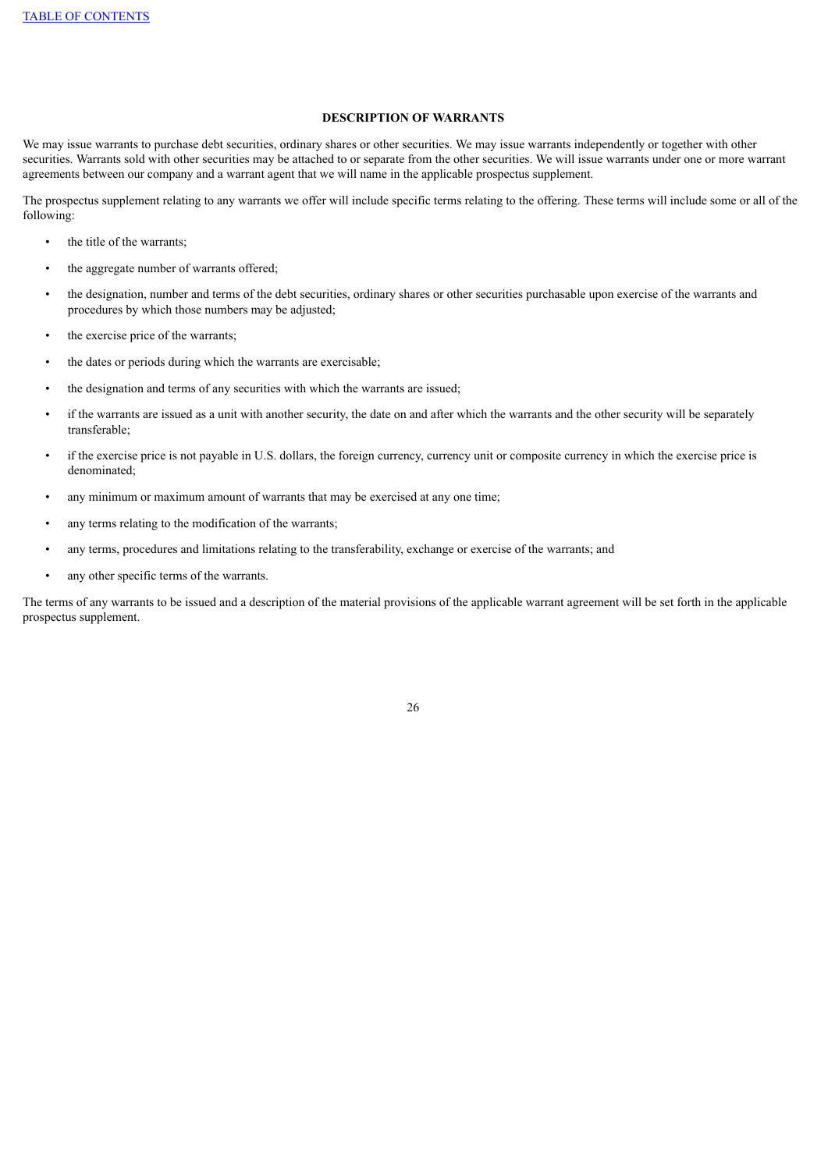## **DESCRIPTION OF WARRANTS**

We may issue warrants to purchase debt securities, ordinary shares or other securities. We may issue warrants independently or together with other securities. Warrants sold with other securities may be attached to or separate from the other securities. We will issue warrants under one or more warrant agreements between our company and a warrant agent that we will name in the applicable prospectus supplement.

The prospectus supplement relating to any warrants we offer will include specific terms relating to the offering. These terms will include some or all of the following:

- the title of the warrants;
- the aggregate number of warrants offered;
- the designation, number and terms of the debt securities, ordinary shares or other securities purchasable upon exercise of the warrants and procedures by which those numbers may be adjusted;
- the exercise price of the warrants;
- the dates or periods during which the warrants are exercisable;
- the designation and terms of any securities with which the warrants are issued;
- if the warrants are issued as a unit with another security, the date on and after which the warrants and the other security will be separately transferable;
- if the exercise price is not payable in U.S. dollars, the foreign currency, currency unit or composite currency in which the exercise price is denominated;
- any minimum or maximum amount of warrants that may be exercised at any one time;
- any terms relating to the modification of the warrants;
- any terms, procedures and limitations relating to the transferability, exchange or exercise of the warrants; and
- any other specific terms of the warrants.

The terms of any warrants to be issued and a description of the material provisions of the applicable warrant agreement will be set forth in the applicable prospectus supplement.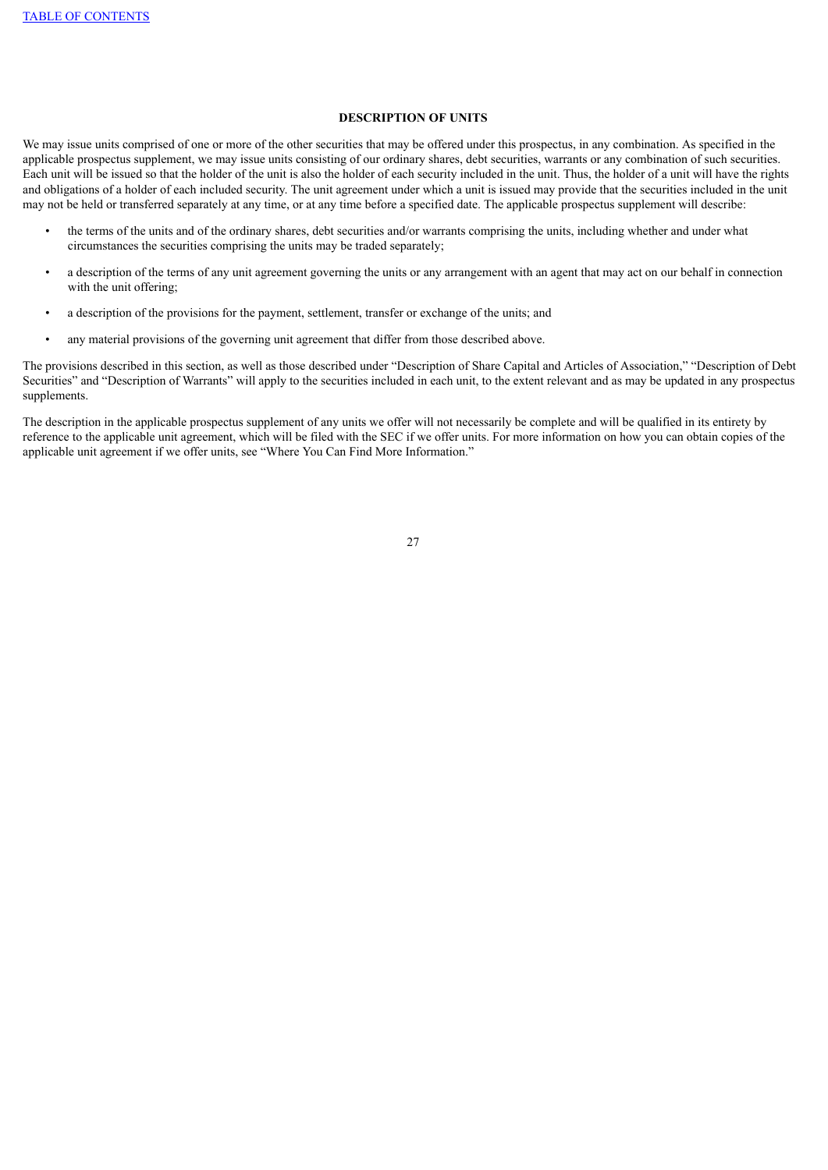# **DESCRIPTION OF UNITS**

We may issue units comprised of one or more of the other securities that may be offered under this prospectus, in any combination. As specified in the applicable prospectus supplement, we may issue units consisting of our ordinary shares, debt securities, warrants or any combination of such securities. Each unit will be issued so that the holder of the unit is also the holder of each security included in the unit. Thus, the holder of a unit will have the rights and obligations of a holder of each included security. The unit agreement under which a unit is issued may provide that the securities included in the unit may not be held or transferred separately at any time, or at any time before a specified date. The applicable prospectus supplement will describe:

- the terms of the units and of the ordinary shares, debt securities and/or warrants comprising the units, including whether and under what circumstances the securities comprising the units may be traded separately;
- a description of the terms of any unit agreement governing the units or any arrangement with an agent that may act on our behalf in connection with the unit offering;
- a description of the provisions for the payment, settlement, transfer or exchange of the units; and
- any material provisions of the governing unit agreement that differ from those described above.

The provisions described in this section, as well as those described under "Description of Share Capital and Articles of Association," "Description of Debt Securities" and "Description of Warrants" will apply to the securities included in each unit, to the extent relevant and as may be updated in any prospectus supplements.

The description in the applicable prospectus supplement of any units we offer will not necessarily be complete and will be qualified in its entirety by reference to the applicable unit agreement, which will be filed with the SEC if we offer units. For more information on how you can obtain copies of the applicable unit agreement if we offer units, see "Where You Can Find More Information."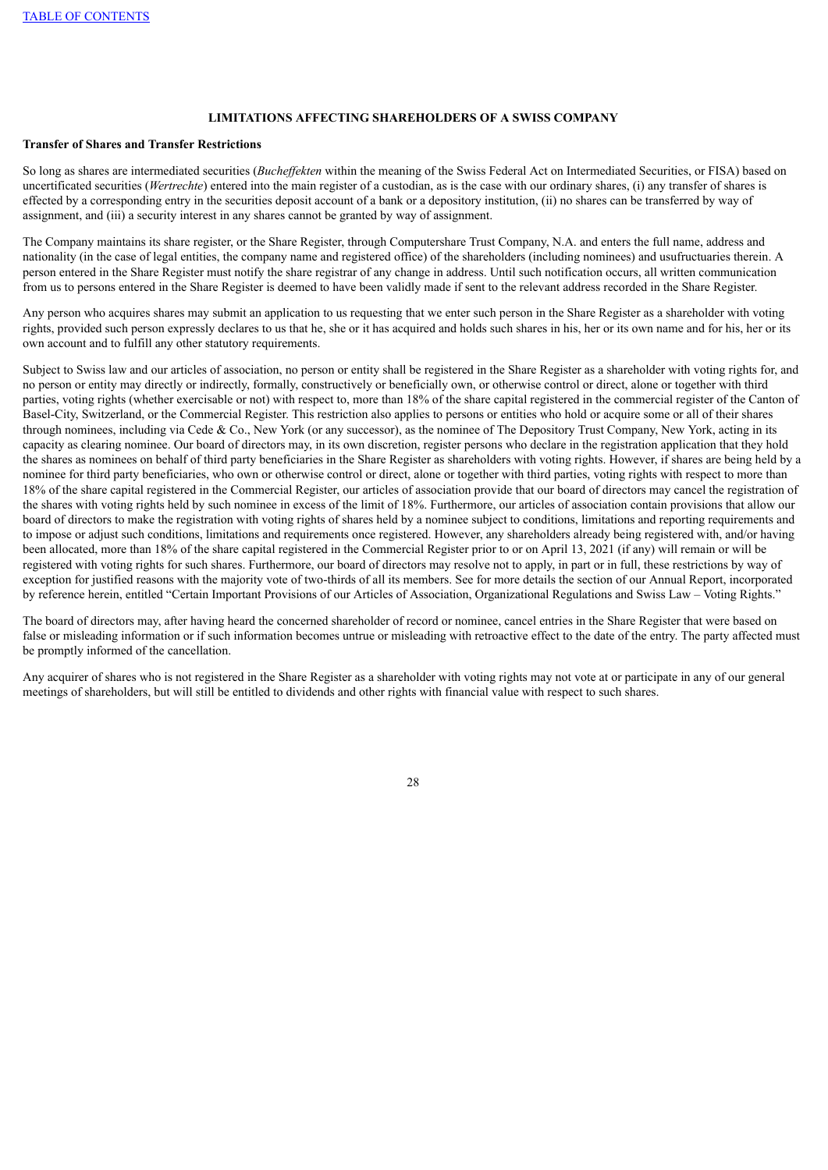# **LIMITATIONS AFFECTING SHAREHOLDERS OF A SWISS COMPANY**

## **Transfer of Shares and Transfer Restrictions**

So long as shares are intermediated securities (*Bucheffekten* within the meaning of the Swiss Federal Act on Intermediated Securities, or FISA) based on uncertificated securities (*Wertrechte*) entered into the main register of a custodian, as is the case with our ordinary shares, (i) any transfer of shares is effected by a corresponding entry in the securities deposit account of a bank or a depository institution, (ii) no shares can be transferred by way of assignment, and (iii) a security interest in any shares cannot be granted by way of assignment.

The Company maintains its share register, or the Share Register, through Computershare Trust Company, N.A. and enters the full name, address and nationality (in the case of legal entities, the company name and registered office) of the shareholders (including nominees) and usufructuaries therein. A person entered in the Share Register must notify the share registrar of any change in address. Until such notification occurs, all written communication from us to persons entered in the Share Register is deemed to have been validly made if sent to the relevant address recorded in the Share Register.

Any person who acquires shares may submit an application to us requesting that we enter such person in the Share Register as a shareholder with voting rights, provided such person expressly declares to us that he, she or it has acquired and holds such shares in his, her or its own name and for his, her or its own account and to fulfill any other statutory requirements.

Subject to Swiss law and our articles of association, no person or entity shall be registered in the Share Register as a shareholder with voting rights for, and no person or entity may directly or indirectly, formally, constructively or beneficially own, or otherwise control or direct, alone or together with third parties, voting rights (whether exercisable or not) with respect to, more than 18% of the share capital registered in the commercial register of the Canton of Basel-City, Switzerland, or the Commercial Register. This restriction also applies to persons or entities who hold or acquire some or all of their shares through nominees, including via Cede & Co., New York (or any successor), as the nominee of The Depository Trust Company, New York, acting in its capacity as clearing nominee. Our board of directors may, in its own discretion, register persons who declare in the registration application that they hold the shares as nominees on behalf of third party beneficiaries in the Share Register as shareholders with voting rights. However, if shares are being held by a nominee for third party beneficiaries, who own or otherwise control or direct, alone or together with third parties, voting rights with respect to more than 18% of the share capital registered in the Commercial Register, our articles of association provide that our board of directors may cancel the registration of the shares with voting rights held by such nominee in excess of the limit of 18%. Furthermore, our articles of association contain provisions that allow our board of directors to make the registration with voting rights of shares held by a nominee subject to conditions, limitations and reporting requirements and to impose or adjust such conditions, limitations and requirements once registered. However, any shareholders already being registered with, and/or having been allocated, more than 18% of the share capital registered in the Commercial Register prior to or on April 13, 2021 (if any) will remain or will be registered with voting rights for such shares. Furthermore, our board of directors may resolve not to apply, in part or in full, these restrictions by way of exception for justified reasons with the majority vote of two-thirds of all its members. See for more details the section of our Annual Report, incorporated by reference herein, entitled "Certain Important Provisions of our Articles of Association, Organizational Regulations and Swiss Law – Voting Rights."

The board of directors may, after having heard the concerned shareholder of record or nominee, cancel entries in the Share Register that were based on false or misleading information or if such information becomes untrue or misleading with retroactive effect to the date of the entry. The party affected must be promptly informed of the cancellation.

Any acquirer of shares who is not registered in the Share Register as a shareholder with voting rights may not vote at or participate in any of our general meetings of shareholders, but will still be entitled to dividends and other rights with financial value with respect to such shares.

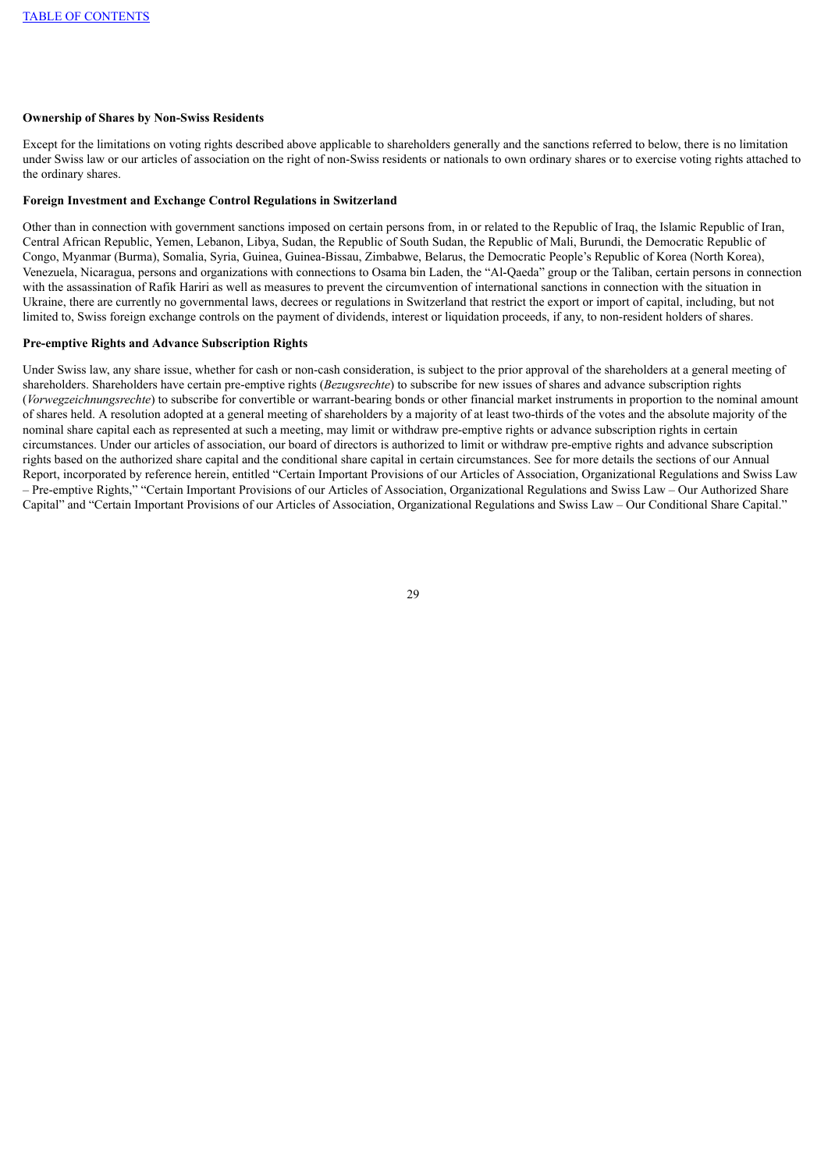### **Ownership of Shares by Non-Swiss Residents**

Except for the limitations on voting rights described above applicable to shareholders generally and the sanctions referred to below, there is no limitation under Swiss law or our articles of association on the right of non-Swiss residents or nationals to own ordinary shares or to exercise voting rights attached to the ordinary shares.

#### **Foreign Investment and Exchange Control Regulations in Switzerland**

Other than in connection with government sanctions imposed on certain persons from, in or related to the Republic of Iraq, the Islamic Republic of Iran, Central African Republic, Yemen, Lebanon, Libya, Sudan, the Republic of South Sudan, the Republic of Mali, Burundi, the Democratic Republic of Congo, Myanmar (Burma), Somalia, Syria, Guinea, Guinea-Bissau, Zimbabwe, Belarus, the Democratic People's Republic of Korea (North Korea), Venezuela, Nicaragua, persons and organizations with connections to Osama bin Laden, the "Al-Qaeda" group or the Taliban, certain persons in connection with the assassination of Rafik Hariri as well as measures to prevent the circumvention of international sanctions in connection with the situation in Ukraine, there are currently no governmental laws, decrees or regulations in Switzerland that restrict the export or import of capital, including, but not limited to, Swiss foreign exchange controls on the payment of dividends, interest or liquidation proceeds, if any, to non-resident holders of shares.

# **Pre-emptive Rights and Advance Subscription Rights**

Under Swiss law, any share issue, whether for cash or non-cash consideration, is subject to the prior approval of the shareholders at a general meeting of shareholders. Shareholders have certain pre-emptive rights (*Bezugsrechte*) to subscribe for new issues of shares and advance subscription rights (*Vorwegzeichnungsrechte*) to subscribe for convertible or warrant-bearing bonds or other financial market instruments in proportion to the nominal amount of shares held. A resolution adopted at a general meeting of shareholders by a majority of at least two-thirds of the votes and the absolute majority of the nominal share capital each as represented at such a meeting, may limit or withdraw pre-emptive rights or advance subscription rights in certain circumstances. Under our articles of association, our board of directors is authorized to limit or withdraw pre-emptive rights and advance subscription rights based on the authorized share capital and the conditional share capital in certain circumstances. See for more details the sections of our Annual Report, incorporated by reference herein, entitled "Certain Important Provisions of our Articles of Association, Organizational Regulations and Swiss Law – Pre-emptive Rights," "Certain Important Provisions of our Articles of Association, Organizational Regulations and Swiss Law – Our Authorized Share Capital" and "Certain Important Provisions of our Articles of Association, Organizational Regulations and Swiss Law – Our Conditional Share Capital."

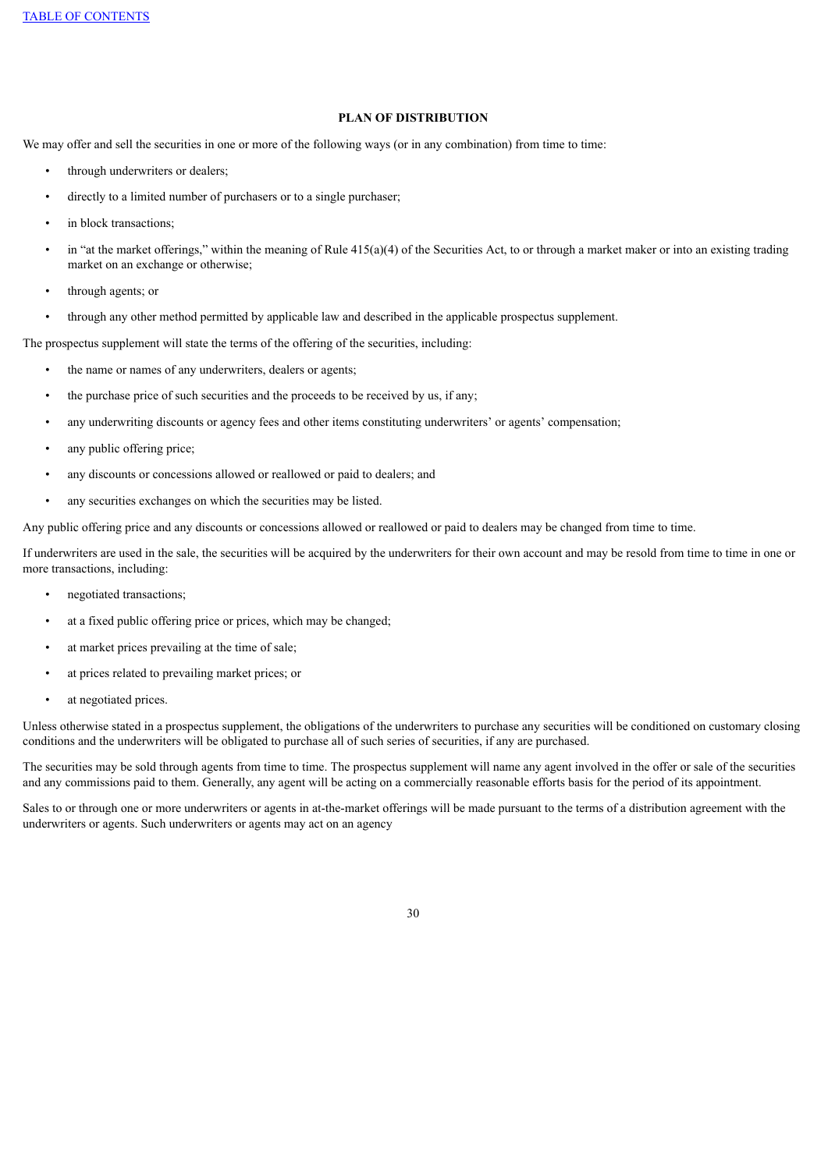# **PLAN OF DISTRIBUTION**

We may offer and sell the securities in one or more of the following ways (or in any combination) from time to time:

- through underwriters or dealers;
- directly to a limited number of purchasers or to a single purchaser;
- in block transactions:
- in "at the market offerings," within the meaning of Rule  $415(a)(4)$  of the Securities Act, to or through a market maker or into an existing trading market on an exchange or otherwise;
- through agents; or
- through any other method permitted by applicable law and described in the applicable prospectus supplement.

The prospectus supplement will state the terms of the offering of the securities, including:

- the name or names of any underwriters, dealers or agents;
- the purchase price of such securities and the proceeds to be received by us, if any;
- any underwriting discounts or agency fees and other items constituting underwriters' or agents' compensation;
- any public offering price;
- any discounts or concessions allowed or reallowed or paid to dealers; and
- any securities exchanges on which the securities may be listed.

Any public offering price and any discounts or concessions allowed or reallowed or paid to dealers may be changed from time to time.

If underwriters are used in the sale, the securities will be acquired by the underwriters for their own account and may be resold from time to time in one or more transactions, including:

- negotiated transactions;
- at a fixed public offering price or prices, which may be changed;
- at market prices prevailing at the time of sale;
- at prices related to prevailing market prices; or
- at negotiated prices.

Unless otherwise stated in a prospectus supplement, the obligations of the underwriters to purchase any securities will be conditioned on customary closing conditions and the underwriters will be obligated to purchase all of such series of securities, if any are purchased.

The securities may be sold through agents from time to time. The prospectus supplement will name any agent involved in the offer or sale of the securities and any commissions paid to them. Generally, any agent will be acting on a commercially reasonable efforts basis for the period of its appointment.

Sales to or through one or more underwriters or agents in at-the-market offerings will be made pursuant to the terms of a distribution agreement with the underwriters or agents. Such underwriters or agents may act on an agency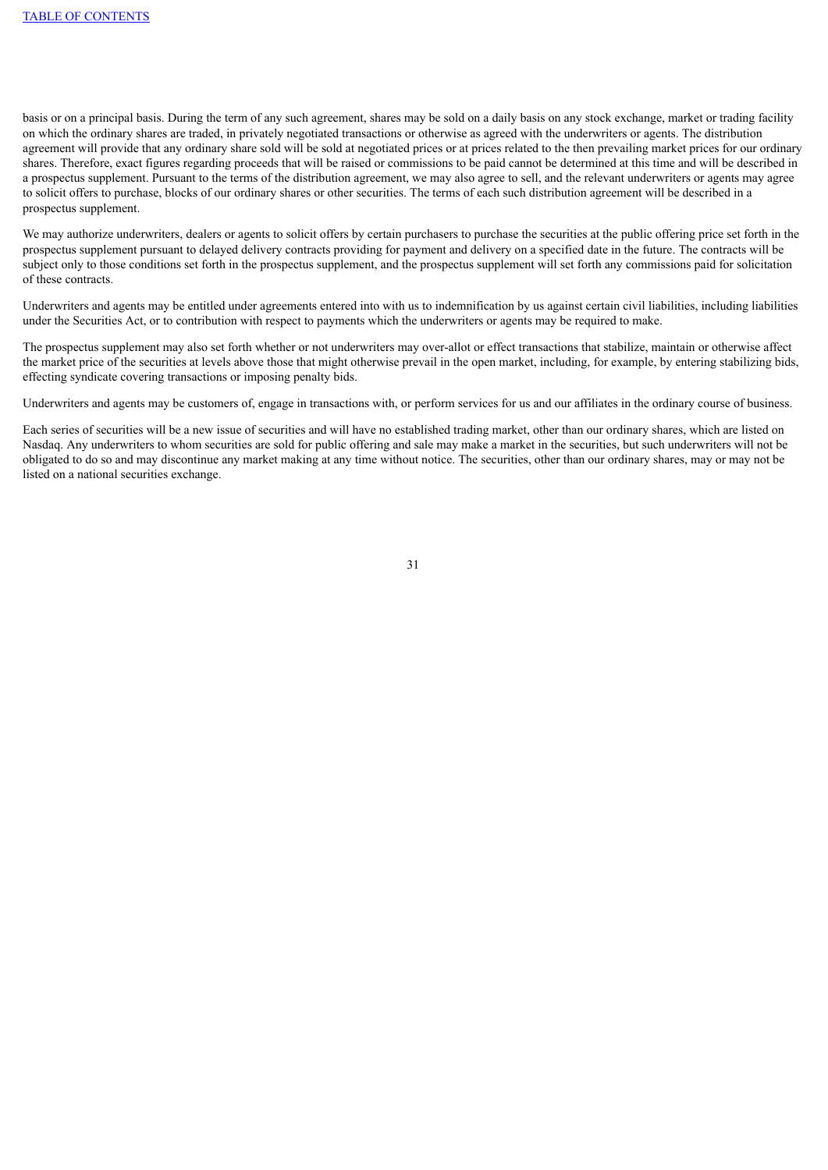basis or on a principal basis. During the term of any such agreement, shares may be sold on a daily basis on any stock exchange, market or trading facility on which the ordinary shares are traded, in privately negotiated transactions or otherwise as agreed with the underwriters or agents. The distribution agreement will provide that any ordinary share sold will be sold at negotiated prices or at prices related to the then prevailing market prices for our ordinary shares. Therefore, exact figures regarding proceeds that will be raised or commissions to be paid cannot be determined at this time and will be described in a prospectus supplement. Pursuant to the terms of the distribution agreement, we may also agree to sell, and the relevant underwriters or agents may agree to solicit offers to purchase, blocks of our ordinary shares or other securities. The terms of each such distribution agreement will be described in a prospectus supplement.

We may authorize underwriters, dealers or agents to solicit offers by certain purchasers to purchase the securities at the public offering price set forth in the prospectus supplement pursuant to delayed delivery contracts providing for payment and delivery on a specified date in the future. The contracts will be subject only to those conditions set forth in the prospectus supplement, and the prospectus supplement will set forth any commissions paid for solicitation of these contracts.

Underwriters and agents may be entitled under agreements entered into with us to indemnification by us against certain civil liabilities, including liabilities under the Securities Act, or to contribution with respect to payments which the underwriters or agents may be required to make.

The prospectus supplement may also set forth whether or not underwriters may over-allot or effect transactions that stabilize, maintain or otherwise affect the market price of the securities at levels above those that might otherwise prevail in the open market, including, for example, by entering stabilizing bids, effecting syndicate covering transactions or imposing penalty bids.

Underwriters and agents may be customers of, engage in transactions with, or perform services for us and our affiliates in the ordinary course of business.

Each series of securities will be a new issue of securities and will have no established trading market, other than our ordinary shares, which are listed on Nasdaq. Any underwriters to whom securities are sold for public offering and sale may make a market in the securities, but such underwriters will not be obligated to do so and may discontinue any market making at any time without notice. The securities, other than our ordinary shares, may or may not be listed on a national securities exchange.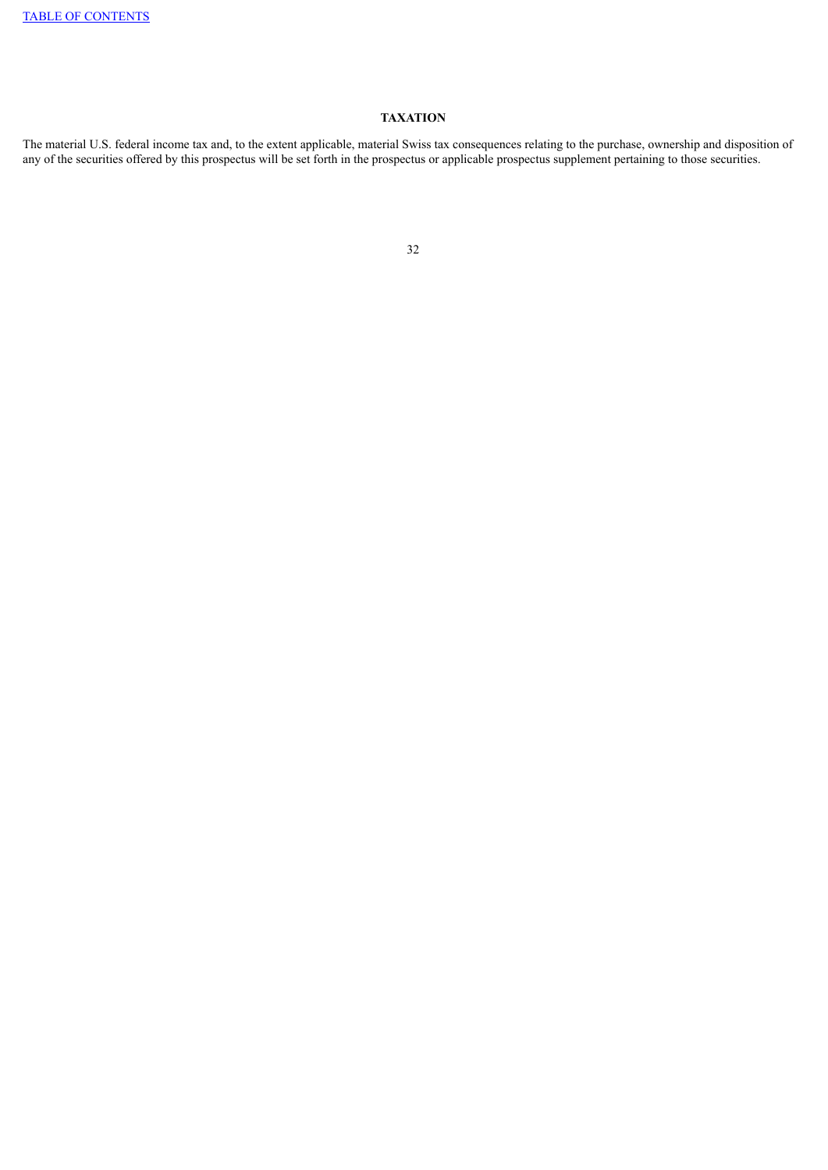# **TAXATION**

The material U.S. federal income tax and, to the extent applicable, material Swiss tax consequences relating to the purchase, ownership and disposition of any of the securities offered by this prospectus will be set forth in the prospectus or applicable prospectus supplement pertaining to those securities.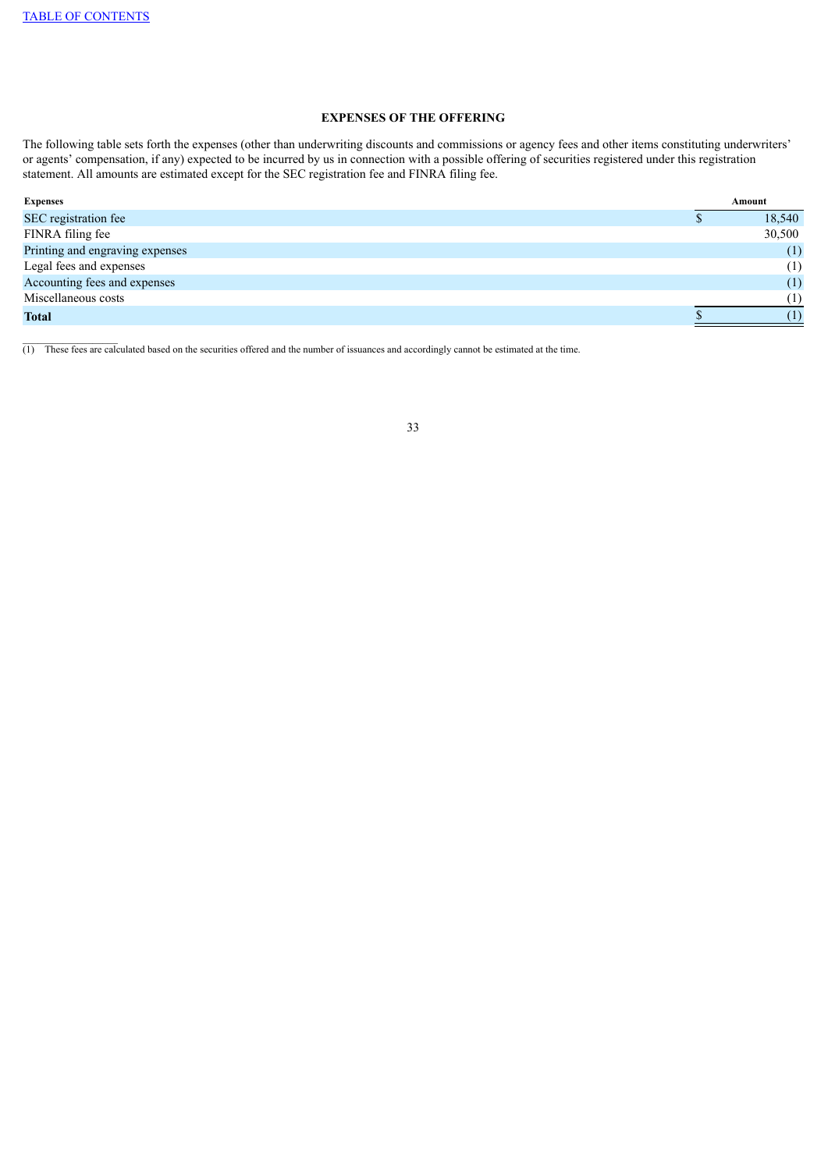$\_$ 

# **EXPENSES OF THE OFFERING**

The following table sets forth the expenses (other than underwriting discounts and commissions or agency fees and other items constituting underwriters' or agents' compensation, if any) expected to be incurred by us in connection with a possible offering of securities registered under this registration statement. All amounts are estimated except for the SEC registration fee and FINRA filing fee.

| <b>Expenses</b>                 | Amount |
|---------------------------------|--------|
| SEC registration fee            | 18,540 |
| FINRA filing fee                | 30,500 |
| Printing and engraving expenses | (1)    |
| Legal fees and expenses         | (1)    |
| Accounting fees and expenses    | (1)    |
| Miscellaneous costs             | (1)    |
| <b>Total</b>                    | (1)    |

(1) These fees are calculated based on the securities offered and the number of issuances and accordingly cannot be estimated at the time.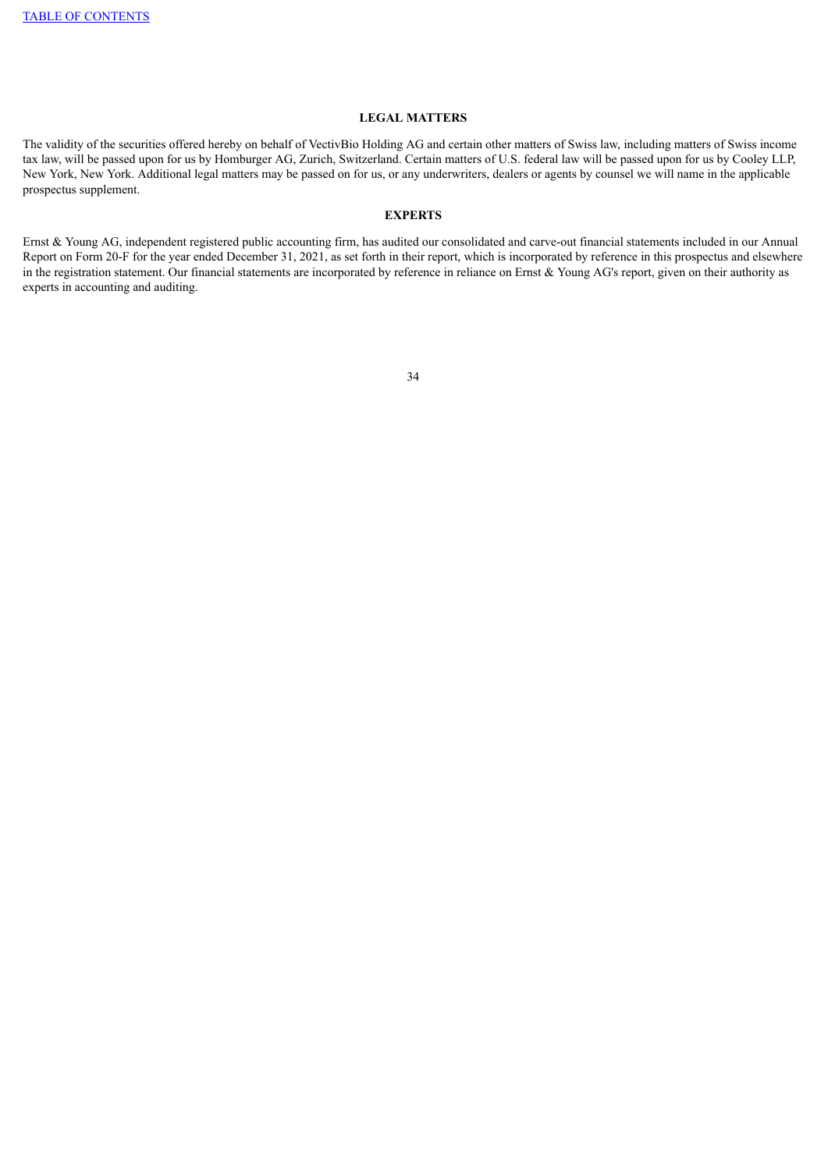#### **LEGAL MATTERS**

The validity of the securities offered hereby on behalf of VectivBio Holding AG and certain other matters of Swiss law, including matters of Swiss income tax law, will be passed upon for us by Homburger AG, Zurich, Switzerland. Certain matters of U.S. federal law will be passed upon for us by Cooley LLP, New York, New York. Additional legal matters may be passed on for us, or any underwriters, dealers or agents by counsel we will name in the applicable prospectus supplement.

#### **EXPERTS**

Ernst & Young AG, independent registered public accounting firm, has audited our consolidated and carve-out financial statements included in our Annual Report on Form 20-F for the year ended December 31, 2021, as set forth in their report, which is incorporated by reference in this prospectus and elsewhere in the registration statement. Our financial statements are incorporated by reference in reliance on Ernst & Young AG's report, given on their authority as experts in accounting and auditing.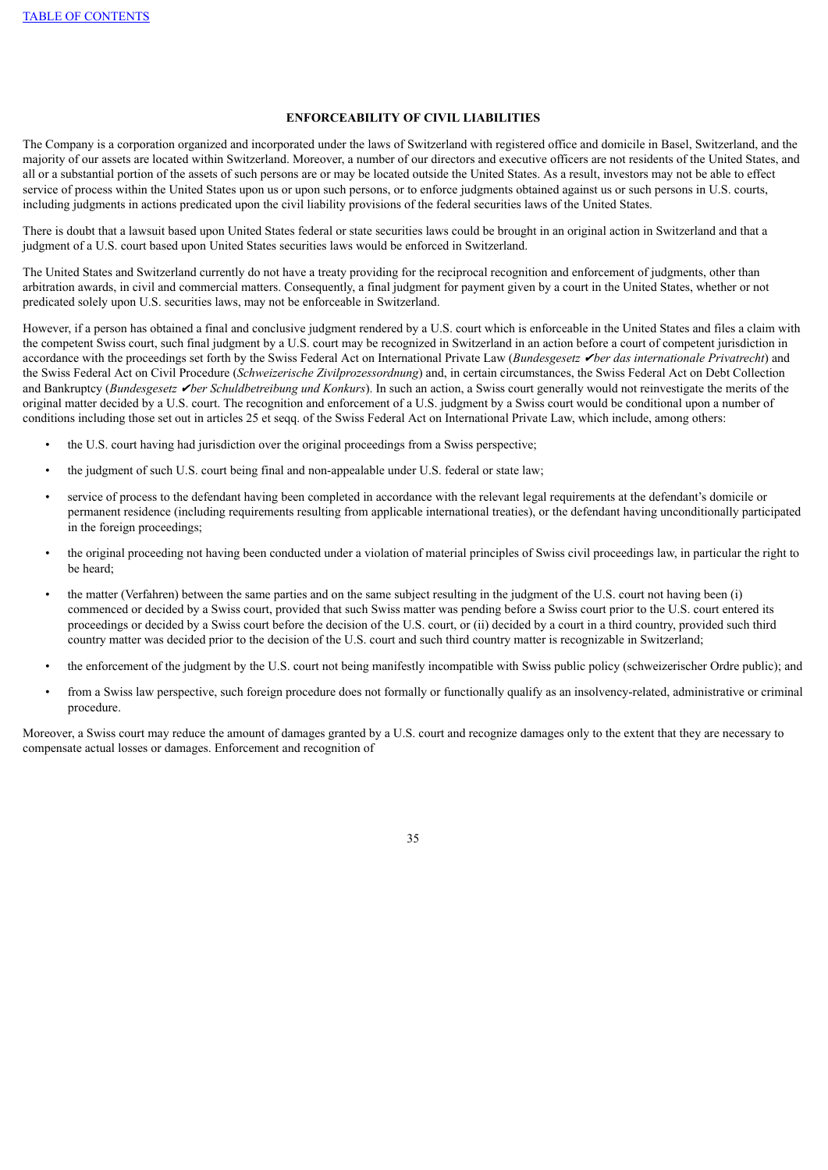#### **ENFORCEABILITY OF CIVIL LIABILITIES**

The Company is a corporation organized and incorporated under the laws of Switzerland with registered office and domicile in Basel, Switzerland, and the majority of our assets are located within Switzerland. Moreover, a number of our directors and executive officers are not residents of the United States, and all or a substantial portion of the assets of such persons are or may be located outside the United States. As a result, investors may not be able to effect service of process within the United States upon us or upon such persons, or to enforce judgments obtained against us or such persons in U.S. courts, including judgments in actions predicated upon the civil liability provisions of the federal securities laws of the United States.

There is doubt that a lawsuit based upon United States federal or state securities laws could be brought in an original action in Switzerland and that a judgment of a U.S. court based upon United States securities laws would be enforced in Switzerland.

The United States and Switzerland currently do not have a treaty providing for the reciprocal recognition and enforcement of judgments, other than arbitration awards, in civil and commercial matters. Consequently, a final judgment for payment given by a court in the United States, whether or not predicated solely upon U.S. securities laws, may not be enforceable in Switzerland.

However, if a person has obtained a final and conclusive judgment rendered by a U.S. court which is enforceable in the United States and files a claim with the competent Swiss court, such final judgment by a U.S. court may be recognized in Switzerland in an action before a court of competent jurisdiction in accordance with the proceedings set forth by the Swiss Federal Act on International Private Law (*Bundesgesetz* ✔*ber das internationale Privatrecht*) and the Swiss Federal Act on Civil Procedure (*Schweizerische Zivilprozessordnung*) and, in certain circumstances, the Swiss Federal Act on Debt Collection and Bankruptcy (*Bundesgesetz Iber Schuldbetreibung und Konkurs*). In such an action, a Swiss court generally would not reinvestigate the merits of the original matter decided by a U.S. court. The recognition and enforcement of a U.S. judgment by a Swiss court would be conditional upon a number of conditions including those set out in articles 25 et seqq. of the Swiss Federal Act on International Private Law, which include, among others:

- the U.S. court having had jurisdiction over the original proceedings from a Swiss perspective;
- the judgment of such U.S. court being final and non-appealable under U.S. federal or state law;
- service of process to the defendant having been completed in accordance with the relevant legal requirements at the defendant's domicile or permanent residence (including requirements resulting from applicable international treaties), or the defendant having unconditionally participated in the foreign proceedings;
- the original proceeding not having been conducted under a violation of material principles of Swiss civil proceedings law, in particular the right to be heard;
- the matter (Verfahren) between the same parties and on the same subject resulting in the judgment of the U.S. court not having been (i) commenced or decided by a Swiss court, provided that such Swiss matter was pending before a Swiss court prior to the U.S. court entered its proceedings or decided by a Swiss court before the decision of the U.S. court, or (ii) decided by a court in a third country, provided such third country matter was decided prior to the decision of the U.S. court and such third country matter is recognizable in Switzerland;
- the enforcement of the judgment by the U.S. court not being manifestly incompatible with Swiss public policy (schweizerischer Ordre public); and
- from a Swiss law perspective, such foreign procedure does not formally or functionally qualify as an insolvency-related, administrative or criminal procedure.

Moreover, a Swiss court may reduce the amount of damages granted by a U.S. court and recognize damages only to the extent that they are necessary to compensate actual losses or damages. Enforcement and recognition of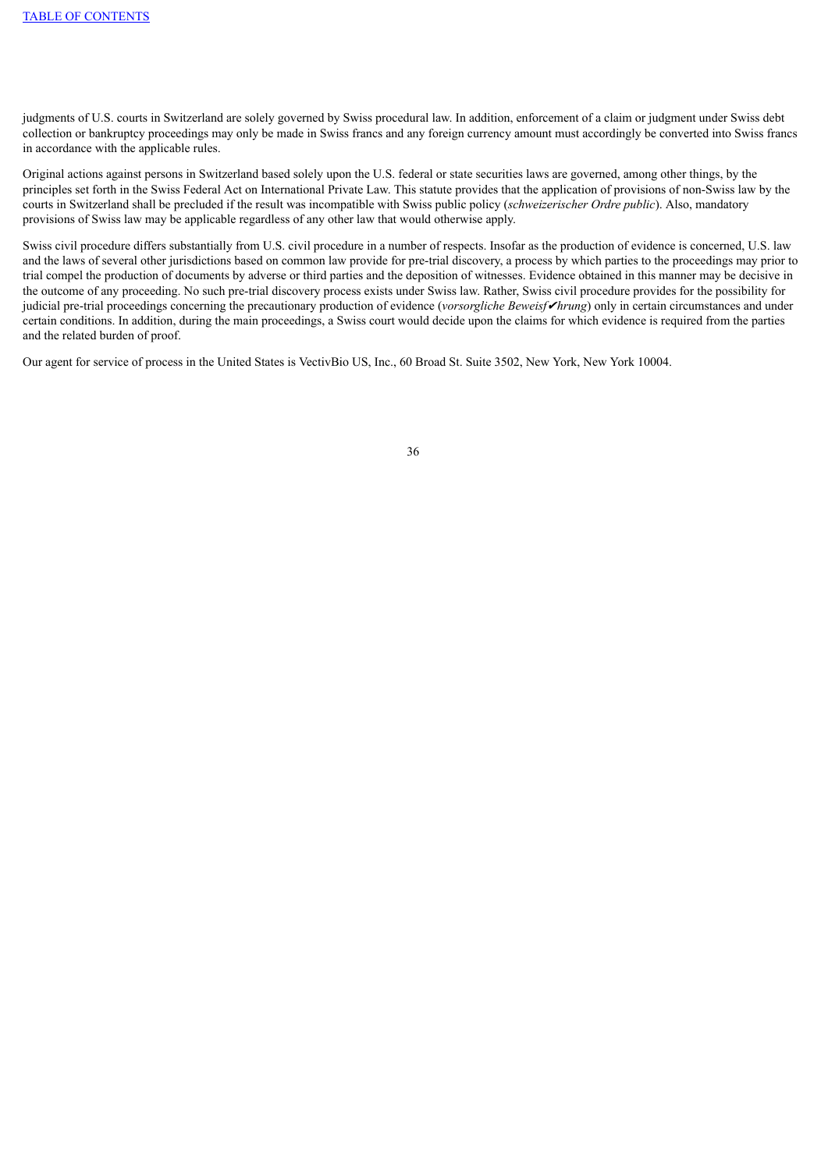judgments of U.S. courts in Switzerland are solely governed by Swiss procedural law. In addition, enforcement of a claim or judgment under Swiss debt collection or bankruptcy proceedings may only be made in Swiss francs and any foreign currency amount must accordingly be converted into Swiss francs in accordance with the applicable rules.

Original actions against persons in Switzerland based solely upon the U.S. federal or state securities laws are governed, among other things, by the principles set forth in the Swiss Federal Act on International Private Law. This statute provides that the application of provisions of non-Swiss law by the courts in Switzerland shall be precluded if the result was incompatible with Swiss public policy (*schweizerischer Ordre public*). Also, mandatory provisions of Swiss law may be applicable regardless of any other law that would otherwise apply.

Swiss civil procedure differs substantially from U.S. civil procedure in a number of respects. Insofar as the production of evidence is concerned, U.S. law and the laws of several other jurisdictions based on common law provide for pre-trial discovery, a process by which parties to the proceedings may prior to trial compel the production of documents by adverse or third parties and the deposition of witnesses. Evidence obtained in this manner may be decisive in the outcome of any proceeding. No such pre-trial discovery process exists under Swiss law. Rather, Swiss civil procedure provides for the possibility for judicial pre-trial proceedings concerning the precautionary production of evidence (*vorsorgliche Beweisf*✔*hrung*) only in certain circumstances and under certain conditions. In addition, during the main proceedings, a Swiss court would decide upon the claims for which evidence is required from the parties and the related burden of proof.

Our agent for service of process in the United States is VectivBio US, Inc., 60 Broad St. Suite 3502, New York, New York 10004.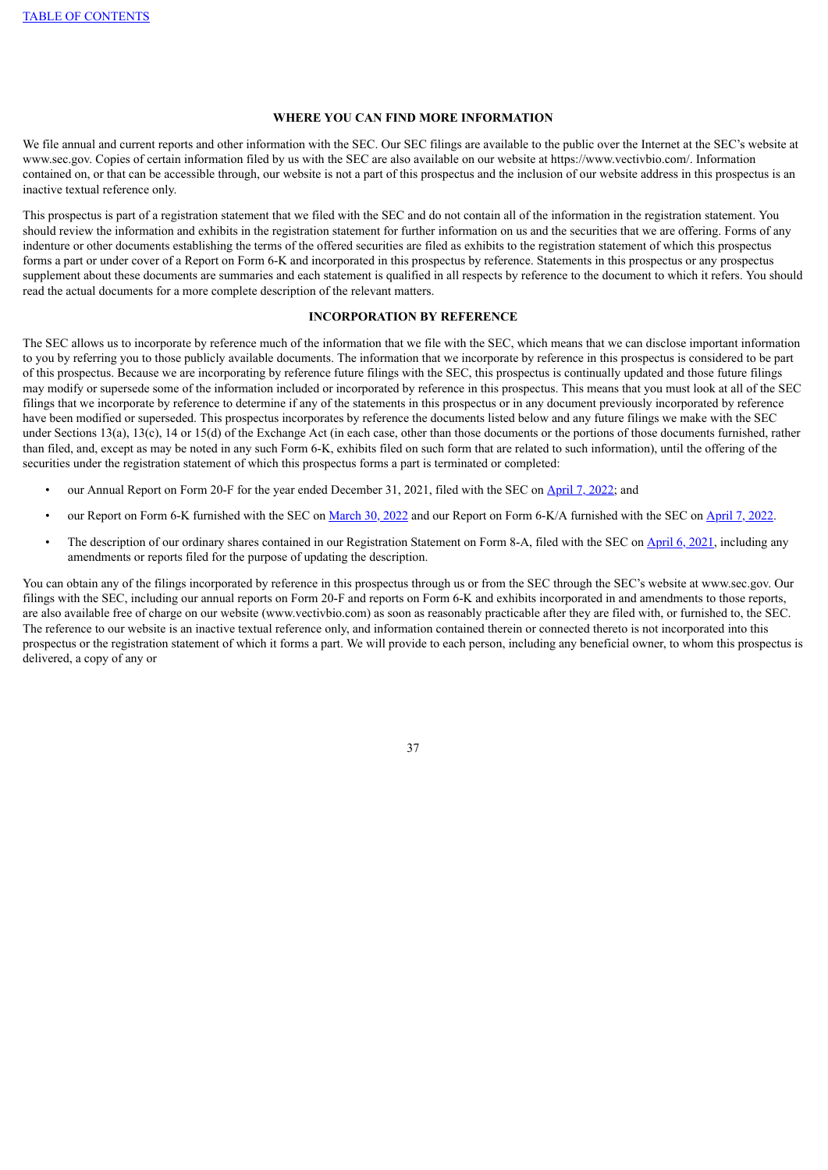#### **WHERE YOU CAN FIND MORE INFORMATION**

We file annual and current reports and other information with the SEC. Our SEC filings are available to the public over the Internet at the SEC's website at www.sec.gov. Copies of certain information filed by us with the SEC are also available on our website at https://www.vectivbio.com/. Information contained on, or that can be accessible through, our website is not a part of this prospectus and the inclusion of our website address in this prospectus is an inactive textual reference only.

This prospectus is part of a registration statement that we filed with the SEC and do not contain all of the information in the registration statement. You should review the information and exhibits in the registration statement for further information on us and the securities that we are offering. Forms of any indenture or other documents establishing the terms of the offered securities are filed as exhibits to the registration statement of which this prospectus forms a part or under cover of a Report on Form 6-K and incorporated in this prospectus by reference. Statements in this prospectus or any prospectus supplement about these documents are summaries and each statement is qualified in all respects by reference to the document to which it refers. You should read the actual documents for a more complete description of the relevant matters.

#### **INCORPORATION BY REFERENCE**

The SEC allows us to incorporate by reference much of the information that we file with the SEC, which means that we can disclose important information to you by referring you to those publicly available documents. The information that we incorporate by reference in this prospectus is considered to be part of this prospectus. Because we are incorporating by reference future filings with the SEC, this prospectus is continually updated and those future filings may modify or supersede some of the information included or incorporated by reference in this prospectus. This means that you must look at all of the SEC filings that we incorporate by reference to determine if any of the statements in this prospectus or in any document previously incorporated by reference have been modified or superseded. This prospectus incorporates by reference the documents listed below and any future filings we make with the SEC under Sections 13(a), 13(c), 14 or 15(d) of the Exchange Act (in each case, other than those documents or the portions of those documents furnished, rather than filed, and, except as may be noted in any such Form 6-K, exhibits filed on such form that are related to such information), until the offering of the securities under the registration statement of which this prospectus forms a part is terminated or completed:

- our Annual Report on Form 20-F for the year ended December 31, 2021, filed with the SEC on [April](https://www.sec.gov/ix?doc=/Archives/edgar/data/0001836379/000162828022008724/vb-20211231.htm) 7, 2022; and
- our Report on Form 6-K furnished with the SEC on [March](https://www.sec.gov/Archives/edgar/data/0001836379/000162828022007786/vectivbio-debtfinancingand.htm) 30, 2022 and our Report on Form 6-K/A furnished with the SEC on [April](https://www.sec.gov/Archives/edgar/data/0001836379/000162828022008723/vectivbio-form6xka2022resu.htm) 7, 2022.
- The description of our ordinary shares contained in our Registration Statement on Form 8-A, filed with the SEC on [April](https://www.sec.gov/Archives/edgar/data/0001836379/000162828021006613/vectivbioipo-form8xa.htm) 6, 2021, including any amendments or reports filed for the purpose of updating the description.

You can obtain any of the filings incorporated by reference in this prospectus through us or from the SEC through the SEC's website at www.sec.gov. Our filings with the SEC, including our annual reports on Form 20-F and reports on Form 6-K and exhibits incorporated in and amendments to those reports, are also available free of charge on our website (www.vectivbio.com) as soon as reasonably practicable after they are filed with, or furnished to, the SEC. The reference to our website is an inactive textual reference only, and information contained therein or connected thereto is not incorporated into this prospectus or the registration statement of which it forms a part. We will provide to each person, including any beneficial owner, to whom this prospectus is delivered, a copy of any or

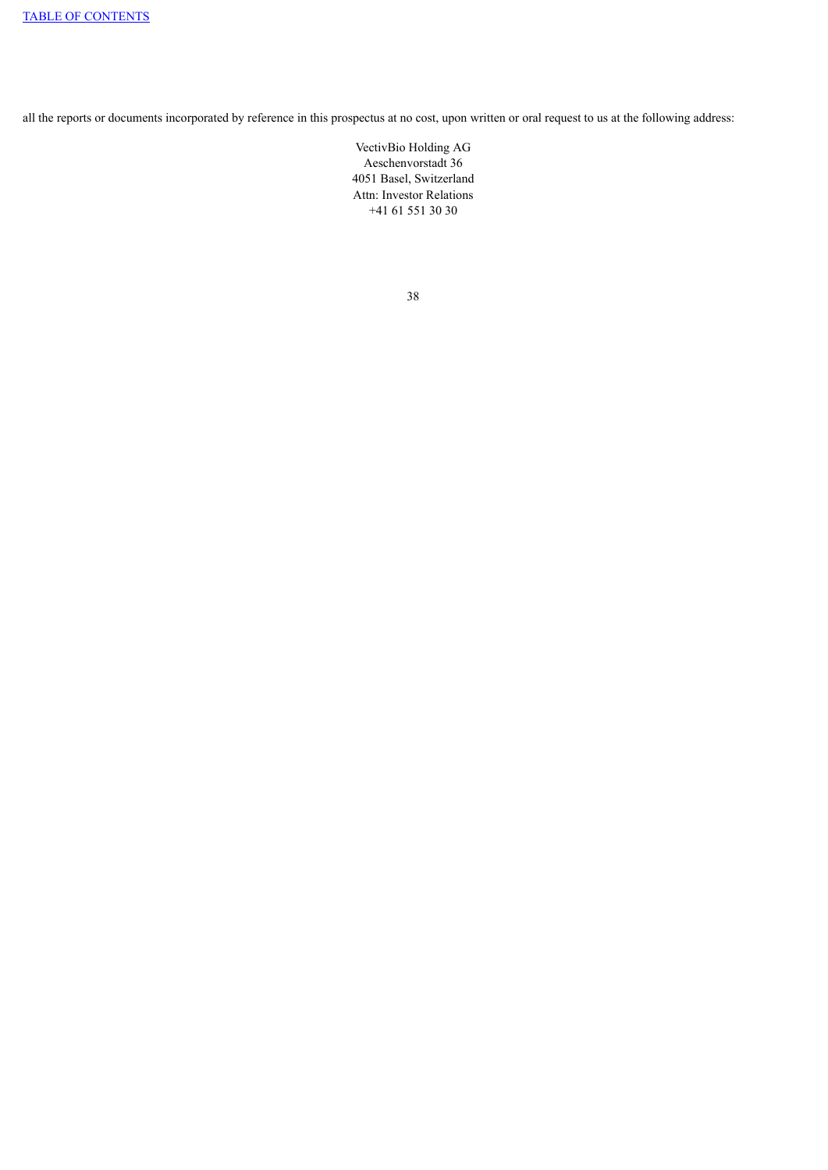all the reports or documents incorporated by reference in this prospectus at no cost, upon written or oral request to us at the following address:

VectivBio Holding AG Aeschenvorstadt 36 4051 Basel, Switzerland Attn: Investor Relations +41 61 551 30 30